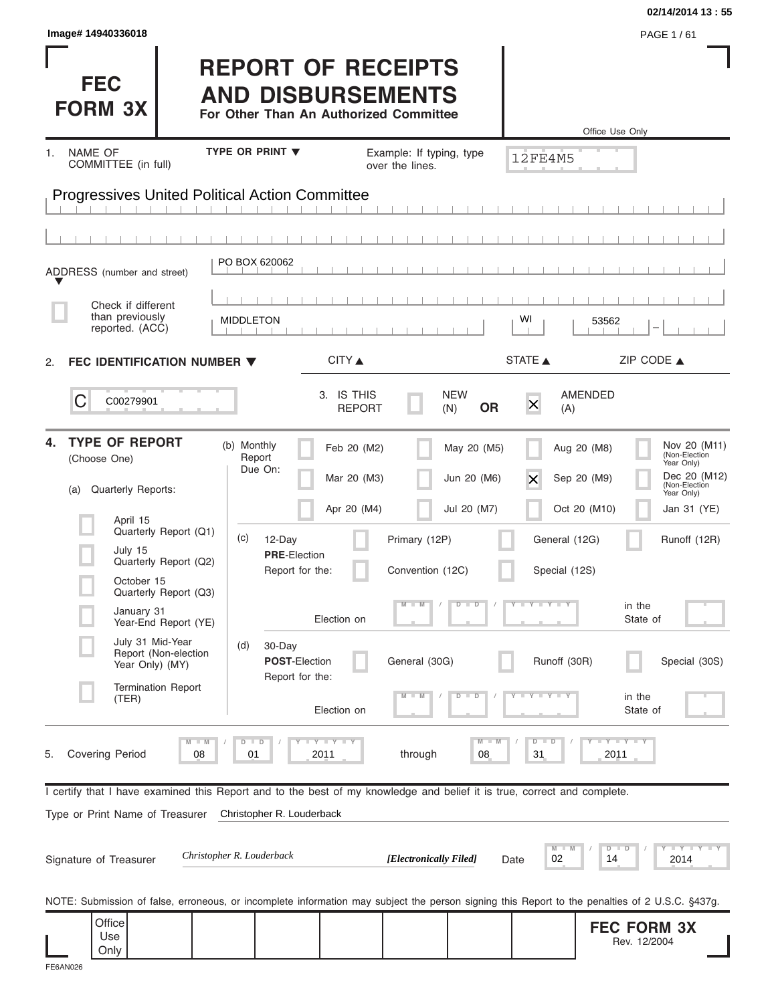| Image# 14940336018                                                                                                                                                                   |                                                                                                 |                                           |                                             |                                           |                                        | 02/14/2014 13:55<br>PAGE 1/61                                                                                                                           |
|--------------------------------------------------------------------------------------------------------------------------------------------------------------------------------------|-------------------------------------------------------------------------------------------------|-------------------------------------------|---------------------------------------------|-------------------------------------------|----------------------------------------|---------------------------------------------------------------------------------------------------------------------------------------------------------|
| <b>FEC</b><br><b>FORM 3X</b>                                                                                                                                                         | <b>REPORT OF RECEIPTS</b><br><b>AND DISBURSEMENTS</b><br>For Other Than An Authorized Committee |                                           |                                             |                                           |                                        | Office Use Only                                                                                                                                         |
| NAME OF<br>1.<br>COMMITTEE (in full)                                                                                                                                                 | <b>TYPE OR PRINT ▼</b>                                                                          |                                           | Example: If typing, type<br>over the lines. |                                           | 12FE4M5                                |                                                                                                                                                         |
| <b>Progressives United Political Action Committee</b>                                                                                                                                |                                                                                                 |                                           |                                             |                                           |                                        |                                                                                                                                                         |
|                                                                                                                                                                                      |                                                                                                 |                                           |                                             |                                           |                                        |                                                                                                                                                         |
| ADDRESS (number and street)                                                                                                                                                          | PO BOX 620062                                                                                   |                                           |                                             |                                           |                                        |                                                                                                                                                         |
| Check if different<br>than previously<br>reported. (ACC)                                                                                                                             | <b>MIDDLETON</b>                                                                                |                                           |                                             |                                           | WI                                     | 53562                                                                                                                                                   |
| <b>FEC IDENTIFICATION NUMBER ▼</b><br>2.                                                                                                                                             |                                                                                                 | CITY ▲                                    |                                             |                                           | STATE A                                | ZIP CODE $\triangle$                                                                                                                                    |
| С<br>C00279901                                                                                                                                                                       |                                                                                                 | 3. IS THIS<br><b>REPORT</b>               |                                             | <b>NEW</b><br><b>OR</b><br>(N)            | $\mathsf{X}$<br>(A)                    | AMENDED                                                                                                                                                 |
| <b>TYPE OF REPORT</b><br>4.<br>(Choose One)<br>Quarterly Reports:<br>(a)<br>April 15                                                                                                 | (b) Monthly<br>Report<br>Due On:                                                                | Feb 20 (M2)<br>Mar 20 (M3)<br>Apr 20 (M4) |                                             | May 20 (M5)<br>Jun 20 (M6)<br>Jul 20 (M7) | $\times$                               | Nov 20 (M11)<br>Aug 20 (M8)<br>(Non-Election<br>Year Only)<br>Dec 20 (M12)<br>Sep 20 (M9)<br>(Non-Election<br>Year Only)<br>Oct 20 (M10)<br>Jan 31 (YE) |
| Quarterly Report (Q1)<br>July 15<br>Quarterly Report (Q2)<br>October 15<br>Quarterly Report (Q3)                                                                                     | (c)<br>12-Day<br><b>PRE-Election</b><br>Report for the:                                         |                                           | Primary (12P)<br>Convention (12C)           |                                           | General (12G)<br>Special (12S)         | Runoff (12R)                                                                                                                                            |
| January 31<br>Year-End Report (YE)                                                                                                                                                   |                                                                                                 | Election on                               | M<br>$\blacksquare$                         | $\overline{D}$<br>$\Box$                  | $T - Y = T - Y$                        | in the<br>State of                                                                                                                                      |
| July 31 Mid-Year<br>Report (Non-election<br>Year Only) (MY)                                                                                                                          | (d)<br>30-Day<br>POST-Election<br>Report for the:                                               |                                           | General (30G)                               |                                           | Runoff (30R)                           | Special (30S)                                                                                                                                           |
| <b>Termination Report</b><br>(TER)                                                                                                                                                   |                                                                                                 | Election on                               |                                             | $\overline{D}$<br>D                       |                                        | in the<br>State of                                                                                                                                      |
| $M - M$<br><b>Covering Period</b><br>08<br>5.                                                                                                                                        | $D$ $D$<br>01                                                                                   | <b>LYLYLY</b><br>2011                     | through                                     | $M - M$<br>08                             | $\overline{D}$<br>$\blacksquare$<br>31 | $-Y - Y - \Gamma Y$<br>2011                                                                                                                             |
| I certify that I have examined this Report and to the best of my knowledge and belief it is true, correct and complete.<br>Type or Print Name of Treasurer<br>Signature of Treasurer | Christopher R. Louderback<br>Christopher R. Louderback                                          |                                           | [Electronically Filed]                      |                                           | M<br>02<br>Date                        | $-\gamma$ - $-\gamma$ - $\gamma$<br>$D$ $D$<br>14<br>2014                                                                                               |
| NOTE: Submission of false, erroneous, or incomplete information may subject the person signing this Report to the penalties of 2 U.S.C. §437g.                                       |                                                                                                 |                                           |                                             |                                           |                                        |                                                                                                                                                         |
| Office<br>Use<br>Only                                                                                                                                                                |                                                                                                 |                                           |                                             |                                           |                                        | <b>FEC FORM 3X</b><br>Rev. 12/2004                                                                                                                      |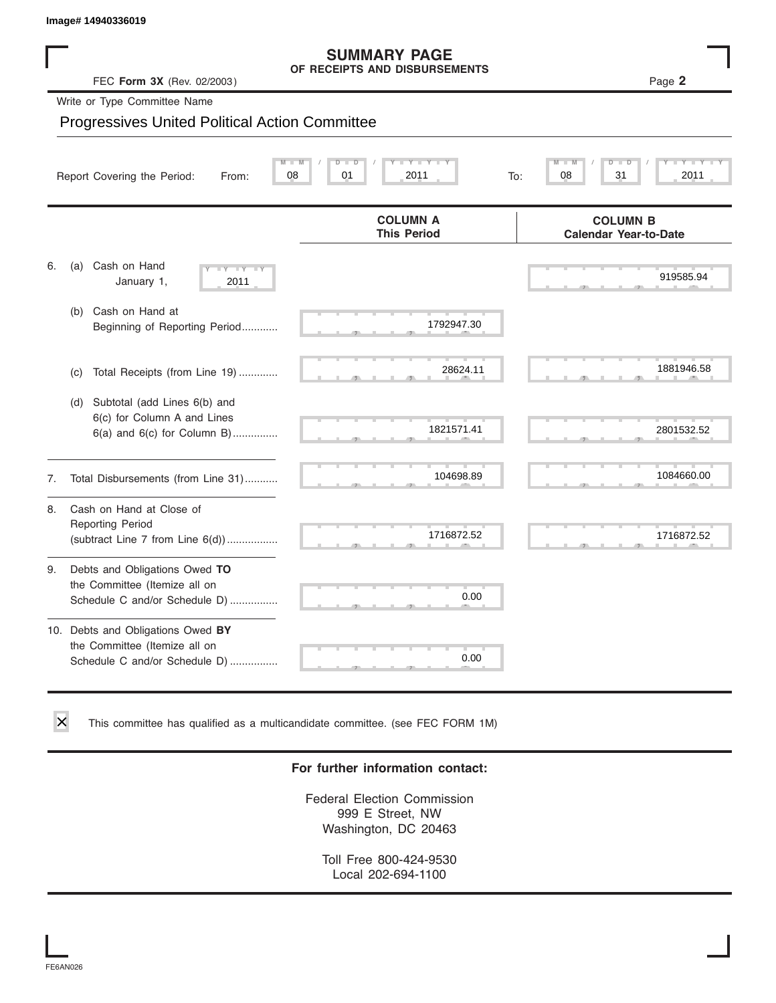# **SUMMARY PAGE**

|    | Image# 14940336019                                                                                    |                                                      |     |                                                 |            |
|----|-------------------------------------------------------------------------------------------------------|------------------------------------------------------|-----|-------------------------------------------------|------------|
|    | FEC Form 3X (Rev. 02/2003)                                                                            | <b>SUMMARY PAGE</b><br>OF RECEIPTS AND DISBURSEMENTS |     |                                                 | Page 2     |
|    | Write or Type Committee Name                                                                          |                                                      |     |                                                 |            |
|    | <b>Progressives United Political Action Committee</b>                                                 |                                                      |     |                                                 |            |
|    | Report Covering the Period:<br>From:                                                                  | $M - M$<br>$Y - Y - I$<br>D<br>D<br>08<br>01<br>2011 | To: | $\overline{\mathsf{M}}$<br>D<br>D<br>08<br>31   | 2011       |
|    |                                                                                                       | <b>COLUMN A</b><br><b>This Period</b>                |     | <b>COLUMN B</b><br><b>Calendar Year-to-Date</b> |            |
| 6. | Cash on Hand<br>(a)<br>$-Y - Y - Y$<br>January 1,<br>2011                                             |                                                      |     |                                                 | 919585.94  |
|    | Cash on Hand at<br>(b)<br>Beginning of Reporting Period                                               | 1792947.30                                           |     |                                                 |            |
|    | Total Receipts (from Line 19)<br>(c)                                                                  | 28624.11                                             |     |                                                 | 1881946.58 |
|    | Subtotal (add Lines 6(b) and<br>(d)<br>6(c) for Column A and Lines<br>$6(a)$ and $6(c)$ for Column B) | 1821571.41                                           |     |                                                 | 2801532.52 |
| 7. | Total Disbursements (from Line 31)                                                                    | 104698.89                                            |     |                                                 | 1084660.00 |
| 8. | Cash on Hand at Close of<br><b>Reporting Period</b><br>(subtract Line $7$ from Line $6(d)$ )          | 1716872.52                                           |     |                                                 | 1716872.52 |
| 9. | Debts and Obligations Owed TO<br>the Committee (Itemize all on<br>Schedule C and/or Schedule D)       | 0.00                                                 |     |                                                 |            |
|    | 10. Debts and Obligations Owed BY<br>the Committee (Itemize all on<br>Schedule C and/or Schedule D)   | T.<br>0.00                                           |     |                                                 |            |

This committee has qualified as a multicandidate committee. (see FEC FORM 1M)

#### **For further information contact:**

Federal Election Commission 999 E Street, NW Washington, DC 20463

Toll Free 800-424-9530 Local 202-694-1100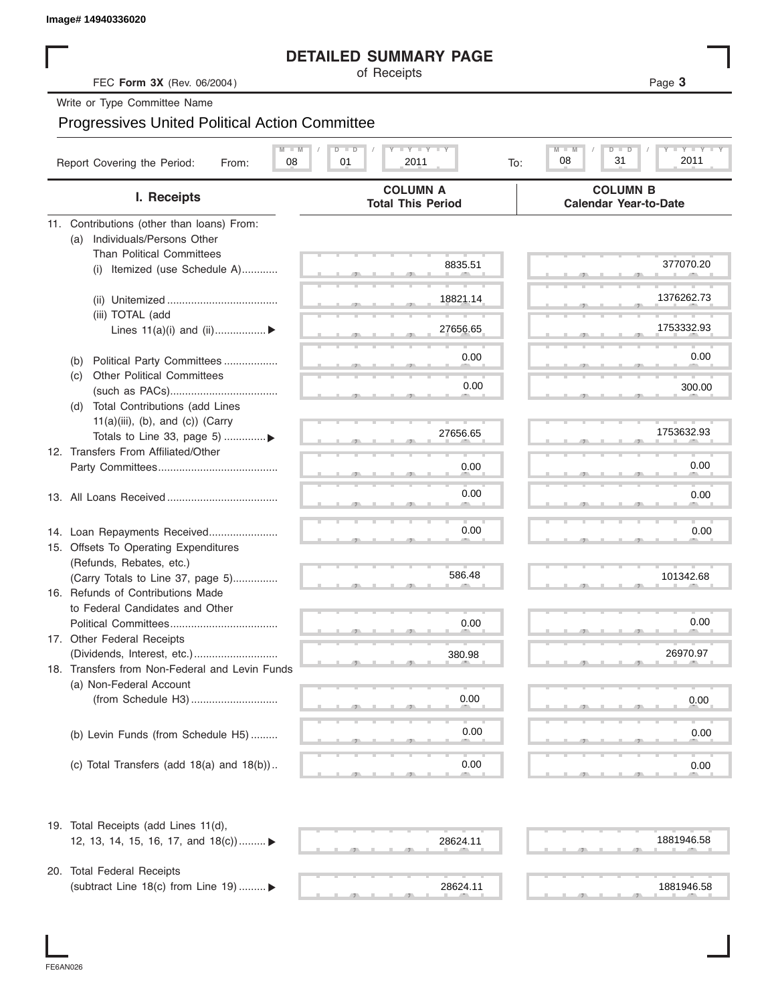| Image# 14940336020 |  |
|--------------------|--|
|--------------------|--|

#### **DETAILED SUMMARY PAGE**

|                                                                           | <b>DETAILED SUMMARY PAGE</b>                 |                                                 |
|---------------------------------------------------------------------------|----------------------------------------------|-------------------------------------------------|
| FEC Form 3X (Rev. 06/2004)                                                | of Receipts                                  | Page 3                                          |
| Write or Type Committee Name                                              |                                              |                                                 |
|                                                                           |                                              |                                                 |
| <b>Progressives United Political Action Committee</b>                     |                                              |                                                 |
| Report Covering the Period:<br>08<br>From:                                | $T - Y = T - Y = T - Y$<br>01<br>2011<br>To: | Y TY<br>$M$ $\Box$<br>D<br>31<br>08<br>2011     |
| I. Receipts                                                               | <b>COLUMN A</b><br><b>Total This Period</b>  | <b>COLUMN B</b><br><b>Calendar Year-to-Date</b> |
| 11. Contributions (other than loans) From:                                |                                              |                                                 |
| Individuals/Persons Other<br>(a)                                          |                                              |                                                 |
| <b>Than Political Committees</b>                                          |                                              |                                                 |
| (i) Itemized (use Schedule A)                                             | 8835.51                                      | 377070.20                                       |
|                                                                           |                                              |                                                 |
|                                                                           | 18821.14                                     | 1376262.73                                      |
| (iii) TOTAL (add                                                          |                                              |                                                 |
| Lines $11(a)(i)$ and $(ii)$                                               | 27656.65                                     | 1753332.93                                      |
|                                                                           | 0.00                                         | 0.00                                            |
| Political Party Committees<br>(b)<br><b>Other Political Committees</b>    |                                              |                                                 |
| (C)                                                                       | 0.00                                         | 300.00                                          |
| Total Contributions (add Lines<br>(d)                                     |                                              |                                                 |
| $11(a)(iii)$ , (b), and (c)) (Carry                                       |                                              |                                                 |
| Totals to Line 33, page 5) ▶                                              | 27656.65                                     | 1753632.93                                      |
| 12. Transfers From Affiliated/Other                                       |                                              |                                                 |
|                                                                           | 0.00                                         | 0.00                                            |
|                                                                           |                                              |                                                 |
|                                                                           | 0.00                                         | 0.00                                            |
|                                                                           |                                              |                                                 |
| 14. Loan Repayments Received                                              | 0.00                                         | 0.00                                            |
| 15. Offsets To Operating Expenditures                                     |                                              |                                                 |
| (Refunds, Rebates, etc.)                                                  |                                              |                                                 |
| (Carry Totals to Line 37, page 5)                                         | 586.48                                       | 101342.68                                       |
| 16. Refunds of Contributions Made                                         |                                              |                                                 |
| to Federal Candidates and Other                                           |                                              |                                                 |
| Political Committees                                                      | 0.00                                         | 0.00                                            |
| 17. Other Federal Receipts                                                |                                              |                                                 |
|                                                                           | 380.98                                       | 26970.97                                        |
| 18. Transfers from Non-Federal and Levin Funds<br>(a) Non-Federal Account |                                              |                                                 |
|                                                                           | 0.00                                         | 0.00                                            |
|                                                                           |                                              |                                                 |
|                                                                           | 0.00                                         | 0.00                                            |
| (b) Levin Funds (from Schedule H5)                                        |                                              |                                                 |
| (c) Total Transfers (add $18(a)$ and $18(b)$ )                            | 0.00                                         | 0.00                                            |
|                                                                           |                                              |                                                 |
| 19. Total Receipts (add Lines 11(d),                                      |                                              |                                                 |
| 12, 13, 14, 15, 16, 17, and 18(c)) ▶                                      | 28624.11                                     | 1881946.58                                      |
|                                                                           |                                              |                                                 |
| 20. Total Federal Receipts                                                |                                              |                                                 |
| (subtract Line 18(c) from Line 19)  ▶                                     | 28624.11                                     | 1881946.58                                      |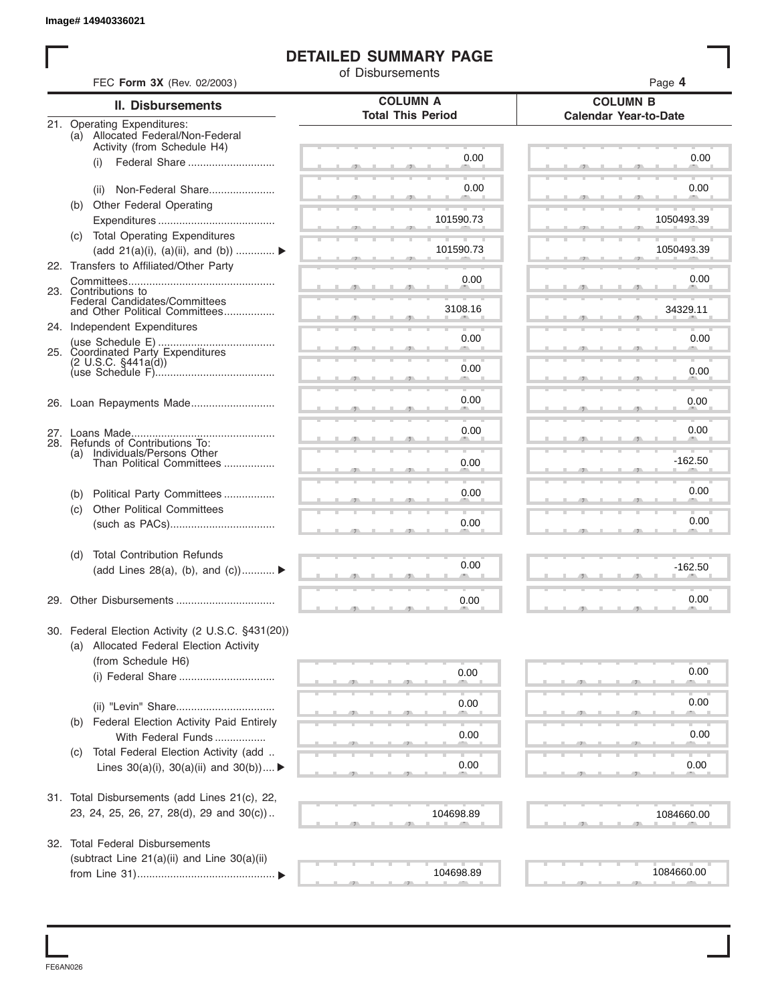#### **DETAILED SUMMARY PAGE**

|     |                                                                      | of Disbursements                            |                                                 |
|-----|----------------------------------------------------------------------|---------------------------------------------|-------------------------------------------------|
|     | FEC Form 3X (Rev. 02/2003)                                           |                                             | Page 4                                          |
|     | <b>II. Disbursements</b>                                             | <b>COLUMN A</b><br><b>Total This Period</b> | <b>COLUMN B</b><br><b>Calendar Year-to-Date</b> |
|     | 21. Operating Expenditures:<br>(a) Allocated Federal/Non-Federal     |                                             |                                                 |
|     | Activity (from Schedule H4)                                          |                                             |                                                 |
|     | Federal Share<br>(i)                                                 | 0.00                                        | 0.00                                            |
|     |                                                                      | 0.00                                        | 0.00                                            |
|     | Non-Federal Share<br>(ii)                                            |                                             |                                                 |
|     | (b) Other Federal Operating                                          | 101590.73                                   | 1050493.39                                      |
|     | (c) Total Operating Expenditures                                     |                                             |                                                 |
|     | (add 21(a)(i), (a)(ii), and (b))                                     | 101590.73                                   | 1050493.39                                      |
|     | 22. Transfers to Affiliated/Other Party                              |                                             |                                                 |
|     |                                                                      | 0.00                                        | 0.00                                            |
|     | 23. Contributions to                                                 |                                             |                                                 |
|     | Federal Candidates/Committees<br>and Other Political Committees      | 3108.16                                     | 34329.11                                        |
|     | 24. Independent Expenditures                                         |                                             |                                                 |
|     |                                                                      | 0.00                                        | 0.00                                            |
|     | 25. Coordinated Party Expenditures<br>$(2 \text{ U.S.C. } $441a(d))$ |                                             |                                                 |
|     |                                                                      | 0.00                                        | 0.00                                            |
|     |                                                                      |                                             |                                                 |
|     | 26. Loan Repayments Made                                             | 0.00                                        | 0.00                                            |
|     |                                                                      |                                             |                                                 |
|     |                                                                      | 0.00                                        | 0.00                                            |
| (a) | 28. Refunds of Contributions To:                                     |                                             |                                                 |
|     | Individuals/Persons Other<br>Than Political Committees               | 0.00                                        | $-162.50$                                       |
|     |                                                                      |                                             |                                                 |
| (b) | Political Party Committees                                           | 0.00                                        | 0.00                                            |
| (c) | <b>Other Political Committees</b>                                    |                                             |                                                 |
|     |                                                                      | 0.00                                        | 0.00                                            |
| (d) | <b>Total Contribution Refunds</b>                                    |                                             |                                                 |
|     | (add Lines 28(a), (b), and (c))                                      | 0.00                                        | $-162.50$                                       |
|     |                                                                      |                                             |                                                 |
|     |                                                                      | 0.00                                        | 0.00                                            |
|     | 30. Federal Election Activity (2 U.S.C. §431(20))                    |                                             |                                                 |
|     | (a) Allocated Federal Election Activity                              |                                             |                                                 |
|     | (from Schedule H6)                                                   |                                             |                                                 |
|     |                                                                      | 0.00                                        | 0.00                                            |
|     |                                                                      |                                             |                                                 |
|     |                                                                      | 0.00                                        | 0.00                                            |
|     | (b) Federal Election Activity Paid Entirely                          |                                             |                                                 |
|     | With Federal Funds                                                   | 0.00                                        | 0.00                                            |
| (C) | Total Federal Election Activity (add                                 |                                             |                                                 |
|     | Lines $30(a)(i)$ , $30(a)(ii)$ and $30(b))$                          | 0.00                                        | 0.00                                            |
|     |                                                                      |                                             |                                                 |
|     | 31. Total Disbursements (add Lines 21(c), 22,                        |                                             |                                                 |
|     | 23, 24, 25, 26, 27, 28(d), 29 and 30(c))                             | 104698.89                                   | 1084660.00                                      |
|     | 32. Total Federal Disbursements                                      |                                             |                                                 |
|     | (subtract Line 21(a)(ii) and Line 30(a)(ii)                          |                                             |                                                 |
|     |                                                                      | 104698.89                                   | 1084660.00                                      |

FE6AN026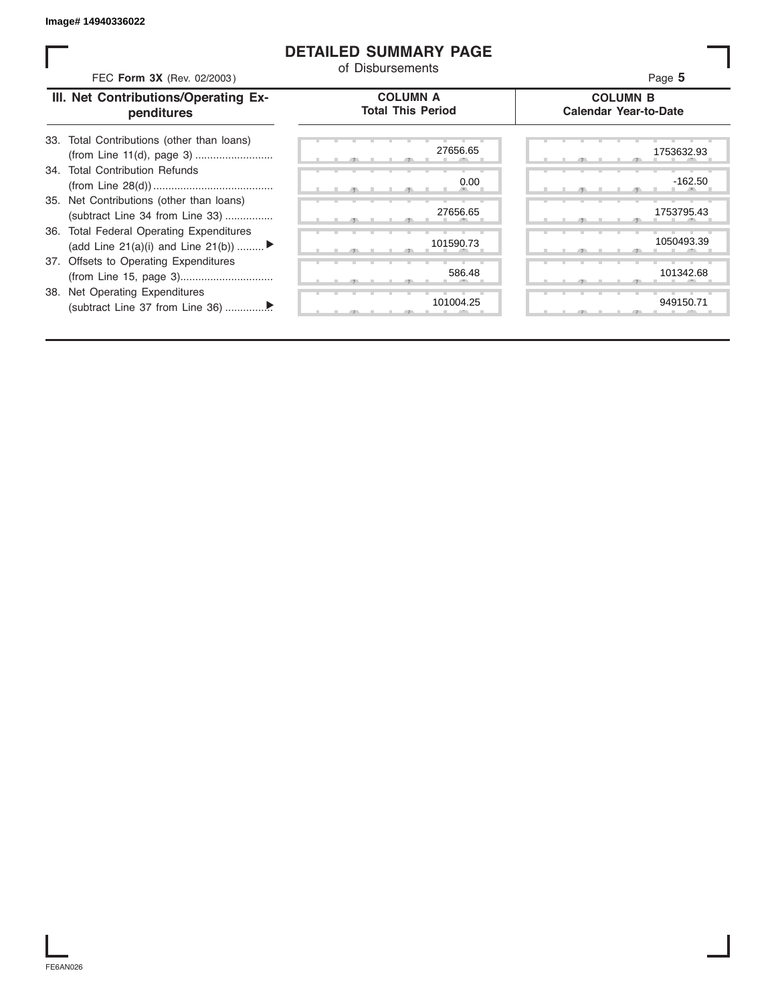#### **DETAILED SUMMARY PAGE**

| FEC Form 3X (Rev. 02/2003)                                                     | of Disbursements                            | Page 5                                          |
|--------------------------------------------------------------------------------|---------------------------------------------|-------------------------------------------------|
| III. Net Contributions/Operating Ex-<br>penditures                             | <b>COLUMN A</b><br><b>Total This Period</b> | <b>COLUMN B</b><br><b>Calendar Year-to-Date</b> |
| Total Contributions (other than loans)<br>33.                                  | 27656.65                                    | 1753632.93                                      |
| 34. Total Contribution Refunds                                                 | 0.00                                        | $-162.50$                                       |
| 35. Net Contributions (other than loans)<br>(subtract Line 34 from Line 33)    | 27656.65                                    | 1753795.43                                      |
| 36. Total Federal Operating Expenditures<br>(add Line 21(a)(i) and Line 21(b)) | 101590.73                                   | 1050493.39                                      |
| 37. Offsets to Operating Expenditures                                          | 586.48                                      | 101342.68                                       |
| 38. Net Operating Expenditures                                                 | 101004.25                                   | 949150.71                                       |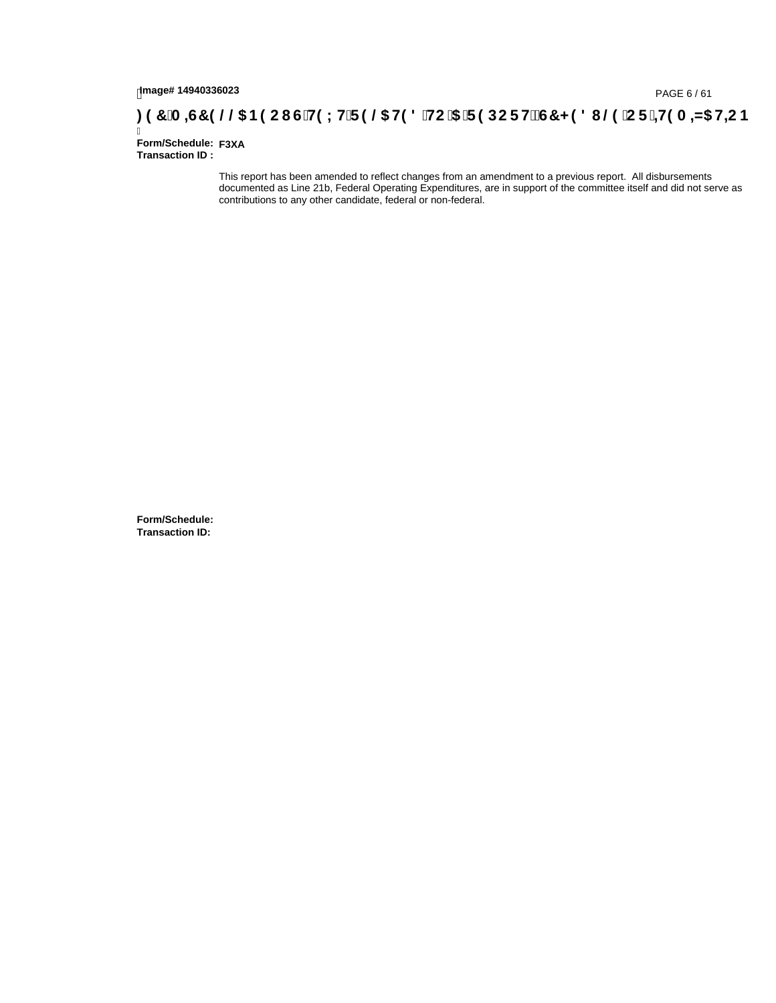# **)(&0,6&(//\$1(2867(;75(/\$7('72\$5(32576&+('8/(25,7(0,=\$7,21**

Ī **Form/Schedule: F3XATransaction ID :** 

> This report has been amended to reflect changes from an amendment to a previous report. All disbursements documented as Line 21b, Federal Operating Expenditures, are in support of the committee itself and did not serve as contributions to any other candidate, federal or non-federal.

**Form/Schedule: Transaction ID:**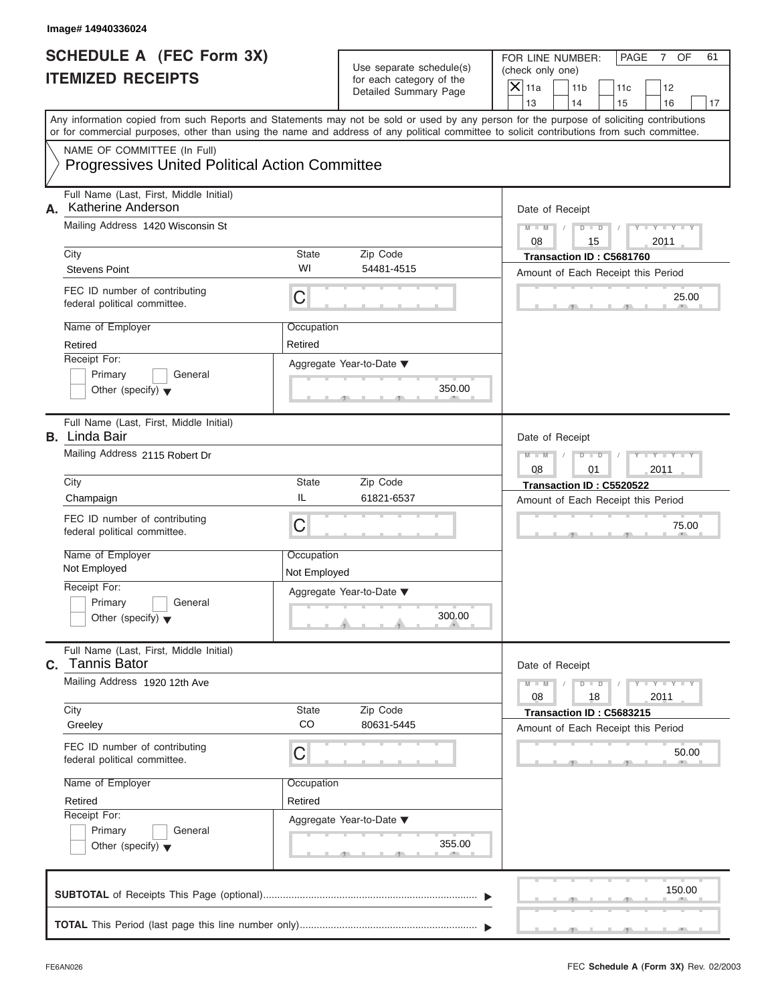FOR LINE NUMBER: PAGE 7 OF<br>(check only one)

|    | SCHEDULE A (FEC FOrm 3X)<br><b>ITEMIZED RECEIPTS</b>                                                                                       |                       | Use separate schedule(s)<br>for each category of the<br>Detailed Summary Page | FOR LINE NUMBER:<br>PAGE<br>7 OF<br>61<br>(check only one)<br>$\overline{\mathsf{x}}$<br>11a<br>11 <sub>b</sub><br>12<br>11c |
|----|--------------------------------------------------------------------------------------------------------------------------------------------|-----------------------|-------------------------------------------------------------------------------|------------------------------------------------------------------------------------------------------------------------------|
|    | Any information copied from such Reports and Statements may not be sold or used by any person for the purpose of soliciting contributions  |                       |                                                                               | 13<br>14<br>16<br>15<br>17                                                                                                   |
|    | or for commercial purposes, other than using the name and address of any political committee to solicit contributions from such committee. |                       |                                                                               |                                                                                                                              |
|    | NAME OF COMMITTEE (In Full)<br><b>Progressives United Political Action Committee</b>                                                       |                       |                                                                               |                                                                                                                              |
| А. | Full Name (Last, First, Middle Initial)<br>Katherine Anderson                                                                              |                       |                                                                               | Date of Receipt                                                                                                              |
|    | Mailing Address 1420 Wisconsin St<br>City                                                                                                  | State                 | Zip Code                                                                      | $M - M$<br>$Y - Y - I$<br>$D$ $D$<br>08<br>15<br>2011<br>Transaction ID: C5681760                                            |
|    | <b>Stevens Point</b>                                                                                                                       | WI                    | 54481-4515                                                                    | Amount of Each Receipt this Period                                                                                           |
|    | FEC ID number of contributing<br>federal political committee.                                                                              | C                     |                                                                               | 25.00                                                                                                                        |
|    | Name of Employer<br>Retired                                                                                                                | Occupation<br>Retired |                                                                               |                                                                                                                              |
|    | Receipt For:<br>General                                                                                                                    |                       | Aggregate Year-to-Date ▼                                                      |                                                                                                                              |
|    | Primary<br>Other (specify) $\blacktriangledown$                                                                                            |                       | 350.00                                                                        |                                                                                                                              |
|    | Full Name (Last, First, Middle Initial)<br><b>B.</b> Linda Bair                                                                            |                       |                                                                               | Date of Receipt                                                                                                              |
|    | Mailing Address 2115 Robert Dr                                                                                                             |                       |                                                                               | $M - M$<br>D<br>$\Box$<br>08<br>2011<br>01                                                                                   |
|    | City<br>Champaign                                                                                                                          | <b>State</b><br>IL    | Zip Code<br>61821-6537                                                        | Transaction ID: C5520522                                                                                                     |
|    | FEC ID number of contributing<br>federal political committee.                                                                              | C                     |                                                                               | Amount of Each Receipt this Period<br>75.00                                                                                  |
|    | Name of Employer                                                                                                                           | Occupation            |                                                                               |                                                                                                                              |
|    | Not Employed                                                                                                                               | Not Employed          |                                                                               |                                                                                                                              |
|    | Receipt For:<br>General<br>Primary                                                                                                         |                       | Aggregate Year-to-Date ▼                                                      |                                                                                                                              |
|    | Other (specify) $\blacktriangledown$                                                                                                       |                       | 300.00<br>A                                                                   |                                                                                                                              |
| С. | Full Name (Last, First, Middle Initial)<br><b>Tannis Bator</b>                                                                             |                       |                                                                               | Date of Receipt                                                                                                              |
|    | Mailing Address 1920 12th Ave                                                                                                              |                       |                                                                               | $Y = Y = Y - Y$<br>$M - M$<br>D<br>$\Box$<br>08<br>18<br>2011                                                                |
|    | City<br>Greeley                                                                                                                            | State<br>CO           | Zip Code<br>80631-5445                                                        | Transaction ID: C5683215<br>Amount of Each Receipt this Period                                                               |
|    | FEC ID number of contributing<br>federal political committee.                                                                              | C                     |                                                                               | 50.00                                                                                                                        |
|    | Name of Employer                                                                                                                           | Occupation            |                                                                               |                                                                                                                              |
|    | Retired                                                                                                                                    | Retired               |                                                                               |                                                                                                                              |
|    | Receipt For:<br>Primary<br>General<br>Other (specify) $\blacktriangledown$                                                                 |                       | Aggregate Year-to-Date ▼<br>355.00                                            |                                                                                                                              |
|    |                                                                                                                                            |                       |                                                                               | 150.00                                                                                                                       |
|    |                                                                                                                                            |                       |                                                                               |                                                                                                                              |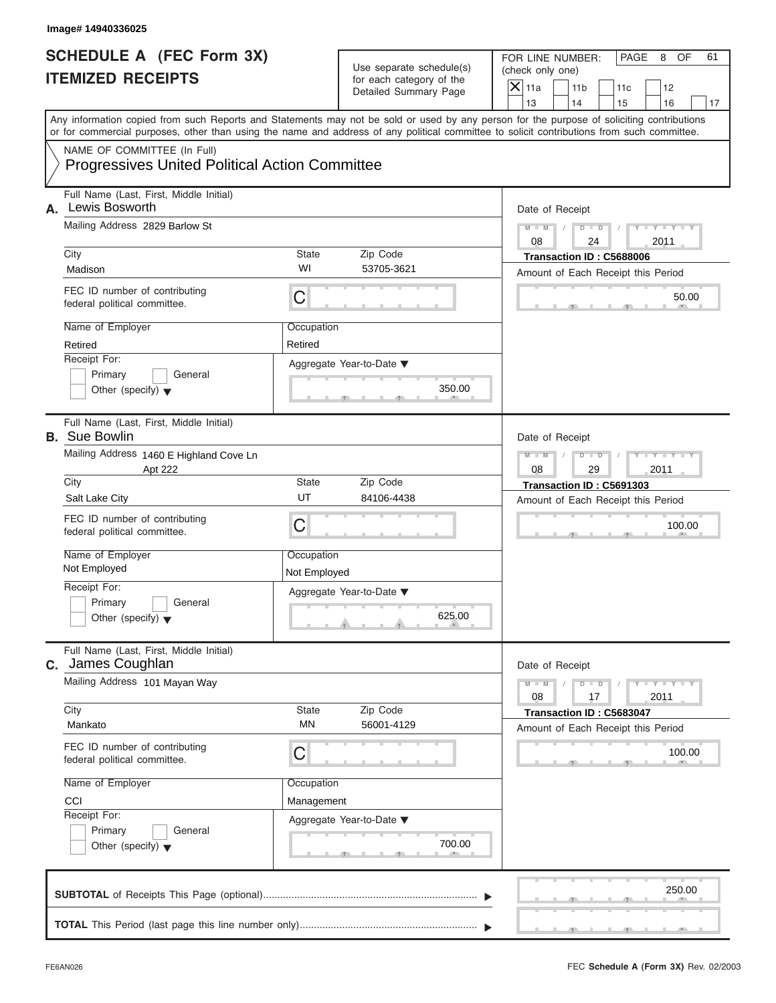FOR LINE NUMBER: PAGE 8 OF<br>(check only one)

| SCHEDULE A (FEC FOrm 3X)<br><b>ITEMIZED RECEIPTS</b>                                                                                                                                                                                                                                    |                       | Use separate schedule(s)<br>for each category of the<br>Detailed Summary Page | FOR LINE NUMBER:<br>PAGE<br>8<br>OF<br>61<br>(check only one)<br>$\overline{\mathsf{x}}$<br>11a<br>11 <sub>b</sub><br>11c<br>12 |
|-----------------------------------------------------------------------------------------------------------------------------------------------------------------------------------------------------------------------------------------------------------------------------------------|-----------------------|-------------------------------------------------------------------------------|---------------------------------------------------------------------------------------------------------------------------------|
|                                                                                                                                                                                                                                                                                         |                       |                                                                               | 13<br>14<br>16<br>15<br>17                                                                                                      |
| Any information copied from such Reports and Statements may not be sold or used by any person for the purpose of soliciting contributions<br>or for commercial purposes, other than using the name and address of any political committee to solicit contributions from such committee. |                       |                                                                               |                                                                                                                                 |
| NAME OF COMMITTEE (In Full)<br><b>Progressives United Political Action Committee</b>                                                                                                                                                                                                    |                       |                                                                               |                                                                                                                                 |
| Full Name (Last, First, Middle Initial)<br>Lewis Bosworth<br>А.                                                                                                                                                                                                                         |                       |                                                                               | Date of Receipt                                                                                                                 |
| Mailing Address 2829 Barlow St<br>City                                                                                                                                                                                                                                                  | State                 | Zip Code                                                                      | $Y = Y$<br>$M - M$<br>$D$ $D$<br>08<br>2011<br>24<br>Transaction ID: C5688006                                                   |
| Madison                                                                                                                                                                                                                                                                                 | WI                    | 53705-3621                                                                    | Amount of Each Receipt this Period                                                                                              |
| FEC ID number of contributing<br>federal political committee.                                                                                                                                                                                                                           | C                     |                                                                               | 50.00                                                                                                                           |
| Name of Employer<br>Retired                                                                                                                                                                                                                                                             | Occupation<br>Retired |                                                                               |                                                                                                                                 |
| Receipt For:                                                                                                                                                                                                                                                                            |                       | Aggregate Year-to-Date ▼                                                      |                                                                                                                                 |
| Primary<br>General<br>Other (specify) $\blacktriangledown$                                                                                                                                                                                                                              |                       | 350.00                                                                        |                                                                                                                                 |
| Full Name (Last, First, Middle Initial)<br><b>B.</b> Sue Bowlin                                                                                                                                                                                                                         |                       |                                                                               | Date of Receipt                                                                                                                 |
| Mailing Address 1460 E Highland Cove Ln<br>Apt 222                                                                                                                                                                                                                                      |                       |                                                                               | $M - M$<br>ъ<br>$\blacksquare$<br>08<br>29<br>2011                                                                              |
| City<br>Salt Lake City                                                                                                                                                                                                                                                                  | State<br>UT           | Zip Code<br>84106-4438                                                        | Transaction ID: C5691303<br>Amount of Each Receipt this Period                                                                  |
| FEC ID number of contributing<br>federal political committee.                                                                                                                                                                                                                           | C                     |                                                                               | 100.00                                                                                                                          |
| Name of Employer                                                                                                                                                                                                                                                                        | Occupation            |                                                                               |                                                                                                                                 |
| Not Employed<br>Receipt For:                                                                                                                                                                                                                                                            | Not Employed          |                                                                               |                                                                                                                                 |
| General<br>Primary                                                                                                                                                                                                                                                                      |                       | Aggregate Year-to-Date ▼                                                      |                                                                                                                                 |
| Other (specify) $\blacktriangledown$                                                                                                                                                                                                                                                    |                       | 625.00<br>A                                                                   |                                                                                                                                 |
| Full Name (Last, First, Middle Initial)<br>James Coughlan<br>С.                                                                                                                                                                                                                         |                       |                                                                               | Date of Receipt                                                                                                                 |
| Mailing Address 101 Mayan Way                                                                                                                                                                                                                                                           |                       |                                                                               | $Y = Y = Y - Y$<br>$M - M$<br>D<br>$\Box$<br>08<br>2011<br>17                                                                   |
| City<br>Mankato                                                                                                                                                                                                                                                                         | State<br>MN           | Zip Code<br>56001-4129                                                        | Transaction ID: C5683047                                                                                                        |
| FEC ID number of contributing<br>federal political committee.                                                                                                                                                                                                                           | С                     |                                                                               | Amount of Each Receipt this Period<br>100.00                                                                                    |
| Name of Employer                                                                                                                                                                                                                                                                        | Occupation            |                                                                               |                                                                                                                                 |
| CCI                                                                                                                                                                                                                                                                                     | Management            |                                                                               |                                                                                                                                 |
| Receipt For:<br>Primary<br>General<br>Other (specify) $\blacktriangledown$                                                                                                                                                                                                              |                       | Aggregate Year-to-Date ▼<br>700.00                                            |                                                                                                                                 |
|                                                                                                                                                                                                                                                                                         |                       |                                                                               | 250.00                                                                                                                          |
|                                                                                                                                                                                                                                                                                         |                       |                                                                               |                                                                                                                                 |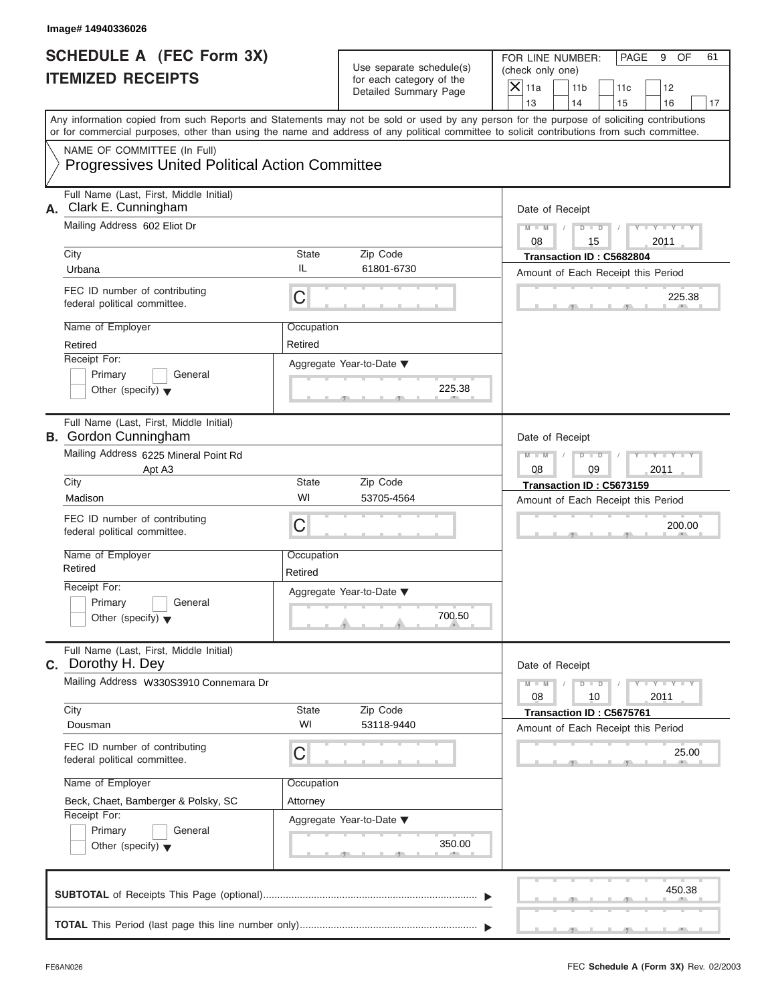| SCHEDULE A (FEC Form 3X)<br><b>ITEMIZED RECEIPTS</b>                   |                                                       | Use separate schedule(s)<br>for each category of the<br>Detailed Summary Page | FOR LINE NUMBER:<br>PAGE<br>9<br>OF<br>61<br>(check only one)<br>$\overline{X}$ 11a<br>11 <sub>b</sub><br>12<br>11c                                                     |
|------------------------------------------------------------------------|-------------------------------------------------------|-------------------------------------------------------------------------------|-------------------------------------------------------------------------------------------------------------------------------------------------------------------------|
|                                                                        |                                                       |                                                                               | 13<br>14<br>15<br>16<br>17<br>Any information copied from such Reports and Statements may not be sold or used by any person for the purpose of soliciting contributions |
|                                                                        |                                                       |                                                                               | or for commercial purposes, other than using the name and address of any political committee to solicit contributions from such committee.                              |
| NAME OF COMMITTEE (In Full)                                            | <b>Progressives United Political Action Committee</b> |                                                                               |                                                                                                                                                                         |
| Full Name (Last, First, Middle Initial)<br>Clark E. Cunningham<br>А.   |                                                       |                                                                               | Date of Receipt                                                                                                                                                         |
| Mailing Address 602 Eliot Dr<br>City                                   | <b>State</b>                                          | Zip Code                                                                      | $Y = Y =$<br>$M - M$<br>D<br>$\Box$<br>08<br>15<br>2011<br>Transaction ID: C5682804                                                                                     |
| Urbana                                                                 | IL                                                    | 61801-6730                                                                    | Amount of Each Receipt this Period                                                                                                                                      |
| FEC ID number of contributing<br>federal political committee.          | $\mathsf C$                                           |                                                                               | 225.38                                                                                                                                                                  |
| Name of Employer<br>Retired                                            | Occupation<br>Retired                                 |                                                                               |                                                                                                                                                                         |
| Receipt For:                                                           |                                                       | Aggregate Year-to-Date ▼                                                      |                                                                                                                                                                         |
| Primary<br>Other (specify) $\blacktriangledown$                        | General                                               | 225.38<br>$-9$                                                                |                                                                                                                                                                         |
| Full Name (Last, First, Middle Initial)<br><b>B.</b> Gordon Cunningham |                                                       |                                                                               | Date of Receipt                                                                                                                                                         |
| Mailing Address 6225 Mineral Point Rd<br>Apt A3                        |                                                       | $M - M$<br>D<br>$\Box$<br>08<br>09<br>2011                                    |                                                                                                                                                                         |
| City<br>Madison                                                        | <b>State</b><br>WI                                    | Zip Code<br>53705-4564                                                        | Transaction ID: C5673159<br>Amount of Each Receipt this Period                                                                                                          |
| FEC ID number of contributing<br>federal political committee.          | C                                                     |                                                                               | 200.00                                                                                                                                                                  |
| Name of Employer<br>Retired                                            | Occupation<br>Retired                                 |                                                                               |                                                                                                                                                                         |
| Receipt For:                                                           |                                                       | Aggregate Year-to-Date ▼                                                      |                                                                                                                                                                         |
| Primary<br>Other (specify) $\blacktriangledown$                        | General                                               | 700.50                                                                        |                                                                                                                                                                         |
| Full Name (Last, First, Middle Initial)<br><b>C.</b> Dorothy H. Dey    |                                                       |                                                                               | Date of Receipt                                                                                                                                                         |
| Mailing Address W330S3910 Connemara Dr                                 |                                                       |                                                                               | $Y = Y = Y = Y$<br>$M - M$<br>D<br>$\overline{\phantom{a}}$<br>08<br>10<br>2011                                                                                         |
| City<br>Dousman                                                        | <b>State</b><br>WI                                    | Zip Code<br>53118-9440                                                        | Transaction ID: C5675761<br>Amount of Each Receipt this Period                                                                                                          |
| FEC ID number of contributing<br>federal political committee.          | C                                                     |                                                                               | 25.00                                                                                                                                                                   |
| Name of Employer                                                       | Occupation                                            |                                                                               |                                                                                                                                                                         |
| Beck, Chaet, Bamberger & Polsky, SC<br>Receipt For:                    | Attorney                                              |                                                                               |                                                                                                                                                                         |
| Primary<br>Other (specify) $\blacktriangledown$                        | General                                               | Aggregate Year-to-Date ▼<br>350.00                                            |                                                                                                                                                                         |
|                                                                        |                                                       |                                                                               | 450.38                                                                                                                                                                  |
|                                                                        |                                                       |                                                                               |                                                                                                                                                                         |

 $\mathcal{T}$  s s  $\mathcal{T}$  , and  $\mathcal{T}$  , .

FOR LINE NUMBER: PAGE 9 OF<br>(check only one)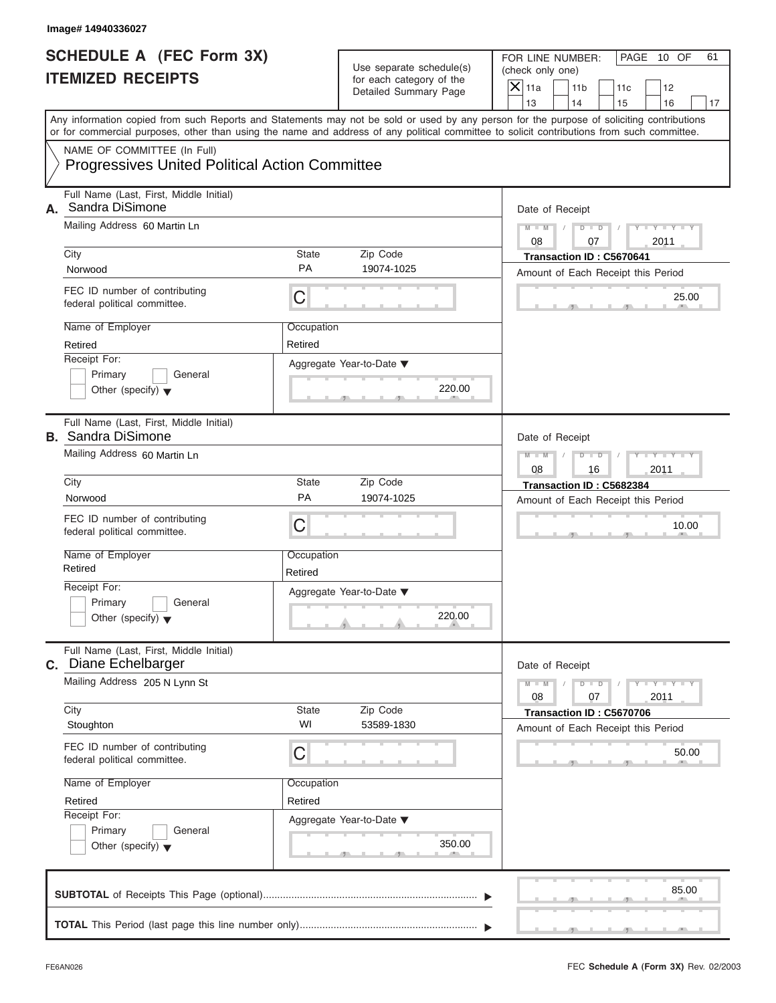|    | Image# 14940336027                                                                                                                         |                       |                                                      |                                                                                                                                           |
|----|--------------------------------------------------------------------------------------------------------------------------------------------|-----------------------|------------------------------------------------------|-------------------------------------------------------------------------------------------------------------------------------------------|
|    | <b>SCHEDULE A (FEC Form 3X)</b><br><b>ITEMIZED RECEIPTS</b>                                                                                |                       | Use separate schedule(s)<br>for each category of the | FOR LINE NUMBER:<br>PAGE 10 OF<br>61<br>(check only one)<br>$\overline{X}$ 11a<br>11 <sub>b</sub><br>11c<br>12                            |
|    |                                                                                                                                            |                       | Detailed Summary Page                                | 13<br>14<br>15<br>16<br>17                                                                                                                |
|    | or for commercial purposes, other than using the name and address of any political committee to solicit contributions from such committee. |                       |                                                      | Any information copied from such Reports and Statements may not be sold or used by any person for the purpose of soliciting contributions |
|    | NAME OF COMMITTEE (In Full)<br><b>Progressives United Political Action Committee</b>                                                       |                       |                                                      |                                                                                                                                           |
| А. | Full Name (Last, First, Middle Initial)<br>Sandra DiSimone                                                                                 |                       |                                                      | Date of Receipt                                                                                                                           |
|    | Mailing Address 60 Martin Ln                                                                                                               |                       |                                                      | $Y - Y - Y - Y - Y$<br>$D$ $D$<br>$M - M$<br>08<br>07<br>2011                                                                             |
|    | City                                                                                                                                       | <b>State</b>          | Zip Code                                             | Transaction ID: C5670641                                                                                                                  |
|    | Norwood                                                                                                                                    | <b>PA</b>             | 19074-1025                                           | Amount of Each Receipt this Period                                                                                                        |
|    | FEC ID number of contributing<br>federal political committee.                                                                              | C                     |                                                      | 25.00                                                                                                                                     |
|    | Name of Employer                                                                                                                           | Occupation            |                                                      |                                                                                                                                           |
|    | Retired                                                                                                                                    | Retired               |                                                      |                                                                                                                                           |
|    | Receipt For:                                                                                                                               |                       | Aggregate Year-to-Date ▼                             |                                                                                                                                           |
|    | Primary<br>General<br>Other (specify) $\blacktriangledown$                                                                                 |                       | 220.00                                               |                                                                                                                                           |
|    | Full Name (Last, First, Middle Initial)<br><b>B.</b> Sandra DiSimone                                                                       |                       |                                                      | Date of Receipt                                                                                                                           |
|    | Mailing Address 60 Martin Ln                                                                                                               |                       |                                                      | Y TYTTYTTY<br>$M - M$<br>$D$ $D$<br>2011<br>08<br>16                                                                                      |
|    | City                                                                                                                                       | State                 | Zip Code                                             | Transaction ID: C5682384                                                                                                                  |
|    | Norwood                                                                                                                                    | PA                    | 19074-1025                                           | Amount of Each Receipt this Period                                                                                                        |
|    | FEC ID number of contributing<br>federal political committee.                                                                              | C                     |                                                      | 10.00                                                                                                                                     |
|    | Name of Employer<br>Retired                                                                                                                | Occupation<br>Retired |                                                      |                                                                                                                                           |
|    | Receipt For:                                                                                                                               |                       | Aggregate Year-to-Date ▼                             |                                                                                                                                           |
|    | Primary<br>General<br>Other (specify) $\blacktriangledown$                                                                                 |                       | 220.00                                               |                                                                                                                                           |
|    | Full Name (Last, First, Middle Initial)<br>c. Diane Echelbarger                                                                            |                       |                                                      | Date of Receipt                                                                                                                           |
|    | Mailing Address 205 N Lynn St                                                                                                              |                       |                                                      | $Y = Y$<br>$M - M$<br>$D$ $D$<br>2011<br>08<br>07                                                                                         |
|    | City<br>Stoughton                                                                                                                          | State<br>WI           | Zip Code<br>53589-1830                               | Transaction ID: C5670706<br>Amount of Each Receipt this Period                                                                            |
|    | FEC ID number of contributing<br>federal political committee.                                                                              | C                     |                                                      | 50.00                                                                                                                                     |
|    | Name of Employer                                                                                                                           | Occupation            |                                                      |                                                                                                                                           |
|    | Retired                                                                                                                                    | Retired               |                                                      |                                                                                                                                           |
|    | Receipt For:                                                                                                                               |                       | Aggregate Year-to-Date ▼                             |                                                                                                                                           |
|    | Primary<br>General<br>Other (specify) $\blacktriangledown$                                                                                 |                       | 350.00                                               |                                                                                                                                           |
|    |                                                                                                                                            |                       |                                                      | 85.00                                                                                                                                     |
|    |                                                                                                                                            |                       |                                                      |                                                                                                                                           |

S S S , , .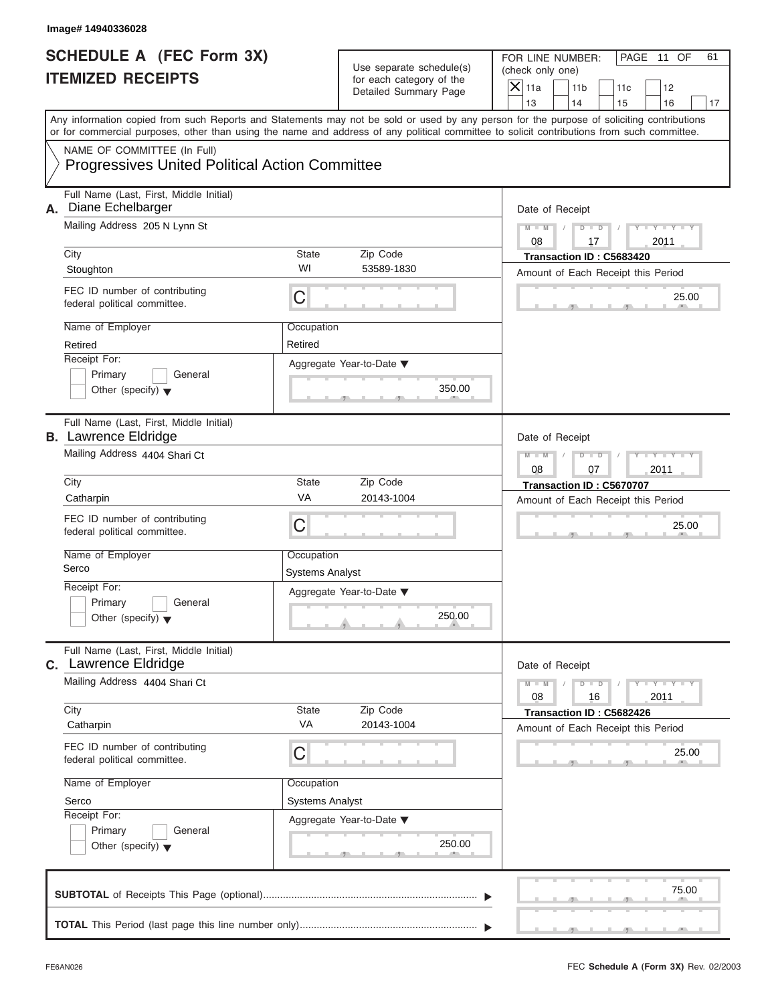| Image# 14940336028                                                                                                                                                                                                                                                                                                                                  |                                                                       |                                                                               |                                                                                                                                                                         |
|-----------------------------------------------------------------------------------------------------------------------------------------------------------------------------------------------------------------------------------------------------------------------------------------------------------------------------------------------------|-----------------------------------------------------------------------|-------------------------------------------------------------------------------|-------------------------------------------------------------------------------------------------------------------------------------------------------------------------|
| <b>SCHEDULE A (FEC Form 3X)</b><br><b>ITEMIZED RECEIPTS</b>                                                                                                                                                                                                                                                                                         |                                                                       | Use separate schedule(s)<br>for each category of the<br>Detailed Summary Page | FOR LINE NUMBER:<br>PAGE 11 OF<br>61<br>(check only one)<br>$\overline{X}$ 11a<br>11 <sub>b</sub><br>11c<br>12                                                          |
| or for commercial purposes, other than using the name and address of any political committee to solicit contributions from such committee.                                                                                                                                                                                                          |                                                                       |                                                                               | 13<br>14<br>15<br>16<br>17<br>Any information copied from such Reports and Statements may not be sold or used by any person for the purpose of soliciting contributions |
| NAME OF COMMITTEE (In Full)<br><b>Progressives United Political Action Committee</b>                                                                                                                                                                                                                                                                |                                                                       |                                                                               |                                                                                                                                                                         |
| Full Name (Last, First, Middle Initial)<br>Diane Echelbarger<br>А.<br>Mailing Address 205 N Lynn St<br>City<br>Stoughton<br>FEC ID number of contributing<br>federal political committee.<br>Name of Employer                                                                                                                                       | <b>State</b><br>WI<br>C<br>Occupation                                 | Zip Code<br>53589-1830                                                        | Date of Receipt<br>$Y - Y - Y - Y - Y$<br>$D$ $D$<br>$M - M$<br>08<br>17<br>2011<br>Transaction ID: C5683420<br>Amount of Each Receipt this Period<br>25.00             |
| Retired<br>Receipt For:<br>Primary<br>General<br>Other (specify) $\blacktriangledown$                                                                                                                                                                                                                                                               | Retired                                                               | Aggregate Year-to-Date ▼<br>350.00                                            |                                                                                                                                                                         |
| Full Name (Last, First, Middle Initial)<br><b>B.</b> Lawrence Eldridge<br>Mailing Address 4404 Shari Ct<br>City<br>Catharpin<br>FEC ID number of contributing<br>federal political committee.<br>Name of Employer<br>Serco<br>Receipt For:<br>Primary<br>General<br>Other (specify) $\blacktriangledown$<br>Full Name (Last, First, Middle Initial) | State<br>VA<br>$\overline{C}$<br>Occupation<br><b>Systems Analyst</b> | Zip Code<br>20143-1004<br>Aggregate Year-to-Date ▼<br>250.00                  | Date of Receipt<br>$Y - Y - Y - Y - Y$<br>$M - M$<br>$D$ $D$<br>08<br>2011<br>07<br>Transaction ID: C5670707<br>Amount of Each Receipt this Period<br>25.00             |
| <b>C.</b> Lawrence Eldridge<br>Mailing Address 4404 Shari Ct<br>City<br>Catharpin<br>FEC ID number of contributing<br>federal political committee.<br>Name of Employer<br>Serco<br>Receipt For:<br>Primary<br>General<br>Other (specify) $\blacktriangledown$                                                                                       | State<br>VA<br>C<br>Occupation<br><b>Systems Analyst</b>              | Zip Code<br>20143-1004<br>Aggregate Year-to-Date ▼<br>250.00                  | Date of Receipt<br>$Y = Y$<br>$M - M$<br>$D$ $D$<br>2011<br>08<br>16<br>Transaction ID: C5682426<br>Amount of Each Receipt this Period<br>25.00                         |
|                                                                                                                                                                                                                                                                                                                                                     |                                                                       |                                                                               | 75.00                                                                                                                                                                   |

S S S , , .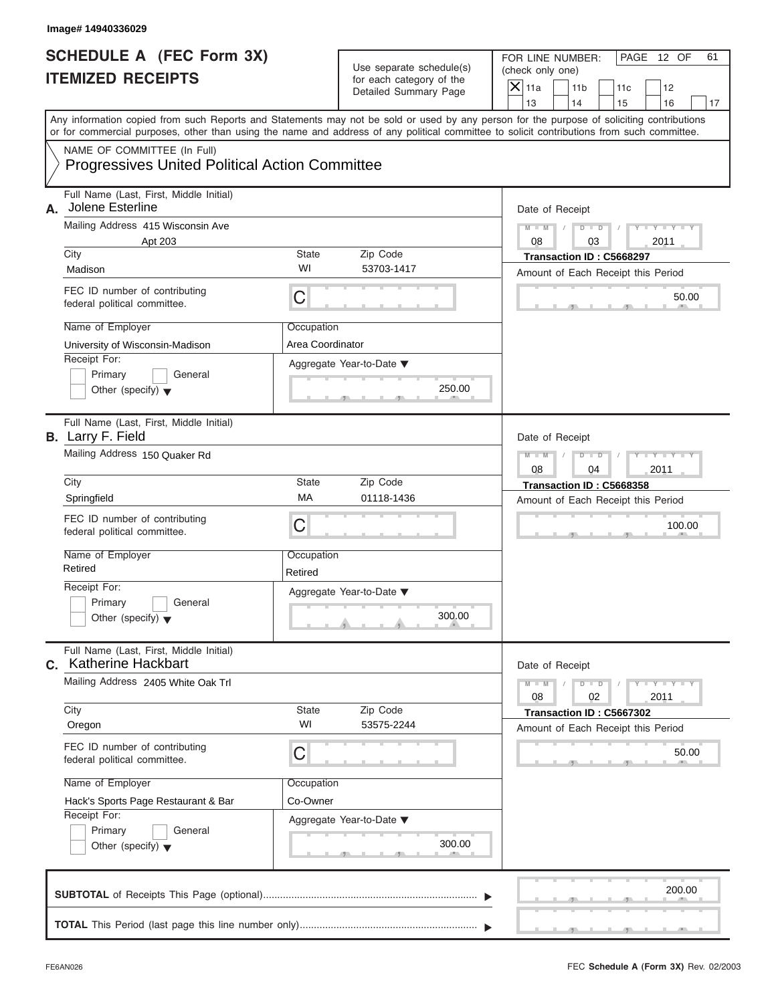| Image# 14940336029                                                                                                                                                                                                                                                                      |                                |                                                                               |                                                                                                                                              |  |
|-----------------------------------------------------------------------------------------------------------------------------------------------------------------------------------------------------------------------------------------------------------------------------------------|--------------------------------|-------------------------------------------------------------------------------|----------------------------------------------------------------------------------------------------------------------------------------------|--|
| <b>SCHEDULE A (FEC Form 3X)</b><br><b>ITEMIZED RECEIPTS</b>                                                                                                                                                                                                                             |                                | Use separate schedule(s)<br>for each category of the<br>Detailed Summary Page | FOR LINE NUMBER:<br>PAGE 12 OF<br>61<br>(check only one)<br>$\overline{X}$ 11a<br>11 <sub>b</sub><br>11c<br>12<br>13<br>14<br>15<br>16<br>17 |  |
| Any information copied from such Reports and Statements may not be sold or used by any person for the purpose of soliciting contributions<br>or for commercial purposes, other than using the name and address of any political committee to solicit contributions from such committee. |                                |                                                                               |                                                                                                                                              |  |
| NAME OF COMMITTEE (In Full)<br><b>Progressives United Political Action Committee</b>                                                                                                                                                                                                    |                                |                                                                               |                                                                                                                                              |  |
| Full Name (Last, First, Middle Initial)<br>Jolene Esterline<br>А.                                                                                                                                                                                                                       |                                |                                                                               | Date of Receipt                                                                                                                              |  |
| Mailing Address 415 Wisconsin Ave<br>Apt 203                                                                                                                                                                                                                                            |                                |                                                                               | $D$ $D$<br>$Y - Y - Y$<br>$M - M$<br>08<br>03<br>2011                                                                                        |  |
| City<br>Madison                                                                                                                                                                                                                                                                         | State<br>WI                    | Zip Code<br>53703-1417                                                        | Transaction ID: C5668297<br>Amount of Each Receipt this Period                                                                               |  |
| FEC ID number of contributing<br>federal political committee.                                                                                                                                                                                                                           | C                              |                                                                               | 50.00                                                                                                                                        |  |
| Name of Employer<br>University of Wisconsin-Madison                                                                                                                                                                                                                                     | Occupation<br>Area Coordinator |                                                                               |                                                                                                                                              |  |
| Receipt For:<br>Primary<br>General<br>Other (specify) $\blacktriangledown$                                                                                                                                                                                                              |                                | Aggregate Year-to-Date ▼<br>250.00                                            |                                                                                                                                              |  |
| Full Name (Last, First, Middle Initial)<br><b>B.</b> Larry F. Field                                                                                                                                                                                                                     |                                |                                                                               | Date of Receipt                                                                                                                              |  |
| Mailing Address 150 Quaker Rd                                                                                                                                                                                                                                                           |                                |                                                                               | Y TY TY T<br>$M - M$<br>$D$ $D$<br>2011<br>08<br>04                                                                                          |  |
| City<br>Springfield                                                                                                                                                                                                                                                                     | State<br>MA                    | Zip Code<br>01118-1436                                                        | Transaction ID: C5668358<br>Amount of Each Receipt this Period                                                                               |  |
| FEC ID number of contributing<br>federal political committee.                                                                                                                                                                                                                           | С                              |                                                                               | 100.00                                                                                                                                       |  |
| Name of Employer<br>Retired                                                                                                                                                                                                                                                             | Occupation<br>Retired          |                                                                               |                                                                                                                                              |  |
| Receipt For:<br>Primary<br>General<br>Other (specify) $\blacktriangledown$                                                                                                                                                                                                              |                                | Aggregate Year-to-Date ▼<br>300.00                                            |                                                                                                                                              |  |
| Full Name (Last, First, Middle Initial)<br>C. Katherine Hackbart                                                                                                                                                                                                                        |                                |                                                                               | Date of Receipt                                                                                                                              |  |
| Mailing Address 2405 White Oak Trl                                                                                                                                                                                                                                                      |                                |                                                                               |                                                                                                                                              |  |
| City<br>Oregon                                                                                                                                                                                                                                                                          | State<br>WI                    | Zip Code<br>53575-2244                                                        | Transaction ID: C5667302<br>Amount of Each Receipt this Period                                                                               |  |
| FEC ID number of contributing<br>federal political committee.                                                                                                                                                                                                                           | С                              |                                                                               | 50.00                                                                                                                                        |  |
| Name of Employer<br>Hack's Sports Page Restaurant & Bar                                                                                                                                                                                                                                 | Occupation<br>Co-Owner         |                                                                               |                                                                                                                                              |  |
| Receipt For:<br>Primary<br>General<br>Other (specify) $\blacktriangledown$                                                                                                                                                                                                              |                                | Aggregate Year-to-Date ▼<br>300.00                                            |                                                                                                                                              |  |
|                                                                                                                                                                                                                                                                                         |                                |                                                                               | 200.00                                                                                                                                       |  |
|                                                                                                                                                                                                                                                                                         |                                |                                                                               |                                                                                                                                              |  |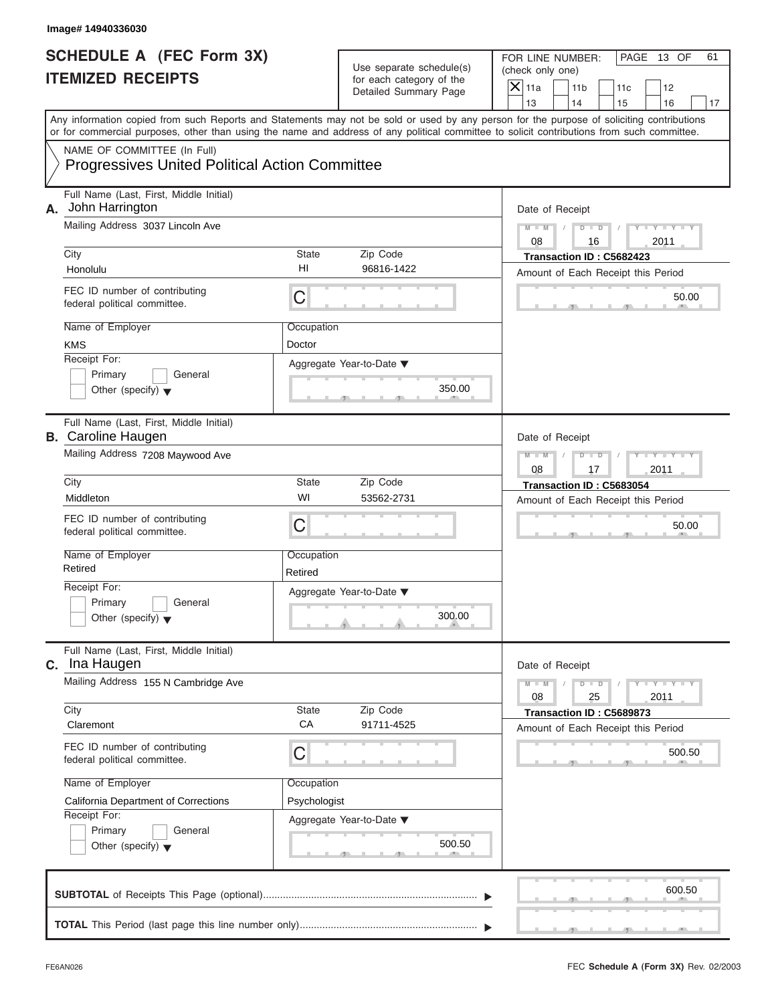|    | Image# 14940336030                                                                                                                                                                                                                                                                      |                                                      |                                                                               |                                                                                                                |
|----|-----------------------------------------------------------------------------------------------------------------------------------------------------------------------------------------------------------------------------------------------------------------------------------------|------------------------------------------------------|-------------------------------------------------------------------------------|----------------------------------------------------------------------------------------------------------------|
|    | <b>SCHEDULE A (FEC Form 3X)</b><br><b>ITEMIZED RECEIPTS</b>                                                                                                                                                                                                                             |                                                      | Use separate schedule(s)<br>for each category of the<br>Detailed Summary Page | FOR LINE NUMBER:<br>PAGE 13 OF<br>61<br>(check only one)<br>$\overline{X}$ 11a<br>11 <sub>b</sub><br>11c<br>12 |
|    |                                                                                                                                                                                                                                                                                         |                                                      |                                                                               | 13<br>14<br>15<br>16<br>17                                                                                     |
|    | Any information copied from such Reports and Statements may not be sold or used by any person for the purpose of soliciting contributions<br>or for commercial purposes, other than using the name and address of any political committee to solicit contributions from such committee. |                                                      |                                                                               |                                                                                                                |
|    | NAME OF COMMITTEE (In Full)<br><b>Progressives United Political Action Committee</b>                                                                                                                                                                                                    |                                                      |                                                                               |                                                                                                                |
| А. | Full Name (Last, First, Middle Initial)<br>John Harrington                                                                                                                                                                                                                              |                                                      |                                                                               | Date of Receipt                                                                                                |
|    | Mailing Address 3037 Lincoln Ave                                                                                                                                                                                                                                                        |                                                      |                                                                               | $Y - Y - Y - Y - Y$<br>$D$ $D$<br>$M - M$<br>08<br>2011<br>16                                                  |
|    | City<br>Honolulu                                                                                                                                                                                                                                                                        | State<br>HI                                          | Zip Code<br>96816-1422                                                        | Transaction ID: C5682423<br>Amount of Each Receipt this Period                                                 |
|    | FEC ID number of contributing<br>federal political committee.                                                                                                                                                                                                                           | C                                                    |                                                                               | 50.00                                                                                                          |
|    | Name of Employer<br><b>KMS</b>                                                                                                                                                                                                                                                          | Occupation<br>Doctor                                 |                                                                               |                                                                                                                |
|    | Receipt For:<br>Primary<br>General<br>Other (specify) $\blacktriangledown$                                                                                                                                                                                                              |                                                      | Aggregate Year-to-Date ▼<br>350.00                                            |                                                                                                                |
|    | Full Name (Last, First, Middle Initial)<br><b>B.</b> Caroline Haugen                                                                                                                                                                                                                    | Date of Receipt                                      |                                                                               |                                                                                                                |
|    | Mailing Address 7208 Maywood Ave                                                                                                                                                                                                                                                        | Y TYTTYTTY<br>$M - M$<br>$D$ $D$<br>2011<br>08<br>17 |                                                                               |                                                                                                                |
|    | City<br>Middleton                                                                                                                                                                                                                                                                       | State<br>WI                                          | Zip Code<br>53562-2731                                                        | Transaction ID: C5683054<br>Amount of Each Receipt this Period                                                 |
|    | FEC ID number of contributing<br>federal political committee.                                                                                                                                                                                                                           | C                                                    |                                                                               | 50.00                                                                                                          |
|    | Name of Employer<br>Retired                                                                                                                                                                                                                                                             | Occupation<br>Retired                                |                                                                               |                                                                                                                |
|    | Receipt For:<br>Primary<br>General<br>Other (specify) $\blacktriangledown$                                                                                                                                                                                                              |                                                      | Aggregate Year-to-Date ▼<br>300.00                                            |                                                                                                                |
|    | Full Name (Last, First, Middle Initial)<br>C. Ina Haugen                                                                                                                                                                                                                                |                                                      |                                                                               | Date of Receipt                                                                                                |
|    | Mailing Address 155 N Cambridge Ave                                                                                                                                                                                                                                                     | $Y = Y$<br>$M - M$<br>$D$ $D$<br>2011<br>08<br>25    |                                                                               |                                                                                                                |
|    | City<br>Claremont                                                                                                                                                                                                                                                                       | State<br>CA                                          | Zip Code<br>91711-4525                                                        | Transaction ID: C5689873<br>Amount of Each Receipt this Period                                                 |
|    | FEC ID number of contributing<br>federal political committee.                                                                                                                                                                                                                           | C<br>Occupation                                      |                                                                               | 500.50                                                                                                         |
|    | Name of Employer<br>California Department of Corrections                                                                                                                                                                                                                                |                                                      |                                                                               |                                                                                                                |
|    | Receipt For:<br>Primary<br>General<br>Other (specify) $\blacktriangledown$                                                                                                                                                                                                              | Psychologist                                         | Aggregate Year-to-Date ▼<br>500.50                                            |                                                                                                                |
|    |                                                                                                                                                                                                                                                                                         |                                                      |                                                                               | 600.50                                                                                                         |
|    |                                                                                                                                                                                                                                                                                         |                                                      |                                                                               |                                                                                                                |

 $S = 1 - 1 - 2$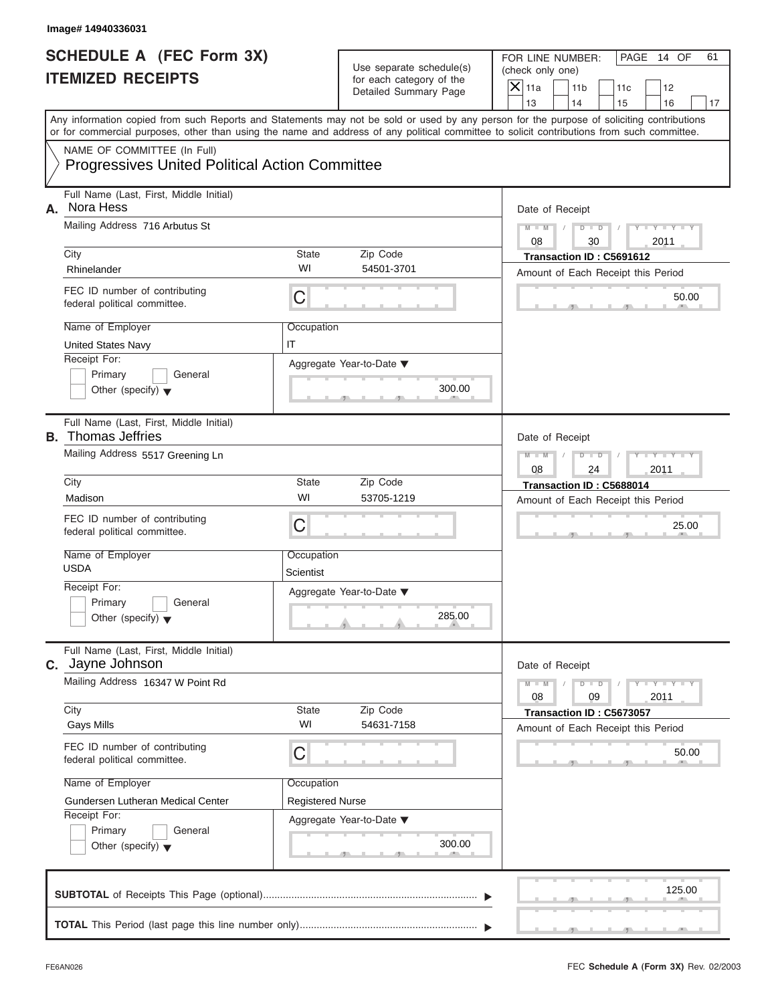| Image# 14940336031        |                                                                                                                                                                                                                                                                                         |                                       |                                                                               |                                        |                                                                |     |                  |    |
|---------------------------|-----------------------------------------------------------------------------------------------------------------------------------------------------------------------------------------------------------------------------------------------------------------------------------------|---------------------------------------|-------------------------------------------------------------------------------|----------------------------------------|----------------------------------------------------------------|-----|------------------|----|
|                           | <b>SCHEDULE A (FEC Form 3X)</b><br><b>ITEMIZED RECEIPTS</b>                                                                                                                                                                                                                             |                                       | Use separate schedule(s)<br>for each category of the<br>Detailed Summary Page | (check only one)<br>$\overline{X}$ 11a | FOR LINE NUMBER:<br>11 <sub>b</sub>                            | 11c | PAGE 14 OF<br>12 | 61 |
|                           |                                                                                                                                                                                                                                                                                         |                                       |                                                                               | 13                                     | 14                                                             | 15  | 16               | 17 |
|                           | Any information copied from such Reports and Statements may not be sold or used by any person for the purpose of soliciting contributions<br>or for commercial purposes, other than using the name and address of any political committee to solicit contributions from such committee. |                                       |                                                                               |                                        |                                                                |     |                  |    |
|                           | NAME OF COMMITTEE (In Full)<br><b>Progressives United Political Action Committee</b>                                                                                                                                                                                                    |                                       |                                                                               |                                        |                                                                |     |                  |    |
| Nora Hess<br>А.           | Full Name (Last, First, Middle Initial)                                                                                                                                                                                                                                                 |                                       |                                                                               |                                        | Date of Receipt                                                |     |                  |    |
|                           | Mailing Address 716 Arbutus St                                                                                                                                                                                                                                                          | $M - M$<br>08                         | $D$ $D$<br>30                                                                 |                                        | $Y - Y - Y$<br>2011                                            |     |                  |    |
| City<br>Rhinelander       |                                                                                                                                                                                                                                                                                         | State<br>WI                           | Zip Code<br>54501-3701                                                        |                                        | Transaction ID: C5691612<br>Amount of Each Receipt this Period |     |                  |    |
|                           | FEC ID number of contributing<br>federal political committee.                                                                                                                                                                                                                           | C                                     |                                                                               |                                        |                                                                |     | 50.00            |    |
|                           | Name of Employer<br><b>United States Navy</b>                                                                                                                                                                                                                                           | Occupation<br>IT                      |                                                                               |                                        |                                                                |     |                  |    |
| Receipt For:              | Primary<br>General<br>Other (specify) $\blacktriangledown$                                                                                                                                                                                                                              |                                       | Aggregate Year-to-Date ▼<br>300.00                                            |                                        |                                                                |     |                  |    |
| <b>B.</b> Thomas Jeffries | Full Name (Last, First, Middle Initial)                                                                                                                                                                                                                                                 |                                       |                                                                               |                                        | Date of Receipt                                                |     |                  |    |
|                           | Mailing Address 5517 Greening Ln                                                                                                                                                                                                                                                        |                                       |                                                                               |                                        |                                                                |     | Y TY TY<br>2011  |    |
| City<br>Madison           |                                                                                                                                                                                                                                                                                         | State<br>WI                           | Zip Code<br>53705-1219                                                        |                                        | Transaction ID: C5688014<br>Amount of Each Receipt this Period |     |                  |    |
|                           | FEC ID number of contributing<br>C<br>federal political committee.                                                                                                                                                                                                                      |                                       |                                                                               |                                        |                                                                |     | 25.00            |    |
| <b>USDA</b>               | Name of Employer                                                                                                                                                                                                                                                                        | Occupation<br>Scientist               |                                                                               |                                        |                                                                |     |                  |    |
| Receipt For:              | Primary<br>General<br>Other (specify) $\blacktriangledown$                                                                                                                                                                                                                              |                                       | Aggregate Year-to-Date ▼<br>285.00                                            |                                        |                                                                |     |                  |    |
|                           | Full Name (Last, First, Middle Initial)<br>C. Jayne Johnson                                                                                                                                                                                                                             |                                       |                                                                               |                                        | Date of Receipt                                                |     |                  |    |
|                           | Mailing Address 16347 W Point Rd                                                                                                                                                                                                                                                        |                                       |                                                                               |                                        | $M - M$<br>$D - D$<br>09                                       |     | $Y = Y$<br>2011  |    |
| City<br><b>Gays Mills</b> |                                                                                                                                                                                                                                                                                         | State<br>WI                           | Zip Code<br>54631-7158                                                        |                                        | Transaction ID: C5673057<br>Amount of Each Receipt this Period |     |                  |    |
|                           | FEC ID number of contributing<br>federal political committee.                                                                                                                                                                                                                           | С                                     |                                                                               |                                        |                                                                |     | 50.00            |    |
|                           | Name of Employer<br>Gundersen Lutheran Medical Center                                                                                                                                                                                                                                   | Occupation<br><b>Registered Nurse</b> |                                                                               |                                        |                                                                |     |                  |    |
| Receipt For:              | Primary<br>General<br>Other (specify) $\blacktriangledown$                                                                                                                                                                                                                              |                                       | Aggregate Year-to-Date ▼<br>300.00                                            |                                        |                                                                |     |                  |    |
|                           |                                                                                                                                                                                                                                                                                         |                                       |                                                                               |                                        |                                                                |     | 125.00           |    |
|                           |                                                                                                                                                                                                                                                                                         |                                       |                                                                               |                                        |                                                                |     |                  |    |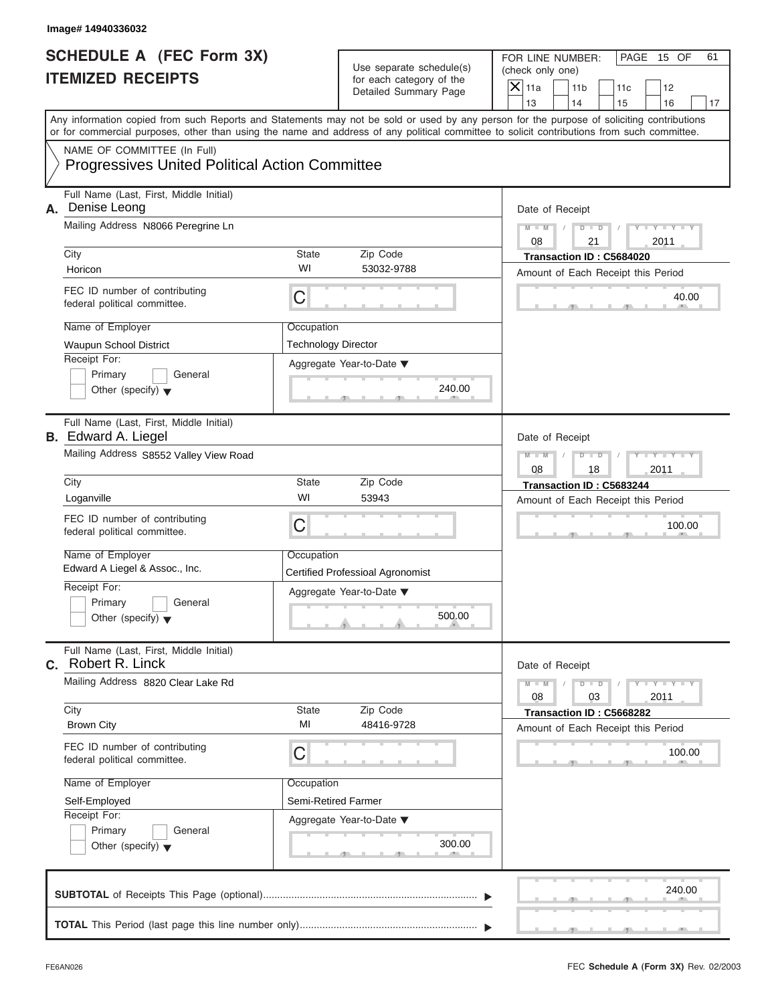|                                                             | Image# 14940336032                                                                                                                         |                                                     |                                                                               |                                                                                                                                           |  |  |  |
|-------------------------------------------------------------|--------------------------------------------------------------------------------------------------------------------------------------------|-----------------------------------------------------|-------------------------------------------------------------------------------|-------------------------------------------------------------------------------------------------------------------------------------------|--|--|--|
| <b>SCHEDULE A (FEC Form 3X)</b><br><b>ITEMIZED RECEIPTS</b> |                                                                                                                                            |                                                     | Use separate schedule(s)<br>for each category of the<br>Detailed Summary Page | FOR LINE NUMBER:<br>PAGE 15 OF<br>61<br>(check only one)<br>$\overline{X}$ 11a<br>11 <sub>b</sub><br>11c<br>12                            |  |  |  |
|                                                             |                                                                                                                                            |                                                     |                                                                               | 13<br>14<br>15<br>16<br>17                                                                                                                |  |  |  |
|                                                             | or for commercial purposes, other than using the name and address of any political committee to solicit contributions from such committee. |                                                     |                                                                               | Any information copied from such Reports and Statements may not be sold or used by any person for the purpose of soliciting contributions |  |  |  |
|                                                             | NAME OF COMMITTEE (In Full)<br><b>Progressives United Political Action Committee</b>                                                       |                                                     |                                                                               |                                                                                                                                           |  |  |  |
| А.                                                          | Full Name (Last, First, Middle Initial)<br>Denise Leong                                                                                    |                                                     |                                                                               | Date of Receipt                                                                                                                           |  |  |  |
|                                                             | Mailing Address N8066 Peregrine Ln                                                                                                         | $M - M$<br>$D$ $\Box$ $D$<br>Y TYT                  |                                                                               |                                                                                                                                           |  |  |  |
|                                                             | City                                                                                                                                       | State                                               | Zip Code                                                                      | 08<br>21<br>2011<br>Transaction ID: C5684020                                                                                              |  |  |  |
|                                                             | Horicon                                                                                                                                    | WI                                                  | 53032-9788                                                                    | Amount of Each Receipt this Period                                                                                                        |  |  |  |
|                                                             | FEC ID number of contributing<br>federal political committee.                                                                              | C                                                   |                                                                               | 40.00                                                                                                                                     |  |  |  |
|                                                             | Name of Employer                                                                                                                           | Occupation                                          |                                                                               |                                                                                                                                           |  |  |  |
|                                                             | Waupun School District                                                                                                                     | <b>Technology Director</b>                          |                                                                               |                                                                                                                                           |  |  |  |
|                                                             | Receipt For:<br>Primary<br>General<br>Other (specify) $\blacktriangledown$                                                                 |                                                     | Aggregate Year-to-Date ▼<br>240.00                                            |                                                                                                                                           |  |  |  |
|                                                             | Full Name (Last, First, Middle Initial)<br><b>B.</b> Edward A. Liegel                                                                      |                                                     |                                                                               | Date of Receipt                                                                                                                           |  |  |  |
|                                                             | Mailing Address S8552 Valley View Road                                                                                                     | $D - I - D$<br>Y TYT<br>$M - M$<br>2011<br>08<br>18 |                                                                               |                                                                                                                                           |  |  |  |
|                                                             | City                                                                                                                                       | State                                               | Zip Code                                                                      | Transaction ID: C5683244<br>Amount of Each Receipt this Period                                                                            |  |  |  |
|                                                             | Loganville                                                                                                                                 | WI                                                  | 53943                                                                         |                                                                                                                                           |  |  |  |
|                                                             | FEC ID number of contributing<br>federal political committee.                                                                              | C                                                   |                                                                               |                                                                                                                                           |  |  |  |
|                                                             | Name of Employer<br>Edward A Liegel & Assoc., Inc.                                                                                         | Occupation                                          |                                                                               |                                                                                                                                           |  |  |  |
|                                                             | Receipt For:                                                                                                                               |                                                     | <b>Certified Professioal Agronomist</b>                                       |                                                                                                                                           |  |  |  |
|                                                             | Primary<br>General<br>Other (specify) $\blacktriangledown$                                                                                 |                                                     | Aggregate Year-to-Date ▼<br>500.00                                            |                                                                                                                                           |  |  |  |
|                                                             | Full Name (Last, First, Middle Initial)<br>C. Robert R. Linck                                                                              |                                                     |                                                                               | Date of Receipt                                                                                                                           |  |  |  |
|                                                             | Mailing Address 8820 Clear Lake Rd                                                                                                         |                                                     | $M - M$<br>$Y = Y$<br>$D - D$<br>08<br>2011<br>03                             |                                                                                                                                           |  |  |  |
|                                                             | City<br><b>Brown City</b>                                                                                                                  | State<br>MI                                         | Zip Code<br>48416-9728                                                        | Transaction ID: C5668282<br>Amount of Each Receipt this Period                                                                            |  |  |  |
|                                                             | FEC ID number of contributing<br>federal political committee.                                                                              | С                                                   |                                                                               |                                                                                                                                           |  |  |  |
|                                                             | Name of Employer                                                                                                                           | Occupation                                          |                                                                               |                                                                                                                                           |  |  |  |
|                                                             | Self-Employed<br>Receipt For:                                                                                                              | Semi-Retired Farmer                                 |                                                                               |                                                                                                                                           |  |  |  |
|                                                             | Primary<br>General<br>Other (specify) $\blacktriangledown$                                                                                 |                                                     | Aggregate Year-to-Date ▼<br>300.00                                            |                                                                                                                                           |  |  |  |
|                                                             |                                                                                                                                            |                                                     |                                                                               | 240.00                                                                                                                                    |  |  |  |
|                                                             |                                                                                                                                            |                                                     |                                                                               |                                                                                                                                           |  |  |  |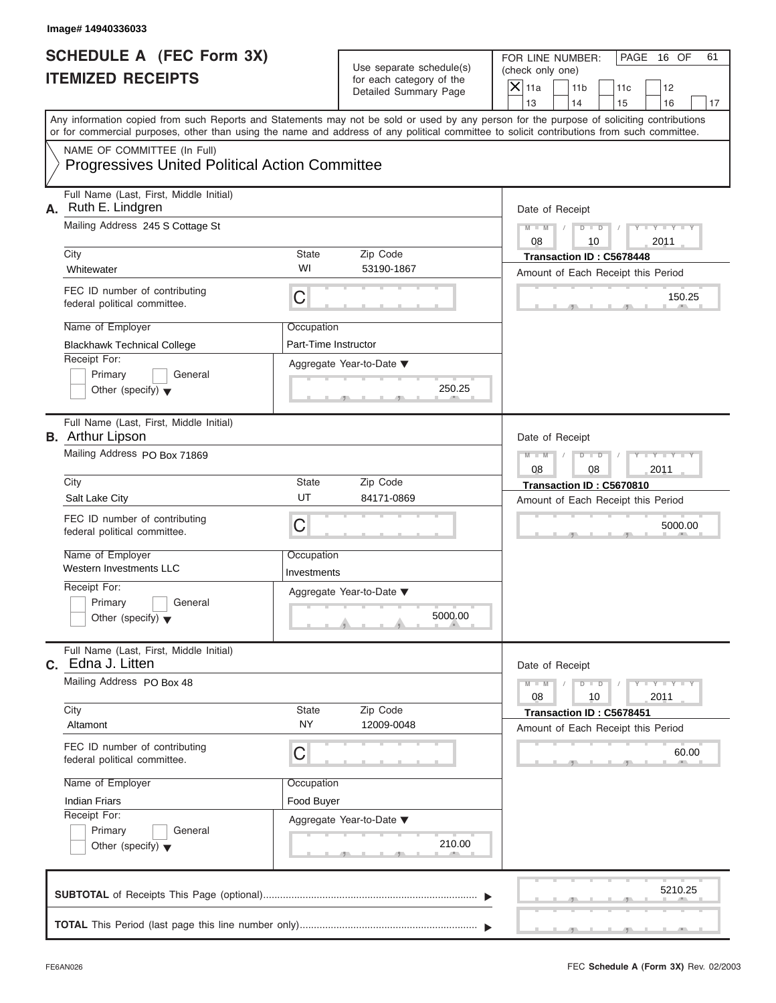|    | Image# 14940336033                                                                                                                                                                                                                                                                      |                                                       |                                                                               |                                                                                                                |  |  |  |
|----|-----------------------------------------------------------------------------------------------------------------------------------------------------------------------------------------------------------------------------------------------------------------------------------------|-------------------------------------------------------|-------------------------------------------------------------------------------|----------------------------------------------------------------------------------------------------------------|--|--|--|
|    | <b>SCHEDULE A (FEC Form 3X)</b><br><b>ITEMIZED RECEIPTS</b>                                                                                                                                                                                                                             |                                                       | Use separate schedule(s)<br>for each category of the<br>Detailed Summary Page | FOR LINE NUMBER:<br>PAGE 16 OF<br>61<br>(check only one)<br>$\overline{X}$ 11a<br>11 <sub>b</sub><br>11c<br>12 |  |  |  |
|    | Any information copied from such Reports and Statements may not be sold or used by any person for the purpose of soliciting contributions<br>or for commercial purposes, other than using the name and address of any political committee to solicit contributions from such committee. |                                                       |                                                                               | 13<br>14<br>15<br>16<br>17                                                                                     |  |  |  |
|    | NAME OF COMMITTEE (In Full)<br><b>Progressives United Political Action Committee</b>                                                                                                                                                                                                    |                                                       |                                                                               |                                                                                                                |  |  |  |
| А. | Full Name (Last, First, Middle Initial)<br>Ruth E. Lindgren<br>Mailing Address 245 S Cottage St<br>City                                                                                                                                                                                 | State                                                 | Zip Code                                                                      | Date of Receipt<br>$M - M$<br>$D$ $D$<br>$Y - Y - Y$<br>08<br>2011<br>10<br>Transaction ID: C5678448           |  |  |  |
|    | Whitewater                                                                                                                                                                                                                                                                              | WI                                                    | 53190-1867                                                                    | Amount of Each Receipt this Period                                                                             |  |  |  |
|    | FEC ID number of contributing<br>federal political committee.                                                                                                                                                                                                                           | C                                                     |                                                                               | 150.25                                                                                                         |  |  |  |
|    | Name of Employer<br><b>Blackhawk Technical College</b>                                                                                                                                                                                                                                  | Occupation<br>Part-Time Instructor                    |                                                                               |                                                                                                                |  |  |  |
|    | Receipt For:<br>Primary<br>General<br>Other (specify) $\blacktriangledown$                                                                                                                                                                                                              |                                                       | Aggregate Year-to-Date ▼<br>250.25                                            |                                                                                                                |  |  |  |
|    | Full Name (Last, First, Middle Initial)<br><b>B.</b> Arthur Lipson                                                                                                                                                                                                                      |                                                       |                                                                               | Date of Receipt                                                                                                |  |  |  |
|    | Mailing Address PO Box 71869                                                                                                                                                                                                                                                            | Y T Y T Y T<br>$M - M$<br>$D$ $D$<br>2011<br>08<br>08 |                                                                               |                                                                                                                |  |  |  |
|    | City                                                                                                                                                                                                                                                                                    | State<br>UT                                           | Zip Code                                                                      | Transaction ID: C5670810                                                                                       |  |  |  |
|    | Salt Lake City<br>FEC ID number of contributing<br>federal political committee.                                                                                                                                                                                                         | C                                                     | 84171-0869                                                                    | Amount of Each Receipt this Period<br>5000.00                                                                  |  |  |  |
|    | Name of Employer<br>Western Investments LLC                                                                                                                                                                                                                                             | Occupation<br>Investments                             |                                                                               |                                                                                                                |  |  |  |
|    | Receipt For:<br>Primary<br>General<br>Other (specify) $\blacktriangledown$                                                                                                                                                                                                              |                                                       | Aggregate Year-to-Date ▼<br>5000.00                                           |                                                                                                                |  |  |  |
|    | Full Name (Last, First, Middle Initial)<br>C. Edna J. Litten                                                                                                                                                                                                                            |                                                       |                                                                               | Date of Receipt                                                                                                |  |  |  |
|    | Mailing Address PO Box 48<br>City                                                                                                                                                                                                                                                       | State                                                 | Zip Code                                                                      | $M - M$<br>$Y = Y$<br>$D$ $D$<br>08<br>2011<br>10                                                              |  |  |  |
|    | Altamont                                                                                                                                                                                                                                                                                | <b>NY</b>                                             | 12009-0048                                                                    | Transaction ID: C5678451<br>Amount of Each Receipt this Period                                                 |  |  |  |
|    | federal political committee.                                                                                                                                                                                                                                                            | FEC ID number of contributing<br>С                    |                                                                               |                                                                                                                |  |  |  |
|    | Name of Employer                                                                                                                                                                                                                                                                        | Occupation                                            |                                                                               |                                                                                                                |  |  |  |
|    | <b>Indian Friars</b><br>Receipt For:                                                                                                                                                                                                                                                    | Food Buyer                                            |                                                                               |                                                                                                                |  |  |  |
|    | Primary<br>General<br>Other (specify) $\blacktriangledown$                                                                                                                                                                                                                              |                                                       | Aggregate Year-to-Date ▼<br>210.00                                            |                                                                                                                |  |  |  |
|    |                                                                                                                                                                                                                                                                                         |                                                       |                                                                               | 5210.25                                                                                                        |  |  |  |
|    |                                                                                                                                                                                                                                                                                         |                                                       |                                                                               |                                                                                                                |  |  |  |

S S S , , .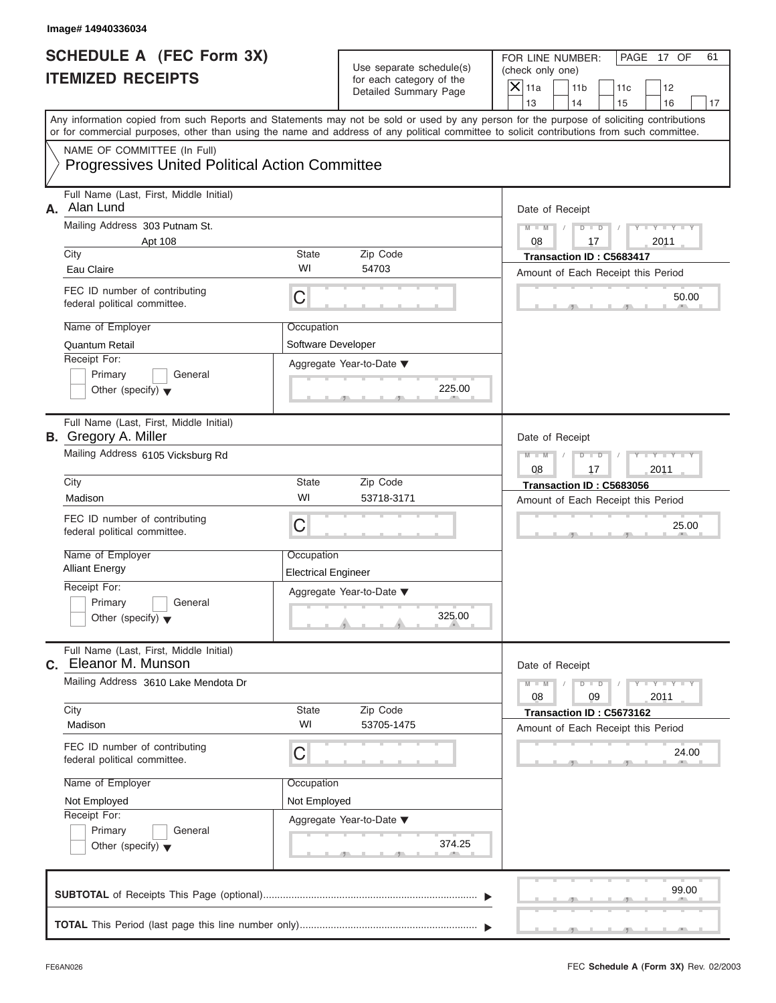|                                                             | Image# 14940336034                                                                                                                                                                                                                                                                      |                                   |                                                      |                          |                                                          |                                    |                 |    |  |  |
|-------------------------------------------------------------|-----------------------------------------------------------------------------------------------------------------------------------------------------------------------------------------------------------------------------------------------------------------------------------------|-----------------------------------|------------------------------------------------------|--------------------------|----------------------------------------------------------|------------------------------------|-----------------|----|--|--|
| <b>SCHEDULE A (FEC Form 3X)</b><br><b>ITEMIZED RECEIPTS</b> |                                                                                                                                                                                                                                                                                         |                                   | Use separate schedule(s)<br>for each category of the |                          | FOR LINE NUMBER:<br>PAGE 17 OF<br>61<br>(check only one) |                                    |                 |    |  |  |
|                                                             |                                                                                                                                                                                                                                                                                         |                                   | Detailed Summary Page                                | $\overline{X}$ 11a<br>13 | 11 <sub>b</sub><br>14                                    | 11c<br>15                          | 12<br>16        | 17 |  |  |
|                                                             | Any information copied from such Reports and Statements may not be sold or used by any person for the purpose of soliciting contributions<br>or for commercial purposes, other than using the name and address of any political committee to solicit contributions from such committee. |                                   |                                                      |                          |                                                          |                                    |                 |    |  |  |
|                                                             | NAME OF COMMITTEE (In Full)                                                                                                                                                                                                                                                             |                                   |                                                      |                          |                                                          |                                    |                 |    |  |  |
|                                                             | <b>Progressives United Political Action Committee</b>                                                                                                                                                                                                                                   |                                   |                                                      |                          |                                                          |                                    |                 |    |  |  |
| А.                                                          | Full Name (Last, First, Middle Initial)<br>Alan Lund                                                                                                                                                                                                                                    |                                   |                                                      |                          | Date of Receipt                                          |                                    |                 |    |  |  |
|                                                             | Mailing Address 303 Putnam St.<br>Apt 108                                                                                                                                                                                                                                               | $M - M$<br>08                     | $D$ $\Box$ $D$<br>17                                 | Y L                      | $Y = Y = Y$<br>2011                                      |                                    |                 |    |  |  |
|                                                             | City                                                                                                                                                                                                                                                                                    | State                             | Zip Code                                             |                          | Transaction ID: C5683417                                 |                                    |                 |    |  |  |
|                                                             | Eau Claire                                                                                                                                                                                                                                                                              | WI                                | 54703                                                |                          | Amount of Each Receipt this Period                       |                                    |                 |    |  |  |
|                                                             | FEC ID number of contributing<br>federal political committee.                                                                                                                                                                                                                           | C                                 |                                                      |                          |                                                          |                                    | 50.00           |    |  |  |
|                                                             | Name of Employer                                                                                                                                                                                                                                                                        | Occupation                        |                                                      |                          |                                                          |                                    |                 |    |  |  |
|                                                             | Quantum Retail                                                                                                                                                                                                                                                                          | Software Developer                |                                                      |                          |                                                          |                                    |                 |    |  |  |
|                                                             | Receipt For:<br>Primary<br>General                                                                                                                                                                                                                                                      |                                   | Aggregate Year-to-Date ▼                             |                          |                                                          |                                    |                 |    |  |  |
|                                                             | Other (specify) $\blacktriangledown$                                                                                                                                                                                                                                                    |                                   | 225.00                                               |                          |                                                          |                                    |                 |    |  |  |
|                                                             | Full Name (Last, First, Middle Initial)<br><b>B.</b> Gregory A. Miller                                                                                                                                                                                                                  |                                   |                                                      |                          | Date of Receipt                                          |                                    |                 |    |  |  |
|                                                             | Mailing Address 6105 Vicksburg Rd                                                                                                                                                                                                                                                       |                                   |                                                      |                          | $D$ $D$                                                  |                                    | Y TY TY         |    |  |  |
|                                                             |                                                                                                                                                                                                                                                                                         |                                   |                                                      | 08                       | 17                                                       |                                    | 2011            |    |  |  |
|                                                             | City<br>Madison                                                                                                                                                                                                                                                                         | State<br>WI                       | Zip Code<br>53718-3171                               |                          | Transaction ID: C5683056                                 |                                    |                 |    |  |  |
|                                                             |                                                                                                                                                                                                                                                                                         |                                   |                                                      |                          |                                                          | Amount of Each Receipt this Period |                 |    |  |  |
|                                                             | FEC ID number of contributing<br>federal political committee.                                                                                                                                                                                                                           | C                                 |                                                      |                          |                                                          |                                    | 25.00           |    |  |  |
|                                                             | Name of Employer<br><b>Alliant Energy</b>                                                                                                                                                                                                                                               | Occupation<br>Electrical Engineer |                                                      |                          |                                                          |                                    |                 |    |  |  |
|                                                             | Receipt For:                                                                                                                                                                                                                                                                            |                                   | Aggregate Year-to-Date ▼                             |                          |                                                          |                                    |                 |    |  |  |
|                                                             | Primary<br>General<br>Other (specify) $\blacktriangledown$                                                                                                                                                                                                                              |                                   | 325.00                                               |                          |                                                          |                                    |                 |    |  |  |
| C.                                                          | Full Name (Last, First, Middle Initial)<br>Eleanor M. Munson                                                                                                                                                                                                                            |                                   |                                                      |                          | Date of Receipt                                          |                                    |                 |    |  |  |
|                                                             | Mailing Address 3610 Lake Mendota Dr                                                                                                                                                                                                                                                    |                                   |                                                      | $M - M$<br>08            | $D$ $D$<br>09                                            |                                    | $Y = Y$<br>2011 |    |  |  |
|                                                             | City<br>Madison                                                                                                                                                                                                                                                                         | State<br>WI                       | Zip Code<br>53705-1475                               |                          | Transaction ID: C5673162                                 |                                    |                 |    |  |  |
|                                                             | FEC ID number of contributing<br>federal political committee.                                                                                                                                                                                                                           | C                                 |                                                      |                          | Amount of Each Receipt this Period                       |                                    | 24.00           |    |  |  |
|                                                             | Name of Employer                                                                                                                                                                                                                                                                        | Occupation                        |                                                      |                          |                                                          |                                    |                 |    |  |  |
|                                                             | Not Employed                                                                                                                                                                                                                                                                            | Not Employed                      |                                                      |                          |                                                          |                                    |                 |    |  |  |
|                                                             | Receipt For:                                                                                                                                                                                                                                                                            |                                   | Aggregate Year-to-Date ▼                             |                          |                                                          |                                    |                 |    |  |  |
|                                                             | Primary<br>General<br>Other (specify) $\blacktriangledown$                                                                                                                                                                                                                              |                                   | 374.25                                               |                          |                                                          |                                    |                 |    |  |  |
|                                                             |                                                                                                                                                                                                                                                                                         |                                   |                                                      |                          |                                                          |                                    | 99.00           |    |  |  |
|                                                             |                                                                                                                                                                                                                                                                                         |                                   |                                                      |                          |                                                          |                                    |                 |    |  |  |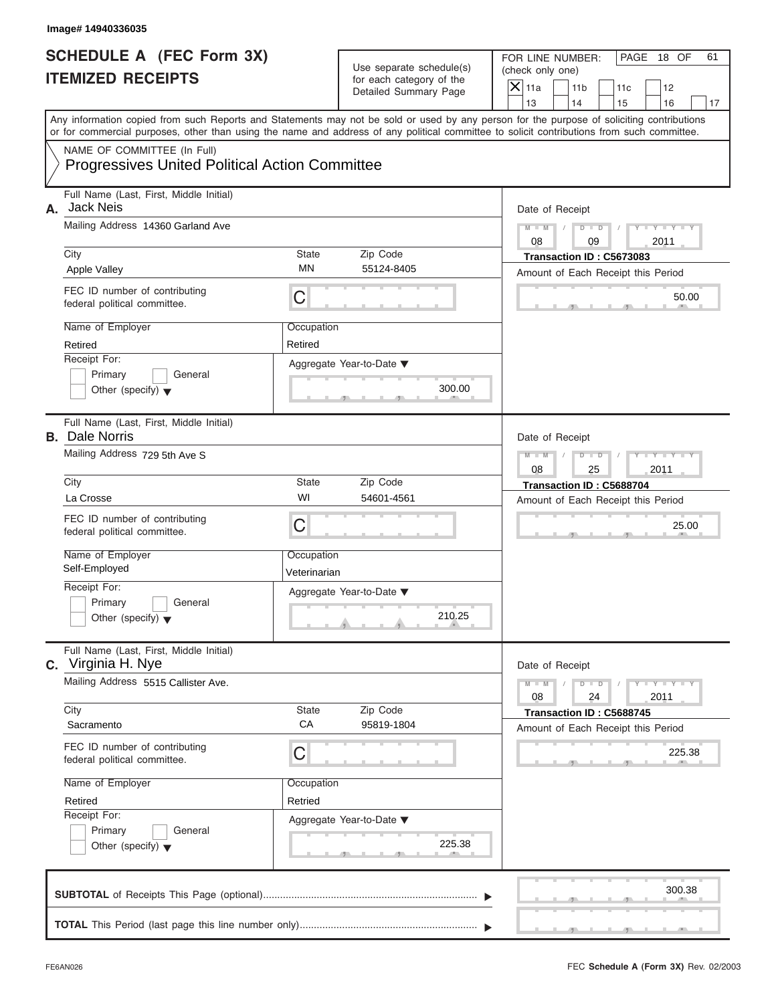|                                                             | Image# 14940336035                                                                                                                         |                                                               |                                                                               |                                                                                                                                           |  |  |
|-------------------------------------------------------------|--------------------------------------------------------------------------------------------------------------------------------------------|---------------------------------------------------------------|-------------------------------------------------------------------------------|-------------------------------------------------------------------------------------------------------------------------------------------|--|--|
| <b>SCHEDULE A (FEC Form 3X)</b><br><b>ITEMIZED RECEIPTS</b> |                                                                                                                                            |                                                               | Use separate schedule(s)<br>for each category of the<br>Detailed Summary Page | FOR LINE NUMBER:<br>PAGE 18 OF<br>61<br>(check only one)<br>$\overline{X}$ 11a<br>12<br>11 <sub>b</sub><br>11c                            |  |  |
|                                                             |                                                                                                                                            |                                                               |                                                                               | 13<br>14<br>15<br>16<br>17                                                                                                                |  |  |
|                                                             | or for commercial purposes, other than using the name and address of any political committee to solicit contributions from such committee. |                                                               |                                                                               | Any information copied from such Reports and Statements may not be sold or used by any person for the purpose of soliciting contributions |  |  |
|                                                             | NAME OF COMMITTEE (In Full)<br><b>Progressives United Political Action Committee</b>                                                       |                                                               |                                                                               |                                                                                                                                           |  |  |
| А.                                                          | Full Name (Last, First, Middle Initial)<br><b>Jack Neis</b>                                                                                |                                                               |                                                                               | Date of Receipt                                                                                                                           |  |  |
|                                                             | Mailing Address 14360 Garland Ave                                                                                                          |                                                               |                                                                               | $Y - Y - Y - Y - Y$<br>$D - D$<br>$M - M$<br>08<br>09<br>2011                                                                             |  |  |
|                                                             | City                                                                                                                                       | State                                                         | Zip Code                                                                      | Transaction ID: C5673083                                                                                                                  |  |  |
|                                                             | <b>Apple Valley</b>                                                                                                                        | ΜN                                                            | 55124-8405                                                                    | Amount of Each Receipt this Period                                                                                                        |  |  |
|                                                             | FEC ID number of contributing<br>federal political committee.                                                                              | C                                                             |                                                                               | 50.00                                                                                                                                     |  |  |
|                                                             | Name of Employer                                                                                                                           | Occupation                                                    |                                                                               |                                                                                                                                           |  |  |
|                                                             | Retired                                                                                                                                    | Retired                                                       |                                                                               |                                                                                                                                           |  |  |
|                                                             | Receipt For:                                                                                                                               |                                                               | Aggregate Year-to-Date ▼                                                      |                                                                                                                                           |  |  |
|                                                             | Primary<br>General<br>Other (specify) $\blacktriangledown$                                                                                 |                                                               | 300.00                                                                        |                                                                                                                                           |  |  |
|                                                             | Full Name (Last, First, Middle Initial)<br><b>B.</b> Dale Norris                                                                           | Date of Receipt                                               |                                                                               |                                                                                                                                           |  |  |
|                                                             | Mailing Address 729 5th Ave S                                                                                                              | $Y - Y - Y - Y - Y$<br>$M - M$<br>$D$ $D$<br>08<br>2011<br>25 |                                                                               |                                                                                                                                           |  |  |
|                                                             | City                                                                                                                                       | State                                                         | Zip Code                                                                      | Transaction ID: C5688704                                                                                                                  |  |  |
|                                                             | La Crosse                                                                                                                                  | WI                                                            | 54601-4561                                                                    | Amount of Each Receipt this Period                                                                                                        |  |  |
|                                                             | FEC ID number of contributing<br>federal political committee.                                                                              | C                                                             |                                                                               | 25.00                                                                                                                                     |  |  |
|                                                             | Name of Employer                                                                                                                           | Occupation                                                    |                                                                               |                                                                                                                                           |  |  |
|                                                             | Self-Employed                                                                                                                              | Veterinarian                                                  |                                                                               |                                                                                                                                           |  |  |
|                                                             | Receipt For:<br>Primary<br>General                                                                                                         |                                                               | Aggregate Year-to-Date ▼                                                      |                                                                                                                                           |  |  |
|                                                             | Other (specify) $\blacktriangledown$                                                                                                       |                                                               | 210.25                                                                        |                                                                                                                                           |  |  |
|                                                             | Full Name (Last, First, Middle Initial)<br><b>C.</b> Virginia H. Nye                                                                       |                                                               |                                                                               | Date of Receipt                                                                                                                           |  |  |
|                                                             | Mailing Address 5515 Callister Ave.                                                                                                        |                                                               |                                                                               | $Y = Y$<br>$M - M$<br>$D$ $D$<br>2011<br>08<br>24                                                                                         |  |  |
|                                                             | City                                                                                                                                       | State<br>CA                                                   | Zip Code                                                                      | Transaction ID: C5688745                                                                                                                  |  |  |
|                                                             | Sacramento                                                                                                                                 |                                                               | 95819-1804                                                                    | Amount of Each Receipt this Period                                                                                                        |  |  |
|                                                             | FEC ID number of contributing<br>federal political committee.                                                                              | C                                                             |                                                                               | 225.38                                                                                                                                    |  |  |
|                                                             | Name of Employer                                                                                                                           | Occupation                                                    |                                                                               |                                                                                                                                           |  |  |
|                                                             | Retired                                                                                                                                    | Retried                                                       |                                                                               |                                                                                                                                           |  |  |
|                                                             | Receipt For:<br>Primary<br>General                                                                                                         |                                                               | Aggregate Year-to-Date ▼                                                      |                                                                                                                                           |  |  |
|                                                             | Other (specify) $\blacktriangledown$                                                                                                       |                                                               | 225.38                                                                        |                                                                                                                                           |  |  |
|                                                             |                                                                                                                                            |                                                               |                                                                               | 300.38                                                                                                                                    |  |  |
|                                                             |                                                                                                                                            |                                                               |                                                                               |                                                                                                                                           |  |  |
|                                                             |                                                                                                                                            |                                                               |                                                                               |                                                                                                                                           |  |  |

S S S , , .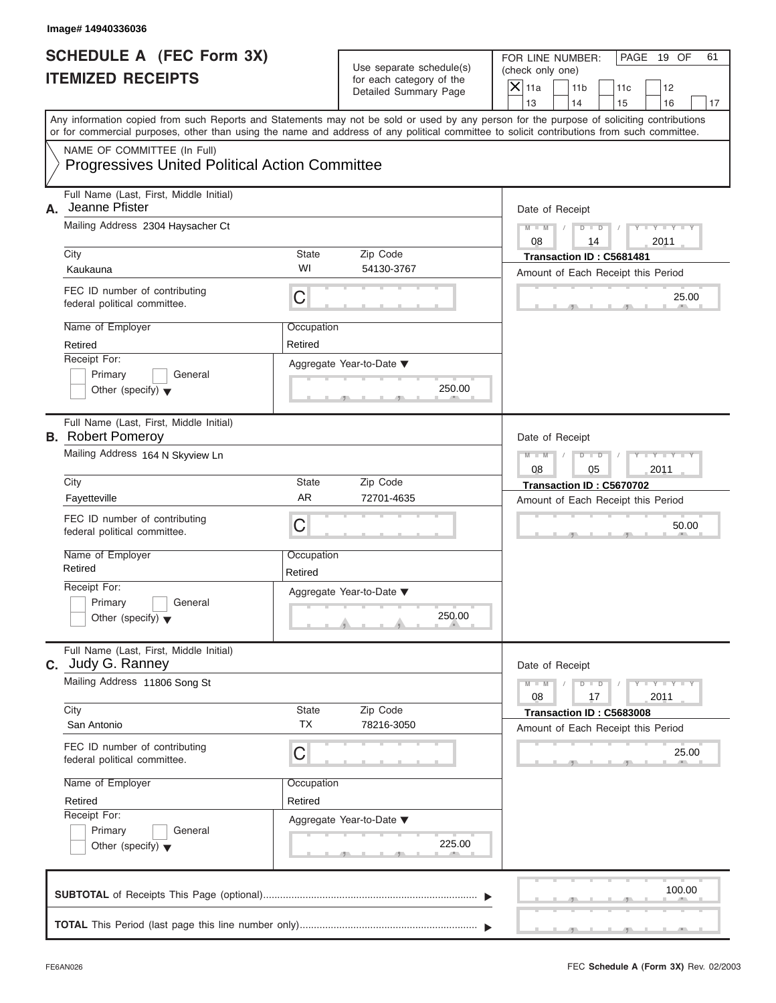|                                                             | Image# 14940336036                                                                                                                                                                                                                                                                      |                                    |                                                      |               |                                                                                                              |    |                             |    |  |  |  |
|-------------------------------------------------------------|-----------------------------------------------------------------------------------------------------------------------------------------------------------------------------------------------------------------------------------------------------------------------------------------|------------------------------------|------------------------------------------------------|---------------|--------------------------------------------------------------------------------------------------------------|----|-----------------------------|----|--|--|--|
| <b>SCHEDULE A (FEC Form 3X)</b><br><b>ITEMIZED RECEIPTS</b> |                                                                                                                                                                                                                                                                                         |                                    | Use separate schedule(s)<br>for each category of the |               | FOR LINE NUMBER:<br>PAGE 19 OF<br>61<br>(check only one)<br>$\mathsf{X}$ 11a<br>11 <sub>b</sub><br>11c<br>12 |    |                             |    |  |  |  |
|                                                             |                                                                                                                                                                                                                                                                                         |                                    | <b>Detailed Summary Page</b>                         | 13            | 14                                                                                                           | 15 | 16                          | 17 |  |  |  |
|                                                             | Any information copied from such Reports and Statements may not be sold or used by any person for the purpose of soliciting contributions<br>or for commercial purposes, other than using the name and address of any political committee to solicit contributions from such committee. |                                    |                                                      |               |                                                                                                              |    |                             |    |  |  |  |
|                                                             | NAME OF COMMITTEE (In Full)<br><b>Progressives United Political Action Committee</b>                                                                                                                                                                                                    |                                    |                                                      |               |                                                                                                              |    |                             |    |  |  |  |
| А.                                                          | Full Name (Last, First, Middle Initial)<br>Jeanne Pfister                                                                                                                                                                                                                               |                                    | Date of Receipt                                      |               |                                                                                                              |    |                             |    |  |  |  |
|                                                             | Mailing Address 2304 Haysacher Ct                                                                                                                                                                                                                                                       | $M - M$<br>08                      | $D$ $\Box$ $D$<br>14                                 |               | $Y - Y - Y - Y - Y$<br>2011                                                                                  |    |                             |    |  |  |  |
|                                                             | City<br>Kaukauna                                                                                                                                                                                                                                                                        | State<br>WI                        | Zip Code<br>54130-3767                               |               | Transaction ID: C5681481<br>Amount of Each Receipt this Period                                               |    |                             |    |  |  |  |
|                                                             | FEC ID number of contributing<br>federal political committee.                                                                                                                                                                                                                           | С                                  |                                                      |               |                                                                                                              |    | 25.00                       |    |  |  |  |
|                                                             | Name of Employer<br>Retired                                                                                                                                                                                                                                                             | Occupation<br>Retired              |                                                      |               |                                                                                                              |    |                             |    |  |  |  |
|                                                             | Receipt For:<br>Primary<br>General<br>Other (specify) $\blacktriangledown$                                                                                                                                                                                                              | Aggregate Year-to-Date ▼<br>250.00 |                                                      |               |                                                                                                              |    |                             |    |  |  |  |
|                                                             | Full Name (Last, First, Middle Initial)<br><b>B.</b> Robert Pomeroy                                                                                                                                                                                                                     |                                    |                                                      |               | Date of Receipt                                                                                              |    |                             |    |  |  |  |
|                                                             | Mailing Address 164 N Skyview Ln                                                                                                                                                                                                                                                        | $M - M$<br>08                      | $D$ $D$<br>05                                        |               | Y T Y T Y T<br>2011                                                                                          |    |                             |    |  |  |  |
|                                                             | City<br>Fayetteville                                                                                                                                                                                                                                                                    | State<br><b>AR</b>                 | Zip Code<br>72701-4635                               |               | Transaction ID: C5670702<br>Amount of Each Receipt this Period                                               |    |                             |    |  |  |  |
|                                                             | FEC ID number of contributing<br>federal political committee.                                                                                                                                                                                                                           | С                                  |                                                      |               |                                                                                                              |    | 50.00                       |    |  |  |  |
|                                                             | Name of Employer<br>Retired                                                                                                                                                                                                                                                             | Occupation<br>Retired              |                                                      |               |                                                                                                              |    |                             |    |  |  |  |
|                                                             | Receipt For:<br>Primary<br>General<br>Other (specify) $\blacktriangledown$                                                                                                                                                                                                              |                                    | Aggregate Year-to-Date ▼<br>250.00                   |               |                                                                                                              |    |                             |    |  |  |  |
|                                                             | Full Name (Last, First, Middle Initial)<br>C. Judy G. Ranney                                                                                                                                                                                                                            |                                    |                                                      |               | Date of Receipt                                                                                              |    |                             |    |  |  |  |
|                                                             | Mailing Address 11806 Song St                                                                                                                                                                                                                                                           |                                    |                                                      | $M - M$<br>08 | $D$ $D$<br>17                                                                                                |    | $Y - Y - Y - Y - I$<br>2011 |    |  |  |  |
|                                                             | City<br>San Antonio                                                                                                                                                                                                                                                                     | State<br><b>TX</b>                 | Zip Code<br>78216-3050                               |               | Transaction ID: C5683008<br>Amount of Each Receipt this Period                                               |    |                             |    |  |  |  |
|                                                             | FEC ID number of contributing<br>federal political committee.                                                                                                                                                                                                                           | С                                  |                                                      |               |                                                                                                              |    | 25.00                       |    |  |  |  |
|                                                             | Name of Employer<br>Retired                                                                                                                                                                                                                                                             | Occupation<br>Retired              |                                                      |               |                                                                                                              |    |                             |    |  |  |  |
|                                                             | Receipt For:<br>Primary<br>General<br>Other (specify) $\blacktriangledown$                                                                                                                                                                                                              |                                    | Aggregate Year-to-Date ▼<br>225.00                   |               |                                                                                                              |    |                             |    |  |  |  |
|                                                             |                                                                                                                                                                                                                                                                                         |                                    |                                                      |               |                                                                                                              |    | 100.00                      |    |  |  |  |
|                                                             |                                                                                                                                                                                                                                                                                         |                                    |                                                      |               |                                                                                                              |    |                             |    |  |  |  |

S S S , , .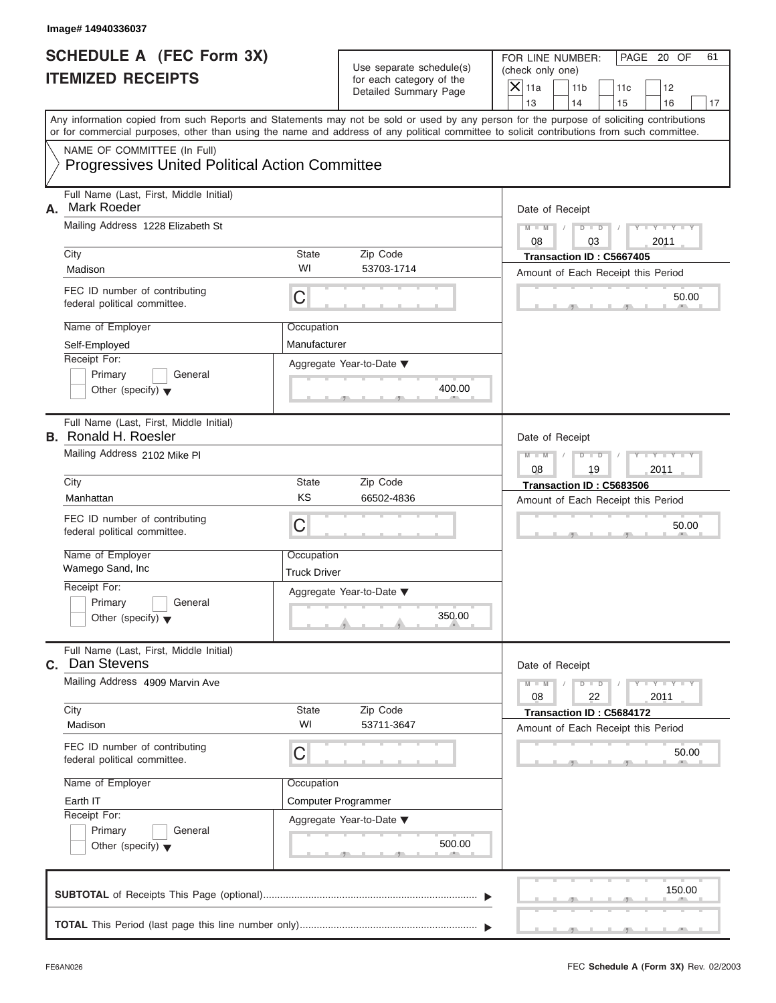|                                                             | Image# 14940336037                                                                                                                         |                                                       |                                                                               |                                                                                                                                           |  |  |  |
|-------------------------------------------------------------|--------------------------------------------------------------------------------------------------------------------------------------------|-------------------------------------------------------|-------------------------------------------------------------------------------|-------------------------------------------------------------------------------------------------------------------------------------------|--|--|--|
| <b>SCHEDULE A (FEC Form 3X)</b><br><b>ITEMIZED RECEIPTS</b> |                                                                                                                                            |                                                       | Use separate schedule(s)<br>for each category of the<br>Detailed Summary Page | FOR LINE NUMBER:<br>PAGE 20 OF<br>61<br>(check only one)<br>$\mathsf{X}$ 11a<br>11 <sub>b</sub><br>11c<br>12                              |  |  |  |
|                                                             |                                                                                                                                            |                                                       |                                                                               | 13<br>14<br>15<br>16<br>17                                                                                                                |  |  |  |
|                                                             | or for commercial purposes, other than using the name and address of any political committee to solicit contributions from such committee. |                                                       |                                                                               | Any information copied from such Reports and Statements may not be sold or used by any person for the purpose of soliciting contributions |  |  |  |
|                                                             | NAME OF COMMITTEE (In Full)<br><b>Progressives United Political Action Committee</b>                                                       |                                                       |                                                                               |                                                                                                                                           |  |  |  |
| А.                                                          | Full Name (Last, First, Middle Initial)<br><b>Mark Roeder</b>                                                                              |                                                       |                                                                               | Date of Receipt                                                                                                                           |  |  |  |
|                                                             | Mailing Address 1228 Elizabeth St                                                                                                          | $M - M$<br>$D$ $D$<br>$Y - Y - Y$<br>08<br>03<br>2011 |                                                                               |                                                                                                                                           |  |  |  |
|                                                             | City                                                                                                                                       | State                                                 | Zip Code                                                                      | Transaction ID: C5667405                                                                                                                  |  |  |  |
|                                                             | Madison                                                                                                                                    | WI                                                    | 53703-1714                                                                    | Amount of Each Receipt this Period                                                                                                        |  |  |  |
|                                                             | FEC ID number of contributing<br>federal political committee.                                                                              | C                                                     |                                                                               | 50.00                                                                                                                                     |  |  |  |
|                                                             | Name of Employer                                                                                                                           | Occupation                                            |                                                                               |                                                                                                                                           |  |  |  |
|                                                             | Self-Employed                                                                                                                              | Manufacturer                                          |                                                                               |                                                                                                                                           |  |  |  |
|                                                             | Receipt For:                                                                                                                               |                                                       | Aggregate Year-to-Date ▼                                                      |                                                                                                                                           |  |  |  |
|                                                             | Other (specify) $\blacktriangledown$                                                                                                       | Primary<br>General<br>400.00                          |                                                                               |                                                                                                                                           |  |  |  |
|                                                             | Full Name (Last, First, Middle Initial)<br><b>B.</b> Ronald H. Roesler                                                                     |                                                       |                                                                               | Date of Receipt                                                                                                                           |  |  |  |
|                                                             | Mailing Address 2102 Mike PI                                                                                                               | $D - I$<br>Y TY TY<br>$M - M$<br>2011<br>08<br>19     |                                                                               |                                                                                                                                           |  |  |  |
|                                                             | City                                                                                                                                       | State                                                 | Zip Code                                                                      | Transaction ID: C5683506<br>Amount of Each Receipt this Period                                                                            |  |  |  |
|                                                             | Manhattan                                                                                                                                  | KS                                                    | 66502-4836                                                                    |                                                                                                                                           |  |  |  |
|                                                             | FEC ID number of contributing<br>federal political committee.                                                                              | C                                                     | 50.00                                                                         |                                                                                                                                           |  |  |  |
|                                                             | Name of Employer                                                                                                                           | Occupation                                            |                                                                               |                                                                                                                                           |  |  |  |
|                                                             | Wamego Sand, Inc.                                                                                                                          | <b>Truck Driver</b>                                   |                                                                               |                                                                                                                                           |  |  |  |
|                                                             | Receipt For:                                                                                                                               |                                                       | Aggregate Year-to-Date ▼                                                      |                                                                                                                                           |  |  |  |
|                                                             | Primary<br>General<br>Other (specify) $\blacktriangledown$                                                                                 |                                                       | 350.00                                                                        |                                                                                                                                           |  |  |  |
|                                                             | Full Name (Last, First, Middle Initial)<br>C. Dan Stevens                                                                                  |                                                       |                                                                               | Date of Receipt                                                                                                                           |  |  |  |
|                                                             | Mailing Address 4909 Marvin Ave                                                                                                            |                                                       |                                                                               | $M - M$<br>$Y = Y$<br>$D$ $D$<br>08<br>22<br>2011                                                                                         |  |  |  |
|                                                             | City<br>Madison                                                                                                                            | State<br>WI                                           | Zip Code<br>53711-3647                                                        | Transaction ID: C5684172<br>Amount of Each Receipt this Period                                                                            |  |  |  |
|                                                             | FEC ID number of contributing<br>federal political committee.                                                                              | С                                                     |                                                                               | 50.00                                                                                                                                     |  |  |  |
|                                                             | Name of Employer                                                                                                                           | Occupation                                            |                                                                               |                                                                                                                                           |  |  |  |
|                                                             | Earth IT                                                                                                                                   |                                                       | Computer Programmer                                                           |                                                                                                                                           |  |  |  |
|                                                             | Receipt For:                                                                                                                               |                                                       | Aggregate Year-to-Date ▼                                                      |                                                                                                                                           |  |  |  |
|                                                             | Primary<br>General<br>Other (specify) $\blacktriangledown$                                                                                 |                                                       | 500.00                                                                        |                                                                                                                                           |  |  |  |
|                                                             |                                                                                                                                            |                                                       |                                                                               | 150.00                                                                                                                                    |  |  |  |
|                                                             |                                                                                                                                            |                                                       |                                                                               |                                                                                                                                           |  |  |  |

S S S , , .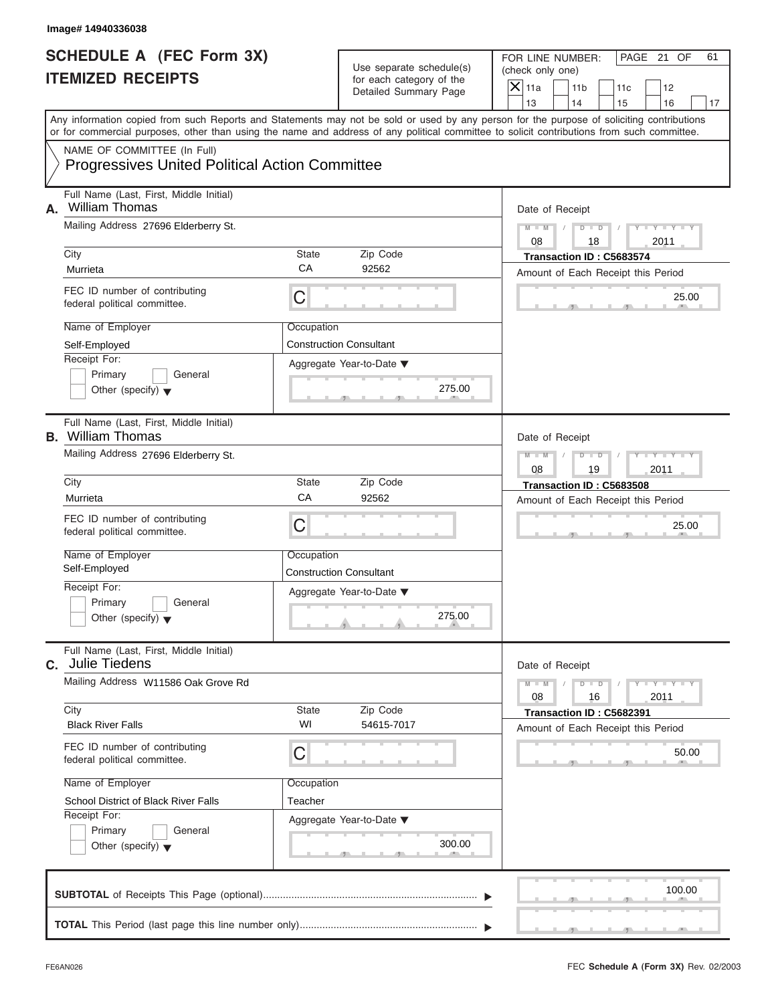|                                                             | Image# 14940336038                                                                                                                         |                                                                      |                                                                               |                                                                                                                                           |  |  |  |
|-------------------------------------------------------------|--------------------------------------------------------------------------------------------------------------------------------------------|----------------------------------------------------------------------|-------------------------------------------------------------------------------|-------------------------------------------------------------------------------------------------------------------------------------------|--|--|--|
| <b>SCHEDULE A (FEC Form 3X)</b><br><b>ITEMIZED RECEIPTS</b> |                                                                                                                                            |                                                                      | Use separate schedule(s)<br>for each category of the<br>Detailed Summary Page | FOR LINE NUMBER:<br>PAGE 21 OF<br>61<br>(check only one)<br>$\mathsf{X}$ 11a<br>11 <sub>b</sub><br>11c<br>12                              |  |  |  |
|                                                             |                                                                                                                                            |                                                                      |                                                                               | 13<br>14<br>15<br>16<br>17                                                                                                                |  |  |  |
|                                                             | or for commercial purposes, other than using the name and address of any political committee to solicit contributions from such committee. |                                                                      |                                                                               | Any information copied from such Reports and Statements may not be sold or used by any person for the purpose of soliciting contributions |  |  |  |
|                                                             | NAME OF COMMITTEE (In Full)<br><b>Progressives United Political Action Committee</b>                                                       |                                                                      |                                                                               |                                                                                                                                           |  |  |  |
| А.                                                          | Full Name (Last, First, Middle Initial)<br><b>William Thomas</b>                                                                           |                                                                      |                                                                               | Date of Receipt                                                                                                                           |  |  |  |
|                                                             | Mailing Address 27696 Elderberry St.                                                                                                       | $Y - Y - Y - Y - Y$<br>$D$ $\Box$ $D$<br>$M - M$<br>08<br>18<br>2011 |                                                                               |                                                                                                                                           |  |  |  |
|                                                             | City                                                                                                                                       | State                                                                | Zip Code                                                                      | Transaction ID: C5683574                                                                                                                  |  |  |  |
|                                                             | Murrieta                                                                                                                                   | CA                                                                   | 92562                                                                         | Amount of Each Receipt this Period                                                                                                        |  |  |  |
|                                                             | FEC ID number of contributing<br>federal political committee.                                                                              | С                                                                    |                                                                               | 25.00                                                                                                                                     |  |  |  |
|                                                             | Name of Employer                                                                                                                           | Occupation                                                           |                                                                               |                                                                                                                                           |  |  |  |
|                                                             | Self-Employed                                                                                                                              |                                                                      | <b>Construction Consultant</b>                                                |                                                                                                                                           |  |  |  |
|                                                             | Receipt For:<br>Primary<br>General                                                                                                         |                                                                      | Aggregate Year-to-Date ▼                                                      |                                                                                                                                           |  |  |  |
|                                                             | Other (specify) $\blacktriangledown$                                                                                                       |                                                                      | 275.00                                                                        |                                                                                                                                           |  |  |  |
|                                                             | Full Name (Last, First, Middle Initial)<br><b>B.</b> William Thomas                                                                        |                                                                      |                                                                               | Date of Receipt                                                                                                                           |  |  |  |
|                                                             | Mailing Address 27696 Elderberry St.                                                                                                       | $M - M$<br>$D$ $D$<br>Y I Y I Y I<br>2011<br>08<br>19                |                                                                               |                                                                                                                                           |  |  |  |
|                                                             | City                                                                                                                                       | State                                                                | Zip Code                                                                      | Transaction ID: C5683508                                                                                                                  |  |  |  |
|                                                             | Murrieta                                                                                                                                   | CA                                                                   | 92562                                                                         | Amount of Each Receipt this Period                                                                                                        |  |  |  |
|                                                             | FEC ID number of contributing<br>federal political committee.                                                                              | С                                                                    |                                                                               | 25.00                                                                                                                                     |  |  |  |
|                                                             | Name of Employer                                                                                                                           | Occupation                                                           |                                                                               |                                                                                                                                           |  |  |  |
|                                                             | Self-Employed                                                                                                                              |                                                                      | <b>Construction Consultant</b>                                                |                                                                                                                                           |  |  |  |
|                                                             | Receipt For:                                                                                                                               |                                                                      | Aggregate Year-to-Date ▼                                                      |                                                                                                                                           |  |  |  |
|                                                             | Primary<br>General<br>Other (specify) $\blacktriangledown$                                                                                 |                                                                      | 275.00                                                                        |                                                                                                                                           |  |  |  |
|                                                             | Full Name (Last, First, Middle Initial)<br>C. Julie Tiedens                                                                                |                                                                      |                                                                               | Date of Receipt                                                                                                                           |  |  |  |
|                                                             | Mailing Address W11586 Oak Grove Rd                                                                                                        | $Y = Y$<br>$M - M$<br>$D$ $D$<br>2011<br>08<br>16                    |                                                                               |                                                                                                                                           |  |  |  |
|                                                             | City<br><b>Black River Falls</b>                                                                                                           | State<br>WI                                                          | Zip Code<br>54615-7017                                                        | Transaction ID: C5682391<br>Amount of Each Receipt this Period                                                                            |  |  |  |
|                                                             | FEC ID number of contributing<br>federal political committee.                                                                              | С                                                                    |                                                                               | 50.00                                                                                                                                     |  |  |  |
|                                                             | Name of Employer                                                                                                                           | Occupation                                                           |                                                                               |                                                                                                                                           |  |  |  |
|                                                             | School District of Black River Falls                                                                                                       | Teacher                                                              |                                                                               |                                                                                                                                           |  |  |  |
|                                                             | Receipt For:                                                                                                                               |                                                                      | Aggregate Year-to-Date ▼                                                      |                                                                                                                                           |  |  |  |
|                                                             | Primary<br>General<br>Other (specify) $\blacktriangledown$                                                                                 |                                                                      | 300.00                                                                        |                                                                                                                                           |  |  |  |
|                                                             |                                                                                                                                            |                                                                      |                                                                               | 100.00                                                                                                                                    |  |  |  |
|                                                             |                                                                                                                                            |                                                                      |                                                                               |                                                                                                                                           |  |  |  |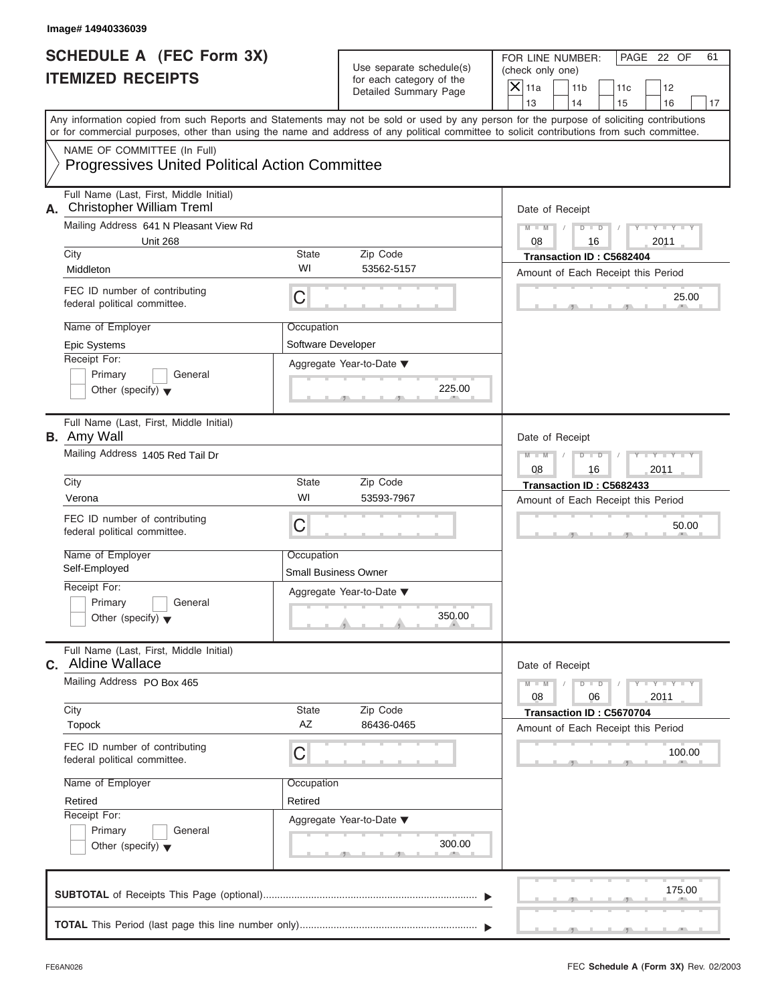| Image# 14940336039                                                                                                                         |                                                     |                                                                               |                                                                                                                                                                         |  |  |  |
|--------------------------------------------------------------------------------------------------------------------------------------------|-----------------------------------------------------|-------------------------------------------------------------------------------|-------------------------------------------------------------------------------------------------------------------------------------------------------------------------|--|--|--|
| <b>SCHEDULE A (FEC Form 3X)</b><br><b>ITEMIZED RECEIPTS</b>                                                                                |                                                     | Use separate schedule(s)<br>for each category of the<br>Detailed Summary Page | FOR LINE NUMBER:<br>PAGE 22 OF<br>61<br>(check only one)<br>$\mathsf{X}$ 11a<br>11 <sub>b</sub><br>11c<br>12                                                            |  |  |  |
| or for commercial purposes, other than using the name and address of any political committee to solicit contributions from such committee. |                                                     |                                                                               | 13<br>14<br>15<br>16<br>17<br>Any information copied from such Reports and Statements may not be sold or used by any person for the purpose of soliciting contributions |  |  |  |
| NAME OF COMMITTEE (In Full)<br><b>Progressives United Political Action Committee</b>                                                       |                                                     |                                                                               |                                                                                                                                                                         |  |  |  |
| Full Name (Last, First, Middle Initial)<br>A. Christopher William Treml<br>Mailing Address 641 N Pleasant View Rd                          |                                                     |                                                                               | Date of Receipt<br>$M - M$<br>$D$ $D$<br>$Y - Y - Y$                                                                                                                    |  |  |  |
| <b>Unit 268</b>                                                                                                                            |                                                     |                                                                               | 08<br>2011<br>16                                                                                                                                                        |  |  |  |
| City                                                                                                                                       | State                                               | Zip Code                                                                      | Transaction ID: C5682404                                                                                                                                                |  |  |  |
| Middleton                                                                                                                                  | WI                                                  | 53562-5157                                                                    | Amount of Each Receipt this Period                                                                                                                                      |  |  |  |
| FEC ID number of contributing<br>federal political committee.                                                                              | C                                                   |                                                                               | 25.00                                                                                                                                                                   |  |  |  |
| Name of Employer                                                                                                                           | Occupation                                          |                                                                               |                                                                                                                                                                         |  |  |  |
| Epic Systems                                                                                                                               | Software Developer                                  |                                                                               |                                                                                                                                                                         |  |  |  |
| Receipt For:                                                                                                                               |                                                     | Aggregate Year-to-Date ▼                                                      |                                                                                                                                                                         |  |  |  |
| Primary<br>General<br>Other (specify) $\blacktriangledown$                                                                                 |                                                     | 225.00                                                                        |                                                                                                                                                                         |  |  |  |
| Full Name (Last, First, Middle Initial)<br><b>B.</b> Amy Wall                                                                              |                                                     |                                                                               | Date of Receipt                                                                                                                                                         |  |  |  |
| Mailing Address 1405 Red Tail Dr                                                                                                           | $D - I$<br>Y TY TY T<br>$M - M$<br>2011<br>08<br>16 |                                                                               |                                                                                                                                                                         |  |  |  |
| City                                                                                                                                       | State                                               | Zip Code                                                                      | Transaction ID: C5682433                                                                                                                                                |  |  |  |
| Verona                                                                                                                                     | WI                                                  | 53593-7967                                                                    | Amount of Each Receipt this Period                                                                                                                                      |  |  |  |
| FEC ID number of contributing<br>federal political committee.                                                                              | C                                                   | 50.00                                                                         |                                                                                                                                                                         |  |  |  |
| Name of Employer                                                                                                                           | Occupation                                          |                                                                               |                                                                                                                                                                         |  |  |  |
| Self-Employed                                                                                                                              | <b>Small Business Owner</b>                         |                                                                               |                                                                                                                                                                         |  |  |  |
| Receipt For:                                                                                                                               |                                                     | Aggregate Year-to-Date ▼                                                      |                                                                                                                                                                         |  |  |  |
| Primary<br>General<br>Other (specify) $\blacktriangledown$                                                                                 |                                                     | 350.00                                                                        |                                                                                                                                                                         |  |  |  |
| Full Name (Last, First, Middle Initial)<br><b>c.</b> Aldine Wallace                                                                        |                                                     |                                                                               | Date of Receipt                                                                                                                                                         |  |  |  |
| Mailing Address PO Box 465                                                                                                                 |                                                     |                                                                               | $M - M$<br>$Y = Y$<br>$D - D$<br>08<br>2011<br>06                                                                                                                       |  |  |  |
| City<br>Topock                                                                                                                             | State<br>AZ                                         | Zip Code<br>86436-0465                                                        | Transaction ID: C5670704<br>Amount of Each Receipt this Period                                                                                                          |  |  |  |
| FEC ID number of contributing<br>federal political committee.                                                                              | С                                                   |                                                                               | 100.00                                                                                                                                                                  |  |  |  |
| Name of Employer                                                                                                                           | Occupation                                          |                                                                               |                                                                                                                                                                         |  |  |  |
| Retired                                                                                                                                    | Retired                                             |                                                                               |                                                                                                                                                                         |  |  |  |
| Receipt For:                                                                                                                               |                                                     | Aggregate Year-to-Date ▼                                                      |                                                                                                                                                                         |  |  |  |
| Primary<br>General<br>Other (specify) $\blacktriangledown$                                                                                 |                                                     | 300.00                                                                        |                                                                                                                                                                         |  |  |  |
|                                                                                                                                            |                                                     |                                                                               | 175.00                                                                                                                                                                  |  |  |  |
|                                                                                                                                            |                                                     |                                                                               |                                                                                                                                                                         |  |  |  |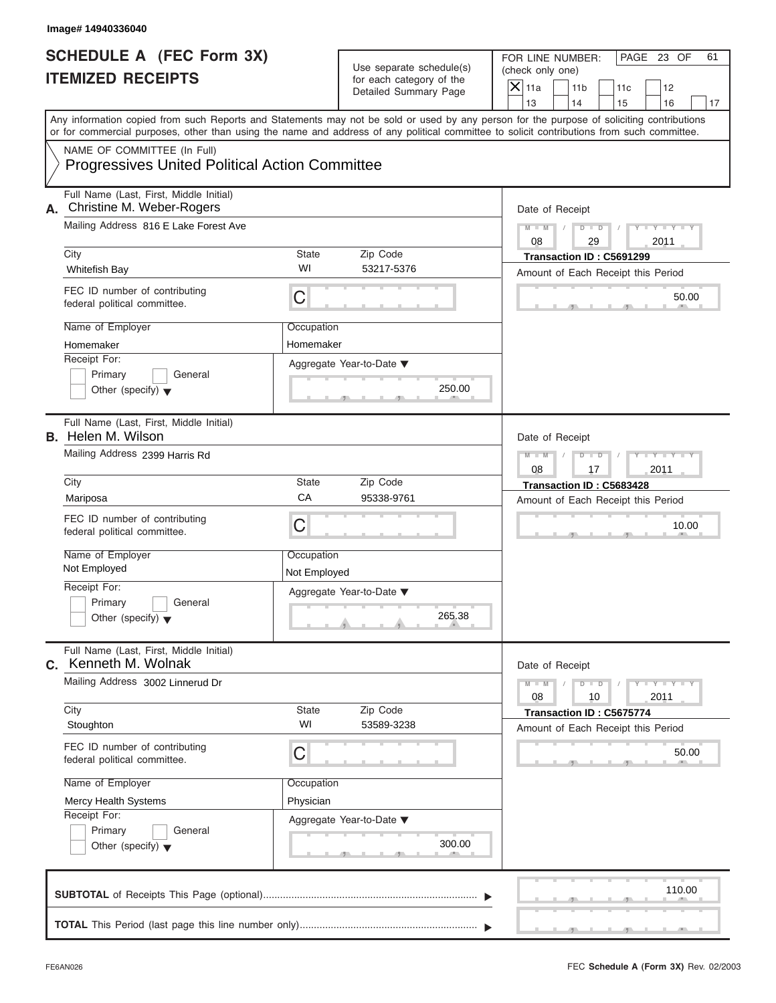| Image# 14940336040                                                                   |              |                                                      |                                                                                                                                                                                                                                                                                         |  |  |  |
|--------------------------------------------------------------------------------------|--------------|------------------------------------------------------|-----------------------------------------------------------------------------------------------------------------------------------------------------------------------------------------------------------------------------------------------------------------------------------------|--|--|--|
| <b>SCHEDULE A (FEC Form 3X)</b><br><b>ITEMIZED RECEIPTS</b>                          |              | Use separate schedule(s)<br>for each category of the | FOR LINE NUMBER:<br>PAGE 23 OF<br>61<br>(check only one)<br>$\mathsf{X}$ 11a<br>11 <sub>b</sub><br>11c<br>12                                                                                                                                                                            |  |  |  |
|                                                                                      |              | <b>Detailed Summary Page</b>                         | 13<br>14<br>15<br>16<br>17                                                                                                                                                                                                                                                              |  |  |  |
|                                                                                      |              |                                                      | Any information copied from such Reports and Statements may not be sold or used by any person for the purpose of soliciting contributions<br>or for commercial purposes, other than using the name and address of any political committee to solicit contributions from such committee. |  |  |  |
| NAME OF COMMITTEE (In Full)<br><b>Progressives United Political Action Committee</b> |              |                                                      |                                                                                                                                                                                                                                                                                         |  |  |  |
| Full Name (Last, First, Middle Initial)<br>Christine M. Weber-Rogers<br>А.           |              |                                                      | Date of Receipt                                                                                                                                                                                                                                                                         |  |  |  |
| Mailing Address 816 E Lake Forest Ave                                                |              |                                                      | $D$ $D$<br>$Y - Y - Y$<br>$M - M$<br>08<br>29<br>2011                                                                                                                                                                                                                                   |  |  |  |
| City                                                                                 | State        | Zip Code                                             | Transaction ID: C5691299                                                                                                                                                                                                                                                                |  |  |  |
| Whitefish Bay                                                                        | WI           | 53217-5376                                           | Amount of Each Receipt this Period                                                                                                                                                                                                                                                      |  |  |  |
| FEC ID number of contributing<br>federal political committee.                        | С            |                                                      | 50.00                                                                                                                                                                                                                                                                                   |  |  |  |
| Name of Employer                                                                     | Occupation   |                                                      |                                                                                                                                                                                                                                                                                         |  |  |  |
| Homemaker                                                                            | Homemaker    |                                                      |                                                                                                                                                                                                                                                                                         |  |  |  |
| Receipt For:                                                                         |              | Aggregate Year-to-Date ▼                             |                                                                                                                                                                                                                                                                                         |  |  |  |
| Primary<br>General<br>Other (specify) $\blacktriangledown$                           |              | 250.00                                               |                                                                                                                                                                                                                                                                                         |  |  |  |
| Full Name (Last, First, Middle Initial)<br><b>B.</b> Helen M. Wilson                 |              |                                                      | Date of Receipt                                                                                                                                                                                                                                                                         |  |  |  |
| Mailing Address 2399 Harris Rd                                                       |              |                                                      |                                                                                                                                                                                                                                                                                         |  |  |  |
| City                                                                                 | State        | Zip Code                                             | Transaction ID: C5683428<br>Amount of Each Receipt this Period                                                                                                                                                                                                                          |  |  |  |
| Mariposa                                                                             | CA           | 95338-9761                                           |                                                                                                                                                                                                                                                                                         |  |  |  |
| FEC ID number of contributing<br>federal political committee.                        | С            |                                                      | 10.00                                                                                                                                                                                                                                                                                   |  |  |  |
| Name of Employer                                                                     | Occupation   |                                                      |                                                                                                                                                                                                                                                                                         |  |  |  |
| Not Employed                                                                         | Not Employed |                                                      |                                                                                                                                                                                                                                                                                         |  |  |  |
| Receipt For:                                                                         |              | Aggregate Year-to-Date ▼                             |                                                                                                                                                                                                                                                                                         |  |  |  |
| Primary<br>General<br>Other (specify) $\blacktriangledown$                           |              | 265.38                                               |                                                                                                                                                                                                                                                                                         |  |  |  |
| Full Name (Last, First, Middle Initial)<br><b>c.</b> Kenneth M. Wolnak               |              |                                                      | Date of Receipt                                                                                                                                                                                                                                                                         |  |  |  |
| Mailing Address 3002 Linnerud Dr                                                     |              |                                                      | $Y = Y$<br>$M - M$<br>D<br>$\Box$<br>08<br>2011<br>10                                                                                                                                                                                                                                   |  |  |  |
| City<br>Stoughton                                                                    | State<br>WI  | Zip Code<br>53589-3238                               | Transaction ID: C5675774<br>Amount of Each Receipt this Period                                                                                                                                                                                                                          |  |  |  |
| FEC ID number of contributing<br>federal political committee.                        | С            |                                                      |                                                                                                                                                                                                                                                                                         |  |  |  |
| Name of Employer                                                                     | Occupation   |                                                      |                                                                                                                                                                                                                                                                                         |  |  |  |
| Mercy Health Systems                                                                 | Physician    |                                                      |                                                                                                                                                                                                                                                                                         |  |  |  |
| Receipt For:<br>Primary<br>General                                                   |              | Aggregate Year-to-Date ▼                             |                                                                                                                                                                                                                                                                                         |  |  |  |
| Other (specify) $\blacktriangledown$                                                 |              | 300.00                                               |                                                                                                                                                                                                                                                                                         |  |  |  |
|                                                                                      |              |                                                      | 110.00                                                                                                                                                                                                                                                                                  |  |  |  |
|                                                                                      |              |                                                      |                                                                                                                                                                                                                                                                                         |  |  |  |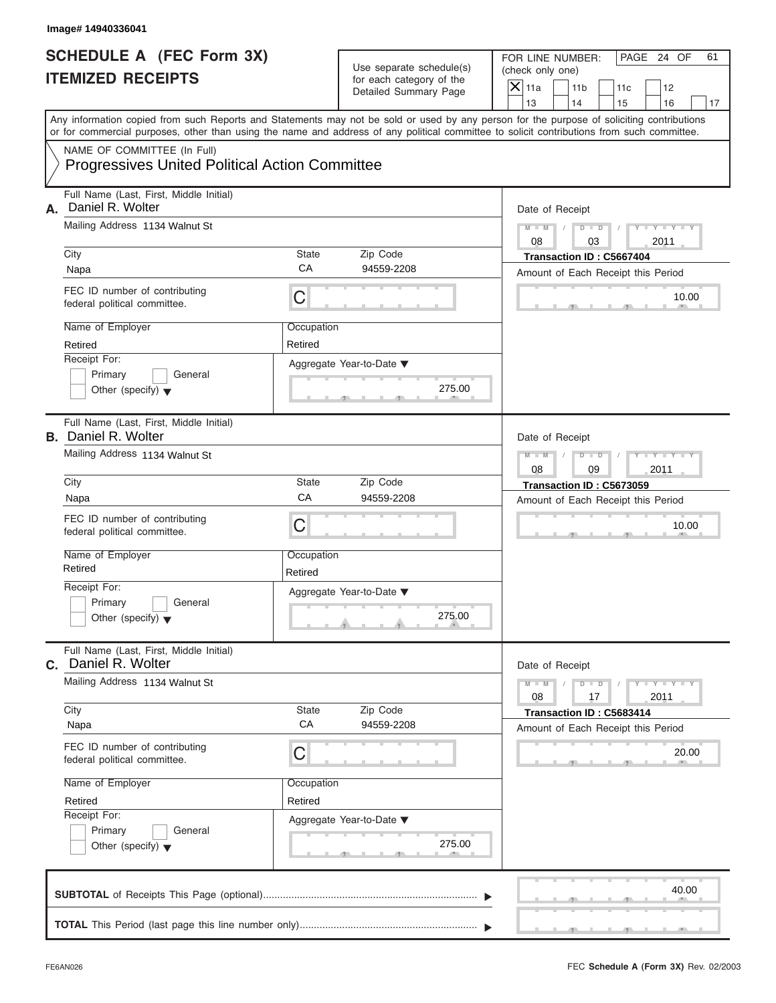|    | Image# 14940336041                                                                                                                         |                                                       |                                                                               |                                                                                                                                           |  |  |  |  |
|----|--------------------------------------------------------------------------------------------------------------------------------------------|-------------------------------------------------------|-------------------------------------------------------------------------------|-------------------------------------------------------------------------------------------------------------------------------------------|--|--|--|--|
|    | <b>SCHEDULE A (FEC Form 3X)</b><br><b>ITEMIZED RECEIPTS</b>                                                                                |                                                       | Use separate schedule(s)<br>for each category of the<br>Detailed Summary Page | FOR LINE NUMBER:<br>PAGE 24 OF<br>61<br>(check only one)<br>$\mathsf{X}$ 11a<br>11 <sub>b</sub><br>11c<br>12                              |  |  |  |  |
|    |                                                                                                                                            |                                                       |                                                                               | 13<br>14<br>15<br>16<br>17                                                                                                                |  |  |  |  |
|    | or for commercial purposes, other than using the name and address of any political committee to solicit contributions from such committee. |                                                       |                                                                               | Any information copied from such Reports and Statements may not be sold or used by any person for the purpose of soliciting contributions |  |  |  |  |
|    | NAME OF COMMITTEE (In Full)<br><b>Progressives United Political Action Committee</b>                                                       |                                                       |                                                                               |                                                                                                                                           |  |  |  |  |
|    | Full Name (Last, First, Middle Initial)                                                                                                    |                                                       |                                                                               |                                                                                                                                           |  |  |  |  |
| А. | Daniel R. Wolter                                                                                                                           | Date of Receipt                                       |                                                                               |                                                                                                                                           |  |  |  |  |
|    | Mailing Address 1134 Walnut St                                                                                                             | $Y - Y - Y - Y - Y$<br>$D$ $\Box$ $D$<br>$M - M$      |                                                                               |                                                                                                                                           |  |  |  |  |
|    | City                                                                                                                                       | State                                                 | Zip Code                                                                      | 08<br>03<br>2011<br>Transaction ID: C5667404                                                                                              |  |  |  |  |
|    | Napa                                                                                                                                       | CA                                                    | 94559-2208                                                                    | Amount of Each Receipt this Period                                                                                                        |  |  |  |  |
|    | FEC ID number of contributing<br>federal political committee.                                                                              | С                                                     |                                                                               | 10.00                                                                                                                                     |  |  |  |  |
|    | Name of Employer                                                                                                                           | Occupation                                            |                                                                               |                                                                                                                                           |  |  |  |  |
|    | Retired                                                                                                                                    | Retired                                               |                                                                               |                                                                                                                                           |  |  |  |  |
|    | Receipt For:<br>Primary<br>General                                                                                                         |                                                       | Aggregate Year-to-Date ▼                                                      |                                                                                                                                           |  |  |  |  |
|    | Other (specify) $\blacktriangledown$                                                                                                       |                                                       | 275.00                                                                        |                                                                                                                                           |  |  |  |  |
|    | Full Name (Last, First, Middle Initial)<br><b>B.</b> Daniel R. Wolter                                                                      |                                                       |                                                                               | Date of Receipt                                                                                                                           |  |  |  |  |
|    | Mailing Address 1134 Walnut St                                                                                                             | Y T Y T Y T<br>$M - M$<br>$D$ $D$<br>2011<br>08<br>09 |                                                                               |                                                                                                                                           |  |  |  |  |
|    | City                                                                                                                                       | State                                                 | Zip Code                                                                      | Transaction ID: C5673059<br>Amount of Each Receipt this Period                                                                            |  |  |  |  |
|    | Napa                                                                                                                                       | CA                                                    | 94559-2208                                                                    |                                                                                                                                           |  |  |  |  |
|    | FEC ID number of contributing<br>federal political committee.                                                                              | С                                                     |                                                                               | 10.00                                                                                                                                     |  |  |  |  |
|    | Name of Employer                                                                                                                           | Occupation                                            |                                                                               |                                                                                                                                           |  |  |  |  |
|    | Retired<br>Receipt For:                                                                                                                    | Retired                                               |                                                                               |                                                                                                                                           |  |  |  |  |
|    | Primary<br>General                                                                                                                         |                                                       | Aggregate Year-to-Date ▼                                                      |                                                                                                                                           |  |  |  |  |
|    | Other (specify) $\blacktriangledown$                                                                                                       |                                                       | 275.00                                                                        |                                                                                                                                           |  |  |  |  |
|    | Full Name (Last, First, Middle Initial)<br>C. Daniel R. Wolter                                                                             |                                                       |                                                                               | Date of Receipt                                                                                                                           |  |  |  |  |
|    | Mailing Address 1134 Walnut St                                                                                                             |                                                       |                                                                               | $Y - Y - Y - Y - I$<br>$M - M$<br>$D$ $D$<br>2011<br>08<br>17                                                                             |  |  |  |  |
|    | City<br>Napa                                                                                                                               | State<br>CA                                           | Zip Code<br>94559-2208                                                        | Transaction ID: C5683414<br>Amount of Each Receipt this Period                                                                            |  |  |  |  |
|    | FEC ID number of contributing<br>federal political committee.                                                                              | С                                                     |                                                                               | 20.00                                                                                                                                     |  |  |  |  |
|    | Name of Employer                                                                                                                           | Occupation                                            |                                                                               |                                                                                                                                           |  |  |  |  |
|    | Retired                                                                                                                                    | Retired                                               |                                                                               |                                                                                                                                           |  |  |  |  |
|    | Receipt For:<br>Primary<br>General                                                                                                         |                                                       | Aggregate Year-to-Date ▼                                                      |                                                                                                                                           |  |  |  |  |
|    | Other (specify) $\blacktriangledown$                                                                                                       |                                                       | 275.00                                                                        |                                                                                                                                           |  |  |  |  |
|    |                                                                                                                                            |                                                       |                                                                               | 40.00                                                                                                                                     |  |  |  |  |
|    |                                                                                                                                            |                                                       |                                                                               |                                                                                                                                           |  |  |  |  |
|    |                                                                                                                                            |                                                       |                                                                               |                                                                                                                                           |  |  |  |  |

S S S , , .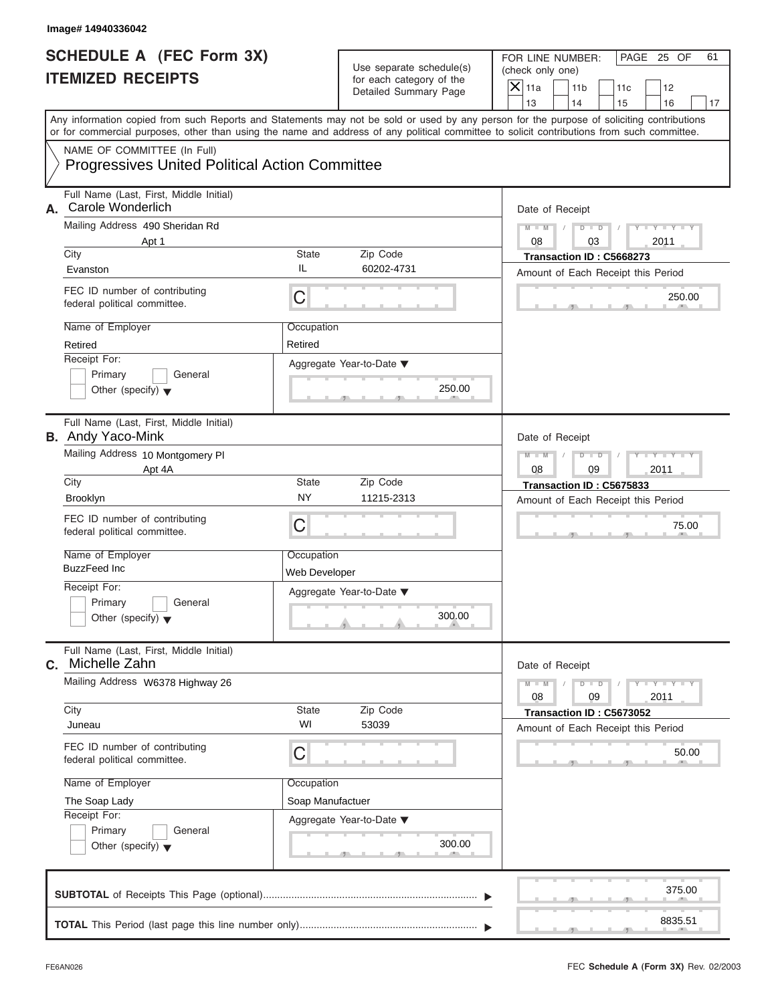| Image# 14940336042                                                                                                                                                                                                                                                                      |                             |                                                                               |                                                                                                                                            |
|-----------------------------------------------------------------------------------------------------------------------------------------------------------------------------------------------------------------------------------------------------------------------------------------|-----------------------------|-------------------------------------------------------------------------------|--------------------------------------------------------------------------------------------------------------------------------------------|
| <b>SCHEDULE A (FEC Form 3X)</b><br><b>ITEMIZED RECEIPTS</b>                                                                                                                                                                                                                             |                             | Use separate schedule(s)<br>for each category of the<br>Detailed Summary Page | FOR LINE NUMBER:<br>PAGE 25 OF<br>61<br>(check only one)<br>$\mathsf{X}$ 11a<br>11 <sub>b</sub><br>11c<br>12<br>13<br>14<br>15<br>16<br>17 |
| Any information copied from such Reports and Statements may not be sold or used by any person for the purpose of soliciting contributions<br>or for commercial purposes, other than using the name and address of any political committee to solicit contributions from such committee. |                             |                                                                               |                                                                                                                                            |
| NAME OF COMMITTEE (In Full)<br><b>Progressives United Political Action Committee</b>                                                                                                                                                                                                    |                             |                                                                               |                                                                                                                                            |
| Full Name (Last, First, Middle Initial)<br>Carole Wonderlich<br>А.                                                                                                                                                                                                                      |                             |                                                                               | Date of Receipt                                                                                                                            |
| Mailing Address 490 Sheridan Rd                                                                                                                                                                                                                                                         |                             |                                                                               | $M - M$<br>$D$ $D$<br>$Y - Y - Y$<br>08<br>03                                                                                              |
| Apt 1<br>City                                                                                                                                                                                                                                                                           | State                       | Zip Code                                                                      | 2011<br>Transaction ID: C5668273                                                                                                           |
| Evanston                                                                                                                                                                                                                                                                                | IL                          | 60202-4731                                                                    | Amount of Each Receipt this Period                                                                                                         |
| FEC ID number of contributing<br>federal political committee.                                                                                                                                                                                                                           | C                           |                                                                               | 250.00                                                                                                                                     |
| Name of Employer                                                                                                                                                                                                                                                                        | Occupation                  |                                                                               |                                                                                                                                            |
| Retired                                                                                                                                                                                                                                                                                 | Retired                     |                                                                               |                                                                                                                                            |
| Receipt For:<br>Primary<br>General<br>Other (specify) $\blacktriangledown$                                                                                                                                                                                                              |                             | Aggregate Year-to-Date ▼<br>250.00                                            |                                                                                                                                            |
| Full Name (Last, First, Middle Initial)<br><b>B.</b> Andy Yaco-Mink                                                                                                                                                                                                                     |                             |                                                                               | Date of Receipt                                                                                                                            |
| Mailing Address 10 Montgomery PI                                                                                                                                                                                                                                                        |                             |                                                                               | Y TY TY T<br>$M - M$<br>$D$ $D$                                                                                                            |
| Apt 4A                                                                                                                                                                                                                                                                                  |                             |                                                                               | 2011<br>08<br>09                                                                                                                           |
| City                                                                                                                                                                                                                                                                                    | State                       | Zip Code                                                                      | Transaction ID: C5675833                                                                                                                   |
| <b>Brooklyn</b>                                                                                                                                                                                                                                                                         | <b>NY</b>                   | 11215-2313                                                                    | Amount of Each Receipt this Period                                                                                                         |
| FEC ID number of contributing<br>federal political committee.                                                                                                                                                                                                                           | C                           |                                                                               | 75.00                                                                                                                                      |
| Name of Employer<br>BuzzFeed Inc                                                                                                                                                                                                                                                        | Occupation<br>Web Developer |                                                                               |                                                                                                                                            |
| Receipt For:<br>Primary<br>General<br>Other (specify) $\blacktriangledown$                                                                                                                                                                                                              |                             | Aggregate Year-to-Date ▼<br>300.00                                            |                                                                                                                                            |
| Full Name (Last, First, Middle Initial)<br>Michelle Zahn<br>С.                                                                                                                                                                                                                          |                             |                                                                               | Date of Receipt                                                                                                                            |
| Mailing Address W6378 Highway 26                                                                                                                                                                                                                                                        |                             |                                                                               | $M - M$<br>$Y = Y$<br>$D - D$<br>08<br>2011<br>09                                                                                          |
| City<br>Juneau                                                                                                                                                                                                                                                                          | State<br>WI                 | Zip Code<br>53039                                                             | Transaction ID: C5673052<br>Amount of Each Receipt this Period                                                                             |
| FEC ID number of contributing<br>federal political committee.                                                                                                                                                                                                                           | С                           |                                                                               | 50.00                                                                                                                                      |
| Name of Employer                                                                                                                                                                                                                                                                        | Occupation                  |                                                                               |                                                                                                                                            |
| The Soap Lady                                                                                                                                                                                                                                                                           | Soap Manufactuer            |                                                                               |                                                                                                                                            |
| Receipt For:<br>Primary<br>General<br>Other (specify) $\blacktriangledown$                                                                                                                                                                                                              |                             | Aggregate Year-to-Date ▼<br>300.00                                            |                                                                                                                                            |
|                                                                                                                                                                                                                                                                                         |                             |                                                                               | 375.00                                                                                                                                     |
|                                                                                                                                                                                                                                                                                         |                             |                                                                               | 8835.51                                                                                                                                    |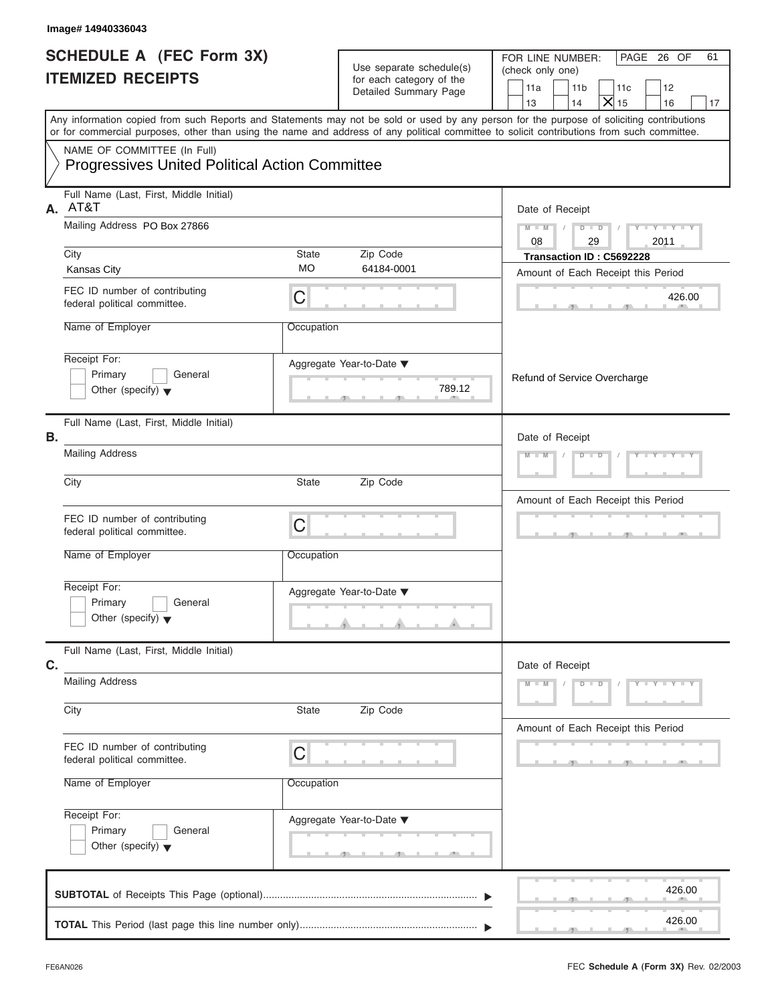| Image# 14940336043                                                                   |                    |                                                                               |                                                                                                                                                                                                                                                                                         |
|--------------------------------------------------------------------------------------|--------------------|-------------------------------------------------------------------------------|-----------------------------------------------------------------------------------------------------------------------------------------------------------------------------------------------------------------------------------------------------------------------------------------|
| <b>SCHEDULE A (FEC Form 3X)</b><br><b>ITEMIZED RECEIPTS</b>                          |                    | Use separate schedule(s)<br>for each category of the<br>Detailed Summary Page | PAGE 26 OF<br>FOR LINE NUMBER:<br>61<br>(check only one)<br>11a<br>11 <sub>b</sub><br>11c<br>12<br>$\overline{X}$ <sub>15</sub><br>13<br>14<br>16<br>17                                                                                                                                 |
|                                                                                      |                    |                                                                               | Any information copied from such Reports and Statements may not be sold or used by any person for the purpose of soliciting contributions<br>or for commercial purposes, other than using the name and address of any political committee to solicit contributions from such committee. |
| NAME OF COMMITTEE (In Full)<br><b>Progressives United Political Action Committee</b> |                    |                                                                               |                                                                                                                                                                                                                                                                                         |
| Full Name (Last, First, Middle Initial)<br>AT&T<br>А.                                |                    |                                                                               | Date of Receipt                                                                                                                                                                                                                                                                         |
| Mailing Address PO Box 27866                                                         |                    |                                                                               | $D - D$<br>$Y - Y - Y - Y - Y$<br>$M - M$<br>08<br>29<br>2011                                                                                                                                                                                                                           |
| City<br><b>Kansas City</b>                                                           | State<br><b>MO</b> | Zip Code<br>64184-0001                                                        | Transaction ID: C5692228<br>Amount of Each Receipt this Period                                                                                                                                                                                                                          |
| FEC ID number of contributing<br>federal political committee.                        | С                  |                                                                               | 426.00                                                                                                                                                                                                                                                                                  |
| Name of Employer                                                                     | Occupation         |                                                                               |                                                                                                                                                                                                                                                                                         |
| Receipt For:<br>Primary<br>General<br>Other (specify) $\blacktriangledown$           |                    | Aggregate Year-to-Date ▼<br>789.12<br><b>Contract Contract</b>                | Refund of Service Overcharge                                                                                                                                                                                                                                                            |
| Full Name (Last, First, Middle Initial)<br>В.                                        |                    |                                                                               | Date of Receipt                                                                                                                                                                                                                                                                         |
| <b>Mailing Address</b>                                                               |                    |                                                                               | $Y = Y = Y' + Y' + Y$<br>$M - M$<br>$D - D$                                                                                                                                                                                                                                             |
| City                                                                                 | State              | Zip Code                                                                      | Amount of Each Receipt this Period                                                                                                                                                                                                                                                      |
| FEC ID number of contributing<br>federal political committee.                        | C                  |                                                                               | $\sim$                                                                                                                                                                                                                                                                                  |
| Name of Employer                                                                     | Occupation         |                                                                               |                                                                                                                                                                                                                                                                                         |
| Receipt For:<br>Primary<br>General<br>Other (specify) $\blacktriangledown$           |                    | Aggregate Year-to-Date ▼                                                      |                                                                                                                                                                                                                                                                                         |
| Full Name (Last, First, Middle Initial)<br>C.                                        |                    |                                                                               | Date of Receipt                                                                                                                                                                                                                                                                         |
| <b>Mailing Address</b>                                                               |                    |                                                                               | $M - M$<br>$D$ $\Box$ $D$<br>$Y - Y - Y - Y - Y$                                                                                                                                                                                                                                        |
| City                                                                                 | State              | Zip Code                                                                      | Amount of Each Receipt this Period                                                                                                                                                                                                                                                      |
| FEC ID number of contributing<br>federal political committee.                        | С                  |                                                                               |                                                                                                                                                                                                                                                                                         |
| Name of Employer                                                                     | Occupation         |                                                                               |                                                                                                                                                                                                                                                                                         |
| Receipt For:<br>Primary<br>General<br>Other (specify) $\blacktriangledown$           |                    | Aggregate Year-to-Date ▼                                                      |                                                                                                                                                                                                                                                                                         |
|                                                                                      |                    |                                                                               | 426.00                                                                                                                                                                                                                                                                                  |
|                                                                                      |                    |                                                                               | 426.00                                                                                                                                                                                                                                                                                  |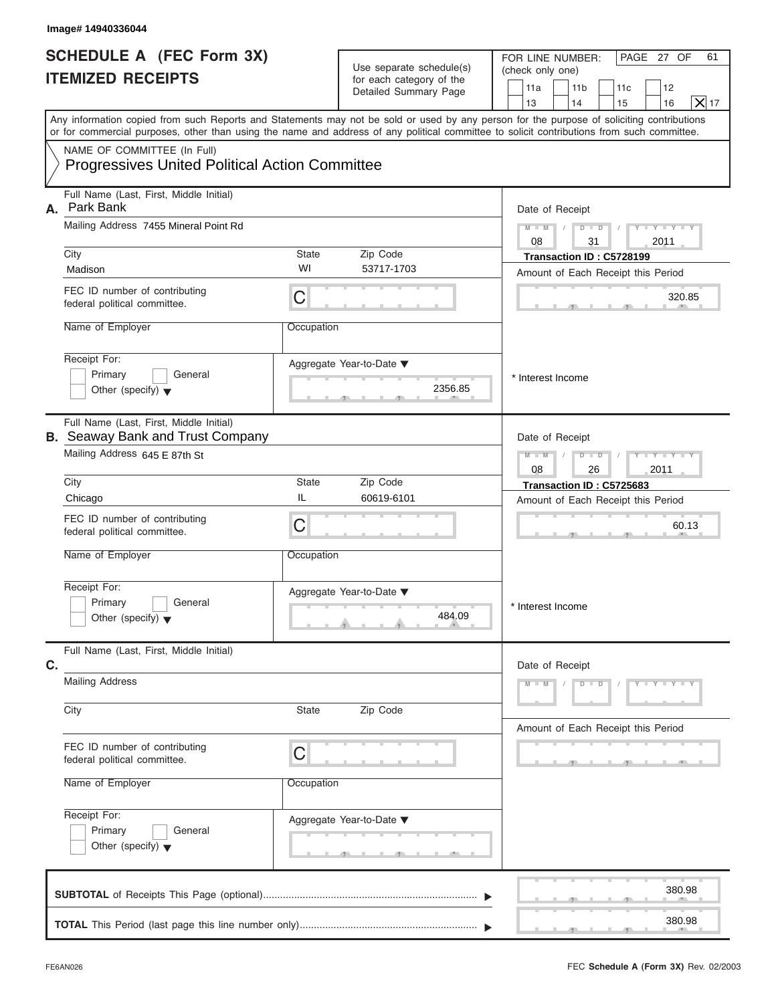| Image# 14940336044                                                                   |            |                                                      |                                                                                                                                                                                                                                                                                         |
|--------------------------------------------------------------------------------------|------------|------------------------------------------------------|-----------------------------------------------------------------------------------------------------------------------------------------------------------------------------------------------------------------------------------------------------------------------------------------|
| <b>SCHEDULE A (FEC Form 3X)</b><br><b>ITEMIZED RECEIPTS</b>                          |            | Use separate schedule(s)<br>for each category of the | FOR LINE NUMBER:<br>PAGE 27 OF<br>61<br>(check only one)<br>11 <sub>b</sub><br>11a<br>11c<br>12                                                                                                                                                                                         |
|                                                                                      |            | Detailed Summary Page                                | $X _{17}$<br>13<br>14<br>16<br>15                                                                                                                                                                                                                                                       |
|                                                                                      |            |                                                      | Any information copied from such Reports and Statements may not be sold or used by any person for the purpose of soliciting contributions<br>or for commercial purposes, other than using the name and address of any political committee to solicit contributions from such committee. |
| NAME OF COMMITTEE (In Full)<br><b>Progressives United Political Action Committee</b> |            |                                                      |                                                                                                                                                                                                                                                                                         |
| Full Name (Last, First, Middle Initial)<br>Park Bank<br>А.                           |            |                                                      | Date of Receipt                                                                                                                                                                                                                                                                         |
| Mailing Address 7455 Mineral Point Rd                                                |            |                                                      | $Y - Y - Y - Y - Y$<br>$D$ $D$<br>$M - M$<br>08<br>31<br>2011                                                                                                                                                                                                                           |
| City                                                                                 | State      | Zip Code                                             | Transaction ID: C5728199                                                                                                                                                                                                                                                                |
| Madison                                                                              | WI         | 53717-1703                                           | Amount of Each Receipt this Period                                                                                                                                                                                                                                                      |
| FEC ID number of contributing<br>federal political committee.                        | C          |                                                      | 320.85                                                                                                                                                                                                                                                                                  |
| Name of Employer                                                                     | Occupation |                                                      |                                                                                                                                                                                                                                                                                         |
| Receipt For:<br>Primary<br>General<br>Other (specify) $\blacktriangledown$           |            | Aggregate Year-to-Date ▼<br>2356.85                  | * Interest Income                                                                                                                                                                                                                                                                       |
| Full Name (Last, First, Middle Initial)<br><b>B.</b> Seaway Bank and Trust Company   |            |                                                      | Date of Receipt                                                                                                                                                                                                                                                                         |
| Mailing Address 645 E 87th St                                                        |            |                                                      | $D - I$<br>Y TYTTYTTY<br>$M - M$<br>08<br>2011<br>26                                                                                                                                                                                                                                    |
| City                                                                                 | State      | Zip Code                                             | Transaction ID: C5725683                                                                                                                                                                                                                                                                |
| Chicago                                                                              | IL         | 60619-6101                                           | Amount of Each Receipt this Period                                                                                                                                                                                                                                                      |
| FEC ID number of contributing<br>federal political committee.                        | C          |                                                      | 60.13                                                                                                                                                                                                                                                                                   |
| Name of Employer                                                                     | Occupation |                                                      |                                                                                                                                                                                                                                                                                         |
| Receipt For:<br>Primary<br>General<br>Other (specify) $\blacktriangledown$           |            | Aggregate Year-to-Date ▼<br>484.09                   | * Interest Income                                                                                                                                                                                                                                                                       |
| Full Name (Last, First, Middle Initial)<br>C.                                        |            |                                                      | Date of Receipt                                                                                                                                                                                                                                                                         |
| <b>Mailing Address</b>                                                               |            |                                                      | $Y - Y - Y - Y - Y$<br>$M - M$<br>$D$ $D$                                                                                                                                                                                                                                               |
| City                                                                                 | State      | Zip Code                                             | Amount of Each Receipt this Period                                                                                                                                                                                                                                                      |
| FEC ID number of contributing<br>federal political committee.                        | C          |                                                      |                                                                                                                                                                                                                                                                                         |
| Name of Employer                                                                     | Occupation |                                                      |                                                                                                                                                                                                                                                                                         |
| Receipt For:<br>Primary<br>General<br>Other (specify) $\blacktriangledown$           |            | Aggregate Year-to-Date ▼<br>$-9$                     |                                                                                                                                                                                                                                                                                         |
|                                                                                      |            |                                                      | 380.98                                                                                                                                                                                                                                                                                  |
|                                                                                      |            |                                                      | 380.98                                                                                                                                                                                                                                                                                  |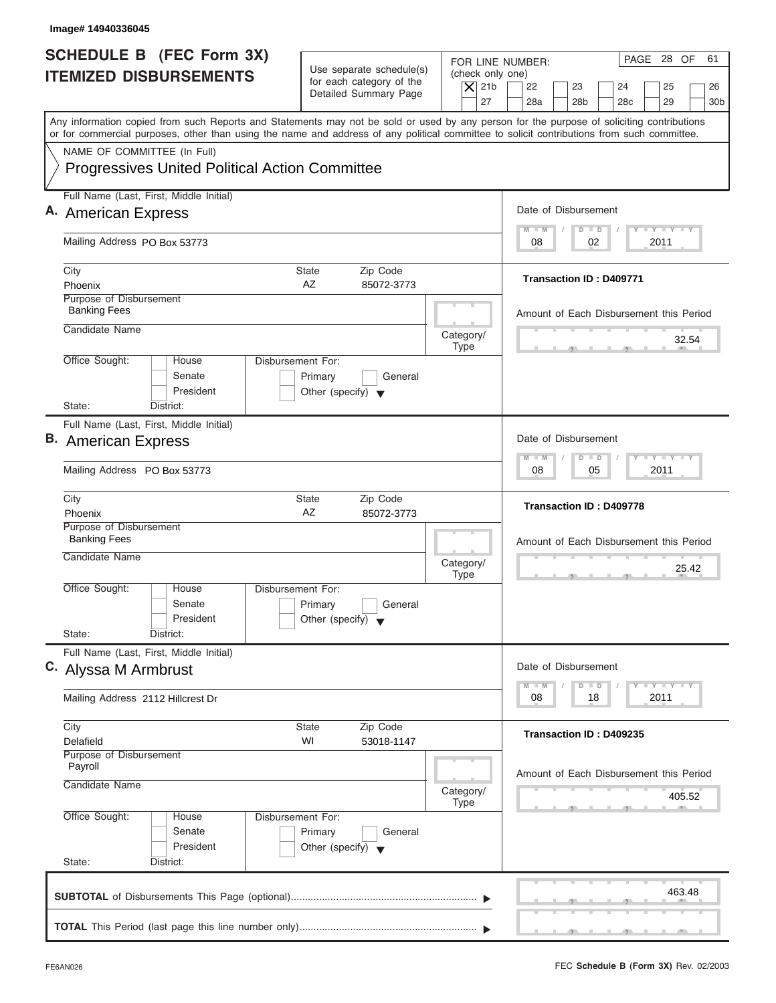| Image# 14940336045                                                                                                                                                                                                                                                                      |                                                                                                |                                                                                                                                                                                          |
|-----------------------------------------------------------------------------------------------------------------------------------------------------------------------------------------------------------------------------------------------------------------------------------------|------------------------------------------------------------------------------------------------|------------------------------------------------------------------------------------------------------------------------------------------------------------------------------------------|
| <b>SCHEDULE B</b> (FEC Form 3X)<br><b>ITEMIZED DISBURSEMENTS</b>                                                                                                                                                                                                                        | Use separate schedule(s)<br>for each category of the<br>Detailed Summary Page                  | PAGE 28 OF<br>61<br>FOR LINE NUMBER:<br>(check only one)<br>$\overline{X}$ 21b<br>22<br>23<br>24<br>25<br>26<br>27<br>28a<br>28 <sub>b</sub><br>29<br>28 <sub>c</sub><br>30 <sub>b</sub> |
| Any information copied from such Reports and Statements may not be sold or used by any person for the purpose of soliciting contributions<br>or for commercial purposes, other than using the name and address of any political committee to solicit contributions from such committee. |                                                                                                |                                                                                                                                                                                          |
| NAME OF COMMITTEE (In Full)<br><b>Progressives United Political Action Committee</b>                                                                                                                                                                                                    |                                                                                                |                                                                                                                                                                                          |
| Full Name (Last, First, Middle Initial)                                                                                                                                                                                                                                                 |                                                                                                |                                                                                                                                                                                          |
| A. American Express                                                                                                                                                                                                                                                                     |                                                                                                | Date of Disbursement<br>$T - Y = T - Y = T - Y$<br>$M - M$<br>$D$ $D$                                                                                                                    |
| Mailing Address PO Box 53773                                                                                                                                                                                                                                                            |                                                                                                | 02<br>2011<br>08                                                                                                                                                                         |
| City<br>Phoenix                                                                                                                                                                                                                                                                         | State<br>Zip Code<br>AZ<br>85072-3773                                                          | Transaction ID: D409771                                                                                                                                                                  |
| Purpose of Disbursement<br><b>Banking Fees</b>                                                                                                                                                                                                                                          |                                                                                                | Amount of Each Disbursement this Period                                                                                                                                                  |
| Candidate Name                                                                                                                                                                                                                                                                          | Category/<br><b>Type</b>                                                                       | 32.54                                                                                                                                                                                    |
| Office Sought:<br>House<br>Senate<br>President<br>State:<br>District:                                                                                                                                                                                                                   | Disbursement For:<br>Primary<br>General<br>Other (specify) $\blacktriangledown$                |                                                                                                                                                                                          |
| Full Name (Last, First, Middle Initial)                                                                                                                                                                                                                                                 |                                                                                                |                                                                                                                                                                                          |
| <b>B.</b> American Express                                                                                                                                                                                                                                                              |                                                                                                | Date of Disbursement                                                                                                                                                                     |
| Mailing Address PO Box 53773                                                                                                                                                                                                                                                            |                                                                                                | <b>LEYTEY LEY</b><br>$M - M$<br>$\Box$<br>$\overline{D}$<br>05<br>2011<br>08                                                                                                             |
| City<br>Phoenix                                                                                                                                                                                                                                                                         | Zip Code<br><b>State</b><br>AZ<br>85072-3773                                                   | <b>Transaction ID: D409778</b>                                                                                                                                                           |
| Purpose of Disbursement<br><b>Banking Fees</b><br>Candidate Name                                                                                                                                                                                                                        | Category/<br><b>Type</b>                                                                       | Amount of Each Disbursement this Period<br>25.42                                                                                                                                         |
| Office Sought:<br>House<br>Senate<br>President<br>State:<br>District:                                                                                                                                                                                                                   | Disbursement For:<br>Primary<br>General<br>Other (specify) $\blacktriangledown$                |                                                                                                                                                                                          |
| Full Name (Last, First, Middle Initial)<br>C. Alyssa M Armbrust                                                                                                                                                                                                                         |                                                                                                | Date of Disbursement<br>$T - Y$ $T - Y$<br>$M - M$<br>D<br>$\Box$                                                                                                                        |
| Mailing Address 2112 Hillcrest Dr                                                                                                                                                                                                                                                       |                                                                                                | 2011<br>08<br>18                                                                                                                                                                         |
| City<br>Delafield                                                                                                                                                                                                                                                                       | Zip Code<br>State<br>WI<br>53018-1147                                                          | Transaction ID: D409235                                                                                                                                                                  |
| Purpose of Disbursement<br>Payroll<br>Candidate Name                                                                                                                                                                                                                                    | Category/                                                                                      | Amount of Each Disbursement this Period                                                                                                                                                  |
| Office Sought:<br>House<br>Senate<br>President<br>State:<br>District:                                                                                                                                                                                                                   | <b>Type</b><br>Disbursement For:<br>Primary<br>General<br>Other (specify) $\blacktriangledown$ | 405.52                                                                                                                                                                                   |
|                                                                                                                                                                                                                                                                                         |                                                                                                | 463.48                                                                                                                                                                                   |

J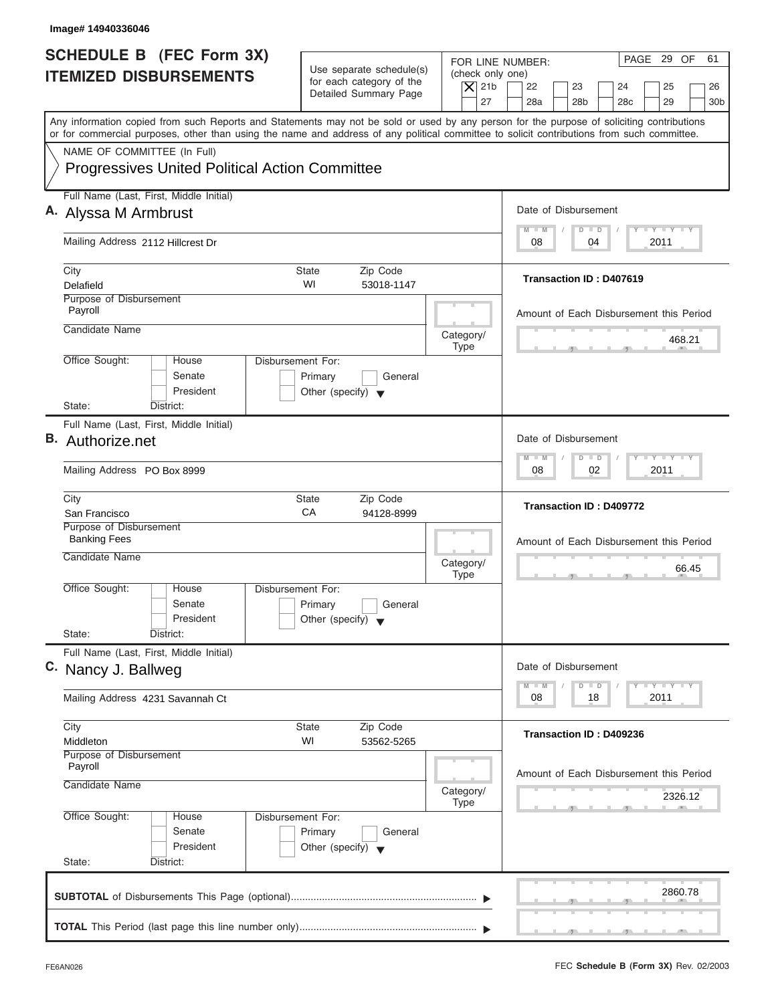| Image# 14940336046                                                                                                                         |                                                                                 |                                                                                                                                                                                          |
|--------------------------------------------------------------------------------------------------------------------------------------------|---------------------------------------------------------------------------------|------------------------------------------------------------------------------------------------------------------------------------------------------------------------------------------|
| <b>SCHEDULE B</b> (FEC Form 3X)<br><b>ITEMIZED DISBURSEMENTS</b>                                                                           | Use separate schedule(s)<br>for each category of the<br>Detailed Summary Page   | PAGE 29 OF<br>61<br>FOR LINE NUMBER:<br>(check only one)<br>$\overline{X}$ 21b<br>22<br>23<br>24<br>25<br>26<br>27<br>28a<br>28 <sub>b</sub><br>29<br>28 <sub>c</sub><br>30 <sub>b</sub> |
| or for commercial purposes, other than using the name and address of any political committee to solicit contributions from such committee. |                                                                                 | Any information copied from such Reports and Statements may not be sold or used by any person for the purpose of soliciting contributions                                                |
| NAME OF COMMITTEE (In Full)<br><b>Progressives United Political Action Committee</b>                                                       |                                                                                 |                                                                                                                                                                                          |
| Full Name (Last, First, Middle Initial)<br>A. Alyssa M Armbrust                                                                            |                                                                                 | Date of Disbursement                                                                                                                                                                     |
| Mailing Address 2112 Hillcrest Dr                                                                                                          |                                                                                 | $T - Y = T - Y = T - Y$<br>$M - M$<br>$D$ $D$<br>04<br>2011<br>08                                                                                                                        |
| City<br>Delafield                                                                                                                          | State<br>Zip Code<br>WI<br>53018-1147                                           | Transaction ID: D407619                                                                                                                                                                  |
| Purpose of Disbursement<br>Payroll                                                                                                         |                                                                                 | Amount of Each Disbursement this Period                                                                                                                                                  |
| Candidate Name                                                                                                                             |                                                                                 | Category/<br>468.21<br><b>Type</b>                                                                                                                                                       |
| Office Sought:<br>House<br>Senate<br>President<br>State:<br>District:                                                                      | Disbursement For:<br>Primary<br>General<br>Other (specify) $\blacktriangledown$ |                                                                                                                                                                                          |
| Full Name (Last, First, Middle Initial)<br>B. Authorize.net                                                                                |                                                                                 | Date of Disbursement<br><b>LEYTEY LEY</b><br>$M - M$<br>$D$ $D$                                                                                                                          |
| Mailing Address PO Box 8999                                                                                                                |                                                                                 | 02<br>2011<br>08                                                                                                                                                                         |
| City<br>San Francisco                                                                                                                      | <b>State</b><br>Zip Code<br>CA<br>94128-8999                                    | Transaction ID: D409772                                                                                                                                                                  |
| Purpose of Disbursement<br><b>Banking Fees</b><br>Candidate Name                                                                           |                                                                                 | Amount of Each Disbursement this Period<br>Category/<br>66.45<br><b>Type</b>                                                                                                             |
| Office Sought:<br>House<br>Senate<br>President<br>State:<br>District:                                                                      | Disbursement For:<br>Primary<br>General<br>Other (specify) $\blacktriangledown$ |                                                                                                                                                                                          |
| Full Name (Last, First, Middle Initial)<br>C. Nancy J. Ballweg                                                                             |                                                                                 | Date of Disbursement<br>$\Box$                                                                                                                                                           |
| Mailing Address 4231 Savannah Ct                                                                                                           |                                                                                 | $T - Y$ $T - Y$<br>$M - M$<br>D<br>2011<br>08<br>18                                                                                                                                      |
| City<br>Middleton                                                                                                                          | Zip Code<br>State<br>WI<br>53562-5265                                           | Transaction ID: D409236                                                                                                                                                                  |
| Purpose of Disbursement<br>Payroll<br>Candidate Name                                                                                       |                                                                                 | Amount of Each Disbursement this Period<br>Category/<br>2326.12<br><b>Type</b>                                                                                                           |
| Office Sought:<br>House<br>Senate<br>President<br>State:<br>District:                                                                      | Disbursement For:<br>Primary<br>General<br>Other (specify) $\blacktriangledown$ |                                                                                                                                                                                          |
|                                                                                                                                            |                                                                                 | 2860.78                                                                                                                                                                                  |
|                                                                                                                                            |                                                                                 |                                                                                                                                                                                          |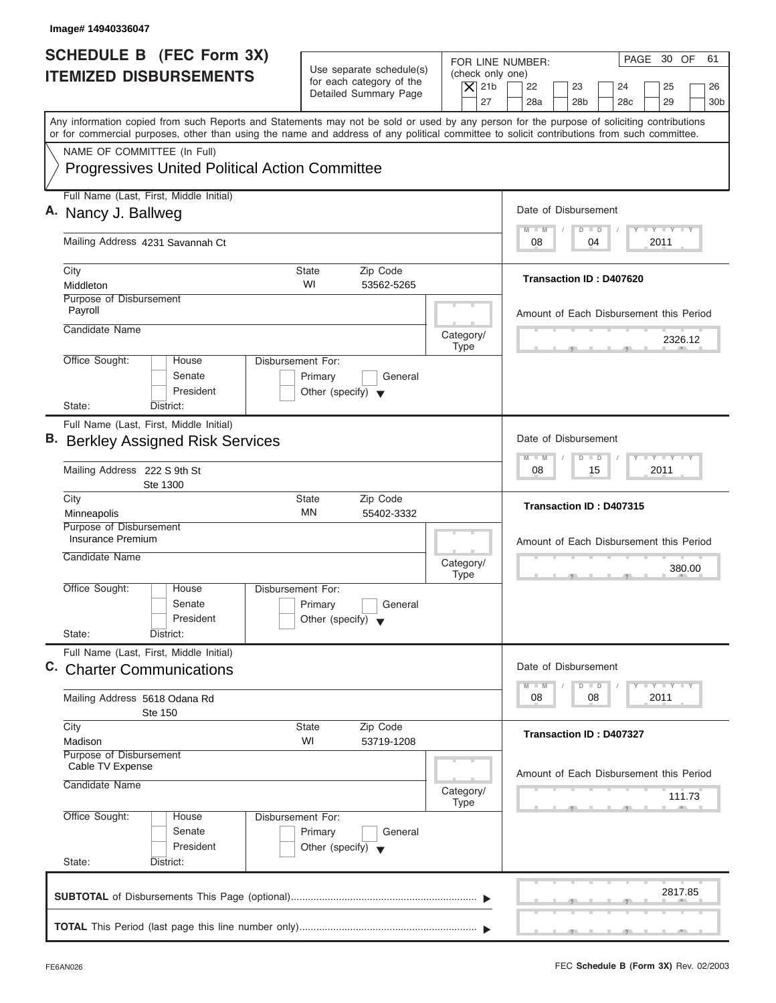| Image# 14940336047                                                                                                                                                                                                                                                                      |                                                                                                                               |                                                                                                                                          |
|-----------------------------------------------------------------------------------------------------------------------------------------------------------------------------------------------------------------------------------------------------------------------------------------|-------------------------------------------------------------------------------------------------------------------------------|------------------------------------------------------------------------------------------------------------------------------------------|
| <b>SCHEDULE B</b> (FEC Form 3X)<br><b>ITEMIZED DISBURSEMENTS</b>                                                                                                                                                                                                                        | Use separate schedule(s)<br>(check only one)<br>for each category of the<br>$\vert$ $\chi$ 21b<br>Detailed Summary Page<br>27 | PAGE 30 OF<br>61<br>FOR LINE NUMBER:<br>22<br>23<br>24<br>25<br>26<br>28a<br>28 <sub>b</sub><br>29<br>28 <sub>c</sub><br>30 <sub>b</sub> |
| Any information copied from such Reports and Statements may not be sold or used by any person for the purpose of soliciting contributions<br>or for commercial purposes, other than using the name and address of any political committee to solicit contributions from such committee. |                                                                                                                               |                                                                                                                                          |
| NAME OF COMMITTEE (In Full)<br><b>Progressives United Political Action Committee</b>                                                                                                                                                                                                    |                                                                                                                               |                                                                                                                                          |
| Full Name (Last, First, Middle Initial)<br>A. Nancy J. Ballweg                                                                                                                                                                                                                          |                                                                                                                               | Date of Disbursement                                                                                                                     |
| Mailing Address 4231 Savannah Ct                                                                                                                                                                                                                                                        |                                                                                                                               | $T - Y = T - Y = T - Y$<br>$D$ $D$<br>$M - M$<br>2011<br>08<br>04                                                                        |
| City<br>Middleton                                                                                                                                                                                                                                                                       | Zip Code<br>State<br>WI<br>53562-5265                                                                                         | Transaction ID: D407620                                                                                                                  |
| Purpose of Disbursement<br>Payroll<br>Candidate Name                                                                                                                                                                                                                                    | Category/                                                                                                                     | Amount of Each Disbursement this Period                                                                                                  |
| Office Sought:<br>House<br>Senate<br>President                                                                                                                                                                                                                                          | <b>Type</b><br>Disbursement For:<br>Primary<br>General<br>Other (specify) $\blacktriangledown$                                | 2326.12                                                                                                                                  |
| State:<br>District:<br>Full Name (Last, First, Middle Initial)<br><b>B.</b> Berkley Assigned Risk Services<br>Mailing Address 222 S 9th St<br>Ste 1300                                                                                                                                  |                                                                                                                               | Date of Disbursement<br><b>LY LY LY</b><br>$\Box$<br>M<br>$-N$<br>$\overline{D}$<br>2011<br>08<br>15                                     |
| City<br>Minneapolis                                                                                                                                                                                                                                                                     | Zip Code<br><b>State</b><br>ΜN<br>55402-3332                                                                                  | Transaction ID: D407315                                                                                                                  |
| Purpose of Disbursement<br>Insurance Premium<br>Candidate Name                                                                                                                                                                                                                          | Category/<br><b>Type</b>                                                                                                      | Amount of Each Disbursement this Period<br>380.00                                                                                        |
| Office Sought:<br>House<br>Senate<br>President<br>State:<br>District:                                                                                                                                                                                                                   | Disbursement For:<br>Primary<br>General<br>Other (specify) $\blacktriangledown$                                               |                                                                                                                                          |
| Full Name (Last, First, Middle Initial)<br>C. Charter Communications                                                                                                                                                                                                                    |                                                                                                                               | Date of Disbursement<br>$T - Y$ $T - Y$<br>$M - M$<br>$\overline{\mathsf{D}}$<br>$\Box$                                                  |
| Mailing Address 5618 Odana Rd<br><b>Ste 150</b>                                                                                                                                                                                                                                         |                                                                                                                               | 2011<br>08<br>08                                                                                                                         |
| City<br>Madison<br>Purpose of Disbursement                                                                                                                                                                                                                                              | Zip Code<br><b>State</b><br>WI<br>53719-1208                                                                                  | Transaction ID: D407327                                                                                                                  |
| Cable TV Expense<br>Candidate Name                                                                                                                                                                                                                                                      | Category/<br><b>Type</b>                                                                                                      | Amount of Each Disbursement this Period<br>111.73                                                                                        |
| Office Sought:<br>House<br>Senate<br>President<br>State:<br>District:                                                                                                                                                                                                                   | Disbursement For:<br>Primary<br>General<br>Other (specify) $\blacktriangledown$                                               |                                                                                                                                          |
|                                                                                                                                                                                                                                                                                         |                                                                                                                               | 2817.85                                                                                                                                  |
|                                                                                                                                                                                                                                                                                         |                                                                                                                               |                                                                                                                                          |

I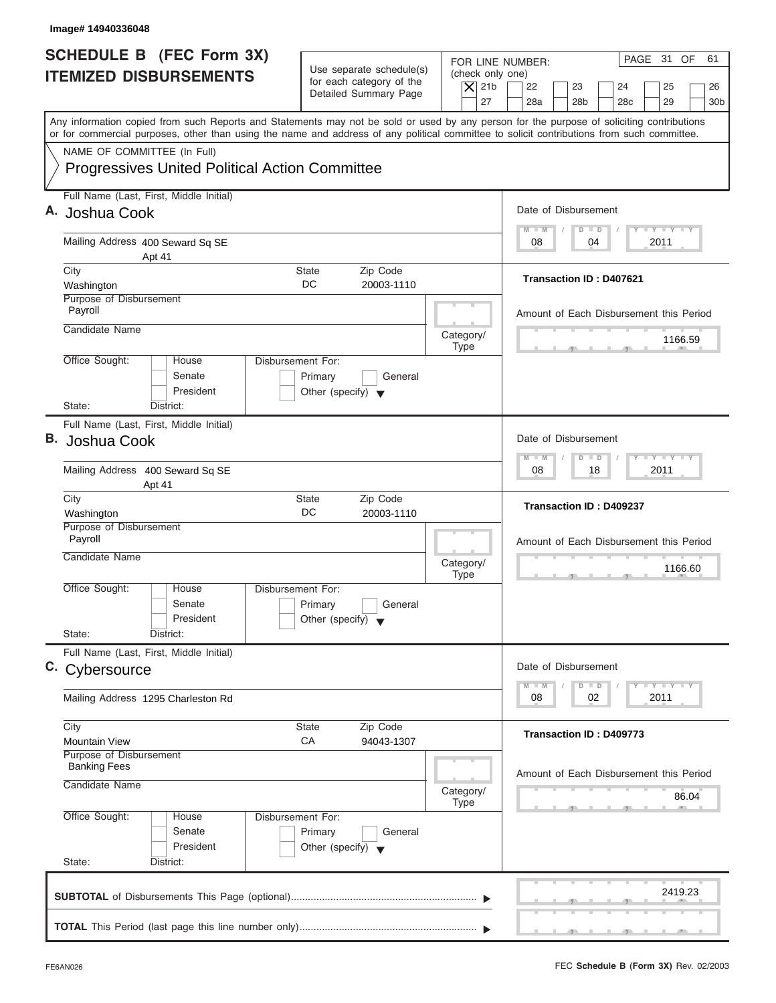| Image# 14940336048                                                                                                                         |                                                                               |                                                                                                                                                                                          |
|--------------------------------------------------------------------------------------------------------------------------------------------|-------------------------------------------------------------------------------|------------------------------------------------------------------------------------------------------------------------------------------------------------------------------------------|
| <b>SCHEDULE B (FEC Form 3X)</b><br><b>ITEMIZED DISBURSEMENTS</b>                                                                           | Use separate schedule(s)<br>for each category of the<br>Detailed Summary Page | PAGE 31 OF<br>61<br>FOR LINE NUMBER:<br>(check only one)<br>$\overline{X}$ 21b<br>22<br>23<br>24<br>25<br>26<br>27<br>28a<br>28 <sub>b</sub><br>29<br>30 <sub>b</sub><br>28 <sub>c</sub> |
| or for commercial purposes, other than using the name and address of any political committee to solicit contributions from such committee. |                                                                               | Any information copied from such Reports and Statements may not be sold or used by any person for the purpose of soliciting contributions                                                |
| NAME OF COMMITTEE (In Full)<br><b>Progressives United Political Action Committee</b>                                                       |                                                                               |                                                                                                                                                                                          |
| Full Name (Last, First, Middle Initial)<br>A. Joshua Cook                                                                                  |                                                                               | Date of Disbursement                                                                                                                                                                     |
| Mailing Address 400 Seward Sq SE<br>Apt 41                                                                                                 |                                                                               | $T - Y = T - Y = T - Y$<br>$M - M$<br>$D$ $D$<br>04<br>2011<br>08                                                                                                                        |
| City<br>Washington                                                                                                                         | Zip Code<br>State<br>DC<br>20003-1110                                         | Transaction ID: D407621                                                                                                                                                                  |
| Purpose of Disbursement<br>Payroll                                                                                                         |                                                                               | Amount of Each Disbursement this Period                                                                                                                                                  |
| Candidate Name                                                                                                                             |                                                                               | Category/<br>1166.59<br><b>Type</b>                                                                                                                                                      |
| Office Sought:<br>Disbursement For:<br>House<br>Senate<br>President<br>State:<br>District:                                                 | Primary<br>General<br>Other (specify) $\blacktriangledown$                    |                                                                                                                                                                                          |
| Full Name (Last, First, Middle Initial)<br>В.<br>Joshua Cook                                                                               |                                                                               | Date of Disbursement                                                                                                                                                                     |
| Mailing Address 400 Seward Sq SE<br>Apt 41                                                                                                 |                                                                               | $-$ Y $-$ Y $-$ Y<br>$M - M$<br>$\Box$<br>$\overline{D}$<br>2011<br>08<br>18                                                                                                             |
| City<br>Washington                                                                                                                         | Zip Code<br><b>State</b><br>DC<br>20003-1110                                  | Transaction ID: D409237                                                                                                                                                                  |
| Purpose of Disbursement<br>Payroll<br>Candidate Name                                                                                       |                                                                               | Amount of Each Disbursement this Period<br>Category/<br>1166.60<br><b>Type</b><br>$-5$                                                                                                   |
| Office Sought:<br>House<br>Disbursement For:<br>Senate<br>President<br>State:<br>District:                                                 | Primary<br>General<br>Other (specify) $\blacktriangledown$                    |                                                                                                                                                                                          |
| Full Name (Last, First, Middle Initial)<br>C. Cybersource                                                                                  |                                                                               | Date of Disbursement                                                                                                                                                                     |
| Mailing Address 1295 Charleston Rd                                                                                                         |                                                                               | $T - Y$ $T - Y$<br>$M - M$<br>D<br>$\Box$<br>2011<br>08<br>02                                                                                                                            |
| City<br><b>Mountain View</b>                                                                                                               | Zip Code<br>State<br>СA<br>94043-1307                                         | Transaction ID: D409773                                                                                                                                                                  |
| Purpose of Disbursement<br><b>Banking Fees</b><br>Candidate Name                                                                           |                                                                               | Amount of Each Disbursement this Period<br>Category/<br>86.04<br>Type                                                                                                                    |
| Office Sought:<br>Disbursement For:<br>House<br>Senate<br>President<br>State:<br>District:                                                 | Primary<br>General<br>Other (specify) $\blacktriangledown$                    |                                                                                                                                                                                          |
|                                                                                                                                            |                                                                               | 2419.23                                                                                                                                                                                  |
|                                                                                                                                            |                                                                               | $\mathbf{y}$ , $\mathbf{y}$ , $\mathbf{y}$                                                                                                                                               |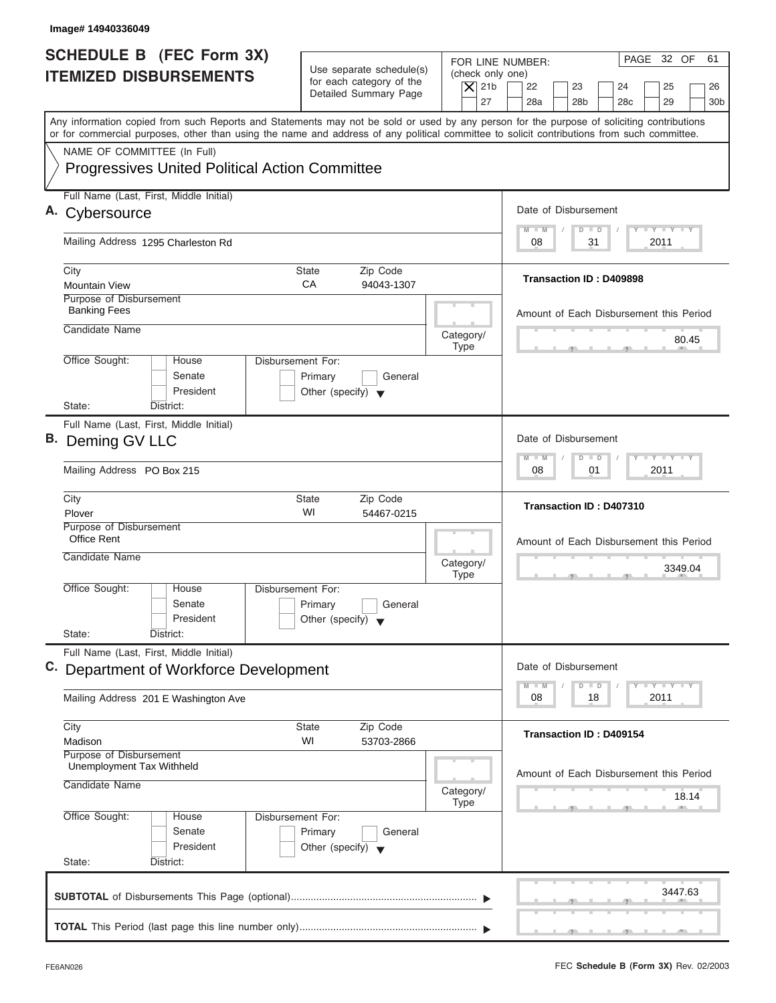| Image# 14940336049                                                                                                                                                                                                                                                                      |                                                                                                |                                                                                                                                                                                          |
|-----------------------------------------------------------------------------------------------------------------------------------------------------------------------------------------------------------------------------------------------------------------------------------------|------------------------------------------------------------------------------------------------|------------------------------------------------------------------------------------------------------------------------------------------------------------------------------------------|
| <b>SCHEDULE B</b> (FEC Form 3X)<br><b>ITEMIZED DISBURSEMENTS</b>                                                                                                                                                                                                                        | Use separate schedule(s)<br>for each category of the<br>Detailed Summary Page                  | PAGE 32 OF<br>61<br>FOR LINE NUMBER:<br>(check only one)<br>$\overline{X}$ 21b<br>22<br>23<br>24<br>25<br>26<br>27<br>28a<br>28 <sub>b</sub><br>29<br>28 <sub>c</sub><br>30 <sub>b</sub> |
| Any information copied from such Reports and Statements may not be sold or used by any person for the purpose of soliciting contributions<br>or for commercial purposes, other than using the name and address of any political committee to solicit contributions from such committee. |                                                                                                |                                                                                                                                                                                          |
| NAME OF COMMITTEE (In Full)<br><b>Progressives United Political Action Committee</b>                                                                                                                                                                                                    |                                                                                                |                                                                                                                                                                                          |
| Full Name (Last, First, Middle Initial)                                                                                                                                                                                                                                                 |                                                                                                | Date of Disbursement                                                                                                                                                                     |
| Cybersource                                                                                                                                                                                                                                                                             |                                                                                                | $T - Y = T - Y = T - Y$<br>$M - M$<br>$D$ $D$                                                                                                                                            |
| Mailing Address 1295 Charleston Rd                                                                                                                                                                                                                                                      |                                                                                                | 31<br>2011<br>08                                                                                                                                                                         |
| City<br><b>Mountain View</b>                                                                                                                                                                                                                                                            | State<br>Zip Code<br>CA<br>94043-1307                                                          | <b>Transaction ID: D409898</b>                                                                                                                                                           |
| Purpose of Disbursement<br><b>Banking Fees</b>                                                                                                                                                                                                                                          |                                                                                                | Amount of Each Disbursement this Period                                                                                                                                                  |
| Candidate Name                                                                                                                                                                                                                                                                          | Category/<br><b>Type</b>                                                                       | 80.45                                                                                                                                                                                    |
| Office Sought:<br>House<br>Senate<br>President<br>State:<br>District:                                                                                                                                                                                                                   | Disbursement For:<br>Primary<br>General<br>Other (specify) $\blacktriangledown$                |                                                                                                                                                                                          |
| Full Name (Last, First, Middle Initial)                                                                                                                                                                                                                                                 |                                                                                                |                                                                                                                                                                                          |
| B. Deming GV LLC                                                                                                                                                                                                                                                                        |                                                                                                | Date of Disbursement                                                                                                                                                                     |
| Mailing Address PO Box 215                                                                                                                                                                                                                                                              |                                                                                                | $-$ Y $-$ Y $-$ Y<br>$M - M$<br>$\Box$<br>$\overline{D}$<br>2011<br>08<br>01                                                                                                             |
| City<br>Plover                                                                                                                                                                                                                                                                          | <b>State</b><br>Zip Code<br>WI<br>54467-0215                                                   | Transaction ID: D407310                                                                                                                                                                  |
| Purpose of Disbursement<br>Office Rent<br>Candidate Name                                                                                                                                                                                                                                | Category/                                                                                      | Amount of Each Disbursement this Period<br>3349.04                                                                                                                                       |
| Office Sought:<br>House<br>Senate<br>President<br>State:<br>District:                                                                                                                                                                                                                   | <b>Type</b><br>Disbursement For:<br>Primary<br>General<br>Other (specify) $\blacktriangledown$ | $-5$                                                                                                                                                                                     |
| Full Name (Last, First, Middle Initial)<br>C. Department of Workforce Development                                                                                                                                                                                                       |                                                                                                | Date of Disbursement                                                                                                                                                                     |
| Mailing Address 201 E Washington Ave                                                                                                                                                                                                                                                    |                                                                                                | <b>LY LY LY</b><br>$M - M$<br>D<br>$\Box$<br>2011<br>08<br>18                                                                                                                            |
| City<br>Madison                                                                                                                                                                                                                                                                         | Zip Code<br><b>State</b><br>WI<br>53703-2866                                                   | Transaction ID: D409154                                                                                                                                                                  |
| Purpose of Disbursement<br>Unemployment Tax Withheld<br>Candidate Name                                                                                                                                                                                                                  | Category/                                                                                      | Amount of Each Disbursement this Period<br>18.14                                                                                                                                         |
| Office Sought:<br>House<br>Senate<br>President<br>State:<br>District:                                                                                                                                                                                                                   | <b>Type</b><br>Disbursement For:<br>Primary<br>General<br>Other (specify) $\blacktriangledown$ |                                                                                                                                                                                          |
|                                                                                                                                                                                                                                                                                         |                                                                                                | 3447.63                                                                                                                                                                                  |
|                                                                                                                                                                                                                                                                                         |                                                                                                | _____                                                                                                                                                                                    |

ı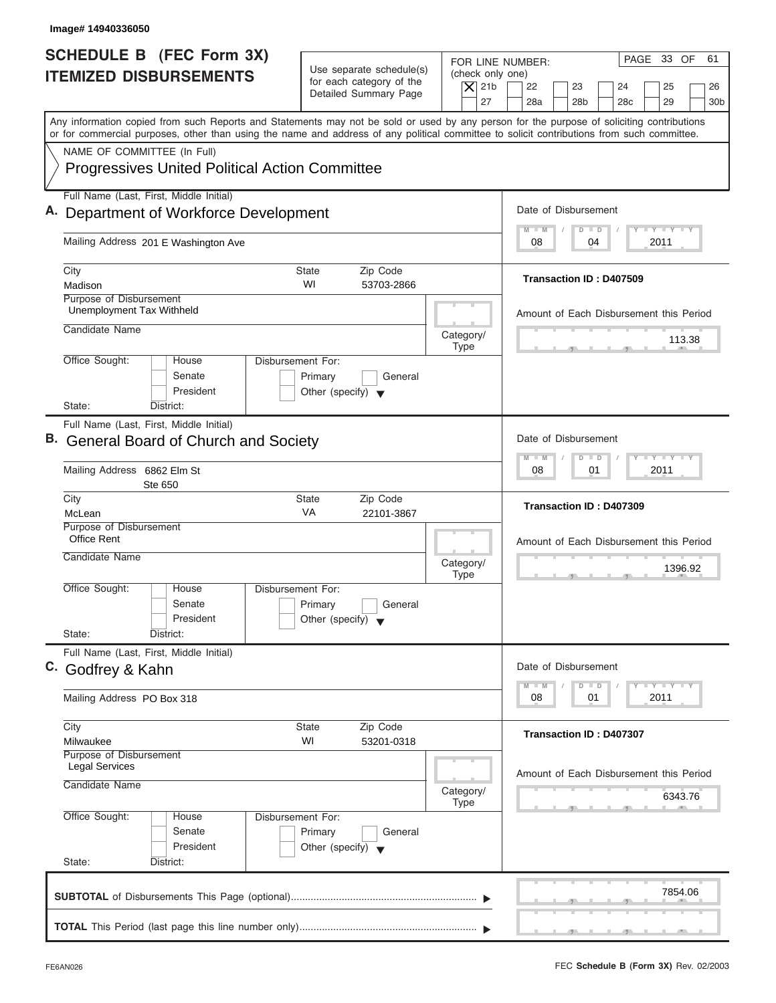| Image#14940336050                                                                                                                                                                                                                                                                       |                                                                               |                                                                                                                                                                                          |
|-----------------------------------------------------------------------------------------------------------------------------------------------------------------------------------------------------------------------------------------------------------------------------------------|-------------------------------------------------------------------------------|------------------------------------------------------------------------------------------------------------------------------------------------------------------------------------------|
| <b>SCHEDULE B</b> (FEC Form 3X)<br><b>ITEMIZED DISBURSEMENTS</b>                                                                                                                                                                                                                        | Use separate schedule(s)<br>for each category of the<br>Detailed Summary Page | PAGE 33 OF<br>61<br>FOR LINE NUMBER:<br>(check only one)<br>$\overline{X}$ 21b<br>22<br>23<br>24<br>25<br>26<br>27<br>28a<br>28 <sub>b</sub><br>28 <sub>c</sub><br>29<br>30 <sub>b</sub> |
| Any information copied from such Reports and Statements may not be sold or used by any person for the purpose of soliciting contributions<br>or for commercial purposes, other than using the name and address of any political committee to solicit contributions from such committee. |                                                                               |                                                                                                                                                                                          |
| NAME OF COMMITTEE (In Full)<br><b>Progressives United Political Action Committee</b>                                                                                                                                                                                                    |                                                                               |                                                                                                                                                                                          |
| Full Name (Last, First, Middle Initial)<br>A. Department of Workforce Development                                                                                                                                                                                                       |                                                                               | Date of Disbursement                                                                                                                                                                     |
| Mailing Address 201 E Washington Ave                                                                                                                                                                                                                                                    |                                                                               | $\mathbf{I} \mathbf{Y} \mathbf{I} \mathbf{Y} \mathbf{I} \mathbf{Y}$<br>$M - M$<br>$\Box$<br>$\Box$<br>08<br>2011<br>04                                                                   |
| City<br>Madison                                                                                                                                                                                                                                                                         | Zip Code<br>State<br>WI<br>53703-2866                                         | Transaction ID: D407509                                                                                                                                                                  |
| Purpose of Disbursement<br>Unemployment Tax Withheld<br>Candidate Name                                                                                                                                                                                                                  |                                                                               | Amount of Each Disbursement this Period<br>Category/<br>113.38                                                                                                                           |
| Office Sought:<br>Disbursement For:<br>House<br>Senate<br>President<br>State:<br>District:                                                                                                                                                                                              | Primary<br>General<br>Other (specify) $\blacktriangledown$                    | <b>Type</b>                                                                                                                                                                              |
| Full Name (Last, First, Middle Initial)<br>В.<br><b>General Board of Church and Society</b>                                                                                                                                                                                             |                                                                               | Date of Disbursement<br>$-$ Y $-$ Y $-$ Y<br>$M - M$<br>$\overline{D}$<br>$\blacksquare$<br>2011<br>08<br>01                                                                             |
| Mailing Address 6862 Elm St<br>Ste 650<br>City                                                                                                                                                                                                                                          | Zip Code<br><b>State</b>                                                      |                                                                                                                                                                                          |
| McLean<br>Purpose of Disbursement<br><b>Office Rent</b><br>Candidate Name                                                                                                                                                                                                               | VA<br>22101-3867                                                              | Transaction ID: D407309<br>Amount of Each Disbursement this Period<br>Category/<br>1396.92<br><b>Type</b>                                                                                |
| Office Sought:<br>House<br>Disbursement For:<br>Senate<br>President<br>State:<br>District:                                                                                                                                                                                              | Primary<br>General<br>Other (specify) $\blacktriangledown$                    |                                                                                                                                                                                          |
| Full Name (Last, First, Middle Initial)<br>C. Godfrey & Kahn                                                                                                                                                                                                                            |                                                                               | Date of Disbursement<br>$\mathbf{I}$ $\mathbf{Y}$ $\mathbf{I}$ $\mathbf{Y}$ $\mathbf{I}$ $\mathbf{Y}$<br>$M - M$<br>D<br>$\Box$                                                          |
| Mailing Address PO Box 318                                                                                                                                                                                                                                                              |                                                                               | 2011<br>08<br>01                                                                                                                                                                         |
| City<br>Milwaukee<br>Purpose of Disbursement                                                                                                                                                                                                                                            | Zip Code<br>State<br>WI<br>53201-0318                                         | Transaction ID: D407307                                                                                                                                                                  |
| <b>Legal Services</b><br>Candidate Name                                                                                                                                                                                                                                                 |                                                                               | Amount of Each Disbursement this Period<br>Category/<br>6343.76<br><b>Type</b>                                                                                                           |
| Office Sought:<br>Disbursement For:<br>House<br>Senate<br>President<br>State:<br>District:                                                                                                                                                                                              | Primary<br>General<br>Other (specify) $\blacktriangledown$                    |                                                                                                                                                                                          |
|                                                                                                                                                                                                                                                                                         |                                                                               | 7854.06                                                                                                                                                                                  |
|                                                                                                                                                                                                                                                                                         |                                                                               | $\mathcal{F}$ and $\mathcal{F}$ and $\mathcal{F}$ and $\mathcal{F}$                                                                                                                      |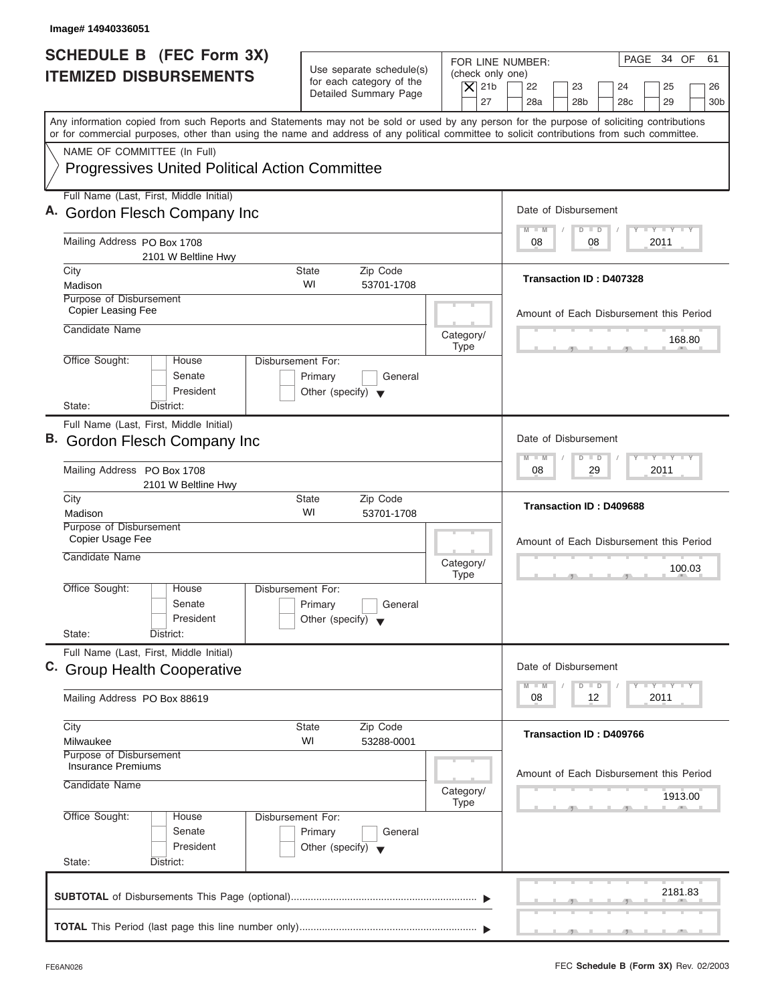| Image# 14940336051                                                                                                                                                                                                                                                                      |                                                      |                                        |                                                                                     |
|-----------------------------------------------------------------------------------------------------------------------------------------------------------------------------------------------------------------------------------------------------------------------------------------|------------------------------------------------------|----------------------------------------|-------------------------------------------------------------------------------------|
| <b>SCHEDULE B</b> (FEC Form 3X)<br><b>ITEMIZED DISBURSEMENTS</b>                                                                                                                                                                                                                        | Use separate schedule(s)<br>for each category of the | (check only one)<br>$\overline{X}$ 21b | PAGE 34 OF<br>61<br>FOR LINE NUMBER:<br>22<br>23<br>24<br>25<br>26                  |
|                                                                                                                                                                                                                                                                                         | Detailed Summary Page                                | 27                                     | 28a<br>28 <sub>b</sub><br>28 <sub>c</sub><br>29<br>30 <sub>b</sub>                  |
| Any information copied from such Reports and Statements may not be sold or used by any person for the purpose of soliciting contributions<br>or for commercial purposes, other than using the name and address of any political committee to solicit contributions from such committee. |                                                      |                                        |                                                                                     |
| NAME OF COMMITTEE (In Full)                                                                                                                                                                                                                                                             |                                                      |                                        |                                                                                     |
| <b>Progressives United Political Action Committee</b>                                                                                                                                                                                                                                   |                                                      |                                        |                                                                                     |
| Full Name (Last, First, Middle Initial)                                                                                                                                                                                                                                                 |                                                      |                                        |                                                                                     |
| A. Gordon Flesch Company Inc                                                                                                                                                                                                                                                            |                                                      |                                        | Date of Disbursement                                                                |
| Mailing Address PO Box 1708<br>2101 W Beltline Hwy                                                                                                                                                                                                                                      |                                                      |                                        | <b>LY LY LY</b><br>$M - M$<br>$D$ $D$<br>08<br>2011<br>08                           |
| City                                                                                                                                                                                                                                                                                    | <b>State</b><br>Zip Code                             |                                        | Transaction ID: D407328                                                             |
| Madison<br>Purpose of Disbursement                                                                                                                                                                                                                                                      | WI<br>53701-1708                                     |                                        |                                                                                     |
| Copier Leasing Fee                                                                                                                                                                                                                                                                      |                                                      |                                        | Amount of Each Disbursement this Period                                             |
| Candidate Name                                                                                                                                                                                                                                                                          |                                                      | Category/                              |                                                                                     |
|                                                                                                                                                                                                                                                                                         |                                                      | <b>Type</b>                            | 168.80                                                                              |
| Office Sought:<br>House<br>Senate                                                                                                                                                                                                                                                       | Disbursement For:<br>Primary<br>General              |                                        |                                                                                     |
| President                                                                                                                                                                                                                                                                               | Other (specify) $\blacktriangledown$                 |                                        |                                                                                     |
| State:<br>District:                                                                                                                                                                                                                                                                     |                                                      |                                        |                                                                                     |
| Full Name (Last, First, Middle Initial)<br>B. Gordon Flesch Company Inc                                                                                                                                                                                                                 |                                                      |                                        | Date of Disbursement                                                                |
| Mailing Address PO Box 1708                                                                                                                                                                                                                                                             |                                                      |                                        | $-1$ $-1$ $-1$ $-1$ $-1$<br>$M - M$<br>$\overline{D}$<br>$\Box$<br>2011<br>08<br>29 |
| 2101 W Beltline Hwy                                                                                                                                                                                                                                                                     |                                                      |                                        |                                                                                     |
| City<br>Madison                                                                                                                                                                                                                                                                         | Zip Code<br><b>State</b><br>WI<br>53701-1708         |                                        | Transaction ID: D409688                                                             |
| Purpose of Disbursement<br>Copier Usage Fee                                                                                                                                                                                                                                             |                                                      |                                        |                                                                                     |
| Candidate Name                                                                                                                                                                                                                                                                          |                                                      |                                        | Amount of Each Disbursement this Period                                             |
|                                                                                                                                                                                                                                                                                         |                                                      | Category/<br><b>Type</b>               | 100.03<br>$-5$                                                                      |
| Office Sought:<br>House                                                                                                                                                                                                                                                                 | Disbursement For:                                    |                                        |                                                                                     |
| Senate                                                                                                                                                                                                                                                                                  | Primary<br>General                                   |                                        |                                                                                     |
| President<br>State:<br>District:                                                                                                                                                                                                                                                        | Other (specify) $\blacktriangledown$                 |                                        |                                                                                     |
| Full Name (Last, First, Middle Initial)                                                                                                                                                                                                                                                 |                                                      |                                        |                                                                                     |
| C. Group Health Cooperative                                                                                                                                                                                                                                                             |                                                      |                                        | Date of Disbursement                                                                |
| Mailing Address PO Box 88619                                                                                                                                                                                                                                                            |                                                      |                                        | $T - Y$ $T - Y$<br>$M - M$<br>D<br>$\Box$<br>2011<br>08<br>12                       |
| City                                                                                                                                                                                                                                                                                    | Zip Code<br><b>State</b>                             |                                        |                                                                                     |
| Milwaukee                                                                                                                                                                                                                                                                               | WI<br>53288-0001                                     |                                        | Transaction ID: D409766                                                             |
| Purpose of Disbursement<br><b>Insurance Premiums</b>                                                                                                                                                                                                                                    |                                                      |                                        |                                                                                     |
| Candidate Name                                                                                                                                                                                                                                                                          |                                                      |                                        | Amount of Each Disbursement this Period                                             |
|                                                                                                                                                                                                                                                                                         |                                                      | Category/<br><b>Type</b>               | 1913.00                                                                             |
| Office Sought:<br>House                                                                                                                                                                                                                                                                 | Disbursement For:                                    |                                        |                                                                                     |
| Senate                                                                                                                                                                                                                                                                                  | Primary<br>General                                   |                                        |                                                                                     |
| President<br>State:<br>District:                                                                                                                                                                                                                                                        | Other (specify) $\blacktriangledown$                 |                                        |                                                                                     |
|                                                                                                                                                                                                                                                                                         |                                                      |                                        |                                                                                     |
|                                                                                                                                                                                                                                                                                         |                                                      |                                        | 2181.83                                                                             |
|                                                                                                                                                                                                                                                                                         |                                                      |                                        |                                                                                     |
|                                                                                                                                                                                                                                                                                         |                                                      |                                        |                                                                                     |

I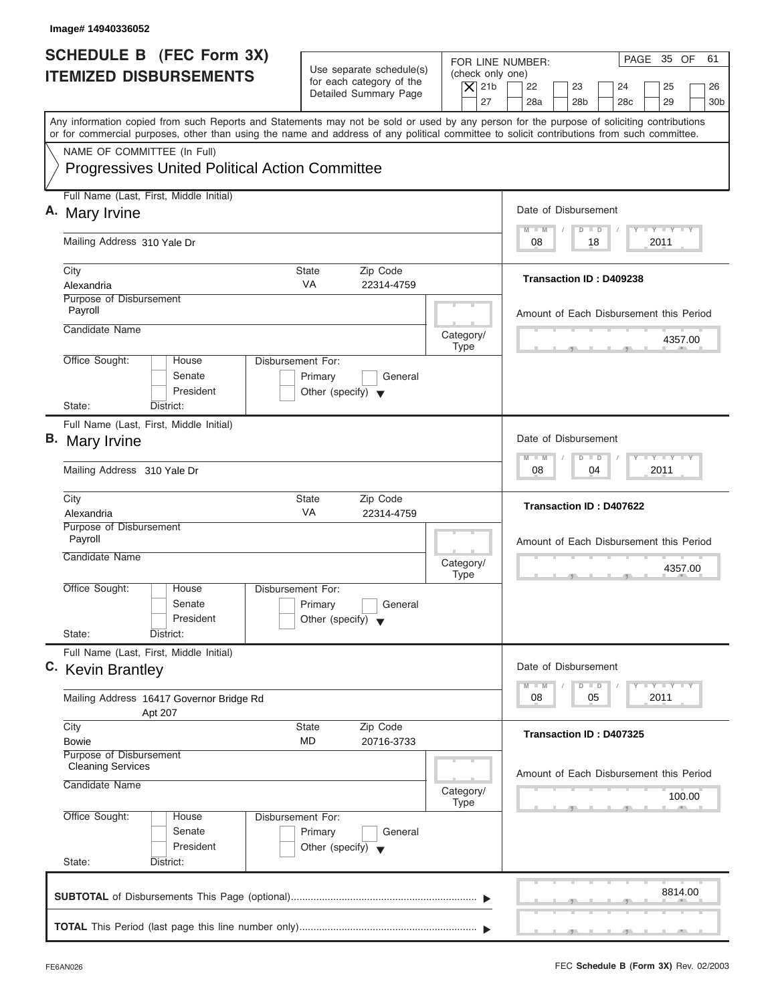| Image# 14940336052                                                                                                                                                                                                                                                                      |                                                                                 |                                                                                                              |
|-----------------------------------------------------------------------------------------------------------------------------------------------------------------------------------------------------------------------------------------------------------------------------------------|---------------------------------------------------------------------------------|--------------------------------------------------------------------------------------------------------------|
| <b>SCHEDULE B</b> (FEC Form 3X)<br><b>ITEMIZED DISBURSEMENTS</b>                                                                                                                                                                                                                        | Use separate schedule(s)<br>for each category of the<br>Detailed Summary Page   | PAGE 35 OF<br>61<br>FOR LINE NUMBER:<br>(check only one)<br>$ \mathsf{X} $ 21b<br>22<br>23<br>24<br>25<br>26 |
| Any information copied from such Reports and Statements may not be sold or used by any person for the purpose of soliciting contributions<br>or for commercial purposes, other than using the name and address of any political committee to solicit contributions from such committee. |                                                                                 | 27<br>28a<br>28 <sub>b</sub><br>28 <sub>c</sub><br>29<br>30 <sub>b</sub>                                     |
| NAME OF COMMITTEE (In Full)<br><b>Progressives United Political Action Committee</b>                                                                                                                                                                                                    |                                                                                 |                                                                                                              |
| Full Name (Last, First, Middle Initial)<br>A. Mary Irvine                                                                                                                                                                                                                               |                                                                                 | Date of Disbursement                                                                                         |
| Mailing Address 310 Yale Dr                                                                                                                                                                                                                                                             |                                                                                 | $T - Y = T - Y = T - Y$<br>$M - M$<br>$D$ $D$<br>2011<br>08<br>18                                            |
| City<br>Alexandria                                                                                                                                                                                                                                                                      | <b>State</b><br>Zip Code<br><b>VA</b><br>22314-4759                             | Transaction ID: D409238                                                                                      |
| Purpose of Disbursement<br>Payroll<br>Candidate Name                                                                                                                                                                                                                                    |                                                                                 | Amount of Each Disbursement this Period                                                                      |
| Office Sought:<br>House                                                                                                                                                                                                                                                                 | Category/<br><b>Type</b><br>Disbursement For:                                   | 4357.00                                                                                                      |
| Senate<br>President<br>State:<br>District:                                                                                                                                                                                                                                              | Primary<br>General<br>Other (specify) $\blacktriangledown$                      |                                                                                                              |
| Full Name (Last, First, Middle Initial)<br><b>B.</b> Mary Irvine                                                                                                                                                                                                                        |                                                                                 | Date of Disbursement                                                                                         |
| Mailing Address 310 Yale Dr                                                                                                                                                                                                                                                             |                                                                                 | $-1 - Y - 1 - Y - 1 - Y$<br>$M - M$<br>$\overline{D}$<br>$\Box$<br>2011<br>08<br>04                          |
| City<br>Alexandria                                                                                                                                                                                                                                                                      | Zip Code<br><b>State</b><br>VA<br>22314-4759                                    | Transaction ID: D407622                                                                                      |
| Purpose of Disbursement<br>Payroll<br>Candidate Name                                                                                                                                                                                                                                    | Category/<br><b>Type</b>                                                        | Amount of Each Disbursement this Period<br>4357.00                                                           |
| Office Sought:<br>House<br>Senate<br>President<br>State:<br>District:                                                                                                                                                                                                                   | Disbursement For:<br>Primary<br>General<br>Other (specify) $\blacktriangledown$ | $-7$                                                                                                         |
| Full Name (Last, First, Middle Initial)<br>C. Kevin Brantley                                                                                                                                                                                                                            |                                                                                 | Date of Disbursement                                                                                         |
| Mailing Address 16417 Governor Bridge Rd<br>Apt 207                                                                                                                                                                                                                                     |                                                                                 | $T - Y$ $T - Y$ $T - Y$<br>$M - M$<br>D<br>$\Box$<br>2011<br>08<br>05                                        |
| City<br><b>Bowie</b><br>Purpose of Disbursement                                                                                                                                                                                                                                         | Zip Code<br><b>State</b><br>MD<br>20716-3733                                    | Transaction ID: D407325                                                                                      |
| <b>Cleaning Services</b><br>Candidate Name                                                                                                                                                                                                                                              | Category/<br><b>Type</b>                                                        | Amount of Each Disbursement this Period<br>100.00                                                            |
| Office Sought:<br>House<br>Senate<br>President<br>State:<br>District:                                                                                                                                                                                                                   | Disbursement For:<br>Primary<br>General<br>Other (specify) $\blacktriangledown$ |                                                                                                              |
|                                                                                                                                                                                                                                                                                         |                                                                                 | 8814.00                                                                                                      |
|                                                                                                                                                                                                                                                                                         |                                                                                 |                                                                                                              |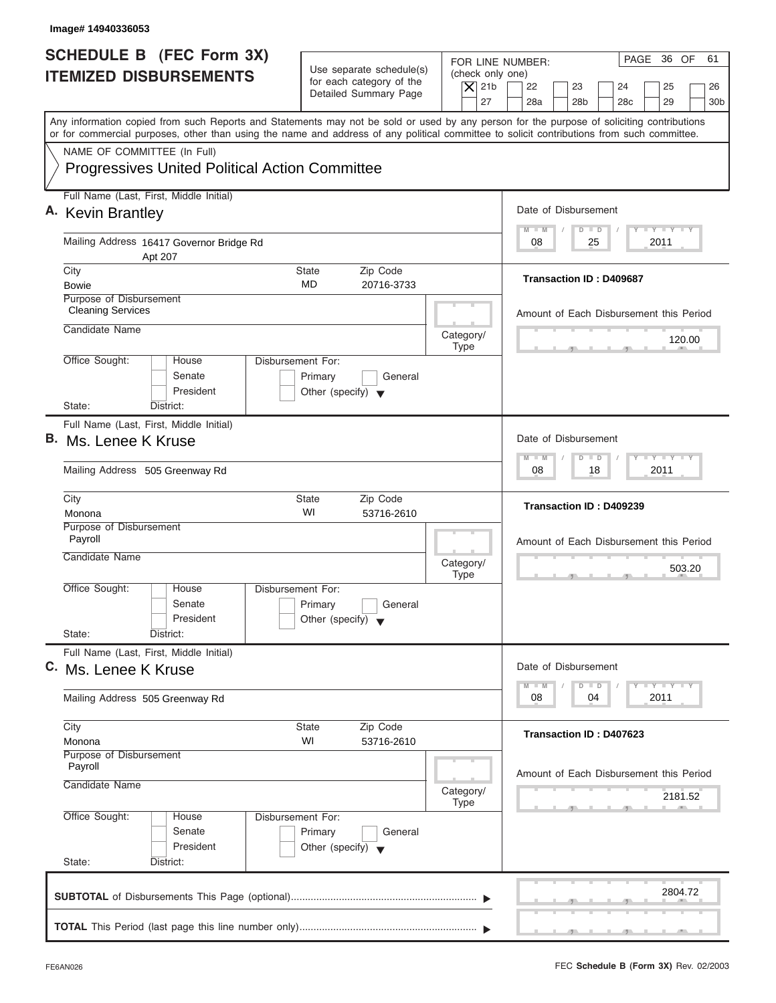| Image# 14940336053                                                                                                                                                                                                                                                                      |                                                                               |                                                            |                                                                                     |
|-----------------------------------------------------------------------------------------------------------------------------------------------------------------------------------------------------------------------------------------------------------------------------------------|-------------------------------------------------------------------------------|------------------------------------------------------------|-------------------------------------------------------------------------------------|
| <b>SCHEDULE B</b> (FEC Form 3X)<br><b>ITEMIZED DISBURSEMENTS</b>                                                                                                                                                                                                                        | Use separate schedule(s)<br>for each category of the<br>Detailed Summary Page | FOR LINE NUMBER:<br>(check only one)<br>$ \mathsf{X} $ 21b | PAGE 36 OF<br>61<br>22<br>23<br>24<br>25<br>26                                      |
| Any information copied from such Reports and Statements may not be sold or used by any person for the purpose of soliciting contributions<br>or for commercial purposes, other than using the name and address of any political committee to solicit contributions from such committee. |                                                                               | 27                                                         | 28 <sub>b</sub><br>28 <sub>c</sub><br>29<br>28a<br>30 <sub>b</sub>                  |
| NAME OF COMMITTEE (In Full)<br><b>Progressives United Political Action Committee</b>                                                                                                                                                                                                    |                                                                               |                                                            |                                                                                     |
| Full Name (Last, First, Middle Initial)<br>A. Kevin Brantley                                                                                                                                                                                                                            |                                                                               |                                                            | Date of Disbursement                                                                |
| Mailing Address 16417 Governor Bridge Rd<br>Apt 207                                                                                                                                                                                                                                     |                                                                               |                                                            | <b>LY LY LY</b><br>$M - M$<br>$D$ $D$<br>2011<br>08<br>25                           |
| City<br><b>Bowie</b><br>Purpose of Disbursement                                                                                                                                                                                                                                         | <b>State</b><br>Zip Code<br>MD<br>20716-3733                                  |                                                            | Transaction ID: D409687                                                             |
| <b>Cleaning Services</b><br>Candidate Name                                                                                                                                                                                                                                              |                                                                               | Category/                                                  | Amount of Each Disbursement this Period                                             |
| Office Sought:<br>Disbursement For:<br>House<br>Senate<br>President                                                                                                                                                                                                                     | Primary<br>General<br>Other (specify) $\blacktriangledown$                    | <b>Type</b>                                                | 120.00                                                                              |
| State:<br>District:<br>Full Name (Last, First, Middle Initial)<br>B. Ms. Lenee K Kruse                                                                                                                                                                                                  |                                                                               |                                                            | Date of Disbursement                                                                |
| Mailing Address 505 Greenway Rd                                                                                                                                                                                                                                                         |                                                                               |                                                            | $-1 - Y - 1 - Y - 1 - Y$<br>$M - M$<br>$\overline{D}$<br>$\Box$<br>2011<br>08<br>18 |
| City<br>Monona                                                                                                                                                                                                                                                                          | Zip Code<br><b>State</b><br>WI<br>53716-2610                                  |                                                            | Transaction ID: D409239                                                             |
| Purpose of Disbursement<br>Payroll<br>Candidate Name                                                                                                                                                                                                                                    |                                                                               | Category/<br><b>Type</b>                                   | Amount of Each Disbursement this Period<br>503.20<br>$-7$                           |
| Office Sought:<br>House<br>Disbursement For:<br>Senate<br>President<br>State:<br>District:                                                                                                                                                                                              | Primary<br>General<br>Other (specify) $\blacktriangledown$                    |                                                            |                                                                                     |
| Full Name (Last, First, Middle Initial)<br>C. Ms. Lenee K Kruse                                                                                                                                                                                                                         |                                                                               |                                                            | Date of Disbursement                                                                |
| Mailing Address 505 Greenway Rd                                                                                                                                                                                                                                                         |                                                                               |                                                            | $T - Y$ $T - Y$ $T - Y$<br>$M - M$<br>D<br>$\Box$<br>2011<br>08<br>04               |
| City<br>Monona<br>Purpose of Disbursement                                                                                                                                                                                                                                               | Zip Code<br><b>State</b><br>WI<br>53716-2610                                  |                                                            | Transaction ID: D407623                                                             |
| Payroll<br>Candidate Name                                                                                                                                                                                                                                                               |                                                                               | Category/<br><b>Type</b>                                   | Amount of Each Disbursement this Period<br>2181.52                                  |
| Office Sought:<br>Disbursement For:<br>House<br>Senate<br>President<br>State:<br>District:                                                                                                                                                                                              | Primary<br>General<br>Other (specify) $\blacktriangledown$                    |                                                            |                                                                                     |
|                                                                                                                                                                                                                                                                                         |                                                                               |                                                            | 2804.72                                                                             |
|                                                                                                                                                                                                                                                                                         |                                                                               |                                                            |                                                                                     |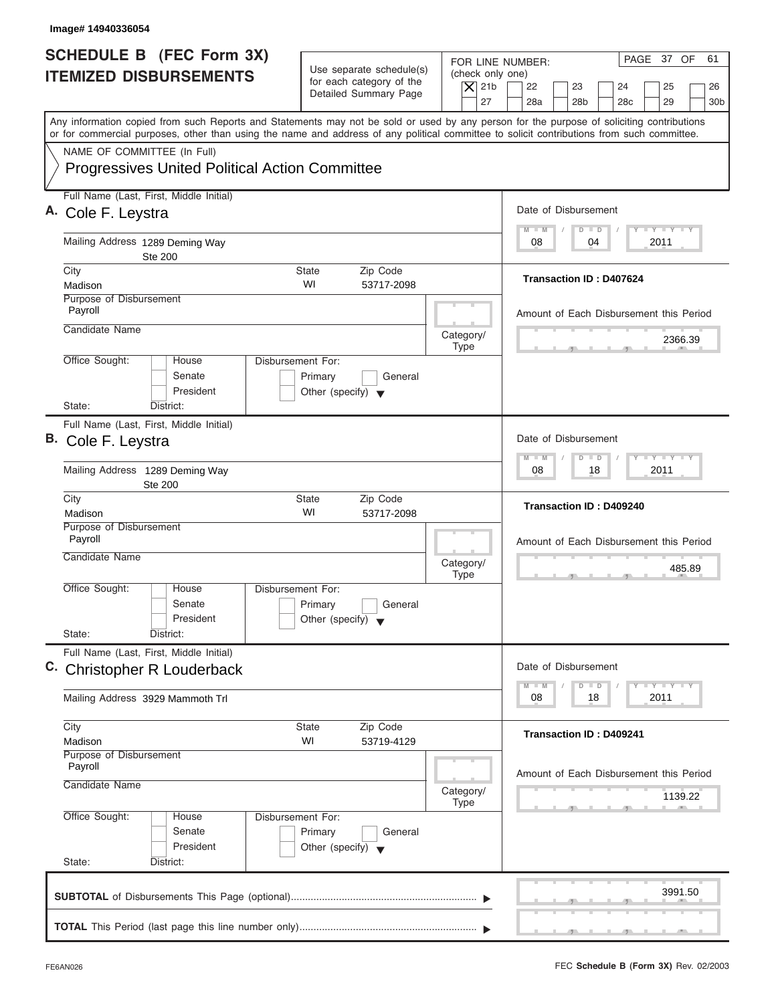| Image# 14940336054                                                                                                                                                                                                                                                                      |                                                                                                     |                                                                                                                                                                    |
|-----------------------------------------------------------------------------------------------------------------------------------------------------------------------------------------------------------------------------------------------------------------------------------------|-----------------------------------------------------------------------------------------------------|--------------------------------------------------------------------------------------------------------------------------------------------------------------------|
| <b>SCHEDULE B (FEC Form 3X)</b><br><b>ITEMIZED DISBURSEMENTS</b>                                                                                                                                                                                                                        | Use separate schedule(s)<br>for each category of the<br>$\vert$ $\chi$ 21b<br>Detailed Summary Page | PAGE 37 OF<br>61<br>FOR LINE NUMBER:<br>(check only one)<br>22<br>23<br>24<br>25<br>26<br>27<br>28a<br>28 <sub>b</sub><br>28 <sub>c</sub><br>29<br>30 <sub>b</sub> |
| Any information copied from such Reports and Statements may not be sold or used by any person for the purpose of soliciting contributions<br>or for commercial purposes, other than using the name and address of any political committee to solicit contributions from such committee. |                                                                                                     |                                                                                                                                                                    |
| NAME OF COMMITTEE (In Full)<br><b>Progressives United Political Action Committee</b>                                                                                                                                                                                                    |                                                                                                     |                                                                                                                                                                    |
| Full Name (Last, First, Middle Initial)<br>A. Cole F. Leystra                                                                                                                                                                                                                           |                                                                                                     | Date of Disbursement                                                                                                                                               |
| Mailing Address 1289 Deming Way<br><b>Ste 200</b>                                                                                                                                                                                                                                       |                                                                                                     | $T - Y = T - Y = T - Y$<br>$D$ $D$<br>$M - M$<br>04<br>2011<br>08                                                                                                  |
| City<br>Madison                                                                                                                                                                                                                                                                         | Zip Code<br>State<br>WI<br>53717-2098                                                               | Transaction ID: D407624                                                                                                                                            |
| Purpose of Disbursement<br>Payroll                                                                                                                                                                                                                                                      |                                                                                                     | Amount of Each Disbursement this Period                                                                                                                            |
| Candidate Name                                                                                                                                                                                                                                                                          | Category/<br><b>Type</b>                                                                            | 2366.39                                                                                                                                                            |
| Office Sought:<br><b>Disbursement For:</b><br>House<br>Senate<br>President<br>State:<br>District:                                                                                                                                                                                       | Primary<br>General<br>Other (specify) $\blacktriangledown$                                          |                                                                                                                                                                    |
| Full Name (Last, First, Middle Initial)<br>B. Cole F. Leystra                                                                                                                                                                                                                           |                                                                                                     | Date of Disbursement                                                                                                                                               |
| Mailing Address 1289 Deming Way<br><b>Ste 200</b>                                                                                                                                                                                                                                       |                                                                                                     | $-1 - Y - 1 - Y - 1 - Y$<br>$\Box$<br>$M - M$<br>$\overline{D}$<br>2011<br>08<br>18                                                                                |
| City<br>Madison                                                                                                                                                                                                                                                                         | <b>State</b><br>Zip Code<br>WI<br>53717-2098                                                        | Transaction ID: D409240                                                                                                                                            |
| Purpose of Disbursement<br>Payroll<br>Candidate Name                                                                                                                                                                                                                                    | Category/<br><b>Type</b>                                                                            | Amount of Each Disbursement this Period<br>485.89                                                                                                                  |
| Office Sought:<br>House<br>Disbursement For:<br>Senate<br>President<br>State:<br>District:                                                                                                                                                                                              | Primary<br>General<br>Other (specify) $\blacktriangledown$                                          |                                                                                                                                                                    |
| Full Name (Last, First, Middle Initial)<br>C. Christopher R Louderback                                                                                                                                                                                                                  |                                                                                                     | Date of Disbursement                                                                                                                                               |
| Mailing Address 3929 Mammoth Trl                                                                                                                                                                                                                                                        |                                                                                                     | <b>LY LY LY</b><br>$M - M$<br>$\Box$<br>D<br>2011<br>08<br>18                                                                                                      |
| City<br>Madison                                                                                                                                                                                                                                                                         | Zip Code<br>State<br>WI<br>53719-4129                                                               | <b>Transaction ID: D409241</b>                                                                                                                                     |
| Purpose of Disbursement<br>Payroll<br>Candidate Name                                                                                                                                                                                                                                    | Category/<br><b>Type</b>                                                                            | Amount of Each Disbursement this Period<br>1139.22                                                                                                                 |
| Office Sought:<br>Disbursement For:<br>House<br>Senate<br>President<br>State:<br>District:                                                                                                                                                                                              | Primary<br>General<br>Other (specify) $\blacktriangledown$                                          |                                                                                                                                                                    |
|                                                                                                                                                                                                                                                                                         |                                                                                                     | 3991.50                                                                                                                                                            |
|                                                                                                                                                                                                                                                                                         |                                                                                                     |                                                                                                                                                                    |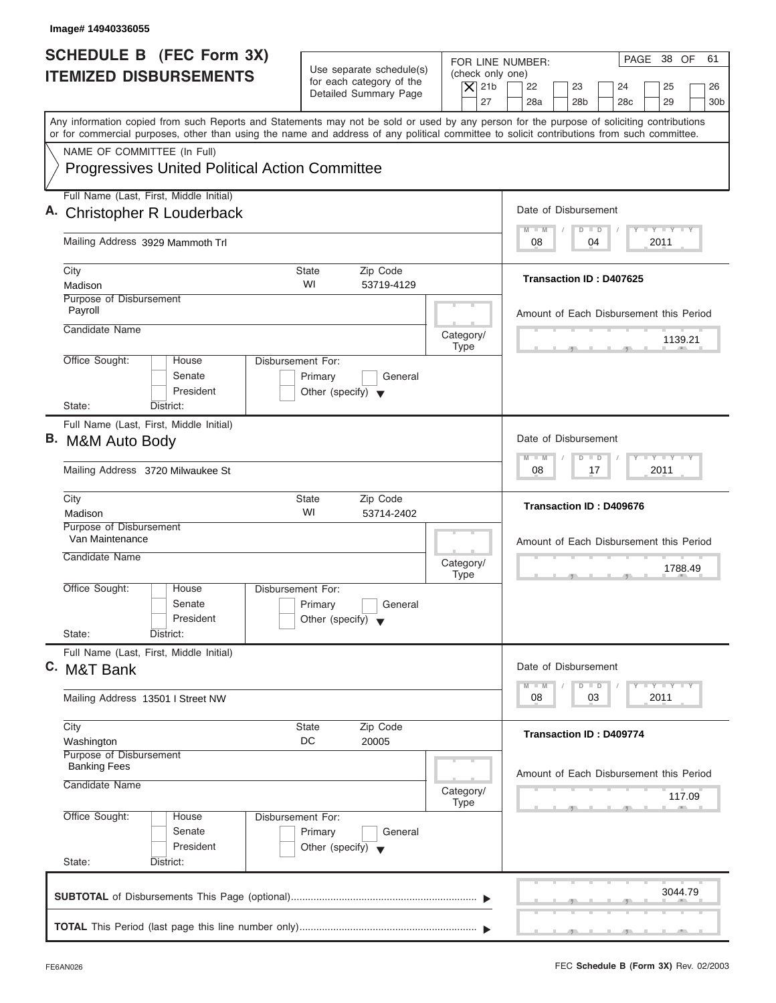| Image# 14940336055                                                                                                                                                                                                                                                                      |                                                                                                           |                                                                                                                                                              |
|-----------------------------------------------------------------------------------------------------------------------------------------------------------------------------------------------------------------------------------------------------------------------------------------|-----------------------------------------------------------------------------------------------------------|--------------------------------------------------------------------------------------------------------------------------------------------------------------|
| <b>SCHEDULE B</b> (FEC Form 3X)<br><b>ITEMIZED DISBURSEMENTS</b>                                                                                                                                                                                                                        | Use separate schedule(s)<br>for each category of the<br>$\overline{X}$ 21b<br>Detailed Summary Page<br>27 | PAGE 38 OF<br>61<br>FOR LINE NUMBER:<br>(check only one)<br>22<br>23<br>24<br>25<br>26<br>28a<br>28 <sub>b</sub><br>29<br>28 <sub>c</sub><br>30 <sub>b</sub> |
| Any information copied from such Reports and Statements may not be sold or used by any person for the purpose of soliciting contributions<br>or for commercial purposes, other than using the name and address of any political committee to solicit contributions from such committee. |                                                                                                           |                                                                                                                                                              |
| NAME OF COMMITTEE (In Full)<br><b>Progressives United Political Action Committee</b>                                                                                                                                                                                                    |                                                                                                           |                                                                                                                                                              |
| Full Name (Last, First, Middle Initial)<br>A. Christopher R Louderback                                                                                                                                                                                                                  |                                                                                                           | Date of Disbursement                                                                                                                                         |
| Mailing Address 3929 Mammoth Trl                                                                                                                                                                                                                                                        |                                                                                                           | $T - Y = T - Y = T - Y$<br>$M - M$<br>$D$ $D$<br>04<br>2011<br>08                                                                                            |
| City<br>Madison                                                                                                                                                                                                                                                                         | State<br>Zip Code<br>WI<br>53719-4129                                                                     | <b>Transaction ID: D407625</b>                                                                                                                               |
| Purpose of Disbursement<br>Payroll                                                                                                                                                                                                                                                      |                                                                                                           | Amount of Each Disbursement this Period                                                                                                                      |
| Candidate Name                                                                                                                                                                                                                                                                          | Category/<br><b>Type</b>                                                                                  | 1139.21                                                                                                                                                      |
| Office Sought:<br>House<br>Senate<br>President<br>State:<br>District:                                                                                                                                                                                                                   | <b>Disbursement For:</b><br>Primary<br>General<br>Other (specify) $\blacktriangledown$                    |                                                                                                                                                              |
| Full Name (Last, First, Middle Initial)<br>B. M&M Auto Body                                                                                                                                                                                                                             |                                                                                                           | Date of Disbursement                                                                                                                                         |
| Mailing Address 3720 Milwaukee St                                                                                                                                                                                                                                                       |                                                                                                           | $-$ Y $-$ Y $-$ Y<br>$M - M$<br>$\Box$<br>$\overline{D}$<br>2011<br>08<br>17                                                                                 |
| City<br>Madison                                                                                                                                                                                                                                                                         | <b>State</b><br>Zip Code<br>WI<br>53714-2402                                                              | Transaction ID: D409676                                                                                                                                      |
| Purpose of Disbursement<br>Van Maintenance<br>Candidate Name                                                                                                                                                                                                                            | Category/<br><b>Type</b>                                                                                  | Amount of Each Disbursement this Period<br>1788.49<br>$-5$                                                                                                   |
| Office Sought:<br>House<br>Senate<br>President<br>State:<br>District:                                                                                                                                                                                                                   | Disbursement For:<br>Primary<br>General<br>Other (specify) $\blacktriangledown$                           |                                                                                                                                                              |
| Full Name (Last, First, Middle Initial)<br>C. M&T Bank                                                                                                                                                                                                                                  |                                                                                                           | Date of Disbursement                                                                                                                                         |
| Mailing Address 13501   Street NW                                                                                                                                                                                                                                                       |                                                                                                           | $T - Y$ $T - Y$ $T - Y$<br>$M - M$<br>$\overline{D}$<br>$\Box$<br>2011<br>08<br>03                                                                           |
| City<br>Washington                                                                                                                                                                                                                                                                      | Zip Code<br>State<br>DC<br>20005                                                                          | Transaction ID: D409774                                                                                                                                      |
| Purpose of Disbursement<br><b>Banking Fees</b><br>Candidate Name                                                                                                                                                                                                                        | Category/<br>Type                                                                                         | Amount of Each Disbursement this Period<br>117.09                                                                                                            |
| Office Sought:<br>House<br>Senate<br>President<br>State:<br>District:                                                                                                                                                                                                                   | Disbursement For:<br>Primary<br>General<br>Other (specify) $\blacktriangledown$                           |                                                                                                                                                              |
|                                                                                                                                                                                                                                                                                         |                                                                                                           | 3044.79                                                                                                                                                      |
|                                                                                                                                                                                                                                                                                         |                                                                                                           |                                                                                                                                                              |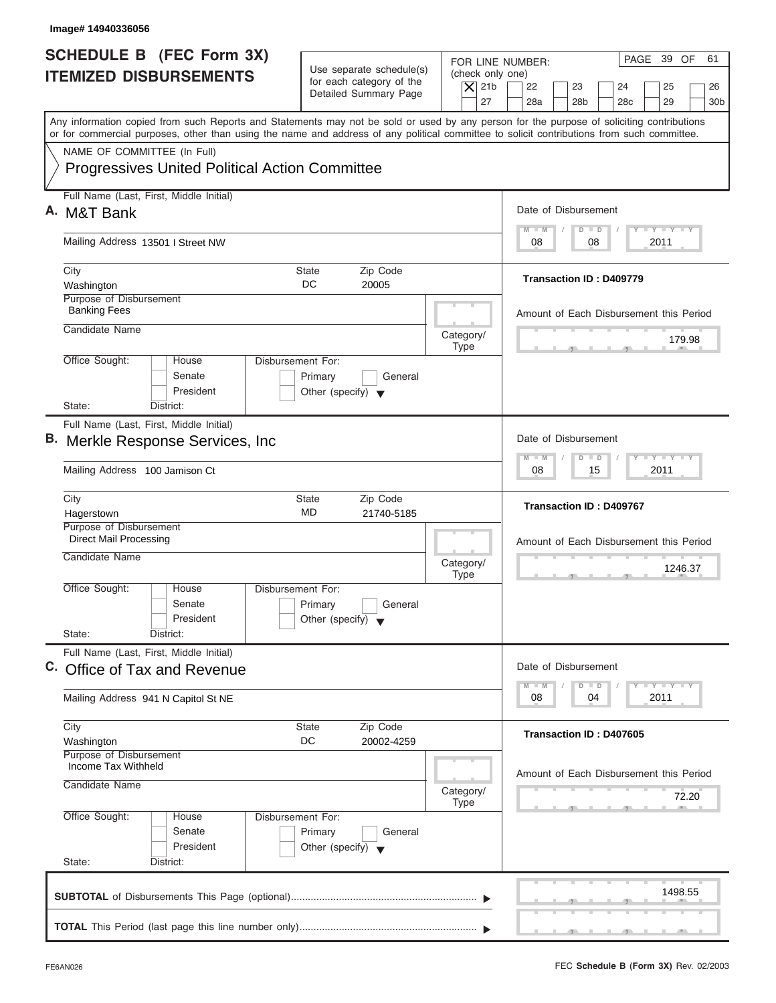| Image# 14940336056                                                                                                                                                                                                                                                                      |                                                                                                                               |                                                                                                                                          |
|-----------------------------------------------------------------------------------------------------------------------------------------------------------------------------------------------------------------------------------------------------------------------------------------|-------------------------------------------------------------------------------------------------------------------------------|------------------------------------------------------------------------------------------------------------------------------------------|
| <b>SCHEDULE B</b> (FEC Form 3X)<br><b>ITEMIZED DISBURSEMENTS</b>                                                                                                                                                                                                                        | Use separate schedule(s)<br>(check only one)<br>for each category of the<br>$\vert$ $\chi$ 21b<br>Detailed Summary Page<br>27 | PAGE 39 OF<br>61<br>FOR LINE NUMBER:<br>22<br>23<br>24<br>25<br>26<br>28a<br>28 <sub>b</sub><br>29<br>28 <sub>c</sub><br>30 <sub>b</sub> |
| Any information copied from such Reports and Statements may not be sold or used by any person for the purpose of soliciting contributions<br>or for commercial purposes, other than using the name and address of any political committee to solicit contributions from such committee. |                                                                                                                               |                                                                                                                                          |
| NAME OF COMMITTEE (In Full)<br><b>Progressives United Political Action Committee</b>                                                                                                                                                                                                    |                                                                                                                               |                                                                                                                                          |
| Full Name (Last, First, Middle Initial)<br>A. M&T Bank                                                                                                                                                                                                                                  |                                                                                                                               | Date of Disbursement                                                                                                                     |
| Mailing Address 13501 I Street NW                                                                                                                                                                                                                                                       |                                                                                                                               | $T - Y = T - Y = T - Y$<br>$D$ $D$<br>$M - M$<br>08<br>2011<br>08                                                                        |
| City<br>Washington                                                                                                                                                                                                                                                                      | Zip Code<br>State<br>DC<br>20005                                                                                              | <b>Transaction ID: D409779</b>                                                                                                           |
| Purpose of Disbursement<br><b>Banking Fees</b><br>Candidate Name                                                                                                                                                                                                                        |                                                                                                                               | Amount of Each Disbursement this Period                                                                                                  |
| Office Sought:<br>Disbursement For:<br>House                                                                                                                                                                                                                                            | Category/<br><b>Type</b>                                                                                                      | 179.98                                                                                                                                   |
| Senate<br>President<br>State:<br>District:                                                                                                                                                                                                                                              | Primary<br>General<br>Other (specify) $\blacktriangledown$                                                                    |                                                                                                                                          |
| Full Name (Last, First, Middle Initial)<br>B. Merkle Response Services, Inc.                                                                                                                                                                                                            |                                                                                                                               | Date of Disbursement                                                                                                                     |
| Mailing Address 100 Jamison Ct                                                                                                                                                                                                                                                          |                                                                                                                               | <b>LY LY LY</b><br>$\Box$<br>M<br>$-N$<br>$\overline{D}$<br>2011<br>08<br>15                                                             |
| City<br>Hagerstown                                                                                                                                                                                                                                                                      | Zip Code<br><b>State</b><br>MD<br>21740-5185                                                                                  | <b>Transaction ID: D409767</b>                                                                                                           |
| Purpose of Disbursement<br><b>Direct Mail Processing</b><br>Candidate Name                                                                                                                                                                                                              | Category/                                                                                                                     | Amount of Each Disbursement this Period<br>1246.37                                                                                       |
| Office Sought:<br>House<br>Disbursement For:<br>Senate<br>President<br>State:<br>District:                                                                                                                                                                                              | <b>Type</b><br>Primary<br>General<br>Other (specify) $\blacktriangledown$                                                     | $-5$                                                                                                                                     |
| Full Name (Last, First, Middle Initial)<br>C. Office of Tax and Revenue                                                                                                                                                                                                                 |                                                                                                                               | Date of Disbursement                                                                                                                     |
| Mailing Address 941 N Capitol St NE                                                                                                                                                                                                                                                     |                                                                                                                               | $T - Y$ $T - Y$<br>$M - M$<br>D<br>$\Box$<br>2011<br>08<br>04                                                                            |
| City<br>Washington                                                                                                                                                                                                                                                                      | Zip Code<br><b>State</b><br>DC<br>20002-4259                                                                                  | Transaction ID: D407605                                                                                                                  |
| Purpose of Disbursement<br>Income Tax Withheld<br>Candidate Name                                                                                                                                                                                                                        | Category/<br><b>Type</b>                                                                                                      | Amount of Each Disbursement this Period<br>72.20                                                                                         |
| Office Sought:<br>Disbursement For:<br>House<br>Senate<br>President<br>State:<br>District:                                                                                                                                                                                              | Primary<br>General<br>Other (specify) $\blacktriangledown$                                                                    |                                                                                                                                          |
|                                                                                                                                                                                                                                                                                         |                                                                                                                               | 1498.55                                                                                                                                  |
|                                                                                                                                                                                                                                                                                         |                                                                                                                               |                                                                                                                                          |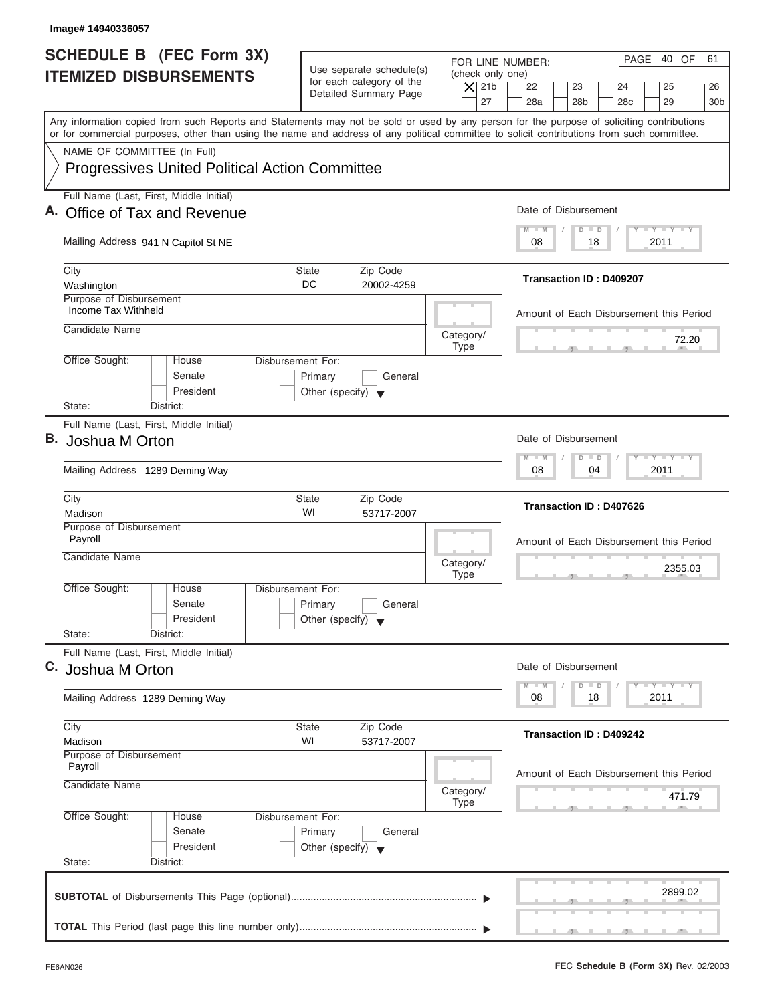| Image# 14940336057                                                                                                                                                                                                                                                                      |                                                                                                     |                                                                                                                                                                    |
|-----------------------------------------------------------------------------------------------------------------------------------------------------------------------------------------------------------------------------------------------------------------------------------------|-----------------------------------------------------------------------------------------------------|--------------------------------------------------------------------------------------------------------------------------------------------------------------------|
| <b>SCHEDULE B</b> (FEC Form 3X)<br><b>ITEMIZED DISBURSEMENTS</b>                                                                                                                                                                                                                        | Use separate schedule(s)<br>for each category of the<br>$\overline{X}$ 21b<br>Detailed Summary Page | PAGE 40 OF<br>61<br>FOR LINE NUMBER:<br>(check only one)<br>22<br>23<br>24<br>25<br>26<br>27<br>28a<br>28 <sub>b</sub><br>29<br>28 <sub>c</sub><br>30 <sub>b</sub> |
| Any information copied from such Reports and Statements may not be sold or used by any person for the purpose of soliciting contributions<br>or for commercial purposes, other than using the name and address of any political committee to solicit contributions from such committee. |                                                                                                     |                                                                                                                                                                    |
| NAME OF COMMITTEE (In Full)<br><b>Progressives United Political Action Committee</b>                                                                                                                                                                                                    |                                                                                                     |                                                                                                                                                                    |
| Full Name (Last, First, Middle Initial)<br>A. Office of Tax and Revenue                                                                                                                                                                                                                 |                                                                                                     | Date of Disbursement                                                                                                                                               |
| Mailing Address 941 N Capitol St NE                                                                                                                                                                                                                                                     |                                                                                                     | $T - Y = T - Y = T - Y$<br>$D$ $D$<br>$M - M$<br>18<br>2011<br>08                                                                                                  |
| City<br>Washington                                                                                                                                                                                                                                                                      | State<br>Zip Code<br>DC<br>20002-4259                                                               | <b>Transaction ID: D409207</b>                                                                                                                                     |
| Purpose of Disbursement<br>Income Tax Withheld<br>Candidate Name                                                                                                                                                                                                                        | Category/                                                                                           | Amount of Each Disbursement this Period<br>72.20                                                                                                                   |
| Office Sought:<br>House<br>Senate<br>President<br>State:<br>District:                                                                                                                                                                                                                   | <b>Type</b><br>Disbursement For:<br>Primary<br>General<br>Other (specify) $\blacktriangledown$      |                                                                                                                                                                    |
| Full Name (Last, First, Middle Initial)<br>В.<br>Joshua M Orton                                                                                                                                                                                                                         |                                                                                                     | Date of Disbursement<br>$-$ Y $-$ Y $-$ Y<br>$M - M$<br>$\Box$<br>$\overline{D}$                                                                                   |
| Mailing Address 1289 Deming Way                                                                                                                                                                                                                                                         |                                                                                                     | 2011<br>08<br>04                                                                                                                                                   |
| City<br>Madison                                                                                                                                                                                                                                                                         | <b>State</b><br>Zip Code<br>WI<br>53717-2007                                                        | Transaction ID: D407626                                                                                                                                            |
| Purpose of Disbursement<br>Payroll<br>Candidate Name                                                                                                                                                                                                                                    | Category/<br><b>Type</b>                                                                            | Amount of Each Disbursement this Period<br>2355.03<br>$-5$                                                                                                         |
| Office Sought:<br>House<br>Senate<br>President<br>State:<br>District:                                                                                                                                                                                                                   | Disbursement For:<br>Primary<br>General<br>Other (specify) $\blacktriangledown$                     |                                                                                                                                                                    |
| Full Name (Last, First, Middle Initial)<br>C. Joshua M Orton                                                                                                                                                                                                                            |                                                                                                     | Date of Disbursement<br>$T - Y$ $T - Y$<br>$M - M$<br>$\Box$<br>D                                                                                                  |
| Mailing Address 1289 Deming Way                                                                                                                                                                                                                                                         |                                                                                                     | 2011<br>08<br>18                                                                                                                                                   |
| City<br>Madison                                                                                                                                                                                                                                                                         | Zip Code<br>State<br>WI<br>53717-2007                                                               | Transaction ID: D409242                                                                                                                                            |
| Purpose of Disbursement<br>Payroll<br>Candidate Name                                                                                                                                                                                                                                    | Category/<br>Type                                                                                   | Amount of Each Disbursement this Period<br>471.79                                                                                                                  |
| Office Sought:<br>House<br>Senate<br>President<br>State:<br>District:                                                                                                                                                                                                                   | Disbursement For:<br>Primary<br>General<br>Other (specify) $\blacktriangledown$                     |                                                                                                                                                                    |
|                                                                                                                                                                                                                                                                                         |                                                                                                     | 2899.02                                                                                                                                                            |
|                                                                                                                                                                                                                                                                                         |                                                                                                     |                                                                                                                                                                    |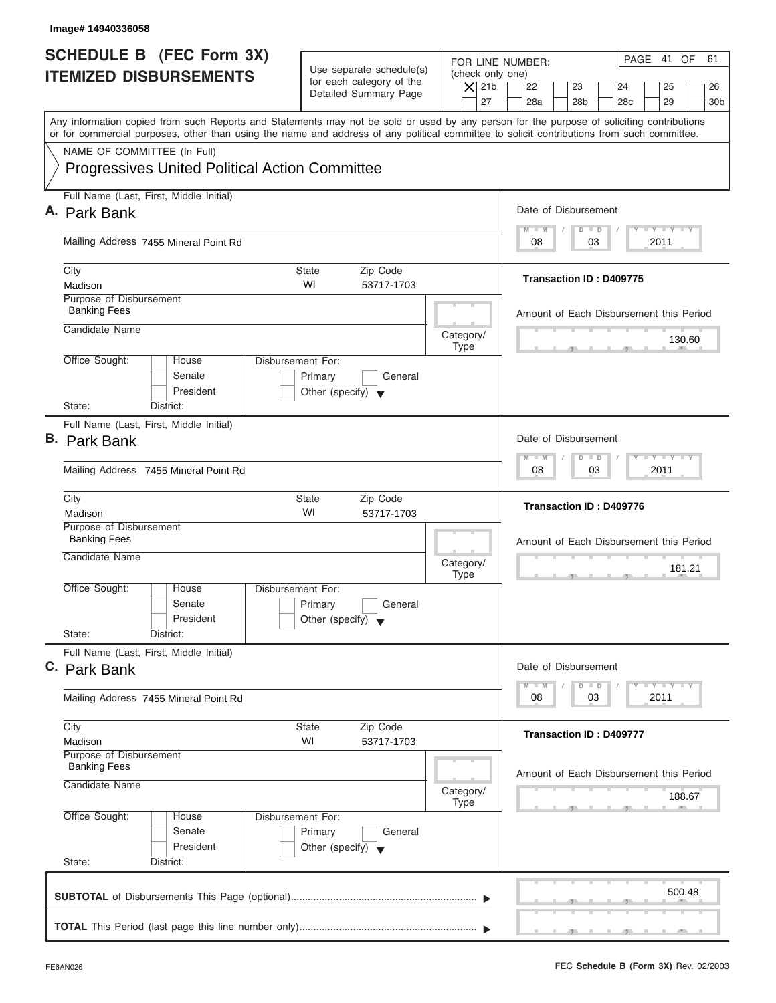| Image# 14940336058                                                                                                                                                                                                                                                                      |                                                                                         |                                                                                                                                                                                          |
|-----------------------------------------------------------------------------------------------------------------------------------------------------------------------------------------------------------------------------------------------------------------------------------------|-----------------------------------------------------------------------------------------|------------------------------------------------------------------------------------------------------------------------------------------------------------------------------------------|
| <b>SCHEDULE B (FEC Form 3X)</b><br><b>ITEMIZED DISBURSEMENTS</b>                                                                                                                                                                                                                        | Use separate schedule(s)<br>for each category of the<br>Detailed Summary Page           | PAGE 41 OF<br>61<br>FOR LINE NUMBER:<br>(check only one)<br>$\overline{X}$ 21b<br>22<br>23<br>24<br>25<br>26<br>27<br>28a<br>28 <sub>b</sub><br>29<br>28 <sub>c</sub><br>30 <sub>b</sub> |
| Any information copied from such Reports and Statements may not be sold or used by any person for the purpose of soliciting contributions<br>or for commercial purposes, other than using the name and address of any political committee to solicit contributions from such committee. |                                                                                         |                                                                                                                                                                                          |
| NAME OF COMMITTEE (In Full)<br><b>Progressives United Political Action Committee</b>                                                                                                                                                                                                    |                                                                                         |                                                                                                                                                                                          |
| Full Name (Last, First, Middle Initial)<br>A. Park Bank                                                                                                                                                                                                                                 |                                                                                         | Date of Disbursement                                                                                                                                                                     |
|                                                                                                                                                                                                                                                                                         |                                                                                         | $T - Y = T - Y = T - Y$<br>$D$ $D$<br>$M - M$                                                                                                                                            |
| Mailing Address 7455 Mineral Point Rd                                                                                                                                                                                                                                                   |                                                                                         | 03<br>2011<br>08                                                                                                                                                                         |
| City<br>Madison                                                                                                                                                                                                                                                                         | State<br>Zip Code<br>WI<br>53717-1703                                                   | <b>Transaction ID: D409775</b>                                                                                                                                                           |
| Purpose of Disbursement<br><b>Banking Fees</b>                                                                                                                                                                                                                                          |                                                                                         | Amount of Each Disbursement this Period                                                                                                                                                  |
| Candidate Name                                                                                                                                                                                                                                                                          | Category/<br><b>Type</b>                                                                | 130.60                                                                                                                                                                                   |
| Office Sought:<br>House<br>Senate<br>President                                                                                                                                                                                                                                          | Disbursement For:<br>Primary<br>General<br>Other (specify) $\blacktriangledown$         |                                                                                                                                                                                          |
| State:<br>District:<br>Full Name (Last, First, Middle Initial)                                                                                                                                                                                                                          |                                                                                         |                                                                                                                                                                                          |
| <b>B.</b> Park Bank                                                                                                                                                                                                                                                                     |                                                                                         | Date of Disbursement                                                                                                                                                                     |
| Mailing Address 7455 Mineral Point Rd                                                                                                                                                                                                                                                   |                                                                                         | <b>LEYTEY LEY</b><br>$M - M$<br>$D$ $D$<br>2011<br>08<br>03                                                                                                                              |
| City<br>Madison                                                                                                                                                                                                                                                                         | State<br>Zip Code<br>WI<br>53717-1703                                                   | Transaction ID: D409776                                                                                                                                                                  |
| Purpose of Disbursement<br><b>Banking Fees</b>                                                                                                                                                                                                                                          |                                                                                         | Amount of Each Disbursement this Period                                                                                                                                                  |
| Candidate Name                                                                                                                                                                                                                                                                          | Category/<br><b>Type</b>                                                                | 181.21<br>$-5$                                                                                                                                                                           |
| Office Sought:<br>House<br>Senate<br>President                                                                                                                                                                                                                                          | Disbursement For:<br>Primary<br>General<br>Other (specify) $\blacktriangledown$         |                                                                                                                                                                                          |
| State:<br>District:<br>Full Name (Last, First, Middle Initial)                                                                                                                                                                                                                          |                                                                                         |                                                                                                                                                                                          |
| C. Park Bank                                                                                                                                                                                                                                                                            |                                                                                         | Date of Disbursement<br>$T - Y = T - Y = T - Y$<br>$M - M$<br>$\Box$<br>D                                                                                                                |
| Mailing Address 7455 Mineral Point Rd                                                                                                                                                                                                                                                   |                                                                                         | 2011<br>08<br>03                                                                                                                                                                         |
| City<br>Madison                                                                                                                                                                                                                                                                         | Zip Code<br>State<br>WI<br>53717-1703                                                   | Transaction ID: D409777                                                                                                                                                                  |
| Purpose of Disbursement<br><b>Banking Fees</b><br>Candidate Name                                                                                                                                                                                                                        | Category/                                                                               | Amount of Each Disbursement this Period<br>188.67                                                                                                                                        |
| Office Sought:<br>House<br>Senate<br>President<br>State:<br>District:                                                                                                                                                                                                                   | Type<br>Disbursement For:<br>Primary<br>General<br>Other (specify) $\blacktriangledown$ |                                                                                                                                                                                          |
|                                                                                                                                                                                                                                                                                         |                                                                                         | 500.48                                                                                                                                                                                   |
|                                                                                                                                                                                                                                                                                         |                                                                                         |                                                                                                                                                                                          |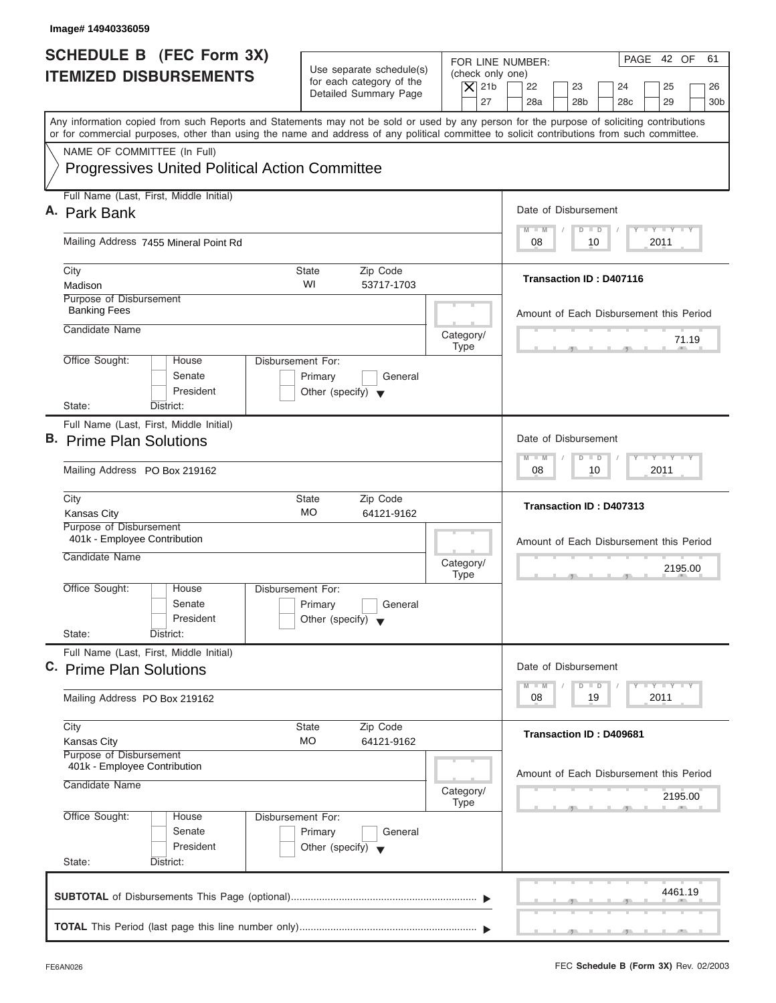| FOR LINE NUMBER:<br>Use separate schedule(s)<br>(check only one)<br>for each category of the<br>$\overline{X}$ 21b<br>22<br>23<br>24<br>25<br>Detailed Summary Page<br>27<br>28a<br>28 <sub>b</sub><br>29<br>28 <sub>c</sub><br>Any information copied from such Reports and Statements may not be sold or used by any person for the purpose of soliciting contributions<br>or for commercial purposes, other than using the name and address of any political committee to solicit contributions from such committee.<br>NAME OF COMMITTEE (In Full)<br><b>Progressives United Political Action Committee</b><br>Full Name (Last, First, Middle Initial)<br>Date of Disbursement<br>$T - Y = T - Y = T - Y$<br>$M - M$<br>$D$ $D$<br>Mailing Address 7455 Mineral Point Rd<br>10<br>2011<br>08<br>City<br><b>State</b><br>Zip Code<br><b>Transaction ID: D407116</b><br>WI<br>Madison<br>53717-1703<br>Purpose of Disbursement<br><b>Banking Fees</b><br>Candidate Name<br>Category/<br><b>Type</b><br>Office Sought:<br>Disbursement For:<br>House<br>Senate<br>Primary<br>General<br>President<br>Other (specify) $\blacktriangledown$<br>State:<br>District:<br>Full Name (Last, First, Middle Initial)<br>Date of Disbursement<br>$-$ Y $-$ Y $-$ Y<br>$M - M$<br>$\Box$<br>$\Box$<br>2011<br>Mailing Address PO Box 219162<br>08<br>10<br>City<br><b>State</b><br>Zip Code<br>Transaction ID: D407313<br><b>MO</b><br><b>Kansas City</b><br>64121-9162<br>Purpose of Disbursement<br>401k - Employee Contribution<br>Candidate Name<br>Category/<br><b>Type</b><br>__<br>Office Sought:<br>House<br>Disbursement For:<br>Senate<br>Primary<br>General<br>President<br>Other (specify) $\blacktriangledown$<br>State:<br>District:<br>Full Name (Last, First, Middle Initial)<br>Date of Disbursement<br>$T - Y = T - Y = T - Y$<br>$M - M$<br>$\Box$<br>D<br>2011<br>08<br>19<br>Mailing Address PO Box 219162<br>City<br>Zip Code<br>State<br>Transaction ID: D409681<br>MO<br>64121-9162<br><b>Kansas City</b><br>Purpose of Disbursement<br>401k - Employee Contribution<br>Candidate Name<br>Category/<br>Type<br>Office Sought:<br>Disbursement For:<br>House<br>Senate<br>Primary<br>General<br>President<br>Other (specify) $\blacktriangledown$<br>State:<br>District: | Image# 14940336059                                               |                                                    |
|---------------------------------------------------------------------------------------------------------------------------------------------------------------------------------------------------------------------------------------------------------------------------------------------------------------------------------------------------------------------------------------------------------------------------------------------------------------------------------------------------------------------------------------------------------------------------------------------------------------------------------------------------------------------------------------------------------------------------------------------------------------------------------------------------------------------------------------------------------------------------------------------------------------------------------------------------------------------------------------------------------------------------------------------------------------------------------------------------------------------------------------------------------------------------------------------------------------------------------------------------------------------------------------------------------------------------------------------------------------------------------------------------------------------------------------------------------------------------------------------------------------------------------------------------------------------------------------------------------------------------------------------------------------------------------------------------------------------------------------------------------------------------------------------------------------------------------------------------------------------------------------------------------------------------------------------------------------------------------------------------------------------------------------------------------------------------------------------------------------------------------------------------------------------------------------------------------------------------------------------------------------------------------------|------------------------------------------------------------------|----------------------------------------------------|
| A. Park Bank<br>B. Prime Plan Solutions<br>C. Prime Plan Solutions                                                                                                                                                                                                                                                                                                                                                                                                                                                                                                                                                                                                                                                                                                                                                                                                                                                                                                                                                                                                                                                                                                                                                                                                                                                                                                                                                                                                                                                                                                                                                                                                                                                                                                                                                                                                                                                                                                                                                                                                                                                                                                                                                                                                                    | <b>SCHEDULE B (FEC Form 3X)</b><br><b>ITEMIZED DISBURSEMENTS</b> | PAGE 42 OF<br>61<br>26<br>30 <sub>b</sub>          |
|                                                                                                                                                                                                                                                                                                                                                                                                                                                                                                                                                                                                                                                                                                                                                                                                                                                                                                                                                                                                                                                                                                                                                                                                                                                                                                                                                                                                                                                                                                                                                                                                                                                                                                                                                                                                                                                                                                                                                                                                                                                                                                                                                                                                                                                                                       |                                                                  |                                                    |
|                                                                                                                                                                                                                                                                                                                                                                                                                                                                                                                                                                                                                                                                                                                                                                                                                                                                                                                                                                                                                                                                                                                                                                                                                                                                                                                                                                                                                                                                                                                                                                                                                                                                                                                                                                                                                                                                                                                                                                                                                                                                                                                                                                                                                                                                                       |                                                                  |                                                    |
|                                                                                                                                                                                                                                                                                                                                                                                                                                                                                                                                                                                                                                                                                                                                                                                                                                                                                                                                                                                                                                                                                                                                                                                                                                                                                                                                                                                                                                                                                                                                                                                                                                                                                                                                                                                                                                                                                                                                                                                                                                                                                                                                                                                                                                                                                       |                                                                  |                                                    |
|                                                                                                                                                                                                                                                                                                                                                                                                                                                                                                                                                                                                                                                                                                                                                                                                                                                                                                                                                                                                                                                                                                                                                                                                                                                                                                                                                                                                                                                                                                                                                                                                                                                                                                                                                                                                                                                                                                                                                                                                                                                                                                                                                                                                                                                                                       |                                                                  |                                                    |
|                                                                                                                                                                                                                                                                                                                                                                                                                                                                                                                                                                                                                                                                                                                                                                                                                                                                                                                                                                                                                                                                                                                                                                                                                                                                                                                                                                                                                                                                                                                                                                                                                                                                                                                                                                                                                                                                                                                                                                                                                                                                                                                                                                                                                                                                                       |                                                                  |                                                    |
|                                                                                                                                                                                                                                                                                                                                                                                                                                                                                                                                                                                                                                                                                                                                                                                                                                                                                                                                                                                                                                                                                                                                                                                                                                                                                                                                                                                                                                                                                                                                                                                                                                                                                                                                                                                                                                                                                                                                                                                                                                                                                                                                                                                                                                                                                       |                                                                  | Amount of Each Disbursement this Period            |
|                                                                                                                                                                                                                                                                                                                                                                                                                                                                                                                                                                                                                                                                                                                                                                                                                                                                                                                                                                                                                                                                                                                                                                                                                                                                                                                                                                                                                                                                                                                                                                                                                                                                                                                                                                                                                                                                                                                                                                                                                                                                                                                                                                                                                                                                                       |                                                                  | 71.19                                              |
|                                                                                                                                                                                                                                                                                                                                                                                                                                                                                                                                                                                                                                                                                                                                                                                                                                                                                                                                                                                                                                                                                                                                                                                                                                                                                                                                                                                                                                                                                                                                                                                                                                                                                                                                                                                                                                                                                                                                                                                                                                                                                                                                                                                                                                                                                       |                                                                  |                                                    |
|                                                                                                                                                                                                                                                                                                                                                                                                                                                                                                                                                                                                                                                                                                                                                                                                                                                                                                                                                                                                                                                                                                                                                                                                                                                                                                                                                                                                                                                                                                                                                                                                                                                                                                                                                                                                                                                                                                                                                                                                                                                                                                                                                                                                                                                                                       |                                                                  |                                                    |
|                                                                                                                                                                                                                                                                                                                                                                                                                                                                                                                                                                                                                                                                                                                                                                                                                                                                                                                                                                                                                                                                                                                                                                                                                                                                                                                                                                                                                                                                                                                                                                                                                                                                                                                                                                                                                                                                                                                                                                                                                                                                                                                                                                                                                                                                                       |                                                                  |                                                    |
|                                                                                                                                                                                                                                                                                                                                                                                                                                                                                                                                                                                                                                                                                                                                                                                                                                                                                                                                                                                                                                                                                                                                                                                                                                                                                                                                                                                                                                                                                                                                                                                                                                                                                                                                                                                                                                                                                                                                                                                                                                                                                                                                                                                                                                                                                       |                                                                  |                                                    |
|                                                                                                                                                                                                                                                                                                                                                                                                                                                                                                                                                                                                                                                                                                                                                                                                                                                                                                                                                                                                                                                                                                                                                                                                                                                                                                                                                                                                                                                                                                                                                                                                                                                                                                                                                                                                                                                                                                                                                                                                                                                                                                                                                                                                                                                                                       |                                                                  | Amount of Each Disbursement this Period<br>2195.00 |
|                                                                                                                                                                                                                                                                                                                                                                                                                                                                                                                                                                                                                                                                                                                                                                                                                                                                                                                                                                                                                                                                                                                                                                                                                                                                                                                                                                                                                                                                                                                                                                                                                                                                                                                                                                                                                                                                                                                                                                                                                                                                                                                                                                                                                                                                                       |                                                                  |                                                    |
|                                                                                                                                                                                                                                                                                                                                                                                                                                                                                                                                                                                                                                                                                                                                                                                                                                                                                                                                                                                                                                                                                                                                                                                                                                                                                                                                                                                                                                                                                                                                                                                                                                                                                                                                                                                                                                                                                                                                                                                                                                                                                                                                                                                                                                                                                       |                                                                  |                                                    |
|                                                                                                                                                                                                                                                                                                                                                                                                                                                                                                                                                                                                                                                                                                                                                                                                                                                                                                                                                                                                                                                                                                                                                                                                                                                                                                                                                                                                                                                                                                                                                                                                                                                                                                                                                                                                                                                                                                                                                                                                                                                                                                                                                                                                                                                                                       |                                                                  |                                                    |
|                                                                                                                                                                                                                                                                                                                                                                                                                                                                                                                                                                                                                                                                                                                                                                                                                                                                                                                                                                                                                                                                                                                                                                                                                                                                                                                                                                                                                                                                                                                                                                                                                                                                                                                                                                                                                                                                                                                                                                                                                                                                                                                                                                                                                                                                                       |                                                                  |                                                    |
|                                                                                                                                                                                                                                                                                                                                                                                                                                                                                                                                                                                                                                                                                                                                                                                                                                                                                                                                                                                                                                                                                                                                                                                                                                                                                                                                                                                                                                                                                                                                                                                                                                                                                                                                                                                                                                                                                                                                                                                                                                                                                                                                                                                                                                                                                       |                                                                  | Amount of Each Disbursement this Period<br>2195.00 |
|                                                                                                                                                                                                                                                                                                                                                                                                                                                                                                                                                                                                                                                                                                                                                                                                                                                                                                                                                                                                                                                                                                                                                                                                                                                                                                                                                                                                                                                                                                                                                                                                                                                                                                                                                                                                                                                                                                                                                                                                                                                                                                                                                                                                                                                                                       |                                                                  |                                                    |
|                                                                                                                                                                                                                                                                                                                                                                                                                                                                                                                                                                                                                                                                                                                                                                                                                                                                                                                                                                                                                                                                                                                                                                                                                                                                                                                                                                                                                                                                                                                                                                                                                                                                                                                                                                                                                                                                                                                                                                                                                                                                                                                                                                                                                                                                                       |                                                                  | 4461.19                                            |

ı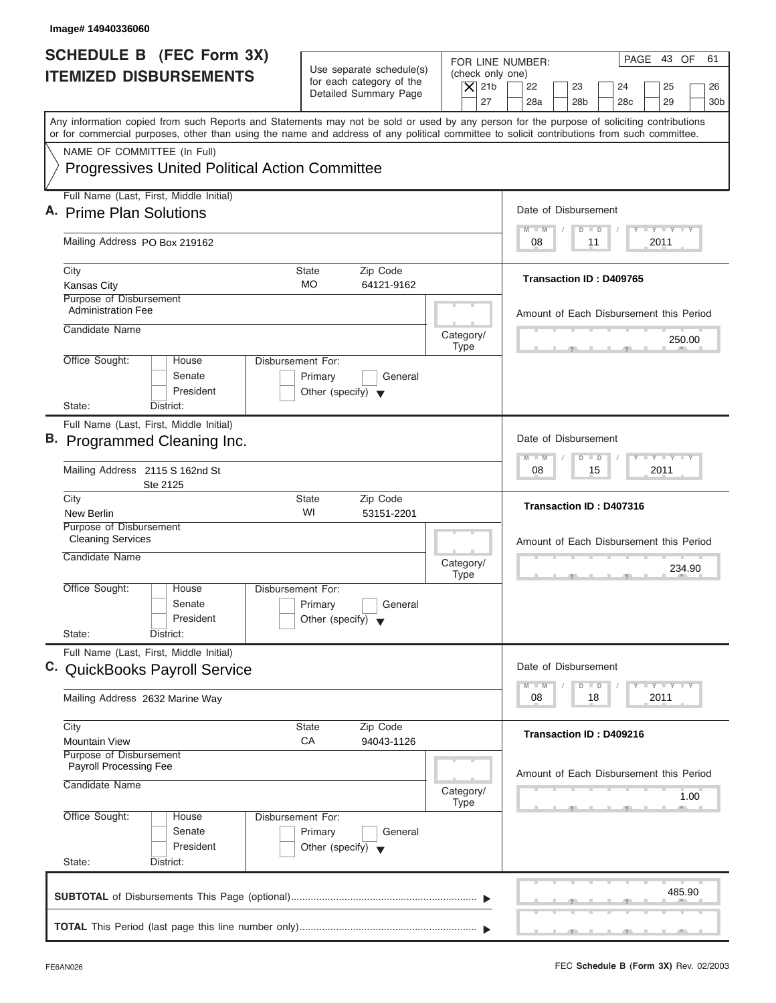| <b>SCHEDULE B</b> (FEC Form 3X)<br><b>ITEMIZED DISBURSEMENTS</b>                                                                                                                                                                                                                        | Use separate schedule(s)<br>for each category of the<br>Detailed Summary Page   | PAGE 43 OF<br>61<br>FOR LINE NUMBER:<br>(check only one)<br>$\overline{X}$ 21b<br>22<br>23<br>24<br>25<br>26<br>27<br>28a<br>28 <sub>b</sub><br>29<br>28 <sub>c</sub><br>30 <sub>b</sub> |
|-----------------------------------------------------------------------------------------------------------------------------------------------------------------------------------------------------------------------------------------------------------------------------------------|---------------------------------------------------------------------------------|------------------------------------------------------------------------------------------------------------------------------------------------------------------------------------------|
| Any information copied from such Reports and Statements may not be sold or used by any person for the purpose of soliciting contributions<br>or for commercial purposes, other than using the name and address of any political committee to solicit contributions from such committee. |                                                                                 |                                                                                                                                                                                          |
| NAME OF COMMITTEE (In Full)<br><b>Progressives United Political Action Committee</b>                                                                                                                                                                                                    |                                                                                 |                                                                                                                                                                                          |
| Full Name (Last, First, Middle Initial)<br>A. Prime Plan Solutions                                                                                                                                                                                                                      |                                                                                 | Date of Disbursement                                                                                                                                                                     |
| Mailing Address PO Box 219162                                                                                                                                                                                                                                                           |                                                                                 | $T - Y = T - Y = T - Y$<br>$M - M$<br>$\Box$<br>$\Box$<br>2011<br>08<br>11                                                                                                               |
| City<br><b>Kansas City</b>                                                                                                                                                                                                                                                              | Zip Code<br>State<br><b>MO</b><br>64121-9162                                    | <b>Transaction ID: D409765</b>                                                                                                                                                           |
| Purpose of Disbursement<br><b>Administration Fee</b>                                                                                                                                                                                                                                    |                                                                                 | Amount of Each Disbursement this Period                                                                                                                                                  |
| Candidate Name                                                                                                                                                                                                                                                                          | Category/<br><b>Type</b>                                                        | 250.00                                                                                                                                                                                   |
| Office Sought:<br>House<br>Senate<br>President<br>State:<br>District:                                                                                                                                                                                                                   | Disbursement For:<br>Primary<br>General<br>Other (specify) $\blacktriangledown$ |                                                                                                                                                                                          |
| Full Name (Last, First, Middle Initial)<br>B. Programmed Cleaning Inc.                                                                                                                                                                                                                  |                                                                                 | Date of Disbursement                                                                                                                                                                     |
| Mailing Address 2115 S 162nd St<br>Ste 2125                                                                                                                                                                                                                                             |                                                                                 | $-$ Y $-$ Y $-$ Y<br>$M - M$<br>$\Box$<br>$\overline{D}$<br>2011<br>08<br>15                                                                                                             |
| City<br>New Berlin                                                                                                                                                                                                                                                                      | <b>State</b><br>Zip Code<br>WI<br>53151-2201                                    | Transaction ID: D407316                                                                                                                                                                  |
| Purpose of Disbursement<br><b>Cleaning Services</b><br>Candidate Name                                                                                                                                                                                                                   | Category/<br><b>Type</b>                                                        | Amount of Each Disbursement this Period<br>234.90                                                                                                                                        |
| Office Sought:<br>House<br>Senate<br>President<br>State:<br>District:                                                                                                                                                                                                                   | Disbursement For:<br>Primary<br>General<br>Other (specify) $\blacktriangledown$ |                                                                                                                                                                                          |
| Full Name (Last, First, Middle Initial)<br>C. QuickBooks Payroll Service                                                                                                                                                                                                                |                                                                                 | Date of Disbursement                                                                                                                                                                     |
| Mailing Address 2632 Marine Way                                                                                                                                                                                                                                                         |                                                                                 | $T - Y - T - Y - T - Y$<br>$M - M$<br>D<br>$\Box$<br>2011<br>08<br>18                                                                                                                    |
| City<br><b>Mountain View</b>                                                                                                                                                                                                                                                            | Zip Code<br>State<br>СA<br>94043-1126                                           | Transaction ID: D409216                                                                                                                                                                  |
| Purpose of Disbursement<br><b>Payroll Processing Fee</b><br>Candidate Name                                                                                                                                                                                                              | Category/<br><b>Type</b>                                                        | Amount of Each Disbursement this Period<br>1.00                                                                                                                                          |
| Office Sought:<br>House<br>Senate<br>President<br>State:<br>District:                                                                                                                                                                                                                   | Disbursement For:<br>Primary<br>General<br>Other (specify) $\blacktriangledown$ |                                                                                                                                                                                          |
|                                                                                                                                                                                                                                                                                         |                                                                                 | 485.90                                                                                                                                                                                   |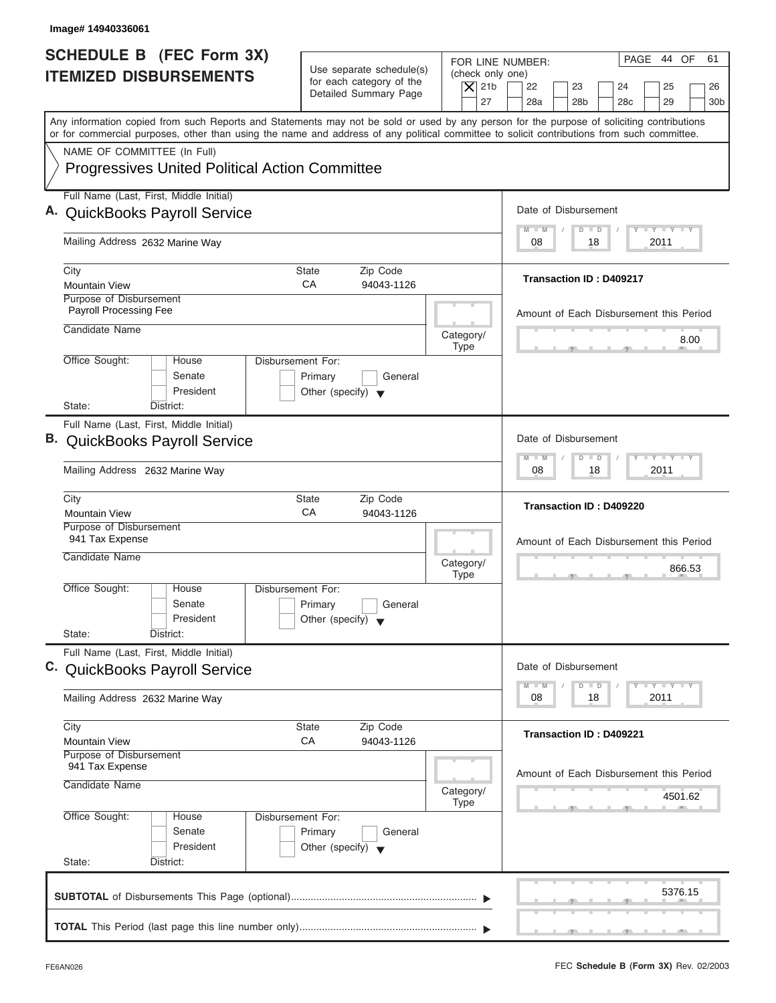| Image# 14940336061                                                                                                                                                                                                                                                                      |                                                                                 |                                                                                                                                                                                          |
|-----------------------------------------------------------------------------------------------------------------------------------------------------------------------------------------------------------------------------------------------------------------------------------------|---------------------------------------------------------------------------------|------------------------------------------------------------------------------------------------------------------------------------------------------------------------------------------|
| <b>SCHEDULE B</b> (FEC Form 3X)<br><b>ITEMIZED DISBURSEMENTS</b>                                                                                                                                                                                                                        | Use separate schedule(s)<br>for each category of the<br>Detailed Summary Page   | PAGE 44 OF<br>61<br>FOR LINE NUMBER:<br>(check only one)<br>$\overline{X}$ 21b<br>22<br>23<br>24<br>25<br>26<br>27<br>28a<br>28 <sub>b</sub><br>29<br>28 <sub>c</sub><br>30 <sub>b</sub> |
| Any information copied from such Reports and Statements may not be sold or used by any person for the purpose of soliciting contributions<br>or for commercial purposes, other than using the name and address of any political committee to solicit contributions from such committee. |                                                                                 |                                                                                                                                                                                          |
| NAME OF COMMITTEE (In Full)<br><b>Progressives United Political Action Committee</b>                                                                                                                                                                                                    |                                                                                 |                                                                                                                                                                                          |
| Full Name (Last, First, Middle Initial)<br>A. QuickBooks Payroll Service                                                                                                                                                                                                                |                                                                                 | Date of Disbursement                                                                                                                                                                     |
| Mailing Address 2632 Marine Way                                                                                                                                                                                                                                                         |                                                                                 | $T - Y = T - Y = T - Y$<br>$M - M$<br>$D$ $D$<br>2011<br>08<br>18                                                                                                                        |
| City<br><b>Mountain View</b>                                                                                                                                                                                                                                                            | State<br>Zip Code<br>CA<br>94043-1126                                           | <b>Transaction ID: D409217</b>                                                                                                                                                           |
| Purpose of Disbursement<br>Payroll Processing Fee<br>Candidate Name                                                                                                                                                                                                                     |                                                                                 | Amount of Each Disbursement this Period                                                                                                                                                  |
| Office Sought:<br>House                                                                                                                                                                                                                                                                 | Category/<br><b>Type</b><br>Disbursement For:                                   | 8.00                                                                                                                                                                                     |
| Senate<br>President<br>State:<br>District:                                                                                                                                                                                                                                              | Primary<br>General<br>Other (specify) $\blacktriangledown$                      |                                                                                                                                                                                          |
| Full Name (Last, First, Middle Initial)<br>B. QuickBooks Payroll Service<br>Mailing Address 2632 Marine Way                                                                                                                                                                             |                                                                                 | Date of Disbursement<br>$-$ Y $-$ Y $-$ Y<br>$M - M$<br>$\Box$<br>$\overline{D}$<br>2011<br>08<br>18                                                                                     |
| City<br><b>Mountain View</b>                                                                                                                                                                                                                                                            | <b>State</b><br>Zip Code<br>CA<br>94043-1126                                    | Transaction ID: D409220                                                                                                                                                                  |
| Purpose of Disbursement<br>941 Tax Expense<br>Candidate Name                                                                                                                                                                                                                            | Category/<br><b>Type</b>                                                        | Amount of Each Disbursement this Period<br>866.53                                                                                                                                        |
| Office Sought:<br>House<br>Senate<br>President<br>State:<br>District:                                                                                                                                                                                                                   | Disbursement For:<br>Primary<br>General<br>Other (specify) $\blacktriangledown$ |                                                                                                                                                                                          |
| Full Name (Last, First, Middle Initial)<br>C. QuickBooks Payroll Service                                                                                                                                                                                                                |                                                                                 | Date of Disbursement                                                                                                                                                                     |
| Mailing Address 2632 Marine Way                                                                                                                                                                                                                                                         |                                                                                 | $T - Y$ $T - Y$<br>$M - M$<br>D<br>$\Box$<br>08<br>18<br>2011                                                                                                                            |
| City<br><b>Mountain View</b>                                                                                                                                                                                                                                                            | Zip Code<br>State<br>СA<br>94043-1126                                           | Transaction ID: D409221                                                                                                                                                                  |
| Purpose of Disbursement<br>941 Tax Expense<br>Candidate Name                                                                                                                                                                                                                            | Category/<br><b>Type</b>                                                        | Amount of Each Disbursement this Period<br>4501.62                                                                                                                                       |
| Office Sought:<br>House<br>Senate<br>President<br>State:<br>District:                                                                                                                                                                                                                   | Disbursement For:<br>Primary<br>General<br>Other (specify) $\blacktriangledown$ |                                                                                                                                                                                          |
|                                                                                                                                                                                                                                                                                         |                                                                                 | 5376.15                                                                                                                                                                                  |
|                                                                                                                                                                                                                                                                                         |                                                                                 |                                                                                                                                                                                          |

I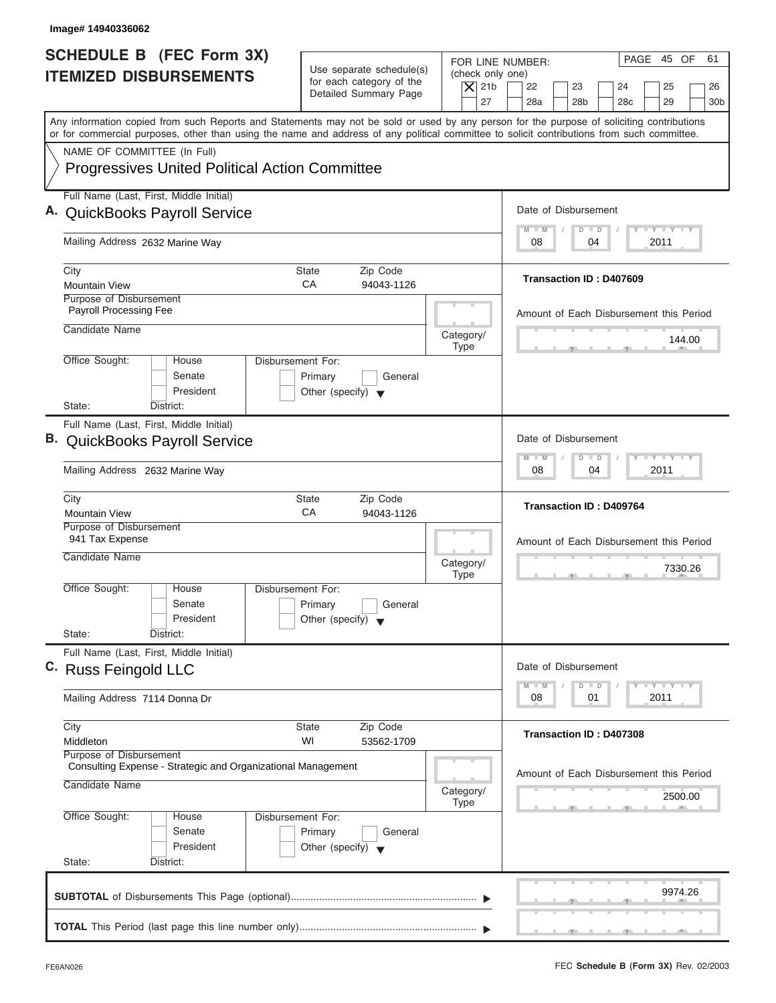| Image# 14940336062                                                                                                                                                                                                                                                                      |                                                                               |                                                                  |                                                                                                                      |
|-----------------------------------------------------------------------------------------------------------------------------------------------------------------------------------------------------------------------------------------------------------------------------------------|-------------------------------------------------------------------------------|------------------------------------------------------------------|----------------------------------------------------------------------------------------------------------------------|
| <b>SCHEDULE B</b> (FEC Form 3X)<br><b>ITEMIZED DISBURSEMENTS</b>                                                                                                                                                                                                                        | Use separate schedule(s)<br>for each category of the<br>Detailed Summary Page | FOR LINE NUMBER:<br>(check only one)<br>$\vert$ $\chi$ 21b<br>27 | PAGE 45 OF<br>61<br>22<br>23<br>24<br>25<br>26<br>28a<br>28 <sub>b</sub><br>29<br>28 <sub>c</sub><br>30 <sub>b</sub> |
| Any information copied from such Reports and Statements may not be sold or used by any person for the purpose of soliciting contributions<br>or for commercial purposes, other than using the name and address of any political committee to solicit contributions from such committee. |                                                                               |                                                                  |                                                                                                                      |
| NAME OF COMMITTEE (In Full)                                                                                                                                                                                                                                                             |                                                                               |                                                                  |                                                                                                                      |
| <b>Progressives United Political Action Committee</b>                                                                                                                                                                                                                                   |                                                                               |                                                                  |                                                                                                                      |
| Full Name (Last, First, Middle Initial)                                                                                                                                                                                                                                                 |                                                                               |                                                                  |                                                                                                                      |
| A. QuickBooks Payroll Service                                                                                                                                                                                                                                                           |                                                                               |                                                                  | Date of Disbursement                                                                                                 |
| Mailing Address 2632 Marine Way                                                                                                                                                                                                                                                         |                                                                               |                                                                  | $T - Y = T - Y = T - Y$<br>$M - M$<br>$D$ $D$<br>2011<br>08<br>04                                                    |
| City                                                                                                                                                                                                                                                                                    | Zip Code<br>State                                                             |                                                                  |                                                                                                                      |
| <b>Mountain View</b>                                                                                                                                                                                                                                                                    | CA<br>94043-1126                                                              |                                                                  | Transaction ID: D407609                                                                                              |
| Purpose of Disbursement<br>Payroll Processing Fee                                                                                                                                                                                                                                       |                                                                               |                                                                  | Amount of Each Disbursement this Period                                                                              |
| Candidate Name                                                                                                                                                                                                                                                                          |                                                                               | Category/                                                        | 144.00                                                                                                               |
| Office Sought:<br>Disbursement For:<br>House                                                                                                                                                                                                                                            |                                                                               | <b>Type</b>                                                      |                                                                                                                      |
| Senate<br>President<br>State:<br>District:                                                                                                                                                                                                                                              | Primary<br>General<br>Other (specify) $\blacktriangledown$                    |                                                                  |                                                                                                                      |
| Full Name (Last, First, Middle Initial)                                                                                                                                                                                                                                                 |                                                                               |                                                                  |                                                                                                                      |
| <b>B.</b> QuickBooks Payroll Service                                                                                                                                                                                                                                                    |                                                                               |                                                                  | Date of Disbursement                                                                                                 |
| Mailing Address 2632 Marine Way                                                                                                                                                                                                                                                         |                                                                               |                                                                  | $-$ Y $-$ Y $-$ Y<br>$\Box$<br>M<br>$-N$<br>$\overline{D}$<br>2011<br>08<br>04                                       |
| City<br><b>Mountain View</b>                                                                                                                                                                                                                                                            | Zip Code<br><b>State</b><br>СA<br>94043-1126                                  |                                                                  | <b>Transaction ID: D409764</b>                                                                                       |
| Purpose of Disbursement<br>941 Tax Expense                                                                                                                                                                                                                                              |                                                                               |                                                                  | Amount of Each Disbursement this Period                                                                              |
| Candidate Name                                                                                                                                                                                                                                                                          |                                                                               | Category/<br><b>Type</b>                                         | 7330.26                                                                                                              |
| Office Sought:<br>House<br>Disbursement For:<br>Senate<br>President<br>State:<br>District:                                                                                                                                                                                              | Primary<br>General<br>Other (specify) $\blacktriangledown$                    |                                                                  |                                                                                                                      |
| Full Name (Last, First, Middle Initial)                                                                                                                                                                                                                                                 |                                                                               |                                                                  |                                                                                                                      |
| C. Russ Feingold LLC                                                                                                                                                                                                                                                                    |                                                                               |                                                                  | Date of Disbursement<br>$T - Y$ $T - Y$<br>$M - M$                                                                   |
| Mailing Address 7114 Donna Dr                                                                                                                                                                                                                                                           |                                                                               |                                                                  | D<br>$\Box$<br>08<br>01<br>2011                                                                                      |
| City<br>Middleton                                                                                                                                                                                                                                                                       | Zip Code<br><b>State</b><br>WI<br>53562-1709                                  |                                                                  | Transaction ID: D407308                                                                                              |
| Purpose of Disbursement<br>Consulting Expense - Strategic and Organizational Management                                                                                                                                                                                                 |                                                                               |                                                                  |                                                                                                                      |
| Candidate Name                                                                                                                                                                                                                                                                          |                                                                               | Category/                                                        | Amount of Each Disbursement this Period<br>2500.00                                                                   |
|                                                                                                                                                                                                                                                                                         |                                                                               | <b>Type</b>                                                      |                                                                                                                      |
| Office Sought:<br>Disbursement For:<br>House<br>Senate                                                                                                                                                                                                                                  | Primary<br>General                                                            |                                                                  |                                                                                                                      |
| President<br>State:<br>District:                                                                                                                                                                                                                                                        | Other (specify) $\blacktriangledown$                                          |                                                                  |                                                                                                                      |
|                                                                                                                                                                                                                                                                                         |                                                                               |                                                                  |                                                                                                                      |
|                                                                                                                                                                                                                                                                                         |                                                                               |                                                                  | 9974.26                                                                                                              |
|                                                                                                                                                                                                                                                                                         |                                                                               |                                                                  |                                                                                                                      |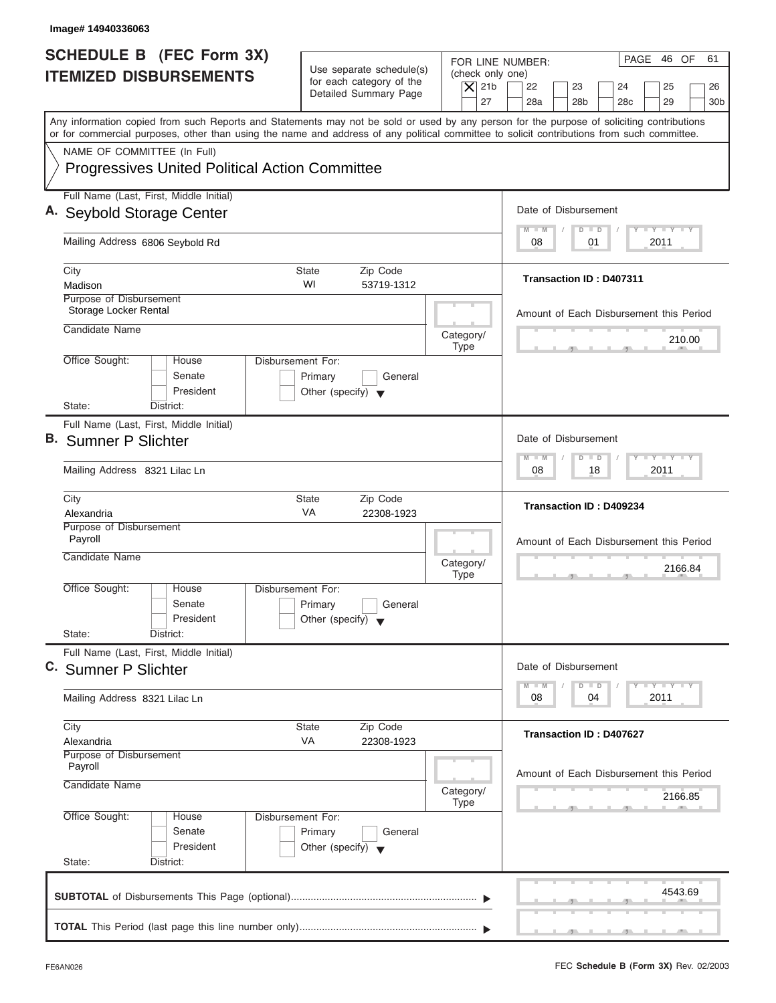| Image# 14940336063                                                                                                                                                                                                                                                                      |                                                                                                     |                                                                                                                                                                    |
|-----------------------------------------------------------------------------------------------------------------------------------------------------------------------------------------------------------------------------------------------------------------------------------------|-----------------------------------------------------------------------------------------------------|--------------------------------------------------------------------------------------------------------------------------------------------------------------------|
| <b>SCHEDULE B</b> (FEC Form 3X)<br><b>ITEMIZED DISBURSEMENTS</b>                                                                                                                                                                                                                        | Use separate schedule(s)<br>for each category of the<br>$\overline{X}$ 21b<br>Detailed Summary Page | PAGE 46 OF<br>61<br>FOR LINE NUMBER:<br>(check only one)<br>22<br>23<br>24<br>25<br>26<br>27<br>28a<br>28 <sub>b</sub><br>29<br>30 <sub>b</sub><br>28 <sub>c</sub> |
| Any information copied from such Reports and Statements may not be sold or used by any person for the purpose of soliciting contributions<br>or for commercial purposes, other than using the name and address of any political committee to solicit contributions from such committee. |                                                                                                     |                                                                                                                                                                    |
| NAME OF COMMITTEE (In Full)<br><b>Progressives United Political Action Committee</b>                                                                                                                                                                                                    |                                                                                                     |                                                                                                                                                                    |
| Full Name (Last, First, Middle Initial)<br>A. Seybold Storage Center                                                                                                                                                                                                                    |                                                                                                     | Date of Disbursement                                                                                                                                               |
| Mailing Address 6806 Seybold Rd                                                                                                                                                                                                                                                         |                                                                                                     | $T - Y = T - Y = T - Y$<br>$D$ $D$<br>$M - M$<br>01<br>2011<br>08                                                                                                  |
| City<br>Madison                                                                                                                                                                                                                                                                         | <b>State</b><br>Zip Code<br>WI<br>53719-1312                                                        | Transaction ID: D407311                                                                                                                                            |
| Purpose of Disbursement<br>Storage Locker Rental                                                                                                                                                                                                                                        |                                                                                                     | Amount of Each Disbursement this Period                                                                                                                            |
| Candidate Name                                                                                                                                                                                                                                                                          | Category/<br><b>Type</b>                                                                            | 210.00                                                                                                                                                             |
| Office Sought:<br>House<br>Senate<br>President<br>State:<br>District:                                                                                                                                                                                                                   | Disbursement For:<br>Primary<br>General<br>Other (specify) $\blacktriangledown$                     |                                                                                                                                                                    |
| Full Name (Last, First, Middle Initial)<br><b>B.</b> Sumner P Slichter                                                                                                                                                                                                                  |                                                                                                     | Date of Disbursement                                                                                                                                               |
| Mailing Address 8321 Lilac Ln                                                                                                                                                                                                                                                           |                                                                                                     | $-$ Y $-$ Y $-$ Y<br>$M - M$<br>$\Box$<br>$\overline{D}$<br>2011<br>08<br>18                                                                                       |
| City<br>Alexandria                                                                                                                                                                                                                                                                      | Zip Code<br><b>State</b><br>VA<br>22308-1923                                                        | Transaction ID: D409234                                                                                                                                            |
| Purpose of Disbursement<br>Payroll<br>Candidate Name                                                                                                                                                                                                                                    | Category/<br><b>Type</b>                                                                            | Amount of Each Disbursement this Period<br>2166.84<br>$-5$                                                                                                         |
| Office Sought:<br>House<br>Senate<br>President<br>State:<br>District:                                                                                                                                                                                                                   | Disbursement For:<br>Primary<br>General<br>Other (specify) $\blacktriangledown$                     |                                                                                                                                                                    |
| Full Name (Last, First, Middle Initial)<br>C. Sumner P Slichter                                                                                                                                                                                                                         |                                                                                                     | Date of Disbursement                                                                                                                                               |
| Mailing Address 8321 Lilac Ln                                                                                                                                                                                                                                                           |                                                                                                     | $T - Y = T - Y = T - Y$<br>$M - M$<br>$\overline{\mathsf{D}}$<br>$\Box$<br>2011<br>08<br>04                                                                        |
| City<br>Alexandria                                                                                                                                                                                                                                                                      | Zip Code<br>State<br>VA<br>22308-1923                                                               | Transaction ID: D407627                                                                                                                                            |
| Purpose of Disbursement<br>Payroll<br>Candidate Name                                                                                                                                                                                                                                    | Category/<br>Type                                                                                   | Amount of Each Disbursement this Period<br>2166.85                                                                                                                 |
| Office Sought:<br>House<br>Senate<br>President<br>State:<br>District:                                                                                                                                                                                                                   | Disbursement For:<br>Primary<br>General<br>Other (specify) $\blacktriangledown$                     |                                                                                                                                                                    |
|                                                                                                                                                                                                                                                                                         |                                                                                                     | 4543.69                                                                                                                                                            |
|                                                                                                                                                                                                                                                                                         |                                                                                                     | $\mathcal{F}$ , and $\mathcal{F}$ , and $\mathcal{F}$                                                                                                              |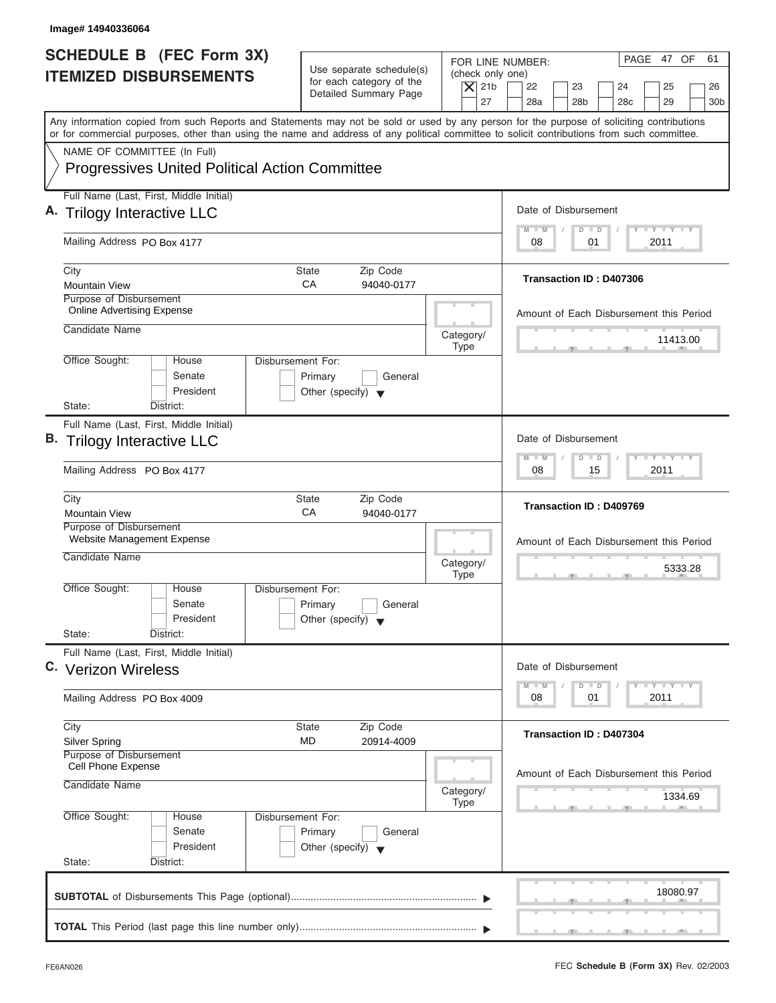| Image# 14940336064                                                                                                                                                                                                                                                                      |                                                                                                     |                                                                                                                                                                    |
|-----------------------------------------------------------------------------------------------------------------------------------------------------------------------------------------------------------------------------------------------------------------------------------------|-----------------------------------------------------------------------------------------------------|--------------------------------------------------------------------------------------------------------------------------------------------------------------------|
| <b>SCHEDULE B</b> (FEC Form 3X)<br><b>ITEMIZED DISBURSEMENTS</b>                                                                                                                                                                                                                        | Use separate schedule(s)<br>for each category of the<br>$\vert$ $\chi$ 21b<br>Detailed Summary Page | PAGE 47 OF<br>61<br>FOR LINE NUMBER:<br>(check only one)<br>22<br>23<br>24<br>25<br>26<br>27<br>28a<br>28 <sub>b</sub><br>29<br>28 <sub>c</sub><br>30 <sub>b</sub> |
| Any information copied from such Reports and Statements may not be sold or used by any person for the purpose of soliciting contributions<br>or for commercial purposes, other than using the name and address of any political committee to solicit contributions from such committee. |                                                                                                     |                                                                                                                                                                    |
| NAME OF COMMITTEE (In Full)                                                                                                                                                                                                                                                             |                                                                                                     |                                                                                                                                                                    |
| <b>Progressives United Political Action Committee</b>                                                                                                                                                                                                                                   |                                                                                                     |                                                                                                                                                                    |
| Full Name (Last, First, Middle Initial)                                                                                                                                                                                                                                                 |                                                                                                     |                                                                                                                                                                    |
| A. Trilogy Interactive LLC                                                                                                                                                                                                                                                              |                                                                                                     | Date of Disbursement                                                                                                                                               |
| Mailing Address PO Box 4177                                                                                                                                                                                                                                                             |                                                                                                     | $T - Y = T - Y = T - Y$<br>$D$ $D$<br>$M - M$<br>2011<br>08<br>01                                                                                                  |
| City                                                                                                                                                                                                                                                                                    | Zip Code<br>State                                                                                   |                                                                                                                                                                    |
| <b>Mountain View</b>                                                                                                                                                                                                                                                                    | CA<br>94040-0177                                                                                    | <b>Transaction ID: D407306</b>                                                                                                                                     |
| Purpose of Disbursement<br><b>Online Advertising Expense</b>                                                                                                                                                                                                                            |                                                                                                     | Amount of Each Disbursement this Period                                                                                                                            |
| Candidate Name                                                                                                                                                                                                                                                                          | Category/                                                                                           | 11413.00                                                                                                                                                           |
| Office Sought:<br>Disbursement For:<br>House                                                                                                                                                                                                                                            | <b>Type</b>                                                                                         |                                                                                                                                                                    |
| Senate<br>President<br>State:<br>District:                                                                                                                                                                                                                                              | Primary<br>General<br>Other (specify) $\blacktriangledown$                                          |                                                                                                                                                                    |
| Full Name (Last, First, Middle Initial)                                                                                                                                                                                                                                                 |                                                                                                     |                                                                                                                                                                    |
| B. Trilogy Interactive LLC                                                                                                                                                                                                                                                              |                                                                                                     | Date of Disbursement                                                                                                                                               |
| Mailing Address PO Box 4177                                                                                                                                                                                                                                                             |                                                                                                     | $-$ Y $-$ Y $-$ Y<br>$\Box$<br>M<br>$-N$<br>$\overline{D}$<br>2011<br>08<br>15                                                                                     |
| City<br><b>Mountain View</b>                                                                                                                                                                                                                                                            | Zip Code<br><b>State</b><br>СA<br>94040-0177                                                        | Transaction ID: D409769                                                                                                                                            |
| Purpose of Disbursement<br>Website Management Expense                                                                                                                                                                                                                                   |                                                                                                     | Amount of Each Disbursement this Period                                                                                                                            |
| Candidate Name                                                                                                                                                                                                                                                                          | Category/<br><b>Type</b>                                                                            | 5333.28                                                                                                                                                            |
| Office Sought:<br>House<br>Disbursement For:<br>Senate<br>President<br>State:<br>District:                                                                                                                                                                                              | Primary<br>General<br>Other (specify) $\blacktriangledown$                                          |                                                                                                                                                                    |
| Full Name (Last, First, Middle Initial)                                                                                                                                                                                                                                                 |                                                                                                     |                                                                                                                                                                    |
| C. Verizon Wireless                                                                                                                                                                                                                                                                     |                                                                                                     | Date of Disbursement                                                                                                                                               |
| Mailing Address PO Box 4009                                                                                                                                                                                                                                                             |                                                                                                     | $T - Y$ $T - Y$<br>$M - M$<br>$\Box$<br>D<br>2011<br>08<br>01                                                                                                      |
| City                                                                                                                                                                                                                                                                                    | Zip Code<br><b>State</b>                                                                            |                                                                                                                                                                    |
| <b>Silver Spring</b>                                                                                                                                                                                                                                                                    | MD<br>20914-4009                                                                                    | Transaction ID: D407304                                                                                                                                            |
| Purpose of Disbursement<br>Cell Phone Expense                                                                                                                                                                                                                                           |                                                                                                     |                                                                                                                                                                    |
| Candidate Name                                                                                                                                                                                                                                                                          | Category/<br><b>Type</b>                                                                            | Amount of Each Disbursement this Period<br>1334.69                                                                                                                 |
| Office Sought:<br>Disbursement For:<br>House<br>Senate<br>President                                                                                                                                                                                                                     | Primary<br>General<br>Other (specify) $\blacktriangledown$                                          |                                                                                                                                                                    |
| State:<br>District:                                                                                                                                                                                                                                                                     |                                                                                                     |                                                                                                                                                                    |
|                                                                                                                                                                                                                                                                                         |                                                                                                     | 18080.97                                                                                                                                                           |
|                                                                                                                                                                                                                                                                                         |                                                                                                     |                                                                                                                                                                    |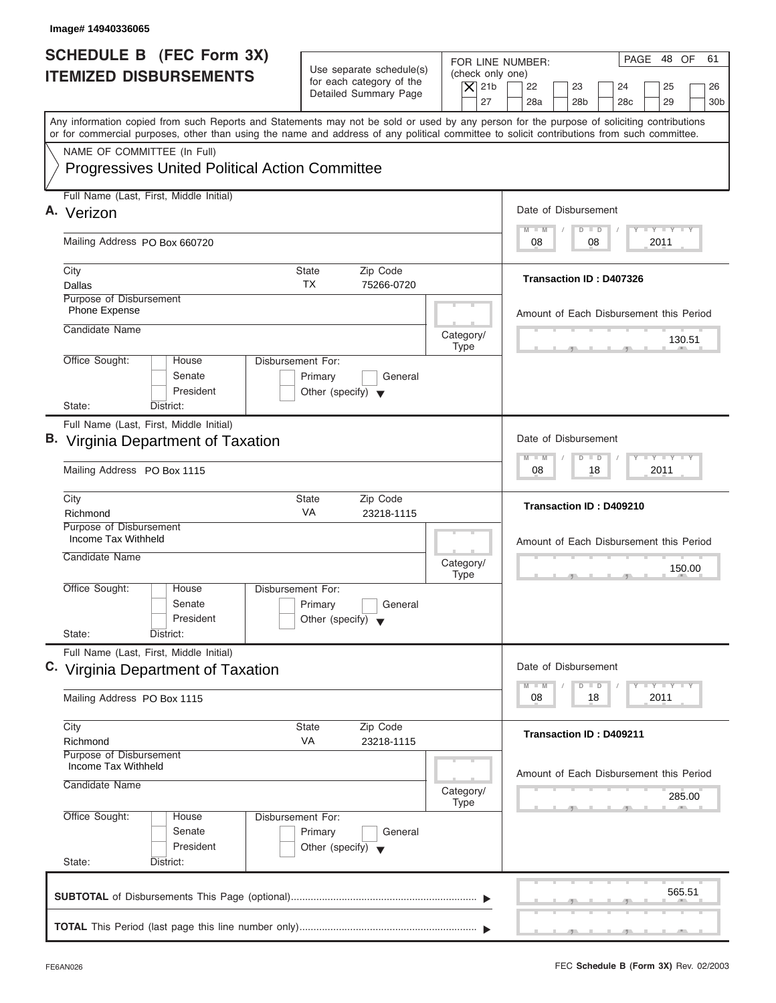| Image# 14940336065                                                                                                                                                                                                                                                                      |                                                                                 |                                                                  |                                                                                                                      |
|-----------------------------------------------------------------------------------------------------------------------------------------------------------------------------------------------------------------------------------------------------------------------------------------|---------------------------------------------------------------------------------|------------------------------------------------------------------|----------------------------------------------------------------------------------------------------------------------|
| <b>SCHEDULE B</b> (FEC Form 3X)<br><b>ITEMIZED DISBURSEMENTS</b>                                                                                                                                                                                                                        | Use separate schedule(s)<br>for each category of the<br>Detailed Summary Page   | FOR LINE NUMBER:<br>(check only one)<br>$\overline{X}$ 21b<br>27 | PAGE 48 OF<br>61<br>22<br>23<br>24<br>25<br>26<br>28a<br>28 <sub>b</sub><br>29<br>28 <sub>c</sub><br>30 <sub>b</sub> |
| Any information copied from such Reports and Statements may not be sold or used by any person for the purpose of soliciting contributions<br>or for commercial purposes, other than using the name and address of any political committee to solicit contributions from such committee. |                                                                                 |                                                                  |                                                                                                                      |
| NAME OF COMMITTEE (In Full)<br><b>Progressives United Political Action Committee</b>                                                                                                                                                                                                    |                                                                                 |                                                                  |                                                                                                                      |
| Full Name (Last, First, Middle Initial)<br>A. Verizon                                                                                                                                                                                                                                   |                                                                                 |                                                                  | Date of Disbursement                                                                                                 |
| Mailing Address PO Box 660720                                                                                                                                                                                                                                                           |                                                                                 |                                                                  | $T - Y = T - Y = T - Y$<br>$D$ $D$<br>$M - M$<br>08<br>2011<br>08                                                    |
| City                                                                                                                                                                                                                                                                                    | State<br>Zip Code                                                               |                                                                  |                                                                                                                      |
| Dallas                                                                                                                                                                                                                                                                                  | <b>TX</b><br>75266-0720                                                         |                                                                  | <b>Transaction ID: D407326</b>                                                                                       |
| Purpose of Disbursement<br>Phone Expense                                                                                                                                                                                                                                                |                                                                                 |                                                                  | Amount of Each Disbursement this Period                                                                              |
| Candidate Name                                                                                                                                                                                                                                                                          |                                                                                 | Category/<br><b>Type</b>                                         | 130.51                                                                                                               |
| Office Sought:<br>House<br>Senate<br>President<br>State:<br>District:                                                                                                                                                                                                                   | Disbursement For:<br>Primary<br>General<br>Other (specify) $\blacktriangledown$ |                                                                  |                                                                                                                      |
| Full Name (Last, First, Middle Initial)                                                                                                                                                                                                                                                 |                                                                                 |                                                                  |                                                                                                                      |
| <b>B.</b> Virginia Department of Taxation                                                                                                                                                                                                                                               |                                                                                 |                                                                  | Date of Disbursement                                                                                                 |
| Mailing Address PO Box 1115                                                                                                                                                                                                                                                             |                                                                                 |                                                                  | <b>LEYTEY LEY</b><br>$M - M$<br>$\Box$<br>$\overline{D}$<br>2011<br>08<br>18                                         |
| City<br>Richmond                                                                                                                                                                                                                                                                        | <b>State</b><br>Zip Code<br>VA<br>23218-1115                                    |                                                                  | Transaction ID: D409210                                                                                              |
| Purpose of Disbursement<br>Income Tax Withheld                                                                                                                                                                                                                                          |                                                                                 |                                                                  | Amount of Each Disbursement this Period                                                                              |
| Candidate Name                                                                                                                                                                                                                                                                          |                                                                                 | Category/<br><b>Type</b>                                         | 150.00<br>$-5$                                                                                                       |
| Office Sought:<br>House<br>Senate<br>President                                                                                                                                                                                                                                          | Disbursement For:<br>Primary<br>General<br>Other (specify) $\blacktriangledown$ |                                                                  |                                                                                                                      |
| State:<br>District:                                                                                                                                                                                                                                                                     |                                                                                 |                                                                  |                                                                                                                      |
| Full Name (Last, First, Middle Initial)<br>C. Virginia Department of Taxation                                                                                                                                                                                                           |                                                                                 |                                                                  | Date of Disbursement                                                                                                 |
| Mailing Address PO Box 1115                                                                                                                                                                                                                                                             |                                                                                 |                                                                  | $T - Y$ $T - Y$<br>$M - M$<br>D<br>$\Box$<br>08<br>18<br>2011                                                        |
| City<br>Richmond                                                                                                                                                                                                                                                                        | Zip Code<br>State<br>VA<br>23218-1115                                           |                                                                  | Transaction ID: D409211                                                                                              |
| Purpose of Disbursement                                                                                                                                                                                                                                                                 |                                                                                 |                                                                  |                                                                                                                      |
| Income Tax Withheld<br>Candidate Name                                                                                                                                                                                                                                                   |                                                                                 | Category/                                                        | Amount of Each Disbursement this Period                                                                              |
|                                                                                                                                                                                                                                                                                         |                                                                                 | <b>Type</b>                                                      | 285.00                                                                                                               |
| Office Sought:<br>House<br>Senate<br>President                                                                                                                                                                                                                                          | Disbursement For:<br>Primary<br>General<br>Other (specify) $\blacktriangledown$ |                                                                  |                                                                                                                      |
| State:<br>District:                                                                                                                                                                                                                                                                     |                                                                                 |                                                                  |                                                                                                                      |
|                                                                                                                                                                                                                                                                                         |                                                                                 |                                                                  | 565.51                                                                                                               |

ı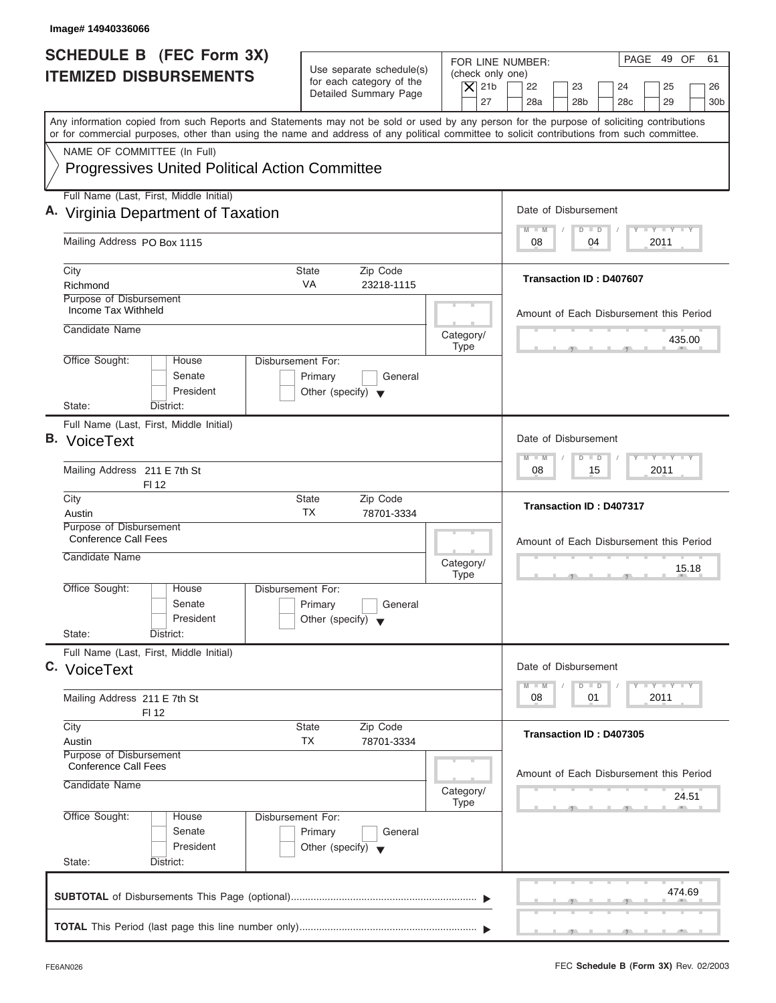| Image# 14940336066                                                                                                                                                                                                                                                                      |                                                                                                           |                                                                                                                                                              |
|-----------------------------------------------------------------------------------------------------------------------------------------------------------------------------------------------------------------------------------------------------------------------------------------|-----------------------------------------------------------------------------------------------------------|--------------------------------------------------------------------------------------------------------------------------------------------------------------|
| <b>SCHEDULE B</b> (FEC Form 3X)<br><b>ITEMIZED DISBURSEMENTS</b>                                                                                                                                                                                                                        | Use separate schedule(s)<br>for each category of the<br>$\overline{X}$ 21b<br>Detailed Summary Page<br>27 | PAGE 49 OF<br>61<br>FOR LINE NUMBER:<br>(check only one)<br>22<br>23<br>24<br>25<br>26<br>28a<br>28 <sub>b</sub><br>29<br>28 <sub>c</sub><br>30 <sub>b</sub> |
| Any information copied from such Reports and Statements may not be sold or used by any person for the purpose of soliciting contributions<br>or for commercial purposes, other than using the name and address of any political committee to solicit contributions from such committee. |                                                                                                           |                                                                                                                                                              |
| NAME OF COMMITTEE (In Full)<br><b>Progressives United Political Action Committee</b>                                                                                                                                                                                                    |                                                                                                           |                                                                                                                                                              |
| Full Name (Last, First, Middle Initial)<br>A. Virginia Department of Taxation                                                                                                                                                                                                           |                                                                                                           | Date of Disbursement                                                                                                                                         |
| Mailing Address PO Box 1115                                                                                                                                                                                                                                                             |                                                                                                           | $T - Y = T - Y = T - Y$<br>$M - M$<br>$D$ $D$<br>04<br>2011<br>08                                                                                            |
| City<br>Richmond                                                                                                                                                                                                                                                                        | State<br>Zip Code<br><b>VA</b><br>23218-1115                                                              | <b>Transaction ID: D407607</b>                                                                                                                               |
| Purpose of Disbursement<br>Income Tax Withheld<br>Candidate Name                                                                                                                                                                                                                        | Category/                                                                                                 | Amount of Each Disbursement this Period<br>435.00                                                                                                            |
| Office Sought:<br>House<br>Senate<br>President<br>State:<br>District:                                                                                                                                                                                                                   | <b>Type</b><br>Disbursement For:<br>Primary<br>General<br>Other (specify) $\blacktriangledown$            |                                                                                                                                                              |
| Full Name (Last, First, Middle Initial)<br><b>B.</b> VoiceText                                                                                                                                                                                                                          |                                                                                                           | Date of Disbursement<br><b>LEYTEY LEY</b><br>$M - M$<br>$\Box$<br>$\overline{D}$                                                                             |
| Mailing Address 211 E 7th St<br>FI 12<br>City                                                                                                                                                                                                                                           | Zip Code<br>State                                                                                         | 2011<br>08<br>15                                                                                                                                             |
| Austin<br>Purpose of Disbursement<br><b>Conference Call Fees</b><br>Candidate Name                                                                                                                                                                                                      | ТX<br>78701-3334<br>Category/<br><b>Type</b>                                                              | Transaction ID: D407317<br>Amount of Each Disbursement this Period<br>15.18                                                                                  |
| Office Sought:<br>House<br>Senate<br>President<br>State:<br>District:                                                                                                                                                                                                                   | Disbursement For:<br>Primary<br>General<br>Other (specify) $\blacktriangledown$                           |                                                                                                                                                              |
| Full Name (Last, First, Middle Initial)<br>C. VoiceText                                                                                                                                                                                                                                 |                                                                                                           | Date of Disbursement<br>$T - Y$ $T - Y$<br>$M - M$<br>$\overline{D}$<br>$\Box$                                                                               |
| Mailing Address 211 E 7th St<br>FI 12<br>City                                                                                                                                                                                                                                           | State<br>Zip Code                                                                                         | 2011<br>08<br>01                                                                                                                                             |
| Austin<br>Purpose of Disbursement<br><b>Conference Call Fees</b>                                                                                                                                                                                                                        | ТX<br>78701-3334                                                                                          | Transaction ID: D407305                                                                                                                                      |
| Candidate Name                                                                                                                                                                                                                                                                          | Category/<br>Type                                                                                         | Amount of Each Disbursement this Period<br>24.51                                                                                                             |
| Office Sought:<br>House<br>Senate<br>President<br>State:<br>District:                                                                                                                                                                                                                   | Disbursement For:<br>Primary<br>General<br>Other (specify) $\blacktriangledown$                           |                                                                                                                                                              |
|                                                                                                                                                                                                                                                                                         |                                                                                                           | 474.69                                                                                                                                                       |
|                                                                                                                                                                                                                                                                                         |                                                                                                           |                                                                                                                                                              |

I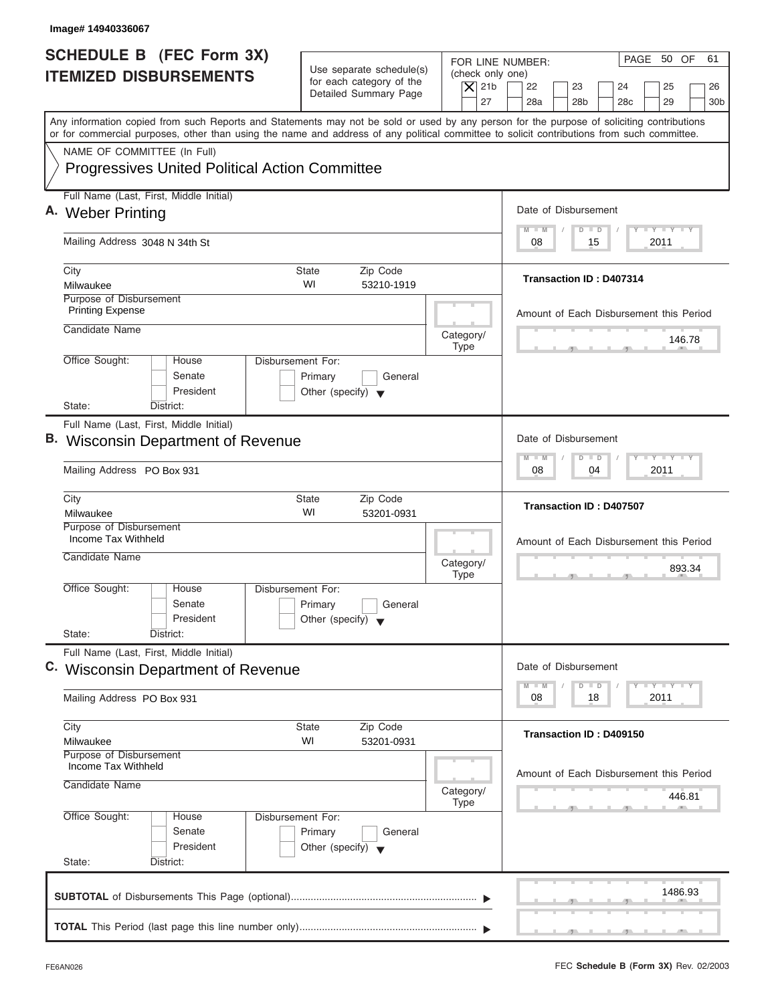| Image# 14940336067                                                                                                                                                                                                                                                                      |                                                                                 |                                                                                                                                                                                          |
|-----------------------------------------------------------------------------------------------------------------------------------------------------------------------------------------------------------------------------------------------------------------------------------------|---------------------------------------------------------------------------------|------------------------------------------------------------------------------------------------------------------------------------------------------------------------------------------|
| <b>SCHEDULE B</b> (FEC Form 3X)<br><b>ITEMIZED DISBURSEMENTS</b>                                                                                                                                                                                                                        | Use separate schedule(s)<br>for each category of the<br>Detailed Summary Page   | PAGE 50 OF<br>61<br>FOR LINE NUMBER:<br>(check only one)<br>$\overline{X}$ 21b<br>22<br>23<br>24<br>25<br>26<br>27<br>28a<br>28 <sub>b</sub><br>29<br>28 <sub>c</sub><br>30 <sub>b</sub> |
| Any information copied from such Reports and Statements may not be sold or used by any person for the purpose of soliciting contributions<br>or for commercial purposes, other than using the name and address of any political committee to solicit contributions from such committee. |                                                                                 |                                                                                                                                                                                          |
| NAME OF COMMITTEE (In Full)<br><b>Progressives United Political Action Committee</b>                                                                                                                                                                                                    |                                                                                 |                                                                                                                                                                                          |
| Full Name (Last, First, Middle Initial)<br>A. Weber Printing                                                                                                                                                                                                                            |                                                                                 | Date of Disbursement                                                                                                                                                                     |
| Mailing Address 3048 N 34th St                                                                                                                                                                                                                                                          |                                                                                 | $T - Y = T - Y = T - Y$<br>$M - M$<br>$D$ $D$<br>2011<br>08<br>15                                                                                                                        |
| City<br>Milwaukee                                                                                                                                                                                                                                                                       | <b>State</b><br>Zip Code<br>WI<br>53210-1919                                    | <b>Transaction ID: D407314</b>                                                                                                                                                           |
| Purpose of Disbursement<br><b>Printing Expense</b><br>Candidate Name                                                                                                                                                                                                                    |                                                                                 | Amount of Each Disbursement this Period                                                                                                                                                  |
| Office Sought:<br>House                                                                                                                                                                                                                                                                 | Category/<br><b>Type</b><br>Disbursement For:                                   | 146.78                                                                                                                                                                                   |
| Senate<br>President<br>State:<br>District:                                                                                                                                                                                                                                              | Primary<br>General<br>Other (specify) $\blacktriangledown$                      |                                                                                                                                                                                          |
| Full Name (Last, First, Middle Initial)<br><b>B.</b> Wisconsin Department of Revenue                                                                                                                                                                                                    |                                                                                 | Date of Disbursement                                                                                                                                                                     |
| Mailing Address PO Box 931                                                                                                                                                                                                                                                              |                                                                                 | $-$ Y $-$ Y $-$ Y<br>$\Box$<br>$M - M$<br>$\overline{D}$<br>2011<br>08<br>04                                                                                                             |
| City<br>Milwaukee                                                                                                                                                                                                                                                                       | <b>State</b><br>Zip Code<br>WI<br>53201-0931                                    | <b>Transaction ID: D407507</b>                                                                                                                                                           |
| Purpose of Disbursement<br>Income Tax Withheld<br>Candidate Name                                                                                                                                                                                                                        | Category/<br><b>Type</b>                                                        | Amount of Each Disbursement this Period<br>893.34                                                                                                                                        |
| Office Sought:<br>House<br>Senate<br>President<br>State:<br>District:                                                                                                                                                                                                                   | Disbursement For:<br>Primary<br>General<br>Other (specify) $\blacktriangledown$ |                                                                                                                                                                                          |
| Full Name (Last, First, Middle Initial)<br>C. Wisconsin Department of Revenue                                                                                                                                                                                                           |                                                                                 | Date of Disbursement<br>$T - Y$ $T - Y$<br>$M - M$<br>D<br>$\Box$                                                                                                                        |
| Mailing Address PO Box 931                                                                                                                                                                                                                                                              |                                                                                 | 2011<br>08<br>18                                                                                                                                                                         |
| City<br>Milwaukee<br>Purpose of Disbursement                                                                                                                                                                                                                                            | Zip Code<br><b>State</b><br>WI<br>53201-0931                                    | Transaction ID: D409150                                                                                                                                                                  |
| Income Tax Withheld<br>Candidate Name                                                                                                                                                                                                                                                   | Category/<br><b>Type</b>                                                        | Amount of Each Disbursement this Period<br>446.81                                                                                                                                        |
| Office Sought:<br>House<br>Senate<br>President<br>State:<br>District:                                                                                                                                                                                                                   | Disbursement For:<br>Primary<br>General<br>Other (specify) $\blacktriangledown$ |                                                                                                                                                                                          |
|                                                                                                                                                                                                                                                                                         |                                                                                 | 1486.93                                                                                                                                                                                  |
|                                                                                                                                                                                                                                                                                         |                                                                                 |                                                                                                                                                                                          |

I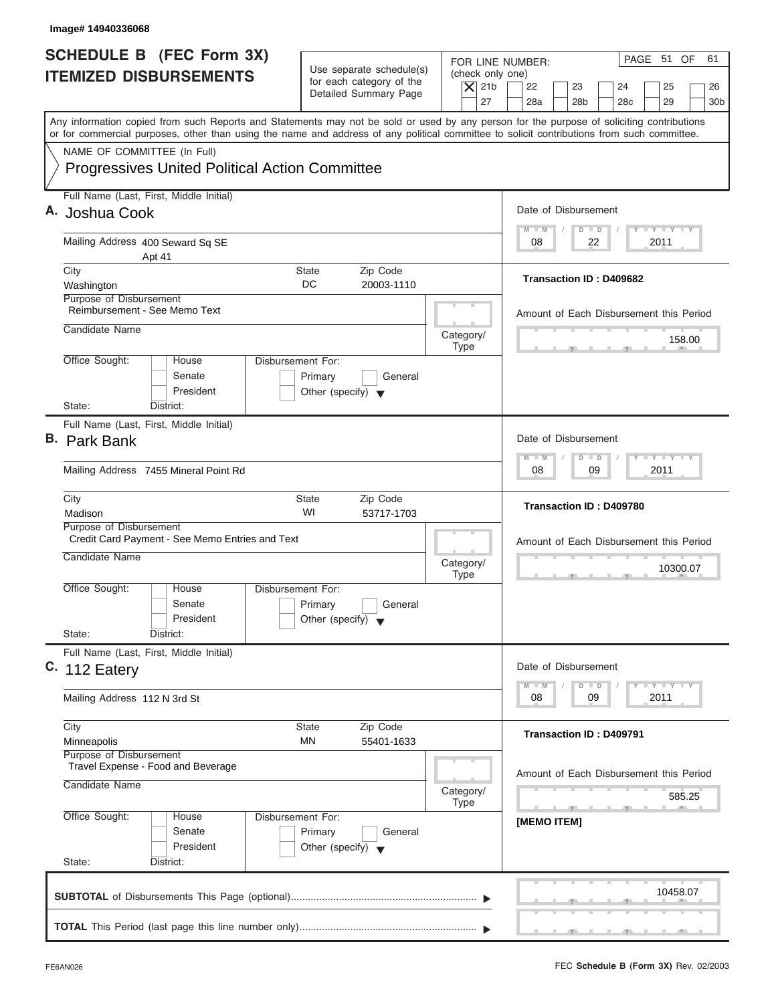| Image# 14940336068                                                                                                                                                                                                                                                                      |                                                                                                |                                                                                                                                                                                          |
|-----------------------------------------------------------------------------------------------------------------------------------------------------------------------------------------------------------------------------------------------------------------------------------------|------------------------------------------------------------------------------------------------|------------------------------------------------------------------------------------------------------------------------------------------------------------------------------------------|
| <b>SCHEDULE B (FEC Form 3X)</b><br><b>ITEMIZED DISBURSEMENTS</b>                                                                                                                                                                                                                        | Use separate schedule(s)<br>for each category of the<br>Detailed Summary Page                  | PAGE 51 OF<br>61<br>FOR LINE NUMBER:<br>(check only one)<br>$\overline{X}$ 21b<br>22<br>23<br>24<br>25<br>26<br>27<br>28a<br>28 <sub>b</sub><br>29<br>28 <sub>c</sub><br>30 <sub>b</sub> |
| Any information copied from such Reports and Statements may not be sold or used by any person for the purpose of soliciting contributions<br>or for commercial purposes, other than using the name and address of any political committee to solicit contributions from such committee. |                                                                                                |                                                                                                                                                                                          |
| NAME OF COMMITTEE (In Full)<br><b>Progressives United Political Action Committee</b>                                                                                                                                                                                                    |                                                                                                |                                                                                                                                                                                          |
| Full Name (Last, First, Middle Initial)<br>A. Joshua Cook                                                                                                                                                                                                                               |                                                                                                | Date of Disbursement                                                                                                                                                                     |
| Mailing Address 400 Seward Sq SE<br>Apt 41                                                                                                                                                                                                                                              |                                                                                                | $T - Y = T - Y = T - Y$<br>$D$ $D$<br>$M - M$<br>2011<br>08<br>22                                                                                                                        |
| City<br>Washington                                                                                                                                                                                                                                                                      | Zip Code<br>State<br>DC<br>20003-1110                                                          | Transaction ID: D409682                                                                                                                                                                  |
| Purpose of Disbursement<br>Reimbursement - See Memo Text<br>Candidate Name                                                                                                                                                                                                              | Category/                                                                                      | Amount of Each Disbursement this Period<br>158.00                                                                                                                                        |
| Office Sought:<br>House<br>Senate<br>President<br>State:<br>District:                                                                                                                                                                                                                   | <b>Type</b><br>Disbursement For:<br>Primary<br>General<br>Other (specify) $\blacktriangledown$ |                                                                                                                                                                                          |
| Full Name (Last, First, Middle Initial)<br><b>B.</b> Park Bank                                                                                                                                                                                                                          |                                                                                                | Date of Disbursement<br>$-$ Y $-$ Y $-$ Y<br>$M - M$<br>$\Box$<br>$\overline{D}$                                                                                                         |
| Mailing Address 7455 Mineral Point Rd                                                                                                                                                                                                                                                   |                                                                                                | 09<br>2011<br>08                                                                                                                                                                         |
| City<br>Madison                                                                                                                                                                                                                                                                         | <b>State</b><br>Zip Code<br>WI<br>53717-1703                                                   | Transaction ID: D409780                                                                                                                                                                  |
| Purpose of Disbursement<br>Credit Card Payment - See Memo Entries and Text<br>Candidate Name                                                                                                                                                                                            | Category/<br><b>Type</b>                                                                       | Amount of Each Disbursement this Period<br>10300.07<br>$-7$                                                                                                                              |
| Office Sought:<br>House<br>Senate<br>President<br>State:<br>District:                                                                                                                                                                                                                   | Disbursement For:<br>Primary<br>General<br>Other (specify) $\blacktriangledown$                |                                                                                                                                                                                          |
| Full Name (Last, First, Middle Initial)<br>C. 112 Eatery                                                                                                                                                                                                                                |                                                                                                | Date of Disbursement<br>$T - Y - T - Y - T - Y$<br>$M - M$<br>D<br>$\Box$                                                                                                                |
| Mailing Address 112 N 3rd St                                                                                                                                                                                                                                                            |                                                                                                | 2011<br>08<br>09                                                                                                                                                                         |
| City<br>Minneapolis                                                                                                                                                                                                                                                                     | Zip Code<br><b>State</b><br>ΜN<br>55401-1633                                                   | <b>Transaction ID: D409791</b>                                                                                                                                                           |
| Purpose of Disbursement<br>Travel Expense - Food and Beverage<br>Candidate Name                                                                                                                                                                                                         | Category/<br><b>Type</b>                                                                       | Amount of Each Disbursement this Period<br>585.25                                                                                                                                        |
| Office Sought:<br>House<br>Senate<br>President<br>State:<br>District:                                                                                                                                                                                                                   | Disbursement For:<br>Primary<br>General<br>Other (specify) $\blacktriangledown$                | [MEMO ITEM]                                                                                                                                                                              |
|                                                                                                                                                                                                                                                                                         |                                                                                                | 10458.07                                                                                                                                                                                 |
|                                                                                                                                                                                                                                                                                         |                                                                                                |                                                                                                                                                                                          |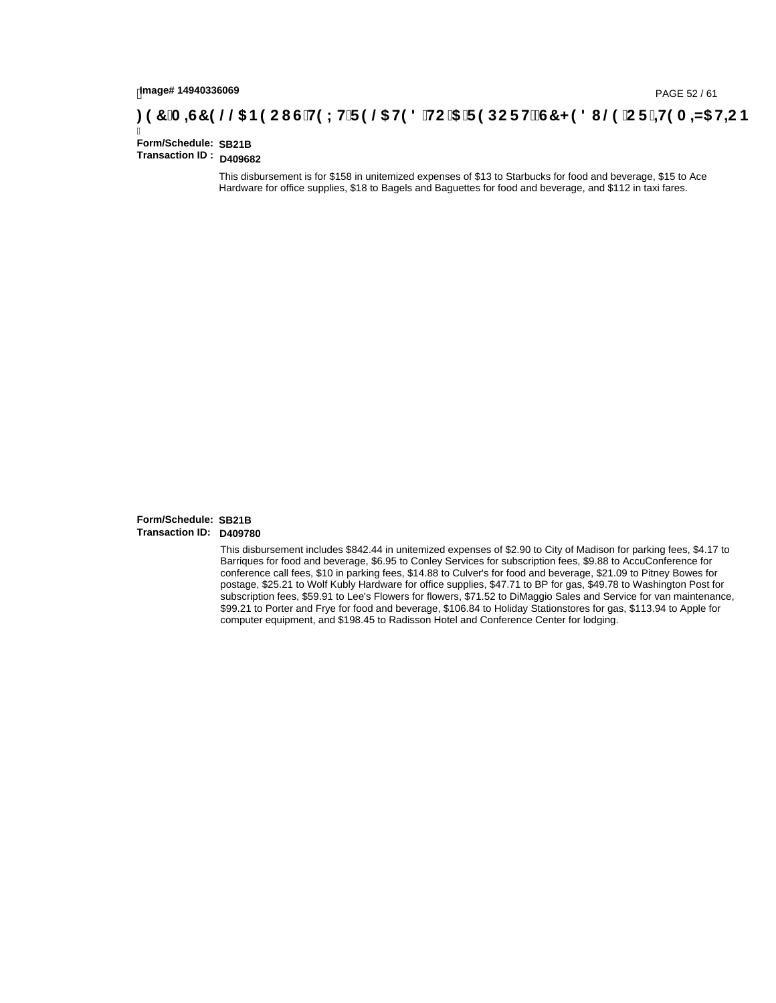# lmage#14940336069<br>DAGE 52 / 61 PAGE 52 / 61<br>**DAGE 52 / A ⊨G7 9 @@ B9 CI G`H9 LH`F 9 @ H9 8 `HC`5 `F 9 DC F Hž G7 < 9 8 I @ `C F `<del>I I</del>9 A ⊨N5 H=C B**

Ī **Form/Schedule: Transaction ID : D409682**

This disbursement is for \$158 in unitemized expenses of \$13 to Starbucks for food and beverage, \$15 to Ace Hardware for office supplies, \$18 to Bagels and Baguettes for food and beverage, and \$112 in taxi fares. **SB21B<br>D409682**<br>This disbi<br>Hardware<br>**SB21B**<br>D409780

#### **Form/Schedule: Transaction ID:**

This disbursement includes \$842.44 in unitemized expenses of \$2.90 to City of Madison for parking fees, \$4.17 to Barriques for food and beverage, \$6.95 to Conley Services for subscription fees, \$9.88 to AccuConference for conference call fees, \$10 in parking fees, \$14.88 to Culver's for food and beverage, \$21.09 to Pitney Bowes for postage, \$25.21 to Wolf Kubly Hardware for office supplies, \$47.71 to BP for gas, \$49.78 to Washington Post for subscription fees, \$59.91 to Lee's Flowers for flowers, \$71.52 to DiMaggio Sales and Service for van maintenance, \$99.21 to Porter and Frye for food and beverage, \$106.84 to Holiday Stationstores for gas, \$113.94 to Apple for computer equipment, and \$198.45 to Radisson Hotel and Conference Center for lodging.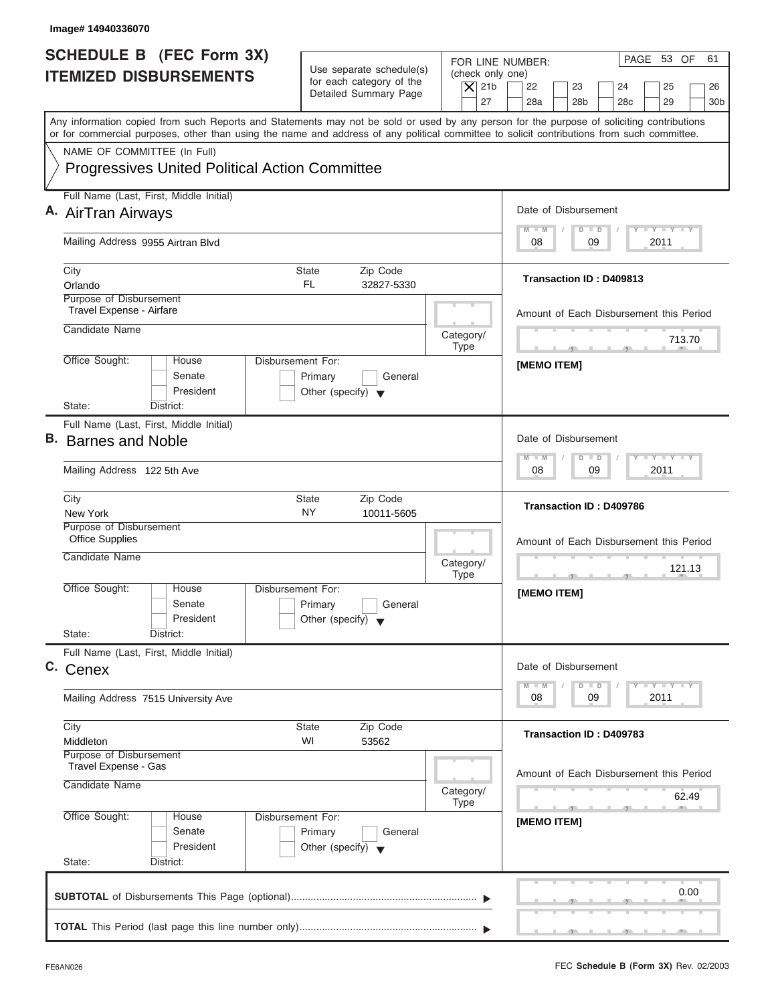| Image# 14940336070                                                                                                                                                                                                                                                                      |                                                            |                                      |                                                                                                  |
|-----------------------------------------------------------------------------------------------------------------------------------------------------------------------------------------------------------------------------------------------------------------------------------------|------------------------------------------------------------|--------------------------------------|--------------------------------------------------------------------------------------------------|
| <b>SCHEDULE B (FEC Form 3X)</b><br><b>ITEMIZED DISBURSEMENTS</b>                                                                                                                                                                                                                        | Use separate schedule(s)                                   | FOR LINE NUMBER:<br>(check only one) | PAGE 53 OF<br>61                                                                                 |
|                                                                                                                                                                                                                                                                                         | for each category of the<br>Detailed Summary Page          | $\overline{X}$ 21b<br>27             | 22<br>23<br>24<br>25<br>26<br>28a<br>28 <sub>b</sub><br>28 <sub>c</sub><br>29<br>30 <sub>b</sub> |
| Any information copied from such Reports and Statements may not be sold or used by any person for the purpose of soliciting contributions<br>or for commercial purposes, other than using the name and address of any political committee to solicit contributions from such committee. |                                                            |                                      |                                                                                                  |
| NAME OF COMMITTEE (In Full)                                                                                                                                                                                                                                                             |                                                            |                                      |                                                                                                  |
| <b>Progressives United Political Action Committee</b>                                                                                                                                                                                                                                   |                                                            |                                      |                                                                                                  |
| Full Name (Last, First, Middle Initial)                                                                                                                                                                                                                                                 |                                                            |                                      |                                                                                                  |
| A. AirTran Airways                                                                                                                                                                                                                                                                      |                                                            |                                      | Date of Disbursement                                                                             |
| Mailing Address 9955 Airtran Blvd                                                                                                                                                                                                                                                       |                                                            |                                      | <b>LY LY LY</b><br>$M - M$<br>$D$ $D$<br>09<br>2011<br>08                                        |
| City                                                                                                                                                                                                                                                                                    | <b>State</b><br>Zip Code                                   |                                      |                                                                                                  |
| Orlando<br>Purpose of Disbursement                                                                                                                                                                                                                                                      | <b>FL</b><br>32827-5330                                    |                                      | Transaction ID: D409813                                                                          |
| Travel Expense - Airfare                                                                                                                                                                                                                                                                |                                                            |                                      | Amount of Each Disbursement this Period                                                          |
| Candidate Name                                                                                                                                                                                                                                                                          |                                                            | Category/                            |                                                                                                  |
| <b>Disbursement For:</b>                                                                                                                                                                                                                                                                |                                                            | <b>Type</b>                          | 713.70<br>$\mathcal{F}$ and $\mathcal{F}$<br>a Ba                                                |
| Office Sought:<br>House<br>Senate<br>President                                                                                                                                                                                                                                          | Primary<br>General<br>Other (specify) $\blacktriangledown$ |                                      | [MEMO ITEM]                                                                                      |
| State:<br>District:<br>Full Name (Last, First, Middle Initial)                                                                                                                                                                                                                          |                                                            |                                      |                                                                                                  |
| B. Barnes and Noble                                                                                                                                                                                                                                                                     |                                                            |                                      | Date of Disbursement                                                                             |
| Mailing Address 122 5th Ave                                                                                                                                                                                                                                                             |                                                            |                                      | $-1 - Y - 1 - Y - 1 - Y$<br>$M - M$<br>$D$ $D$<br>09<br>2011<br>08                               |
| City<br>New York                                                                                                                                                                                                                                                                        | Zip Code<br><b>State</b><br>NY<br>10011-5605               |                                      | <b>Transaction ID: D409786</b>                                                                   |
| Purpose of Disbursement<br><b>Office Supplies</b>                                                                                                                                                                                                                                       |                                                            |                                      | Amount of Each Disbursement this Period                                                          |
| Candidate Name                                                                                                                                                                                                                                                                          |                                                            | Category/<br><b>Type</b>             | 121.13<br>$-5$                                                                                   |
| Office Sought:<br>House<br>Disbursement For:<br>Senate<br>President<br>State:                                                                                                                                                                                                           | Primary<br>General<br>Other (specify) $\blacktriangledown$ |                                      | [MEMO ITEM]                                                                                      |
| District:<br>Full Name (Last, First, Middle Initial)                                                                                                                                                                                                                                    |                                                            |                                      |                                                                                                  |
| C. Cenex                                                                                                                                                                                                                                                                                |                                                            |                                      | Date of Disbursement<br>$T - Y$ $T - Y$ $T - Y$<br>$M - M$<br>$\overline{D}$<br>$\Box$           |
| Mailing Address 7515 University Ave                                                                                                                                                                                                                                                     |                                                            |                                      | 2011<br>08<br>09                                                                                 |
| City<br>Middleton                                                                                                                                                                                                                                                                       | Zip Code<br><b>State</b><br>WI<br>53562                    |                                      | Transaction ID: D409783                                                                          |
| Purpose of Disbursement<br>Travel Expense - Gas                                                                                                                                                                                                                                         |                                                            |                                      |                                                                                                  |
| Candidate Name                                                                                                                                                                                                                                                                          |                                                            | Category/<br><b>Type</b>             | Amount of Each Disbursement this Period<br>62.49                                                 |
| Office Sought:<br>Disbursement For:<br>House<br>Senate<br>President                                                                                                                                                                                                                     | Primary<br>General<br>Other (specify) $\blacktriangledown$ |                                      | [MEMO ITEM]                                                                                      |
| State:<br>District:                                                                                                                                                                                                                                                                     |                                                            |                                      |                                                                                                  |
|                                                                                                                                                                                                                                                                                         |                                                            |                                      | 0.00                                                                                             |
|                                                                                                                                                                                                                                                                                         |                                                            |                                      |                                                                                                  |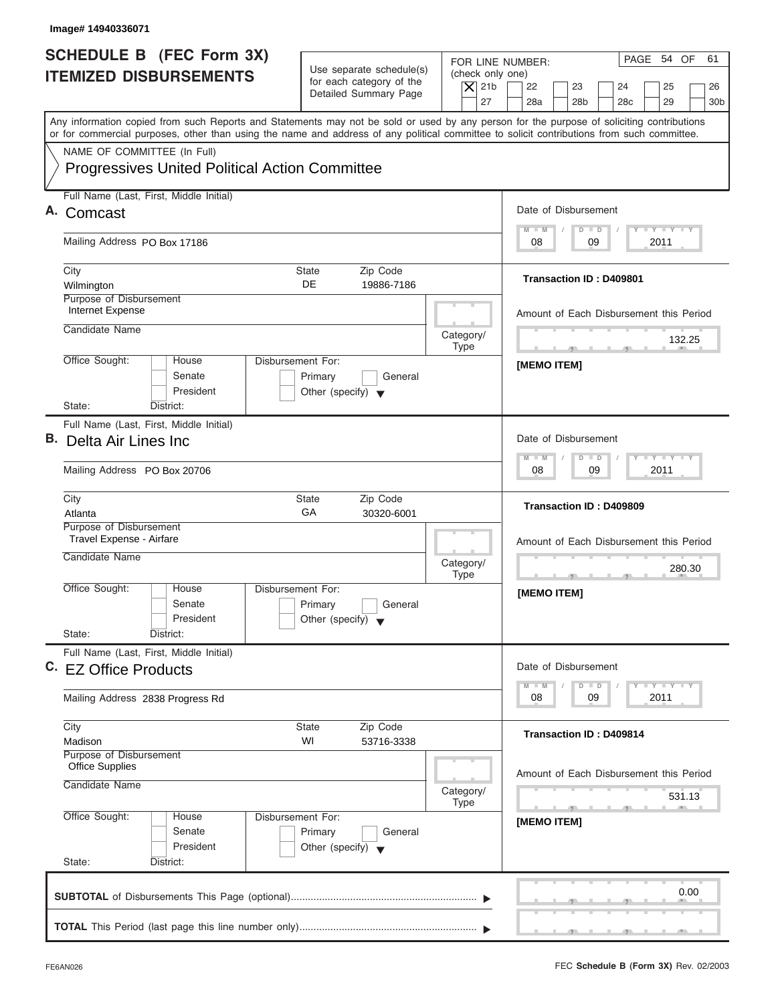| Image# 14940336071                                                                                                                                                                                                                                                                      |                                                                                 |                                                                  |                                                                                                                      |
|-----------------------------------------------------------------------------------------------------------------------------------------------------------------------------------------------------------------------------------------------------------------------------------------|---------------------------------------------------------------------------------|------------------------------------------------------------------|----------------------------------------------------------------------------------------------------------------------|
| SCHEDULE B (FEC Form 3X)<br><b>ITEMIZED DISBURSEMENTS</b>                                                                                                                                                                                                                               | Use separate schedule(s)<br>for each category of the<br>Detailed Summary Page   | FOR LINE NUMBER:<br>(check only one)<br>$\overline{X}$ 21b<br>27 | PAGE 54 OF<br>61<br>22<br>23<br>24<br>25<br>26<br>28a<br>28 <sub>b</sub><br>29<br>28 <sub>c</sub><br>30 <sub>b</sub> |
| Any information copied from such Reports and Statements may not be sold or used by any person for the purpose of soliciting contributions<br>or for commercial purposes, other than using the name and address of any political committee to solicit contributions from such committee. |                                                                                 |                                                                  |                                                                                                                      |
| NAME OF COMMITTEE (In Full)<br><b>Progressives United Political Action Committee</b>                                                                                                                                                                                                    |                                                                                 |                                                                  |                                                                                                                      |
| Full Name (Last, First, Middle Initial)<br>Comcast                                                                                                                                                                                                                                      |                                                                                 |                                                                  | Date of Disbursement                                                                                                 |
| Mailing Address PO Box 17186                                                                                                                                                                                                                                                            |                                                                                 |                                                                  | $T - Y = T - Y = T - Y$<br>$D$ $D$<br>$M - M$<br>09<br>2011<br>08                                                    |
| City<br>Wilmington                                                                                                                                                                                                                                                                      | State<br>Zip Code<br><b>DE</b><br>19886-7186                                    |                                                                  | Transaction ID: D409801                                                                                              |
| Purpose of Disbursement<br>Internet Expense                                                                                                                                                                                                                                             |                                                                                 |                                                                  | Amount of Each Disbursement this Period                                                                              |
| Candidate Name                                                                                                                                                                                                                                                                          |                                                                                 | Category/<br><b>Type</b>                                         | 132.25<br>$-$                                                                                                        |
| Office Sought:<br>House<br>Senate<br>President<br>State:<br>District:                                                                                                                                                                                                                   | Disbursement For:<br>Primary<br>General<br>Other (specify) $\blacktriangledown$ |                                                                  | [MEMO ITEM]                                                                                                          |
| Full Name (Last, First, Middle Initial)<br>B. Delta Air Lines Inc                                                                                                                                                                                                                       |                                                                                 |                                                                  | Date of Disbursement<br><b>LEYTEY LEY</b><br>$M - M$<br>$D$ $D$                                                      |
| Mailing Address PO Box 20706                                                                                                                                                                                                                                                            |                                                                                 |                                                                  | 09<br>2011<br>08                                                                                                     |
| City<br>Atlanta                                                                                                                                                                                                                                                                         | Zip Code<br><b>State</b><br>GA<br>30320-6001                                    |                                                                  | Transaction ID: D409809                                                                                              |
| Purpose of Disbursement<br>Travel Expense - Airfare<br>Candidate Name                                                                                                                                                                                                                   |                                                                                 | Category/<br><b>Type</b>                                         | Amount of Each Disbursement this Period<br>280.30                                                                    |
| Office Sought:<br>House<br>Senate<br>President<br>State:<br>District:                                                                                                                                                                                                                   | Disbursement For:<br>Primary<br>General<br>Other (specify) $\blacktriangledown$ |                                                                  | [MEMO ITEM]                                                                                                          |
| Full Name (Last, First, Middle Initial)<br>C. EZ Office Products                                                                                                                                                                                                                        |                                                                                 |                                                                  | Date of Disbursement<br>$T - Y$ $T - Y$<br>$M - M$<br>$\overline{D}$<br>$\Box$                                       |
| Mailing Address 2838 Progress Rd                                                                                                                                                                                                                                                        |                                                                                 |                                                                  | 2011<br>08<br>09                                                                                                     |
| City<br>Madison<br>Purpose of Disbursement                                                                                                                                                                                                                                              | Zip Code<br>State<br>WI<br>53716-3338                                           |                                                                  | Transaction ID: D409814                                                                                              |
| <b>Office Supplies</b><br>Candidate Name                                                                                                                                                                                                                                                |                                                                                 | Category/<br><b>Type</b>                                         | Amount of Each Disbursement this Period<br>531.13                                                                    |
| Office Sought:<br>House<br>Senate<br>President<br>State:<br>District:                                                                                                                                                                                                                   | Disbursement For:<br>Primary<br>General<br>Other (specify) $\blacktriangledown$ |                                                                  | - 70<br>[MEMO ITEM]                                                                                                  |
|                                                                                                                                                                                                                                                                                         |                                                                                 |                                                                  | 0.00                                                                                                                 |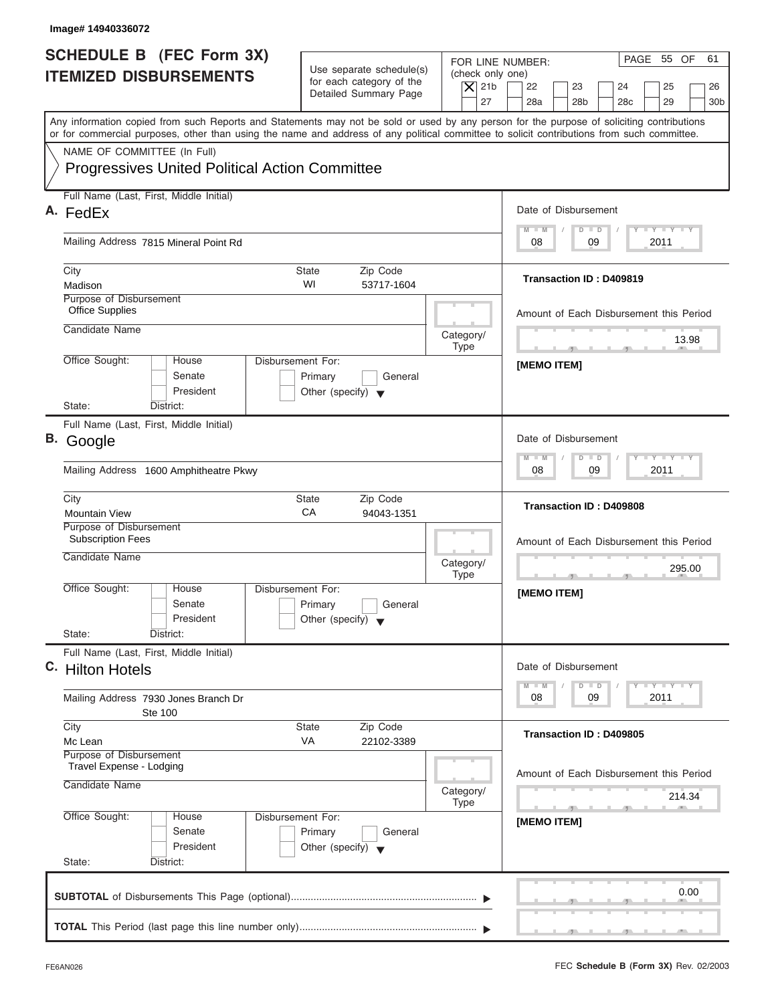| <b>SCHEDULE B (FEC Form 3X)</b><br><b>ITEMIZED DISBURSEMENTS</b>                                                                                                                                                                                                                        | Use separate schedule(s)<br>for each category of the<br>$\overline{X}$ 21b<br>Detailed Summary Page | PAGE 55 OF<br>61<br>FOR LINE NUMBER:<br>(check only one)<br>22<br>23<br>24<br>25<br>26                                                                                                                                                               |
|-----------------------------------------------------------------------------------------------------------------------------------------------------------------------------------------------------------------------------------------------------------------------------------------|-----------------------------------------------------------------------------------------------------|------------------------------------------------------------------------------------------------------------------------------------------------------------------------------------------------------------------------------------------------------|
| Any information copied from such Reports and Statements may not be sold or used by any person for the purpose of soliciting contributions<br>or for commercial purposes, other than using the name and address of any political committee to solicit contributions from such committee. |                                                                                                     | 27<br>28a<br>28 <sub>b</sub><br>28 <sub>c</sub><br>29<br>30 <sub>b</sub>                                                                                                                                                                             |
| NAME OF COMMITTEE (In Full)                                                                                                                                                                                                                                                             |                                                                                                     |                                                                                                                                                                                                                                                      |
| <b>Progressives United Political Action Committee</b>                                                                                                                                                                                                                                   |                                                                                                     |                                                                                                                                                                                                                                                      |
| Full Name (Last, First, Middle Initial)<br>A. FedEx                                                                                                                                                                                                                                     |                                                                                                     | Date of Disbursement                                                                                                                                                                                                                                 |
| Mailing Address 7815 Mineral Point Rd                                                                                                                                                                                                                                                   |                                                                                                     | <b>LY LY LY</b><br>$M - M$<br>$D$ $D$<br>09<br>2011<br>08                                                                                                                                                                                            |
| City<br>Madison                                                                                                                                                                                                                                                                         | State<br>Zip Code<br>WI<br>53717-1604                                                               | Transaction ID: D409819                                                                                                                                                                                                                              |
| Purpose of Disbursement<br><b>Office Supplies</b>                                                                                                                                                                                                                                       |                                                                                                     | Amount of Each Disbursement this Period                                                                                                                                                                                                              |
| Candidate Name                                                                                                                                                                                                                                                                          | Category/<br><b>Type</b>                                                                            | 13.98<br><b>The Contract Contract Contract Contract</b><br>$-7$                                                                                                                                                                                      |
| Office Sought:<br>House<br>Senate<br>President                                                                                                                                                                                                                                          | Disbursement For:<br>Primary<br>General<br>Other (specify) $\blacktriangledown$                     | [MEMO ITEM]                                                                                                                                                                                                                                          |
| State:<br>District:<br>Full Name (Last, First, Middle Initial)                                                                                                                                                                                                                          |                                                                                                     |                                                                                                                                                                                                                                                      |
| B. Google                                                                                                                                                                                                                                                                               |                                                                                                     | Date of Disbursement                                                                                                                                                                                                                                 |
| Mailing Address 1600 Amphitheatre Pkwy                                                                                                                                                                                                                                                  |                                                                                                     | $-1 - Y - 1 - Y - 1 - Y$<br>$M - M$<br>$D$ $D$<br>09<br>2011<br>08                                                                                                                                                                                   |
| City<br><b>Mountain View</b>                                                                                                                                                                                                                                                            | Zip Code<br><b>State</b><br>CA<br>94043-1351                                                        | Transaction ID: D409808                                                                                                                                                                                                                              |
| Purpose of Disbursement<br><b>Subscription Fees</b>                                                                                                                                                                                                                                     |                                                                                                     | Amount of Each Disbursement this Period                                                                                                                                                                                                              |
| Candidate Name                                                                                                                                                                                                                                                                          | Category/<br><b>Type</b>                                                                            | 295.00                                                                                                                                                                                                                                               |
| Office Sought:<br>House<br>Senate<br>President                                                                                                                                                                                                                                          | Disbursement For:<br>Primary<br>General<br>Other (specify) $\blacktriangledown$                     | [MEMO ITEM]                                                                                                                                                                                                                                          |
| State:<br>District:<br>Full Name (Last, First, Middle Initial)                                                                                                                                                                                                                          |                                                                                                     |                                                                                                                                                                                                                                                      |
| C. Hilton Hotels                                                                                                                                                                                                                                                                        |                                                                                                     | Date of Disbursement<br>$\frac{1}{2}$ $\frac{1}{2}$ $\frac{1}{2}$ $\frac{1}{2}$ $\frac{1}{2}$ $\frac{1}{2}$ $\frac{1}{2}$ $\frac{1}{2}$ $\frac{1}{2}$ $\frac{1}{2}$ $\frac{1}{2}$ $\frac{1}{2}$ $\frac{1}{2}$<br>$M - M$<br>$\overline{D}$<br>$\Box$ |
| Mailing Address 7930 Jones Branch Dr<br>Ste 100                                                                                                                                                                                                                                         |                                                                                                     | 2011<br>08<br>09                                                                                                                                                                                                                                     |
| City<br>Mc Lean                                                                                                                                                                                                                                                                         | Zip Code<br><b>State</b><br>VA<br>22102-3389                                                        | Transaction ID: D409805                                                                                                                                                                                                                              |
| Purpose of Disbursement<br>Travel Expense - Lodging<br>Candidate Name                                                                                                                                                                                                                   | Category/                                                                                           | Amount of Each Disbursement this Period                                                                                                                                                                                                              |
| Office Sought:<br>House<br>Senate<br>President<br>State:<br>District:                                                                                                                                                                                                                   | <b>Type</b><br>Disbursement For:<br>Primary<br>General<br>Other (specify) $\blacktriangledown$      | 214.34<br>[MEMO ITEM]                                                                                                                                                                                                                                |
|                                                                                                                                                                                                                                                                                         |                                                                                                     | 0.00                                                                                                                                                                                                                                                 |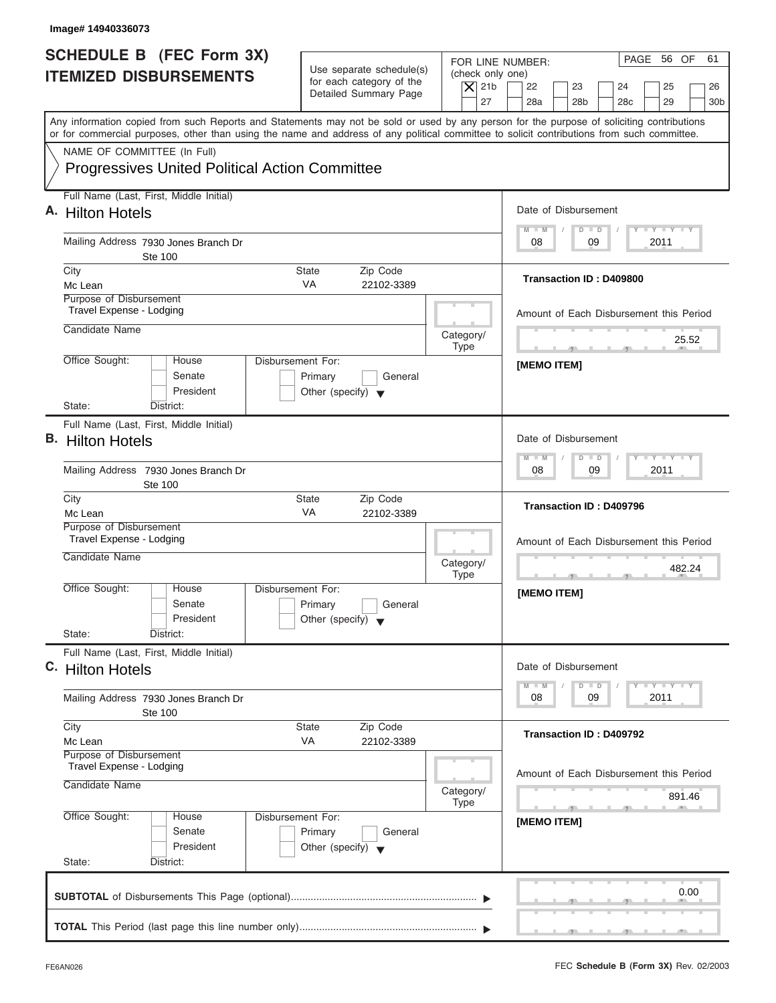| <b>SCHEDULE B</b> (FEC Form 3X)<br><b>ITEMIZED DISBURSEMENTS</b>                                                                                                                                                                                                                        | Use separate schedule(s)<br>for each category of the<br>Detailed Summary Page   | FOR LINE NUMBER:<br>(check only one)<br>$ \mathsf{X} $ 21b<br>27 | PAGE 56 OF<br>61<br>22<br>23<br>24<br>25<br>26<br>28a<br>28 <sub>b</sub><br>28 <sub>c</sub><br>29<br>30 <sub>b</sub>                                                                                                                                 |
|-----------------------------------------------------------------------------------------------------------------------------------------------------------------------------------------------------------------------------------------------------------------------------------------|---------------------------------------------------------------------------------|------------------------------------------------------------------|------------------------------------------------------------------------------------------------------------------------------------------------------------------------------------------------------------------------------------------------------|
| Any information copied from such Reports and Statements may not be sold or used by any person for the purpose of soliciting contributions<br>or for commercial purposes, other than using the name and address of any political committee to solicit contributions from such committee. |                                                                                 |                                                                  |                                                                                                                                                                                                                                                      |
| NAME OF COMMITTEE (In Full)<br><b>Progressives United Political Action Committee</b>                                                                                                                                                                                                    |                                                                                 |                                                                  |                                                                                                                                                                                                                                                      |
| Full Name (Last, First, Middle Initial)<br>A. Hilton Hotels                                                                                                                                                                                                                             |                                                                                 |                                                                  | Date of Disbursement                                                                                                                                                                                                                                 |
| Mailing Address 7930 Jones Branch Dr<br>Ste 100                                                                                                                                                                                                                                         |                                                                                 |                                                                  | $T - Y = T - Y = T - Y$<br>$M - M$<br>$D$ $D$<br>09<br>2011<br>08                                                                                                                                                                                    |
| City<br>Mc Lean<br>Purpose of Disbursement                                                                                                                                                                                                                                              | <b>State</b><br>Zip Code<br><b>VA</b><br>22102-3389                             |                                                                  | Transaction ID: D409800                                                                                                                                                                                                                              |
| Travel Expense - Lodging<br>Candidate Name                                                                                                                                                                                                                                              |                                                                                 | Category/                                                        | Amount of Each Disbursement this Period                                                                                                                                                                                                              |
| Office Sought:<br>House<br>Senate<br>President                                                                                                                                                                                                                                          | Disbursement For:<br>Primary<br>General<br>Other (specify) $\blacktriangledown$ | <b>Type</b>                                                      | 25.52<br><b>The Contract Contract Contract Contract</b><br>[MEMO ITEM]                                                                                                                                                                               |
| Full Name (Last, First, Middle Initial)<br><b>B.</b> Hilton Hotels<br>Mailing Address 7930 Jones Branch Dr<br><b>Ste 100</b>                                                                                                                                                            |                                                                                 |                                                                  | Date of Disbursement<br>$-1 - Y - 1 - Y - 1 - Y$<br>$M - M$<br>$D$ $D$<br>09<br>2011<br>08                                                                                                                                                           |
| City<br>Mc Lean                                                                                                                                                                                                                                                                         | Zip Code<br><b>State</b><br>VA<br>22102-3389                                    |                                                                  | Transaction ID: D409796                                                                                                                                                                                                                              |
| Purpose of Disbursement<br>Travel Expense - Lodging<br>Candidate Name                                                                                                                                                                                                                   |                                                                                 | Category/<br><b>Type</b>                                         | Amount of Each Disbursement this Period<br>482.24                                                                                                                                                                                                    |
| Office Sought:<br>House<br>Senate<br>President<br>State:<br>District:                                                                                                                                                                                                                   | Disbursement For:<br>Primary<br>General<br>Other (specify) $\blacktriangledown$ |                                                                  | [MEMO ITEM]                                                                                                                                                                                                                                          |
| Full Name (Last, First, Middle Initial)<br>C. Hilton Hotels                                                                                                                                                                                                                             |                                                                                 |                                                                  | Date of Disbursement<br>$\frac{1}{2}$ $\frac{1}{2}$ $\frac{1}{2}$ $\frac{1}{2}$ $\frac{1}{2}$ $\frac{1}{2}$ $\frac{1}{2}$ $\frac{1}{2}$ $\frac{1}{2}$ $\frac{1}{2}$ $\frac{1}{2}$ $\frac{1}{2}$ $\frac{1}{2}$<br>$M - M$<br>$\overline{D}$<br>$\Box$ |
| Mailing Address 7930 Jones Branch Dr<br>Ste 100                                                                                                                                                                                                                                         |                                                                                 |                                                                  | 2011<br>08<br>09                                                                                                                                                                                                                                     |
| City<br>Mc Lean<br>Purpose of Disbursement                                                                                                                                                                                                                                              | Zip Code<br><b>State</b><br>VA<br>22102-3389                                    |                                                                  | Transaction ID: D409792                                                                                                                                                                                                                              |
| Travel Expense - Lodging<br>Candidate Name                                                                                                                                                                                                                                              |                                                                                 | Category/<br><b>Type</b>                                         | Amount of Each Disbursement this Period<br>891.46                                                                                                                                                                                                    |
| Office Sought:<br>House<br>Senate<br>President<br>State:<br>District:                                                                                                                                                                                                                   | Disbursement For:<br>Primary<br>General<br>Other (specify) $\blacktriangledown$ |                                                                  | [MEMO ITEM]                                                                                                                                                                                                                                          |
|                                                                                                                                                                                                                                                                                         |                                                                                 |                                                                  | 0.00                                                                                                                                                                                                                                                 |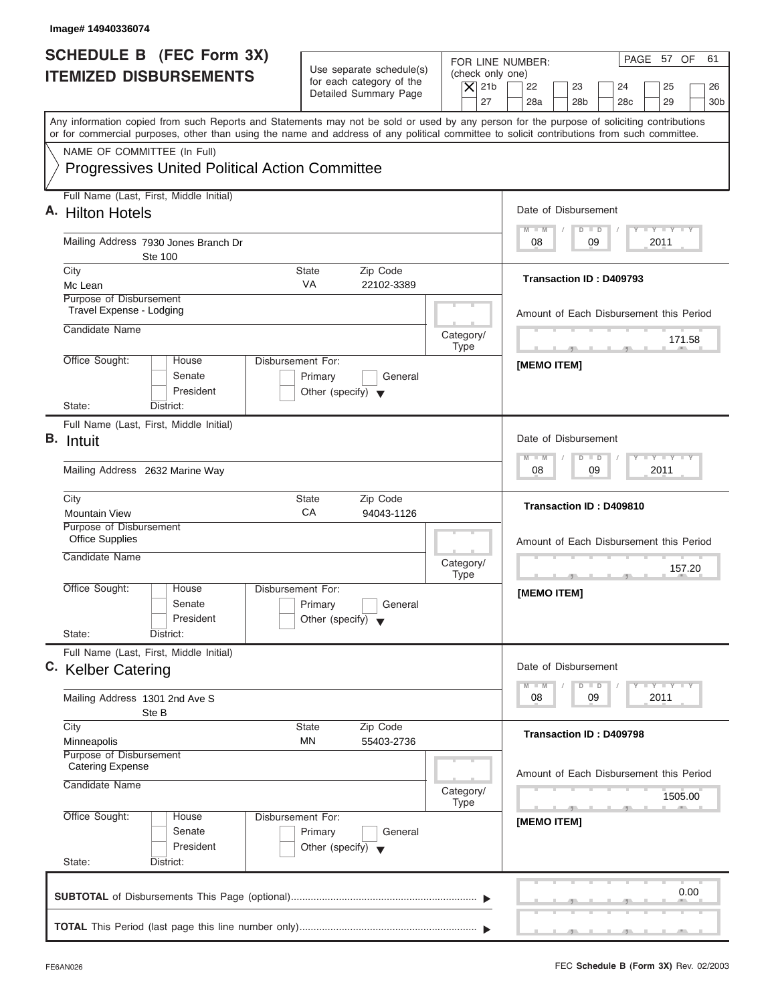| Image# 14940336074                                                                                                                                                                                                                                                                      |                                                                               |                                                                  |                                                                                                                      |
|-----------------------------------------------------------------------------------------------------------------------------------------------------------------------------------------------------------------------------------------------------------------------------------------|-------------------------------------------------------------------------------|------------------------------------------------------------------|----------------------------------------------------------------------------------------------------------------------|
| <b>SCHEDULE B (FEC Form 3X)</b><br><b>ITEMIZED DISBURSEMENTS</b>                                                                                                                                                                                                                        | Use separate schedule(s)<br>for each category of the<br>Detailed Summary Page | FOR LINE NUMBER:<br>(check only one)<br>$ \mathsf{X} $ 21b<br>27 | PAGE 57 OF<br>61<br>22<br>23<br>24<br>25<br>26<br>28a<br>28 <sub>b</sub><br>28 <sub>c</sub><br>29<br>30 <sub>b</sub> |
| Any information copied from such Reports and Statements may not be sold or used by any person for the purpose of soliciting contributions<br>or for commercial purposes, other than using the name and address of any political committee to solicit contributions from such committee. |                                                                               |                                                                  |                                                                                                                      |
| NAME OF COMMITTEE (In Full)<br><b>Progressives United Political Action Committee</b>                                                                                                                                                                                                    |                                                                               |                                                                  |                                                                                                                      |
| Full Name (Last, First, Middle Initial)<br>A. Hilton Hotels                                                                                                                                                                                                                             |                                                                               |                                                                  | Date of Disbursement                                                                                                 |
| Mailing Address 7930 Jones Branch Dr<br>Ste 100                                                                                                                                                                                                                                         |                                                                               |                                                                  | $T - Y = T - Y = T - Y$<br>$M - M$<br>$D$ $D$<br>09<br>2011<br>08                                                    |
| City<br>Mc Lean                                                                                                                                                                                                                                                                         | <b>State</b><br>Zip Code<br><b>VA</b><br>22102-3389                           |                                                                  | Transaction ID: D409793                                                                                              |
| Purpose of Disbursement<br>Travel Expense - Lodging<br>Candidate Name                                                                                                                                                                                                                   |                                                                               |                                                                  | Amount of Each Disbursement this Period                                                                              |
| Office Sought:<br>Disbursement For:<br>House                                                                                                                                                                                                                                            |                                                                               | Category/<br><b>Type</b>                                         | 171.58<br><b>The Contract Contract Contract Contract</b><br>$-7$                                                     |
| Senate<br>President<br>State:<br>District:                                                                                                                                                                                                                                              | Primary<br>General<br>Other (specify) $\blacktriangledown$                    |                                                                  | [MEMO ITEM]                                                                                                          |
| Full Name (Last, First, Middle Initial)<br><b>B.</b> Intuit                                                                                                                                                                                                                             |                                                                               |                                                                  | Date of Disbursement                                                                                                 |
| Mailing Address 2632 Marine Way                                                                                                                                                                                                                                                         |                                                                               |                                                                  | $-1 - Y - 1 - Y - 1 - Y$<br>$M - M$<br>$D$ $D$<br>09<br>2011<br>08                                                   |
| City<br><b>Mountain View</b>                                                                                                                                                                                                                                                            | Zip Code<br><b>State</b><br>CA<br>94043-1126                                  |                                                                  | Transaction ID: D409810                                                                                              |
| Purpose of Disbursement<br><b>Office Supplies</b><br>Candidate Name                                                                                                                                                                                                                     |                                                                               | Category/<br><b>Type</b>                                         | Amount of Each Disbursement this Period<br>157.20                                                                    |
| Office Sought:<br>House<br>Disbursement For:<br>Senate<br>President<br>State:<br>District:                                                                                                                                                                                              | Primary<br>General<br>Other (specify) $\blacktriangledown$                    |                                                                  | [MEMO ITEM]                                                                                                          |
| Full Name (Last, First, Middle Initial)<br>C. Kelber Catering                                                                                                                                                                                                                           |                                                                               |                                                                  | Date of Disbursement                                                                                                 |
| Mailing Address 1301 2nd Ave S<br>Ste B                                                                                                                                                                                                                                                 |                                                                               |                                                                  | $T - Y$ $T - Y$ $T - Y$<br>$M - M$<br>$\overline{D}$<br>$\Box$<br>2011<br>08<br>09                                   |
| City<br>Minneapolis<br>Purpose of Disbursement                                                                                                                                                                                                                                          | Zip Code<br><b>State</b><br>ΜN<br>55403-2736                                  |                                                                  | Transaction ID: D409798                                                                                              |
| <b>Catering Expense</b><br>Candidate Name                                                                                                                                                                                                                                               |                                                                               | Category/<br><b>Type</b>                                         | Amount of Each Disbursement this Period<br>1505.00                                                                   |
| Office Sought:<br>Disbursement For:<br>House<br>Senate<br>President<br>State:<br>District:                                                                                                                                                                                              | Primary<br>General<br>Other (specify) $\blacktriangledown$                    |                                                                  | [MEMO ITEM]                                                                                                          |
|                                                                                                                                                                                                                                                                                         |                                                                               |                                                                  | 0.00                                                                                                                 |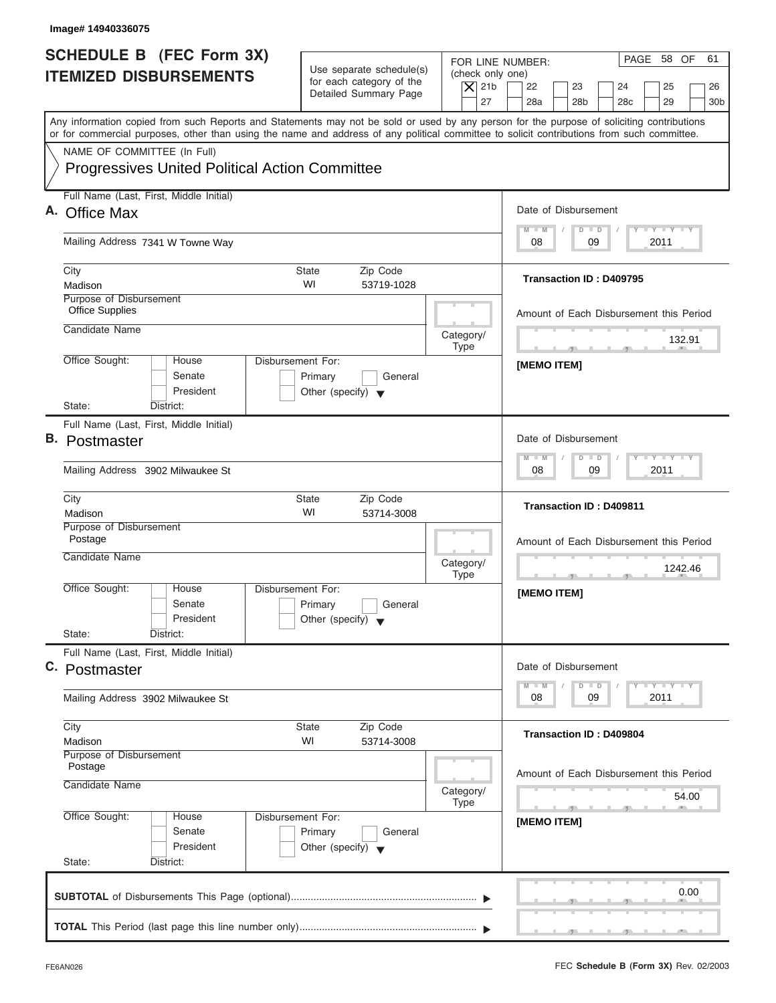| Image# 14940336075                                                                   |                              |                                                                               |                                                                  |                                                                                                                                                                                                                                                                                         |
|--------------------------------------------------------------------------------------|------------------------------|-------------------------------------------------------------------------------|------------------------------------------------------------------|-----------------------------------------------------------------------------------------------------------------------------------------------------------------------------------------------------------------------------------------------------------------------------------------|
| <b>SCHEDULE B (FEC Form 3X)</b><br><b>ITEMIZED DISBURSEMENTS</b>                     |                              | Use separate schedule(s)<br>for each category of the<br>Detailed Summary Page | FOR LINE NUMBER:<br>(check only one)<br>$\overline{X}$ 21b<br>27 | PAGE 58 OF<br>61<br>22<br>23<br>24<br>25<br>26<br>28a<br>28 <sub>b</sub><br>29<br>28 <sub>c</sub><br>30 <sub>b</sub>                                                                                                                                                                    |
|                                                                                      |                              |                                                                               |                                                                  | Any information copied from such Reports and Statements may not be sold or used by any person for the purpose of soliciting contributions<br>or for commercial purposes, other than using the name and address of any political committee to solicit contributions from such committee. |
| NAME OF COMMITTEE (In Full)<br><b>Progressives United Political Action Committee</b> |                              |                                                                               |                                                                  |                                                                                                                                                                                                                                                                                         |
| Full Name (Last, First, Middle Initial)<br>A. Office Max                             |                              |                                                                               |                                                                  | Date of Disbursement                                                                                                                                                                                                                                                                    |
|                                                                                      |                              |                                                                               |                                                                  | $T - Y = T - Y = T - Y$<br>$D$ $D$<br>$M - M$                                                                                                                                                                                                                                           |
| Mailing Address 7341 W Towne Way                                                     |                              |                                                                               |                                                                  | 09<br>2011<br>08                                                                                                                                                                                                                                                                        |
| City<br>Madison                                                                      | <b>State</b><br>WI           | Zip Code<br>53719-1028                                                        |                                                                  | <b>Transaction ID: D409795</b>                                                                                                                                                                                                                                                          |
| Purpose of Disbursement<br><b>Office Supplies</b>                                    |                              |                                                                               |                                                                  | Amount of Each Disbursement this Period                                                                                                                                                                                                                                                 |
| Candidate Name                                                                       |                              |                                                                               | Category/<br><b>Type</b>                                         | 132.91<br><b>All Contracts</b>                                                                                                                                                                                                                                                          |
| Office Sought:<br>House<br>Senate<br>President                                       | Disbursement For:<br>Primary | General<br>Other (specify) $\blacktriangledown$                               |                                                                  | [MEMO ITEM]                                                                                                                                                                                                                                                                             |
| State:<br>District:<br>Full Name (Last, First, Middle Initial)                       |                              |                                                                               |                                                                  |                                                                                                                                                                                                                                                                                         |
| <b>B.</b> Postmaster                                                                 |                              |                                                                               |                                                                  | Date of Disbursement                                                                                                                                                                                                                                                                    |
| Mailing Address 3902 Milwaukee St                                                    |                              |                                                                               |                                                                  | <b>LEYTEY LEY</b><br>$M - M$<br>$D$ $D$<br>09<br>2011<br>08                                                                                                                                                                                                                             |
| City<br>Madison                                                                      | <b>State</b><br>WI           | Zip Code<br>53714-3008                                                        |                                                                  | <b>Transaction ID: D409811</b>                                                                                                                                                                                                                                                          |
| Purpose of Disbursement<br>Postage                                                   |                              |                                                                               |                                                                  | Amount of Each Disbursement this Period                                                                                                                                                                                                                                                 |
| Candidate Name                                                                       |                              |                                                                               | Category/<br><b>Type</b>                                         | 1242.46                                                                                                                                                                                                                                                                                 |
| Office Sought:<br>House<br>Senate<br>President<br>State:<br>District:                | Disbursement For:<br>Primary | General<br>Other (specify) $\blacktriangledown$                               |                                                                  | [MEMO ITEM]                                                                                                                                                                                                                                                                             |
| Full Name (Last, First, Middle Initial)                                              |                              |                                                                               |                                                                  |                                                                                                                                                                                                                                                                                         |
| C. Postmaster                                                                        |                              |                                                                               |                                                                  | Date of Disbursement<br>$T - Y$ $T - Y$<br>$M - M$<br>$\overline{D}$<br>$\Box$                                                                                                                                                                                                          |
| Mailing Address 3902 Milwaukee St                                                    |                              |                                                                               |                                                                  | 09<br>2011<br>08                                                                                                                                                                                                                                                                        |
| City<br>Madison                                                                      | State<br>WI                  | Zip Code<br>53714-3008                                                        |                                                                  | Transaction ID: D409804                                                                                                                                                                                                                                                                 |
| Purpose of Disbursement<br>Postage<br>Candidate Name                                 |                              |                                                                               | Category/<br>Type                                                | Amount of Each Disbursement this Period<br>54.00                                                                                                                                                                                                                                        |
| Office Sought:<br>House                                                              | Disbursement For:<br>Primary | General                                                                       |                                                                  | $-7$<br>[MEMO ITEM]                                                                                                                                                                                                                                                                     |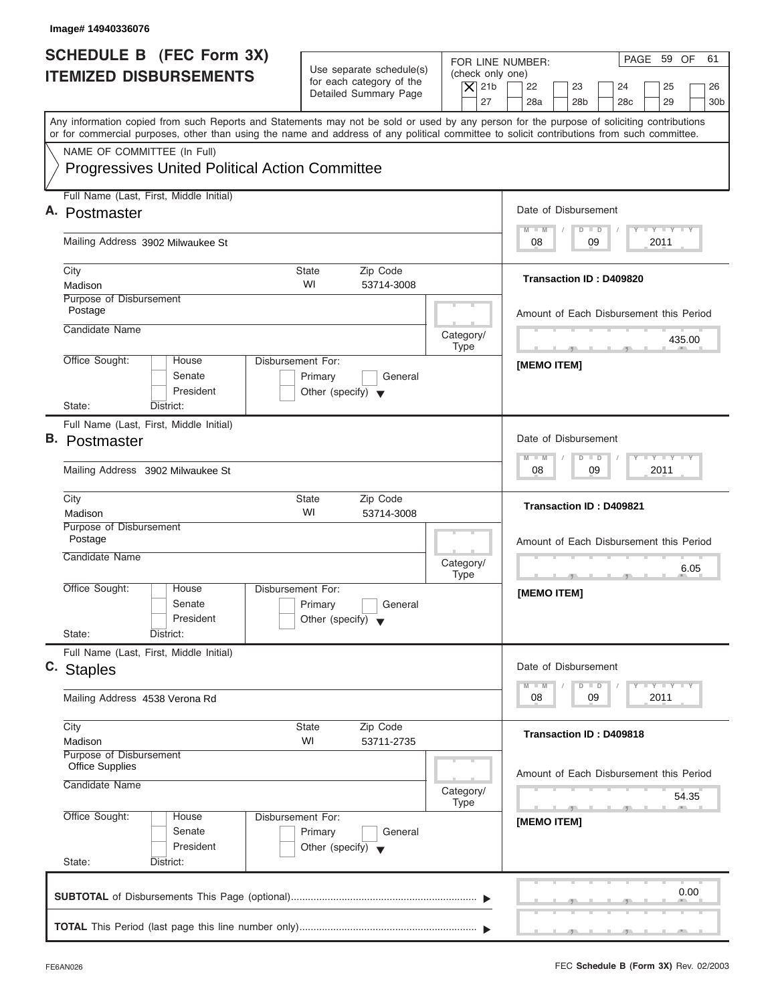| <b>SCHEDULE B (FEC Form 3X)</b><br><b>ITEMIZED DISBURSEMENTS</b>                                                                                                                                                                                                                        | Use separate schedule(s)<br>(check only one)<br>for each category of the<br>$\overline{X}$ 21b<br>Detailed Summary Page<br>27 | PAGE 59 OF<br>61<br>FOR LINE NUMBER:<br>22<br>23<br>24<br>25<br>26<br>28a<br>28 <sub>b</sub><br>29<br>30 <sub>b</sub><br>28 <sub>c</sub>                                                                                                             |
|-----------------------------------------------------------------------------------------------------------------------------------------------------------------------------------------------------------------------------------------------------------------------------------------|-------------------------------------------------------------------------------------------------------------------------------|------------------------------------------------------------------------------------------------------------------------------------------------------------------------------------------------------------------------------------------------------|
| Any information copied from such Reports and Statements may not be sold or used by any person for the purpose of soliciting contributions<br>or for commercial purposes, other than using the name and address of any political committee to solicit contributions from such committee. |                                                                                                                               |                                                                                                                                                                                                                                                      |
| NAME OF COMMITTEE (In Full)<br><b>Progressives United Political Action Committee</b>                                                                                                                                                                                                    |                                                                                                                               |                                                                                                                                                                                                                                                      |
| Full Name (Last, First, Middle Initial)                                                                                                                                                                                                                                                 |                                                                                                                               |                                                                                                                                                                                                                                                      |
| A. Postmaster                                                                                                                                                                                                                                                                           |                                                                                                                               | Date of Disbursement                                                                                                                                                                                                                                 |
| Mailing Address 3902 Milwaukee St                                                                                                                                                                                                                                                       |                                                                                                                               | $T - Y = T - Y = T - Y$<br>$D$ $D$<br>$M - M$<br>09<br>2011<br>08                                                                                                                                                                                    |
| City<br>Madison                                                                                                                                                                                                                                                                         | State<br>Zip Code<br>WI<br>53714-3008                                                                                         | <b>Transaction ID: D409820</b>                                                                                                                                                                                                                       |
| Purpose of Disbursement<br>Postage                                                                                                                                                                                                                                                      |                                                                                                                               | Amount of Each Disbursement this Period                                                                                                                                                                                                              |
| Candidate Name                                                                                                                                                                                                                                                                          | Category/<br><b>Type</b>                                                                                                      | 435.00                                                                                                                                                                                                                                               |
| Office Sought:<br>House<br>Senate<br>President                                                                                                                                                                                                                                          | Disbursement For:<br>Primary<br>General<br>Other (specify) $\blacktriangledown$                                               | [MEMO ITEM]                                                                                                                                                                                                                                          |
| State:<br>District:<br>Full Name (Last, First, Middle Initial)                                                                                                                                                                                                                          |                                                                                                                               |                                                                                                                                                                                                                                                      |
| <b>B.</b> Postmaster                                                                                                                                                                                                                                                                    |                                                                                                                               | Date of Disbursement                                                                                                                                                                                                                                 |
| Mailing Address 3902 Milwaukee St                                                                                                                                                                                                                                                       |                                                                                                                               | <b>LEYTEY LEY</b><br>$M - M$<br>$D$ $D$<br>09<br>2011<br>08                                                                                                                                                                                          |
| City<br>Madison                                                                                                                                                                                                                                                                         | <b>State</b><br>Zip Code<br>WI<br>53714-3008                                                                                  | <b>Transaction ID: D409821</b>                                                                                                                                                                                                                       |
| Purpose of Disbursement<br>Postage                                                                                                                                                                                                                                                      |                                                                                                                               | Amount of Each Disbursement this Period                                                                                                                                                                                                              |
| Candidate Name                                                                                                                                                                                                                                                                          | Category/<br><b>Type</b>                                                                                                      | 6.05<br>$\cdots$                                                                                                                                                                                                                                     |
| Office Sought:<br>House<br>Senate<br>President<br>State:<br>District:                                                                                                                                                                                                                   | Disbursement For:<br>Primary<br>General<br>Other (specify) $\blacktriangledown$                                               | [MEMO ITEM]                                                                                                                                                                                                                                          |
| Full Name (Last, First, Middle Initial)                                                                                                                                                                                                                                                 |                                                                                                                               |                                                                                                                                                                                                                                                      |
| c. Staples                                                                                                                                                                                                                                                                              |                                                                                                                               | Date of Disbursement<br>$\frac{1}{2}$ $\frac{1}{2}$ $\frac{1}{2}$ $\frac{1}{2}$ $\frac{1}{2}$ $\frac{1}{2}$ $\frac{1}{2}$ $\frac{1}{2}$ $\frac{1}{2}$ $\frac{1}{2}$ $\frac{1}{2}$ $\frac{1}{2}$ $\frac{1}{2}$<br>$M - M$<br>$\overline{D}$<br>$\Box$ |
| Mailing Address 4538 Verona Rd                                                                                                                                                                                                                                                          |                                                                                                                               | 2011<br>08<br>09                                                                                                                                                                                                                                     |
| City<br>Madison                                                                                                                                                                                                                                                                         | Zip Code<br>State<br>WI<br>53711-2735                                                                                         | Transaction ID: D409818                                                                                                                                                                                                                              |
| Purpose of Disbursement<br><b>Office Supplies</b><br>Candidate Name                                                                                                                                                                                                                     | Category/                                                                                                                     | Amount of Each Disbursement this Period<br>54.35                                                                                                                                                                                                     |
| Office Sought:<br>House<br>Senate                                                                                                                                                                                                                                                       | <b>Type</b><br>Disbursement For:<br>Primary<br>General<br>Other (specify) $\blacktriangledown$                                | [MEMO ITEM]                                                                                                                                                                                                                                          |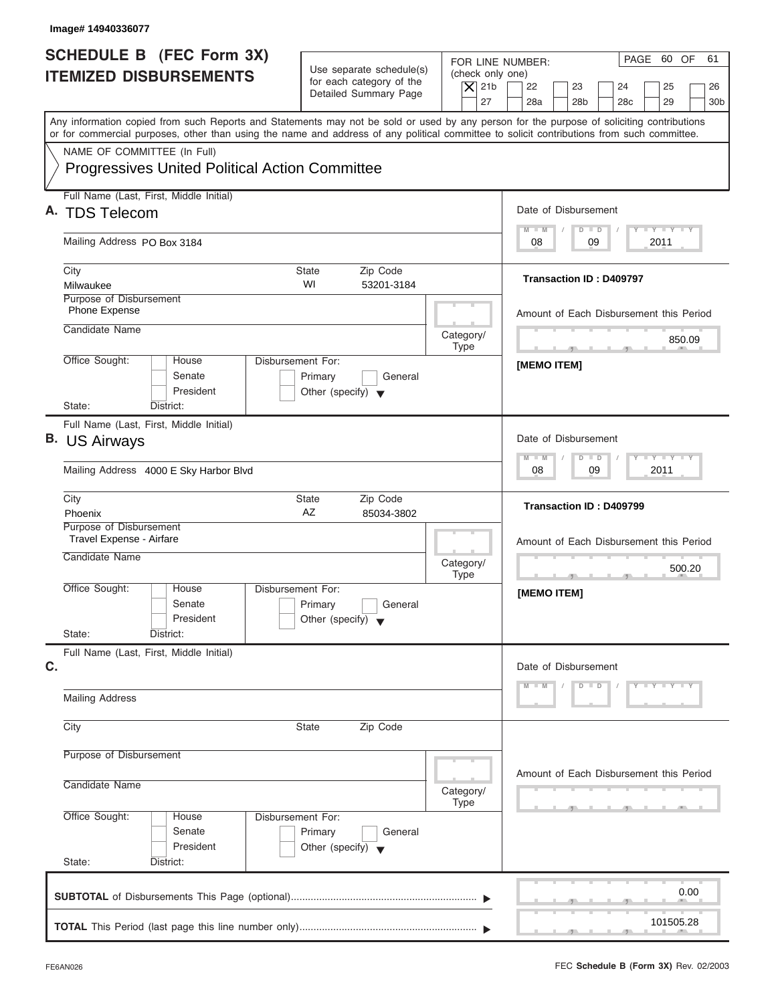| Image# 14940336077                                                                                                                                                                                                                                                                      |                                                                                 |                                                                  |                                                                                                                      |
|-----------------------------------------------------------------------------------------------------------------------------------------------------------------------------------------------------------------------------------------------------------------------------------------|---------------------------------------------------------------------------------|------------------------------------------------------------------|----------------------------------------------------------------------------------------------------------------------|
| <b>SCHEDULE B (FEC Form 3X)</b><br><b>ITEMIZED DISBURSEMENTS</b>                                                                                                                                                                                                                        | Use separate schedule(s)<br>for each category of the<br>Detailed Summary Page   | FOR LINE NUMBER:<br>(check only one)<br>$\vert$ $\chi$ 21b<br>27 | PAGE 60 OF<br>61<br>22<br>23<br>24<br>25<br>26<br>28a<br>28 <sub>b</sub><br>28 <sub>c</sub><br>29<br>30 <sub>b</sub> |
| Any information copied from such Reports and Statements may not be sold or used by any person for the purpose of soliciting contributions<br>or for commercial purposes, other than using the name and address of any political committee to solicit contributions from such committee. |                                                                                 |                                                                  |                                                                                                                      |
| NAME OF COMMITTEE (In Full)<br><b>Progressives United Political Action Committee</b>                                                                                                                                                                                                    |                                                                                 |                                                                  |                                                                                                                      |
| Full Name (Last, First, Middle Initial)<br>A. TDS Telecom                                                                                                                                                                                                                               |                                                                                 |                                                                  | Date of Disbursement                                                                                                 |
| Mailing Address PO Box 3184                                                                                                                                                                                                                                                             |                                                                                 |                                                                  | $T - Y = T - Y = T - Y$<br>$D$ $D$<br>$M - M$<br>09<br>2011<br>08                                                    |
| City<br>Milwaukee                                                                                                                                                                                                                                                                       | <b>State</b><br>Zip Code<br>WI<br>53201-3184                                    |                                                                  | <b>Transaction ID: D409797</b>                                                                                       |
| Purpose of Disbursement<br>Phone Expense<br>Candidate Name                                                                                                                                                                                                                              |                                                                                 |                                                                  | Amount of Each Disbursement this Period                                                                              |
| Office Sought:<br>House                                                                                                                                                                                                                                                                 | Disbursement For:                                                               | Category/<br><b>Type</b>                                         | 850.09<br><b>The Contract Contract Contract Contract</b><br>$-7$                                                     |
| Senate<br>President<br>State:<br>District:                                                                                                                                                                                                                                              | Primary<br>General<br>Other (specify) $\blacktriangledown$                      |                                                                  | [MEMO ITEM]                                                                                                          |
| Full Name (Last, First, Middle Initial)<br><b>B.</b> US Airways                                                                                                                                                                                                                         |                                                                                 |                                                                  | Date of Disbursement                                                                                                 |
| Mailing Address 4000 E Sky Harbor Blvd                                                                                                                                                                                                                                                  |                                                                                 |                                                                  | $-1 - Y - 1 - Y - 1 - Y$<br>$D$ $D$<br>$M - M$<br>2011<br>08<br>09                                                   |
| City<br>Phoenix                                                                                                                                                                                                                                                                         | Zip Code<br><b>State</b><br>AZ<br>85034-3802                                    |                                                                  | Transaction ID: D409799                                                                                              |
| Purpose of Disbursement<br>Travel Expense - Airfare<br>Candidate Name                                                                                                                                                                                                                   |                                                                                 | Category/<br><b>Type</b>                                         | Amount of Each Disbursement this Period<br>500.20                                                                    |
| Office Sought:<br>House<br>Senate<br>President<br>State:<br>District:                                                                                                                                                                                                                   | Disbursement For:<br>Primary<br>General<br>Other (specify)                      |                                                                  | [MEMO ITEM]                                                                                                          |
| Full Name (Last, First, Middle Initial)<br>C.                                                                                                                                                                                                                                           |                                                                                 |                                                                  | Date of Disbursement<br>$Y - Y - Y - Y$<br>$M - M$                                                                   |
| <b>Mailing Address</b>                                                                                                                                                                                                                                                                  |                                                                                 |                                                                  | $D$ $D$                                                                                                              |
| City                                                                                                                                                                                                                                                                                    | Zip Code<br><b>State</b>                                                        |                                                                  |                                                                                                                      |
| Purpose of Disbursement<br>Candidate Name                                                                                                                                                                                                                                               |                                                                                 | Category/                                                        | Amount of Each Disbursement this Period                                                                              |
| Office Sought:<br>House<br>Senate<br>President<br>State:<br>District:                                                                                                                                                                                                                   | Disbursement For:<br>Primary<br>General<br>Other (specify) $\blacktriangledown$ | <b>Type</b>                                                      |                                                                                                                      |
|                                                                                                                                                                                                                                                                                         |                                                                                 |                                                                  | 0.00                                                                                                                 |
|                                                                                                                                                                                                                                                                                         |                                                                                 |                                                                  | 101505.28                                                                                                            |

I